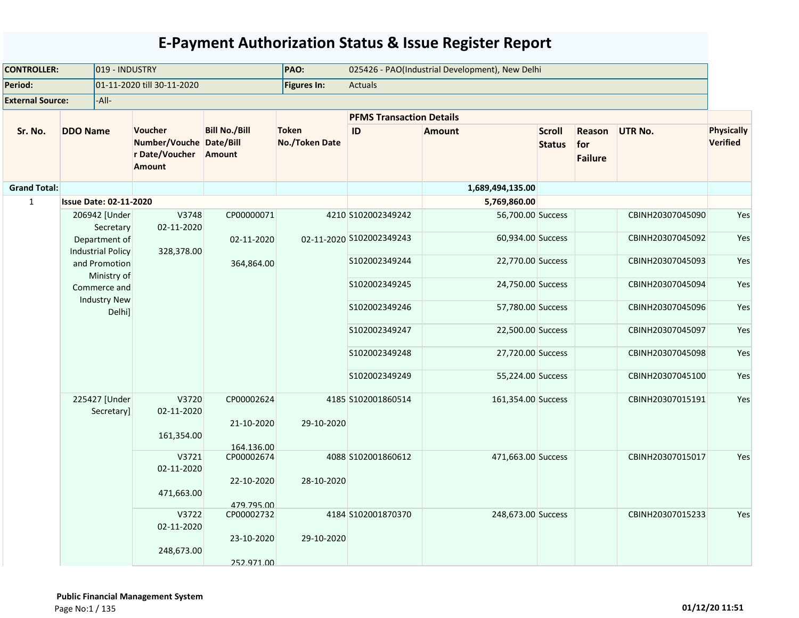| 019 - INDUSTRY<br><b>CONTROLLER:</b> | PAO:                                      |                                                                              | 025426 - PAO(Industrial Development), New Delhi |                                |                                 |                    |                                |                                 |                  |                        |
|--------------------------------------|-------------------------------------------|------------------------------------------------------------------------------|-------------------------------------------------|--------------------------------|---------------------------------|--------------------|--------------------------------|---------------------------------|------------------|------------------------|
| Period:                              |                                           | 01-11-2020 till 30-11-2020                                                   |                                                 | Figures In:                    | <b>Actuals</b>                  |                    |                                |                                 |                  |                        |
| <b>External Source:</b>              | -All-                                     |                                                                              |                                                 |                                |                                 |                    |                                |                                 |                  |                        |
|                                      |                                           |                                                                              |                                                 |                                | <b>PFMS Transaction Details</b> |                    |                                |                                 |                  |                        |
| Sr. No.                              | <b>DDO Name</b>                           | <b>Voucher</b><br>Number/Vouche Date/Bill<br>r Date/Voucher<br><b>Amount</b> | <b>Bill No./Bill</b><br>Amount                  | <b>Token</b><br>No./Token Date | ID                              | <b>Amount</b>      | <b>Scroll</b><br><b>Status</b> | Reason<br>for<br><b>Failure</b> | <b>UTR No.</b>   | Physically<br>Verified |
| <b>Grand Total:</b>                  |                                           |                                                                              |                                                 |                                |                                 | 1,689,494,135.00   |                                |                                 |                  |                        |
| $\mathbf 1$                          | <b>Issue Date: 02-11-2020</b>             |                                                                              |                                                 |                                |                                 | 5,769,860.00       |                                |                                 |                  |                        |
|                                      | 206942 [Under<br>Secretary                | V3748<br>02-11-2020                                                          | CP00000071                                      |                                | 4210 S102002349242              | 56,700.00 Success  |                                |                                 | CBINH20307045090 | Yes                    |
|                                      | Department of<br><b>Industrial Policy</b> | 328,378.00                                                                   | 02-11-2020                                      |                                | 02-11-2020 S102002349243        | 60,934.00 Success  |                                |                                 | CBINH20307045092 | Yes                    |
|                                      | and Promotion<br>Ministry of              |                                                                              | 364,864.00                                      |                                | S102002349244                   | 22,770.00 Success  |                                |                                 | CBINH20307045093 | Yes                    |
|                                      | Commerce and<br><b>Industry New</b>       |                                                                              |                                                 |                                | \$102002349245                  | 24,750.00 Success  |                                |                                 | CBINH20307045094 | Yes                    |
|                                      | Delhi]                                    |                                                                              |                                                 |                                | S102002349246                   | 57,780.00 Success  |                                |                                 | CBINH20307045096 | Yes                    |
|                                      |                                           |                                                                              |                                                 |                                | S102002349247                   | 22,500.00 Success  |                                |                                 | CBINH20307045097 | Yes                    |
|                                      |                                           |                                                                              |                                                 |                                | S102002349248                   | 27,720.00 Success  |                                |                                 | CBINH20307045098 | Yes                    |
|                                      |                                           |                                                                              |                                                 |                                | S102002349249                   | 55,224.00 Success  |                                |                                 | CBINH20307045100 | Yes                    |
|                                      | 225427 [Under<br>Secretary]               | V3720<br>02-11-2020                                                          | CP00002624<br>21-10-2020                        | 29-10-2020                     | 4185 S102001860514              | 161,354.00 Success |                                |                                 | CBINH20307015191 | Yes                    |
|                                      |                                           | 161,354.00                                                                   | 164.136.00                                      |                                |                                 |                    |                                |                                 |                  |                        |
|                                      |                                           | V3721<br>02-11-2020                                                          | CP00002674                                      |                                | 4088 S102001860612              | 471,663.00 Success |                                |                                 | CBINH20307015017 | Yes                    |
|                                      |                                           | 471,663.00                                                                   | 22-10-2020<br>479.795.00                        | 28-10-2020                     |                                 |                    |                                |                                 |                  |                        |
|                                      |                                           | V3722<br>02-11-2020                                                          | CP00002732                                      |                                | 4184 S102001870370              | 248,673.00 Success |                                |                                 | CBINH20307015233 | Yes                    |
|                                      |                                           | 248,673.00                                                                   | 23-10-2020<br>252.971.00                        | 29-10-2020                     |                                 |                    |                                |                                 |                  |                        |
|                                      |                                           |                                                                              |                                                 |                                |                                 |                    |                                |                                 |                  |                        |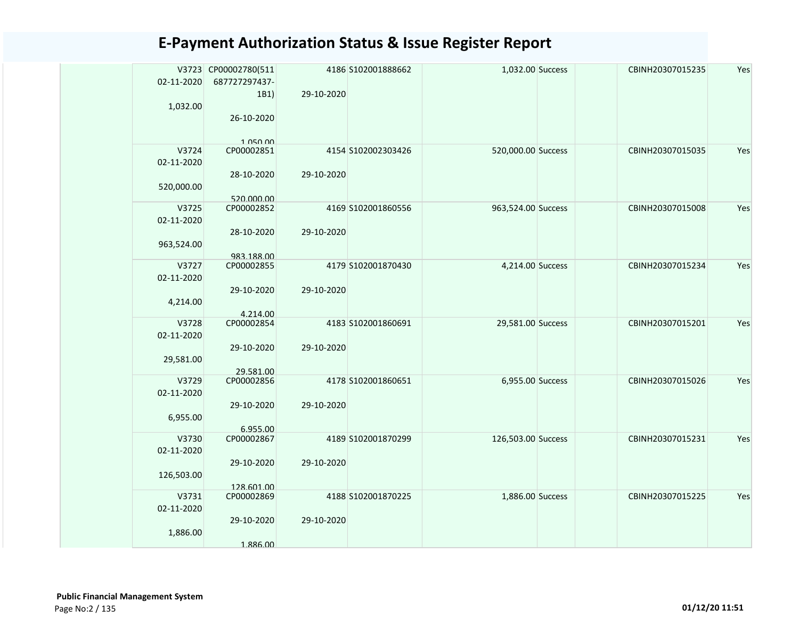|                     | V3723 CP00002780(511     |            | 4186 S102001888662 | 1,032.00 Success   | CBINH20307015235 | Yes |
|---------------------|--------------------------|------------|--------------------|--------------------|------------------|-----|
| 02-11-2020          | 687727297437-<br>1B1)    | 29-10-2020 |                    |                    |                  |     |
| 1,032.00            |                          |            |                    |                    |                  |     |
|                     | 26-10-2020               |            |                    |                    |                  |     |
|                     |                          |            |                    |                    |                  |     |
| V3724               | 1.050.00<br>CP00002851   |            | 4154 S102002303426 | 520,000.00 Success | CBINH20307015035 | Yes |
| 02-11-2020          |                          |            |                    |                    |                  |     |
|                     | 28-10-2020               | 29-10-2020 |                    |                    |                  |     |
| 520,000.00          |                          |            |                    |                    |                  |     |
| V3725               | 520.000.00<br>CP00002852 |            | 4169 S102001860556 |                    | CBINH20307015008 | Yes |
| 02-11-2020          |                          |            |                    | 963,524.00 Success |                  |     |
|                     | 28-10-2020               | 29-10-2020 |                    |                    |                  |     |
| 963,524.00          |                          |            |                    |                    |                  |     |
|                     | 983.188.00               |            |                    |                    |                  |     |
| V3727<br>02-11-2020 | CP00002855               |            | 4179 S102001870430 | 4,214.00 Success   | CBINH20307015234 | Yes |
|                     | 29-10-2020               | 29-10-2020 |                    |                    |                  |     |
| 4,214.00            |                          |            |                    |                    |                  |     |
|                     | 4.214.00                 |            |                    |                    |                  |     |
| V3728               | CP00002854               |            | 4183 S102001860691 | 29,581.00 Success  | CBINH20307015201 | Yes |
| 02-11-2020          | 29-10-2020               | 29-10-2020 |                    |                    |                  |     |
| 29,581.00           |                          |            |                    |                    |                  |     |
|                     | 29.581.00                |            |                    |                    |                  |     |
| V3729               | CP00002856               |            | 4178 S102001860651 | 6,955.00 Success   | CBINH20307015026 | Yes |
| 02-11-2020          |                          |            |                    |                    |                  |     |
| 6,955.00            | 29-10-2020               | 29-10-2020 |                    |                    |                  |     |
|                     | 6.955.00                 |            |                    |                    |                  |     |
| V3730               | CP00002867               |            | 4189 S102001870299 | 126,503.00 Success | CBINH20307015231 | Yes |
| 02-11-2020          |                          |            |                    |                    |                  |     |
| 126,503.00          | 29-10-2020               | 29-10-2020 |                    |                    |                  |     |
|                     | 128.601.00               |            |                    |                    |                  |     |
| V3731               | CP00002869               |            | 4188 S102001870225 | 1,886.00 Success   | CBINH20307015225 | Yes |
| 02-11-2020          |                          |            |                    |                    |                  |     |
|                     | 29-10-2020               | 29-10-2020 |                    |                    |                  |     |
| 1,886.00            | 1.886.00                 |            |                    |                    |                  |     |
|                     |                          |            |                    |                    |                  |     |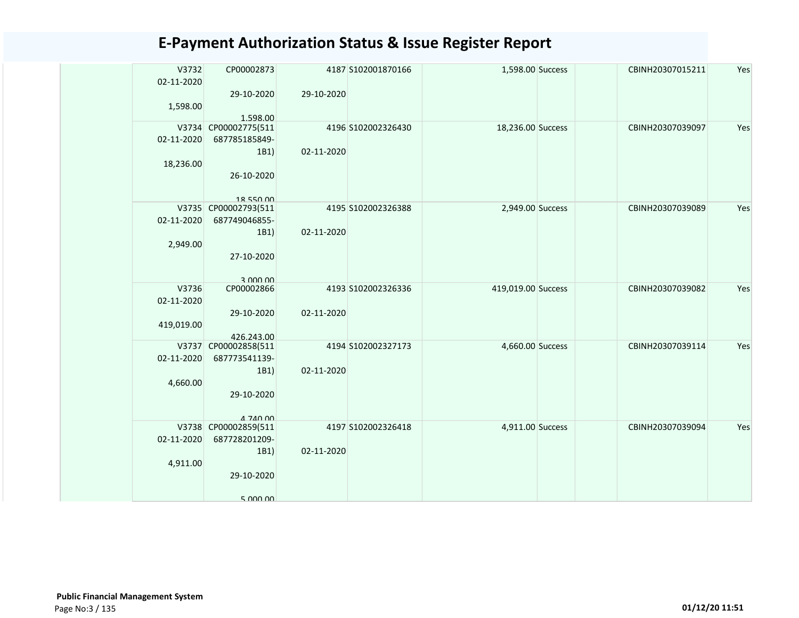| V3732<br>02-11-2020<br>1,598.00   | CP00002873<br>29-10-2020<br>1.598.00                                          | 29-10-2020 | 4187 S102001870166 | 1,598.00 Success   | CBINH20307015211 | Yes |
|-----------------------------------|-------------------------------------------------------------------------------|------------|--------------------|--------------------|------------------|-----|
| 02-11-2020<br>18,236.00           | V3734 CP00002775(511<br>687785185849-<br>1B1)<br>26-10-2020<br>18 550 00      | 02-11-2020 | 4196 S102002326430 | 18,236.00 Success  | CBINH20307039097 | Yes |
| 02-11-2020<br>2,949.00            | V3735 CP00002793(511<br>687749046855-<br>1B1)<br>27-10-2020<br>3 000 00       | 02-11-2020 | 4195 S102002326388 | 2,949.00 Success   | CBINH20307039089 | Yes |
| V3736<br>02-11-2020<br>419,019.00 | CP00002866<br>29-10-2020<br>426.243.00                                        | 02-11-2020 | 4193 S102002326336 | 419,019.00 Success | CBINH20307039082 | Yes |
| 02-11-2020<br>4,660.00            | V3737 CP00002858(511<br>687773541139-<br>1B1)<br>29-10-2020<br>$A$ 740 00     | 02-11-2020 | 4194 S102002327173 | 4,660.00 Success   | CBINH20307039114 | Yes |
| 02-11-2020<br>4,911.00            | V3738 CP00002859(511<br>687728201209-<br>1B1)<br>29-10-2020<br>$5$ $000$ $00$ | 02-11-2020 | 4197 S102002326418 | 4,911.00 Success   | CBINH20307039094 | Yes |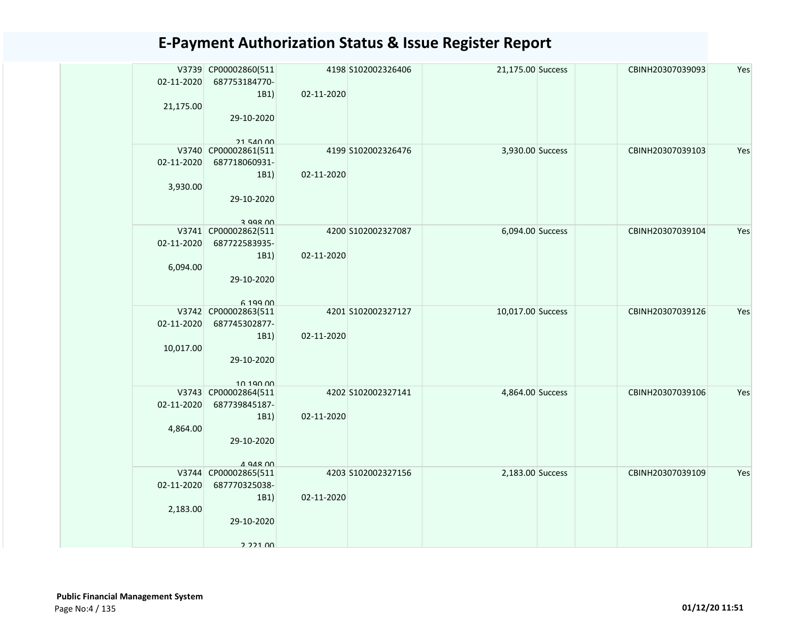| 02-11-2020 | V3739 CP00002860(511<br>687753184770- |            | 4198 S102002326406 | 21,175.00 Success | CBINH20307039093 | Yes |
|------------|---------------------------------------|------------|--------------------|-------------------|------------------|-----|
|            | 1B1)                                  | 02-11-2020 |                    |                   |                  |     |
| 21,175.00  |                                       |            |                    |                   |                  |     |
|            | 29-10-2020                            |            |                    |                   |                  |     |
|            |                                       |            |                    |                   |                  |     |
|            | 21.540.00<br>V3740 CP00002861(511     |            | 4199 S102002326476 | 3,930.00 Success  | CBINH20307039103 | Yes |
| 02-11-2020 | 687718060931-                         |            |                    |                   |                  |     |
|            | 1B1)                                  | 02-11-2020 |                    |                   |                  |     |
| 3,930.00   |                                       |            |                    |                   |                  |     |
|            | 29-10-2020                            |            |                    |                   |                  |     |
|            |                                       |            |                    |                   |                  |     |
|            | $3$ QQR $00$<br>V3741 CP00002862(511  |            | 4200 S102002327087 | 6,094.00 Success  | CBINH20307039104 | Yes |
| 02-11-2020 | 687722583935-                         |            |                    |                   |                  |     |
|            | 1B1)                                  | 02-11-2020 |                    |                   |                  |     |
| 6,094.00   |                                       |            |                    |                   |                  |     |
|            | 29-10-2020                            |            |                    |                   |                  |     |
|            |                                       |            |                    |                   |                  |     |
|            | 6,199,00                              |            |                    |                   |                  |     |
|            | V3742 CP00002863(511                  |            | 4201 S102002327127 | 10,017.00 Success | CBINH20307039126 | Yes |
| 02-11-2020 | 687745302877-                         |            |                    |                   |                  |     |
|            | 1B1)                                  | 02-11-2020 |                    |                   |                  |     |
| 10,017.00  | 29-10-2020                            |            |                    |                   |                  |     |
|            |                                       |            |                    |                   |                  |     |
|            | 10 190 00                             |            |                    |                   |                  |     |
|            | V3743 CP00002864(511                  |            | 4202 S102002327141 | 4,864.00 Success  | CBINH20307039106 | Yes |
| 02-11-2020 | 687739845187-                         |            |                    |                   |                  |     |
|            | 1B1)                                  | 02-11-2020 |                    |                   |                  |     |
| 4,864.00   |                                       |            |                    |                   |                  |     |
|            | 29-10-2020                            |            |                    |                   |                  |     |
|            | $\triangle$ 948 00                    |            |                    |                   |                  |     |
|            | V3744 CP00002865(511                  |            | 4203 S102002327156 | 2,183.00 Success  | CBINH20307039109 | Yes |
| 02-11-2020 | 687770325038-                         |            |                    |                   |                  |     |
|            | 1B1)                                  | 02-11-2020 |                    |                   |                  |     |
| 2,183.00   |                                       |            |                    |                   |                  |     |
|            | 29-10-2020                            |            |                    |                   |                  |     |
|            | 2 221 00                              |            |                    |                   |                  |     |
|            |                                       |            |                    |                   |                  |     |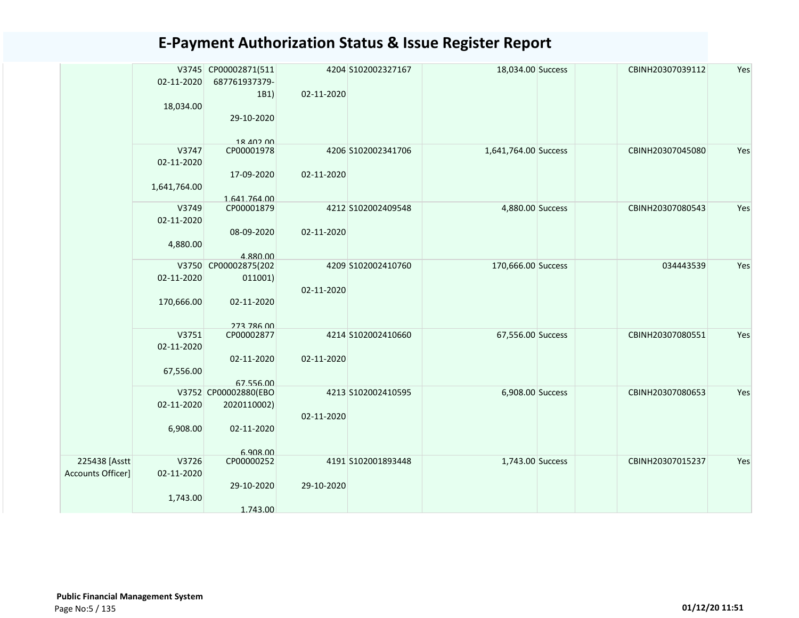|                   | 02-11-2020   | V3745 CP00002871(511<br>687761937379- |            | 4204 S102002327167 | 18,034.00 Success    | CBINH20307039112 | Yes |
|-------------------|--------------|---------------------------------------|------------|--------------------|----------------------|------------------|-----|
|                   |              | 1B1)                                  | 02-11-2020 |                    |                      |                  |     |
|                   | 18,034.00    |                                       |            |                    |                      |                  |     |
|                   |              | 29-10-2020                            |            |                    |                      |                  |     |
|                   |              |                                       |            |                    |                      |                  |     |
|                   | V3747        | 18 402 00<br>CP00001978               |            | 4206 S102002341706 | 1,641,764.00 Success | CBINH20307045080 | Yes |
|                   | 02-11-2020   |                                       |            |                    |                      |                  |     |
|                   |              | 17-09-2020                            | 02-11-2020 |                    |                      |                  |     |
|                   | 1,641,764.00 | 1.641.764.00                          |            |                    |                      |                  |     |
|                   | V3749        | CP00001879                            |            | 4212 S102002409548 | 4,880.00 Success     | CBINH20307080543 | Yes |
|                   | 02-11-2020   |                                       |            |                    |                      |                  |     |
|                   |              | 08-09-2020                            | 02-11-2020 |                    |                      |                  |     |
|                   | 4,880.00     | 4.880.00                              |            |                    |                      |                  |     |
|                   | V3750        | CP00002875(202                        |            | 4209 S102002410760 | 170,666.00 Success   | 034443539        | Yes |
|                   | 02-11-2020   | 011001)                               |            |                    |                      |                  |     |
|                   |              |                                       | 02-11-2020 |                    |                      |                  |     |
|                   | 170,666.00   | 02-11-2020                            |            |                    |                      |                  |     |
|                   |              | 273 786 00                            |            |                    |                      |                  |     |
|                   | V3751        | CP00002877                            |            | 4214 S102002410660 | 67,556.00 Success    | CBINH20307080551 | Yes |
|                   | 02-11-2020   | 02-11-2020                            | 02-11-2020 |                    |                      |                  |     |
|                   | 67,556.00    |                                       |            |                    |                      |                  |     |
|                   |              | 67.556.00                             |            |                    |                      |                  |     |
|                   | 02-11-2020   | V3752 CP00002880(EBO<br>2020110002)   |            | 4213 S102002410595 | 6,908.00 Success     | CBINH20307080653 | Yes |
|                   |              |                                       | 02-11-2020 |                    |                      |                  |     |
|                   | 6,908.00     | 02-11-2020                            |            |                    |                      |                  |     |
|                   |              |                                       |            |                    |                      |                  |     |
| 225438 [Asstt     | V3726        | 6.908.00<br>CP00000252                |            | 4191 S102001893448 | 1,743.00 Success     | CBINH20307015237 | Yes |
| Accounts Officer] | 02-11-2020   |                                       |            |                    |                      |                  |     |
|                   |              | 29-10-2020                            | 29-10-2020 |                    |                      |                  |     |
|                   | 1,743.00     |                                       |            |                    |                      |                  |     |
|                   |              | 1.743.00                              |            |                    |                      |                  |     |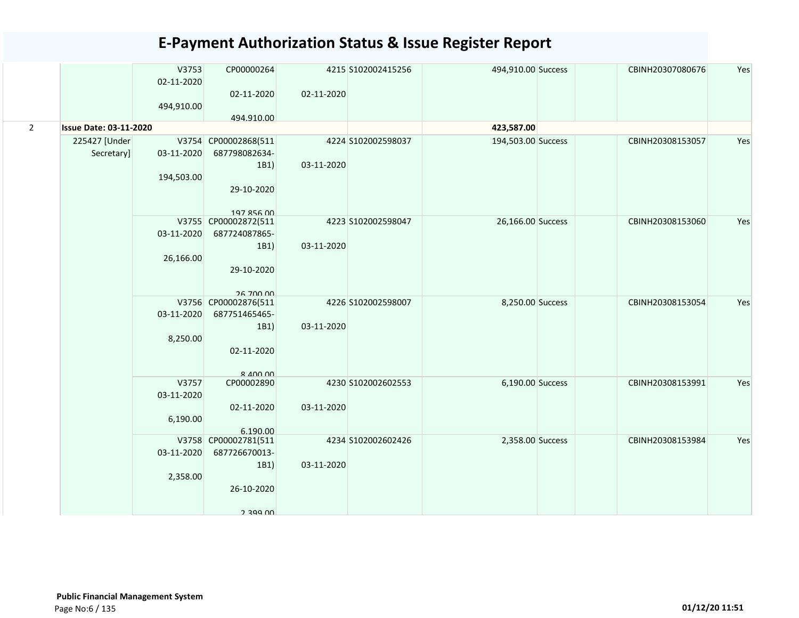|             |                               | V3753      | CP00000264                       |            | 4215 S102002415256 | 494,910.00 Success | CBINH20307080676 | Yes |
|-------------|-------------------------------|------------|----------------------------------|------------|--------------------|--------------------|------------------|-----|
|             |                               | 02-11-2020 | 02-11-2020                       | 02-11-2020 |                    |                    |                  |     |
|             |                               | 494,910.00 |                                  |            |                    |                    |                  |     |
|             |                               |            | 494.910.00                       |            |                    |                    |                  |     |
| $2^{\circ}$ | <b>Issue Date: 03-11-2020</b> |            |                                  |            |                    | 423,587.00         |                  |     |
|             | 225427 [Under                 |            | V3754 CP00002868(511             |            | 4224 S102002598037 | 194,503.00 Success | CBINH20308153057 | Yes |
|             | Secretary]                    | 03-11-2020 | 687798082634-                    |            |                    |                    |                  |     |
|             |                               |            | 1B1)                             | 03-11-2020 |                    |                    |                  |     |
|             |                               | 194,503.00 |                                  |            |                    |                    |                  |     |
|             |                               |            | 29-10-2020                       |            |                    |                    |                  |     |
|             |                               |            | 197 856 00                       |            |                    |                    |                  |     |
|             |                               |            | V3755 CP00002872(511             |            | 4223 S102002598047 | 26,166.00 Success  | CBINH20308153060 | Yes |
|             |                               | 03-11-2020 | 687724087865-                    |            |                    |                    |                  |     |
|             |                               |            | 1B1)                             | 03-11-2020 |                    |                    |                  |     |
|             |                               | 26,166.00  |                                  |            |                    |                    |                  |     |
|             |                               |            | 29-10-2020                       |            |                    |                    |                  |     |
|             |                               |            | 26.700.00                        |            |                    |                    |                  |     |
|             |                               |            | V3756 CP00002876(511             |            | 4226 S102002598007 | 8,250.00 Success   | CBINH20308153054 | Yes |
|             |                               | 03-11-2020 | 687751465465-                    |            |                    |                    |                  |     |
|             |                               |            | 1B1)                             | 03-11-2020 |                    |                    |                  |     |
|             |                               | 8,250.00   |                                  |            |                    |                    |                  |     |
|             |                               |            | 02-11-2020                       |            |                    |                    |                  |     |
|             |                               |            | $R$ 400 00                       |            |                    |                    |                  |     |
|             |                               | V3757      | CP00002890                       |            | 4230 S102002602553 | 6,190.00 Success   | CBINH20308153991 | Yes |
|             |                               | 03-11-2020 |                                  |            |                    |                    |                  |     |
|             |                               |            | 02-11-2020                       | 03-11-2020 |                    |                    |                  |     |
|             |                               | 6,190.00   |                                  |            |                    |                    |                  |     |
|             |                               |            | 6.190.00<br>V3758 CP00002781(511 |            | 4234 S102002602426 | 2,358.00 Success   | CBINH20308153984 | Yes |
|             |                               | 03-11-2020 | 687726670013-                    |            |                    |                    |                  |     |
|             |                               |            | 1B1)                             | 03-11-2020 |                    |                    |                  |     |
|             |                               | 2,358.00   |                                  |            |                    |                    |                  |     |
|             |                               |            | 26-10-2020                       |            |                    |                    |                  |     |
|             |                               |            |                                  |            |                    |                    |                  |     |
|             |                               |            | 2 3 9 9 UU                       |            |                    |                    |                  |     |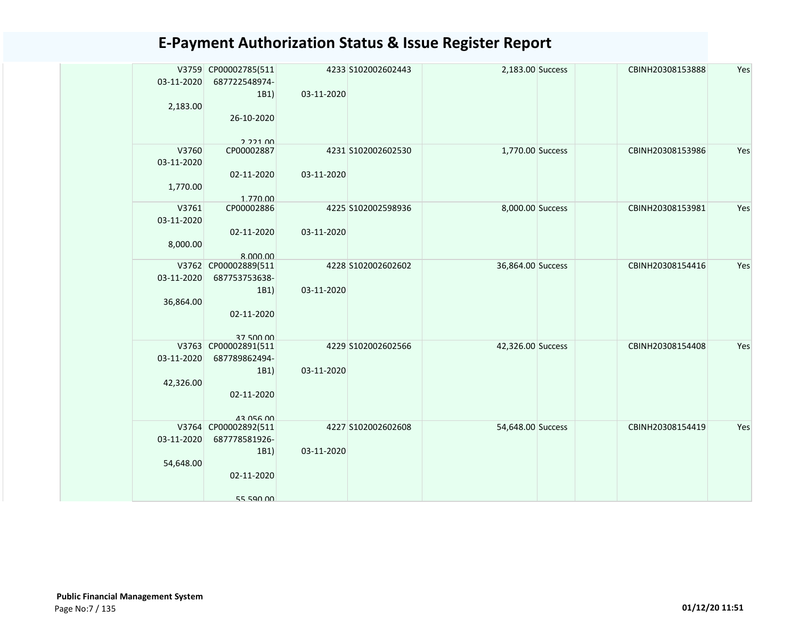|            | V3759 CP00002785(511                  |            | 4233 S102002602443 | 2,183.00 Success  | CBINH20308153888 | Yes |
|------------|---------------------------------------|------------|--------------------|-------------------|------------------|-----|
| 03-11-2020 | 687722548974-                         |            |                    |                   |                  |     |
| 2,183.00   | 1B1)                                  | 03-11-2020 |                    |                   |                  |     |
|            | 26-10-2020                            |            |                    |                   |                  |     |
|            |                                       |            |                    |                   |                  |     |
|            | 222100                                |            |                    |                   |                  |     |
| V3760      | CP00002887                            |            | 4231 S102002602530 | 1,770.00 Success  | CBINH20308153986 | Yes |
| 03-11-2020 |                                       |            |                    |                   |                  |     |
|            | 02-11-2020                            | 03-11-2020 |                    |                   |                  |     |
| 1,770.00   | 1.770.00                              |            |                    |                   |                  |     |
| V3761      | CP00002886                            |            | 4225 S102002598936 | 8,000.00 Success  | CBINH20308153981 | Yes |
| 03-11-2020 |                                       |            |                    |                   |                  |     |
|            | 02-11-2020                            | 03-11-2020 |                    |                   |                  |     |
| 8,000.00   |                                       |            |                    |                   |                  |     |
|            | 8.000.00                              |            |                    |                   |                  |     |
| 03-11-2020 | V3762 CP00002889(511<br>687753753638- |            | 4228 S102002602602 | 36,864.00 Success | CBINH20308154416 | Yes |
|            | 1B1)                                  | 03-11-2020 |                    |                   |                  |     |
| 36,864.00  |                                       |            |                    |                   |                  |     |
|            | 02-11-2020                            |            |                    |                   |                  |     |
|            |                                       |            |                    |                   |                  |     |
|            | 37 500 00                             |            |                    |                   |                  |     |
|            | V3763 CP00002891(511                  |            | 4229 S102002602566 | 42,326.00 Success | CBINH20308154408 | Yes |
| 03-11-2020 | 687789862494-                         |            |                    |                   |                  |     |
| 42,326.00  | 1B1)                                  | 03-11-2020 |                    |                   |                  |     |
|            | 02-11-2020                            |            |                    |                   |                  |     |
|            |                                       |            |                    |                   |                  |     |
|            | 43 056 00                             |            |                    |                   |                  |     |
|            | V3764 CP00002892(511                  |            | 4227 S102002602608 | 54,648.00 Success | CBINH20308154419 | Yes |
| 03-11-2020 | 687778581926-                         |            |                    |                   |                  |     |
|            | 1B1)                                  | 03-11-2020 |                    |                   |                  |     |
| 54,648.00  | 02-11-2020                            |            |                    |                   |                  |     |
|            |                                       |            |                    |                   |                  |     |
|            | 55 590 00                             |            |                    |                   |                  |     |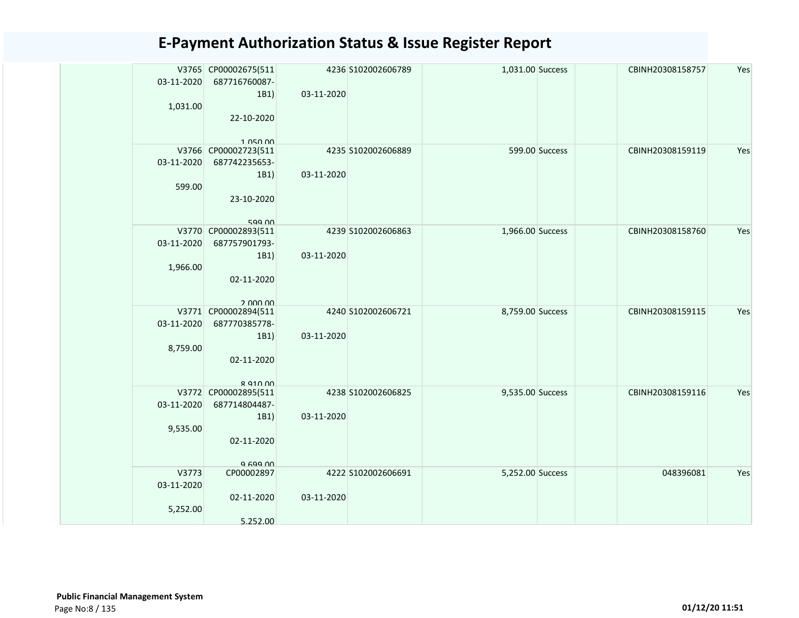| 03-11-2020                      | V3765 CP00002675(511<br>687716760087-                                          |            | 4236 S102002606789 | 1,031.00 Success |                | CBINH20308158757 | Yes |
|---------------------------------|--------------------------------------------------------------------------------|------------|--------------------|------------------|----------------|------------------|-----|
| 1,031.00                        | 1B1)<br>22-10-2020<br>1.050.00                                                 | 03-11-2020 |                    |                  |                |                  |     |
| 03-11-2020<br>599.00            | V3766 CP00002723(511<br>687742235653-<br>1B1)<br>23-10-2020<br>599.00          | 03-11-2020 | 4235 S102002606889 |                  | 599.00 Success | CBINH20308159119 | Yes |
| 03-11-2020<br>1,966.00          | V3770 CP00002893(511<br>687757901793-<br>1B1)<br>02-11-2020<br>2 000 00        | 03-11-2020 | 4239 S102002606863 | 1,966.00 Success |                | CBINH20308158760 | Yes |
| 03-11-2020<br>8,759.00          | V3771 CP00002894(511<br>687770385778-<br>1B1)<br>02-11-2020<br><b>R Q10 00</b> | 03-11-2020 | 4240 S102002606721 | 8,759.00 Success |                | CBINH20308159115 | Yes |
| 03-11-2020<br>9,535.00          | V3772 CP00002895(511<br>687714804487-<br>1B1)<br>02-11-2020<br>9.699.00        | 03-11-2020 | 4238 S102002606825 | 9,535.00 Success |                | CBINH20308159116 | Yes |
| V3773<br>03-11-2020<br>5,252.00 | CP00002897<br>02-11-2020<br>5.252.00                                           | 03-11-2020 | 4222 S102002606691 | 5,252.00 Success |                | 048396081        | Yes |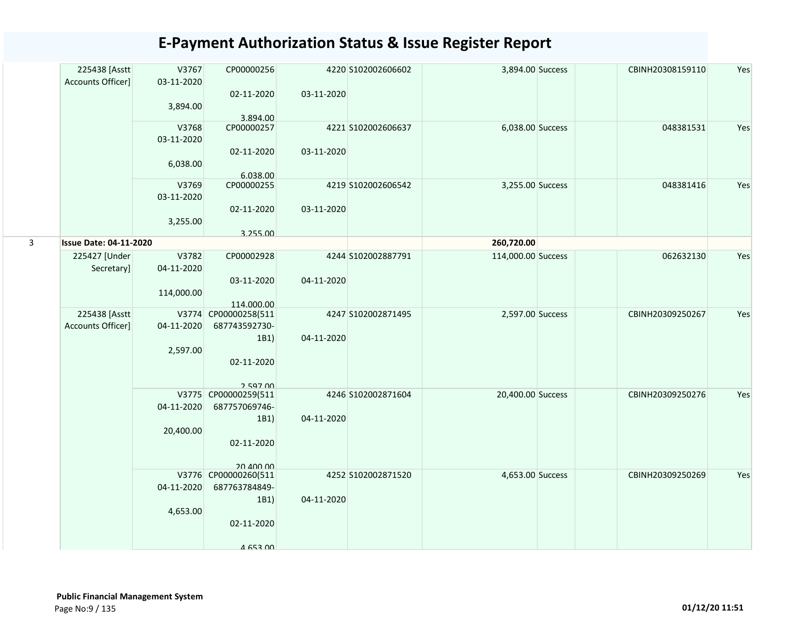|   | 225438 [Asstt<br>Accounts Officer] | V3767<br>03-11-2020 | CP00000256                            |            | 4220 S102002606602 | 3,894.00 Success   | CBINH20308159110 | Yes |
|---|------------------------------------|---------------------|---------------------------------------|------------|--------------------|--------------------|------------------|-----|
|   |                                    | 3,894.00            | 02-11-2020<br>3.894.00                | 03-11-2020 |                    |                    |                  |     |
|   |                                    | V3768<br>03-11-2020 | CP00000257                            |            | 4221 S102002606637 | 6,038.00 Success   | 048381531        | Yes |
|   |                                    | 6,038.00            | 02-11-2020<br>6.038.00                | 03-11-2020 |                    |                    |                  |     |
|   |                                    | V3769<br>03-11-2020 | CP00000255                            |            | 4219 S102002606542 | 3,255.00 Success   | 048381416        | Yes |
|   |                                    | 3,255.00            | 02-11-2020<br>3.255.00                | 03-11-2020 |                    |                    |                  |     |
| 3 | <b>Issue Date: 04-11-2020</b>      |                     |                                       |            |                    | 260,720.00         |                  |     |
|   | 225427 [Under<br>Secretary]        | V3782<br>04-11-2020 | CP00002928                            |            | 4244 S102002887791 | 114,000.00 Success | 062632130        | Yes |
|   |                                    | 114,000.00          | 03-11-2020                            | 04-11-2020 |                    |                    |                  |     |
|   | 225438 [Asstt                      |                     | 114.000.00<br>V3774 CP00000258(511    |            | 4247 S102002871495 | 2,597.00 Success   | CBINH20309250267 | Yes |
|   | Accounts Officer]                  | 04-11-2020          | 687743592730-                         |            |                    |                    |                  |     |
|   |                                    |                     | 1B1)                                  | 04-11-2020 |                    |                    |                  |     |
|   |                                    | 2,597.00            |                                       |            |                    |                    |                  |     |
|   |                                    |                     | 02-11-2020                            |            |                    |                    |                  |     |
|   |                                    |                     | 259700<br>V3775 CP00000259(511        |            | 4246 S102002871604 | 20,400.00 Success  | CBINH20309250276 | Yes |
|   |                                    | 04-11-2020          | 687757069746-                         |            |                    |                    |                  |     |
|   |                                    |                     | 1B1)                                  | 04-11-2020 |                    |                    |                  |     |
|   |                                    | 20,400.00           |                                       |            |                    |                    |                  |     |
|   |                                    |                     | 02-11-2020                            |            |                    |                    |                  |     |
|   |                                    |                     | 20 ADD DD                             |            | 4252 S102002871520 | 4,653.00 Success   | CBINH20309250269 | Yes |
|   |                                    | 04-11-2020          | V3776 CP00000260(511<br>687763784849- |            |                    |                    |                  |     |
|   |                                    |                     | 1B1)                                  | 04-11-2020 |                    |                    |                  |     |
|   |                                    | 4,653.00            | 02-11-2020                            |            |                    |                    |                  |     |
|   |                                    |                     |                                       |            |                    |                    |                  |     |
|   |                                    |                     | A 653 DO                              |            |                    |                    |                  |     |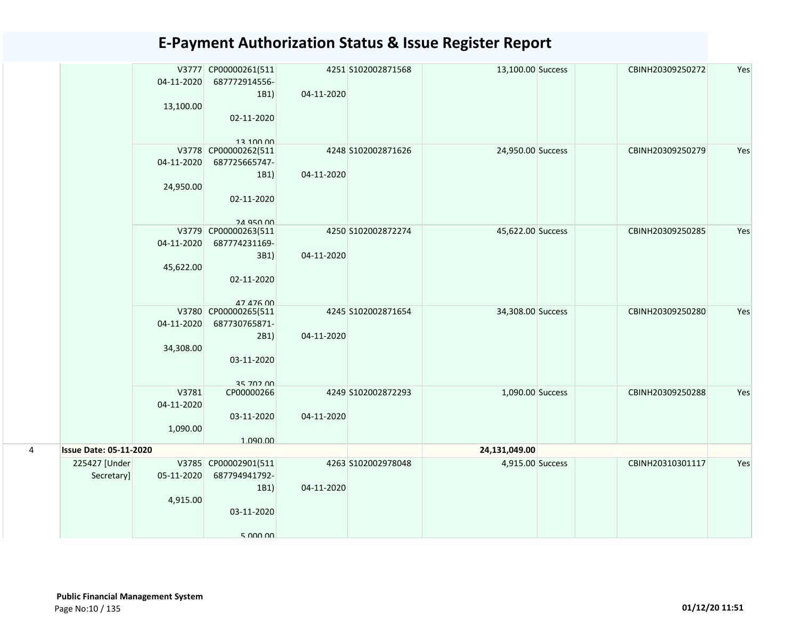|   |                               | 04-11-2020 | V3777 CP00000261(511<br>687772914556- |            | 4251 S102002871568 | 13,100.00 Success | CBINH20309250272 | Yes |
|---|-------------------------------|------------|---------------------------------------|------------|--------------------|-------------------|------------------|-----|
|   |                               |            | 1B1)                                  | 04-11-2020 |                    |                   |                  |     |
|   |                               | 13,100.00  |                                       |            |                    |                   |                  |     |
|   |                               |            | 02-11-2020                            |            |                    |                   |                  |     |
|   |                               |            | 13 100 00                             |            |                    |                   |                  |     |
|   |                               |            | V3778 CP00000262(511                  |            | 4248 S102002871626 | 24,950.00 Success | CBINH20309250279 | Yes |
|   |                               | 04-11-2020 | 687725665747-                         |            |                    |                   |                  |     |
|   |                               |            | 1B1)                                  | 04-11-2020 |                    |                   |                  |     |
|   |                               | 24,950.00  |                                       |            |                    |                   |                  |     |
|   |                               |            | 02-11-2020                            |            |                    |                   |                  |     |
|   |                               |            | <b>24 Q50 00</b>                      |            |                    |                   |                  |     |
|   |                               |            | V3779 CP00000263(511                  |            | 4250 S102002872274 | 45,622.00 Success | CBINH20309250285 | Yes |
|   |                               | 04-11-2020 | 687774231169-                         |            |                    |                   |                  |     |
|   |                               |            | 3B1)                                  | 04-11-2020 |                    |                   |                  |     |
|   |                               | 45,622.00  | 02-11-2020                            |            |                    |                   |                  |     |
|   |                               |            |                                       |            |                    |                   |                  |     |
|   |                               |            | 47 476 00                             |            |                    |                   |                  |     |
|   |                               |            | V3780 CP00000265(511                  |            | 4245 S102002871654 | 34,308.00 Success | CBINH20309250280 | Yes |
|   |                               | 04-11-2020 | 687730765871-                         |            |                    |                   |                  |     |
|   |                               | 34,308.00  | 2B1)                                  | 04-11-2020 |                    |                   |                  |     |
|   |                               |            | 03-11-2020                            |            |                    |                   |                  |     |
|   |                               |            |                                       |            |                    |                   |                  |     |
|   |                               |            | 25 702 00                             |            |                    |                   |                  |     |
|   |                               | V3781      | CP00000266                            |            | 4249 S102002872293 | 1,090.00 Success  | CBINH20309250288 | Yes |
|   |                               | 04-11-2020 | 03-11-2020                            | 04-11-2020 |                    |                   |                  |     |
|   |                               | 1,090.00   |                                       |            |                    |                   |                  |     |
|   |                               |            | 1.090.00                              |            |                    |                   |                  |     |
| 4 | <b>Issue Date: 05-11-2020</b> |            |                                       |            |                    | 24,131,049.00     |                  |     |
|   | 225427 [Under                 |            | V3785 CP00002901(511                  |            | 4263 S102002978048 | 4,915.00 Success  | CBINH20310301117 | Yes |
|   | Secretary]                    | 05-11-2020 | 687794941792-                         |            |                    |                   |                  |     |
|   |                               |            | 1B1)                                  | 04-11-2020 |                    |                   |                  |     |
|   |                               | 4,915.00   | 03-11-2020                            |            |                    |                   |                  |     |
|   |                               |            |                                       |            |                    |                   |                  |     |
|   |                               |            | 5 000 00                              |            |                    |                   |                  |     |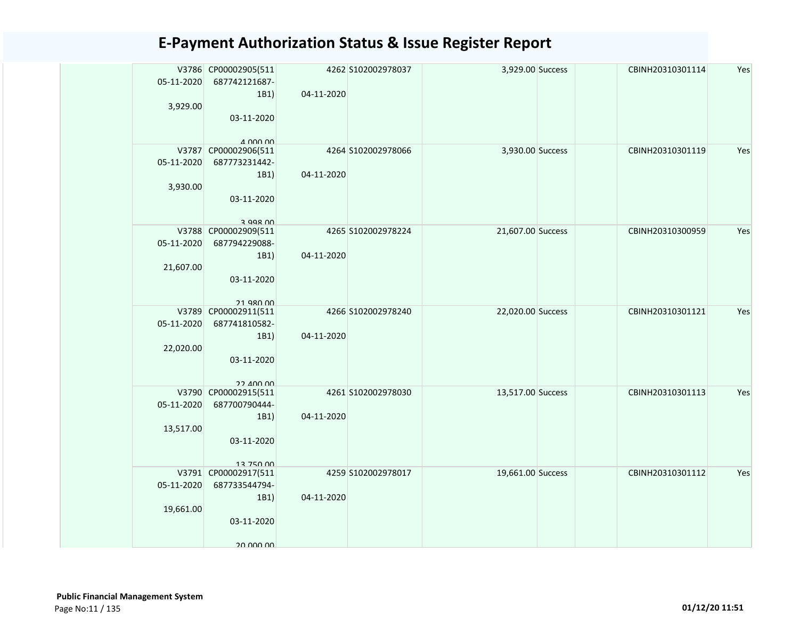| 05-11-2020<br>3,929.00  | V3786 CP00002905(511<br>687742121687-<br>1B1)<br>03-11-2020<br>$A$ $000$ $00$   | 04-11-2020 | 4262 S102002978037 | 3,929.00 Success  | CBINH20310301114 | Yes |
|-------------------------|---------------------------------------------------------------------------------|------------|--------------------|-------------------|------------------|-----|
| 05-11-2020<br>3,930.00  | V3787 CP00002906(511<br>687773231442-<br>1B1)<br>03-11-2020<br>$3$ QQR $00$     | 04-11-2020 | 4264 S102002978066 | 3,930.00 Success  | CBINH20310301119 | Yes |
| 05-11-2020<br>21,607.00 | V3788 CP00002909(511<br>687794229088-<br>1B1)<br>03-11-2020<br><b>21 QRN 00</b> | 04-11-2020 | 4265 S102002978224 | 21,607.00 Success | CBINH20310300959 | Yes |
| 05-11-2020<br>22,020.00 | V3789 CP00002911(511<br>687741810582-<br>1B1)<br>03-11-2020<br>22 AND ON        | 04-11-2020 | 4266 S102002978240 | 22,020.00 Success | CBINH20310301121 | Yes |
| 05-11-2020<br>13,517.00 | V3790 CP00002915(511<br>687700790444-<br>1B1)<br>03-11-2020<br>13 750 00        | 04-11-2020 | 4261 S102002978030 | 13,517.00 Success | CBINH20310301113 | Yes |
| 05-11-2020<br>19,661.00 | V3791 CP00002917(511<br>687733544794-<br>1B1)<br>03-11-2020<br>20 000 00        | 04-11-2020 | 4259 S102002978017 | 19,661.00 Success | CBINH20310301112 | Yes |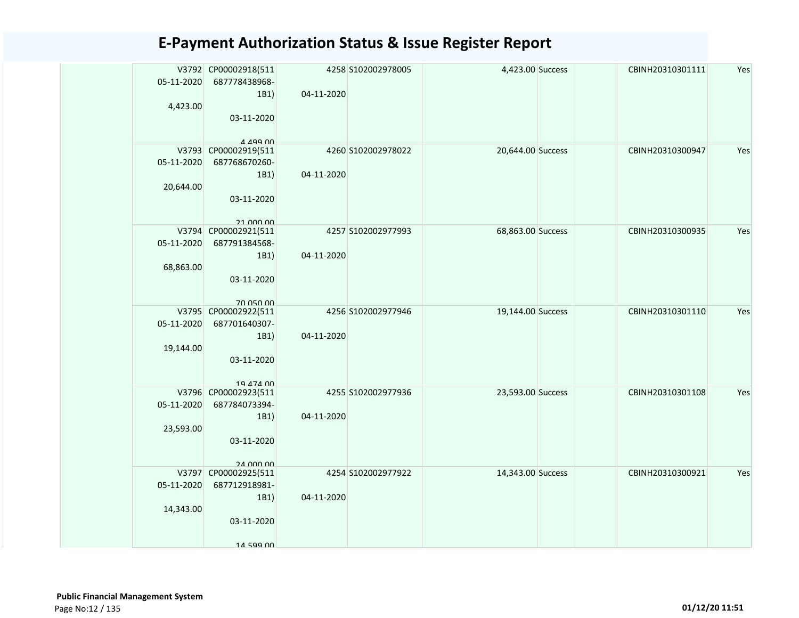| 05-11-2020<br>4,423.00  | V3792 CP00002918(511<br>687778438968-<br>1B1)<br>03-11-2020<br>A 499 00  | 04-11-2020 | 4258 S102002978005 | 4,423.00 Success  | CBINH20310301111 | Yes |
|-------------------------|--------------------------------------------------------------------------|------------|--------------------|-------------------|------------------|-----|
| 05-11-2020<br>20,644.00 | V3793 CP00002919(511<br>687768670260-<br>1B1)<br>03-11-2020<br>21 000 00 | 04-11-2020 | 4260 S102002978022 | 20,644.00 Success | CBINH20310300947 | Yes |
| 05-11-2020<br>68,863.00 | V3794 CP00002921(511<br>687791384568-<br>1B1)<br>03-11-2020<br>70 050 00 | 04-11-2020 | 4257 S102002977993 | 68,863.00 Success | CBINH20310300935 | Yes |
| 05-11-2020<br>19,144.00 | V3795 CP00002922(511<br>687701640307-<br>1B1)<br>03-11-2020<br>10 A74 00 | 04-11-2020 | 4256 S102002977946 | 19,144.00 Success | CBINH20310301110 | Yes |
| 05-11-2020<br>23,593.00 | V3796 CP00002923(511<br>687784073394-<br>1B1)<br>03-11-2020<br>24 000 00 | 04-11-2020 | 4255 S102002977936 | 23,593.00 Success | CBINH20310301108 | Yes |
| 05-11-2020<br>14,343.00 | V3797 CP00002925(511<br>687712918981-<br>1B1)<br>03-11-2020<br>14 599 00 | 04-11-2020 | 4254 S102002977922 | 14,343.00 Success | CBINH20310300921 | Yes |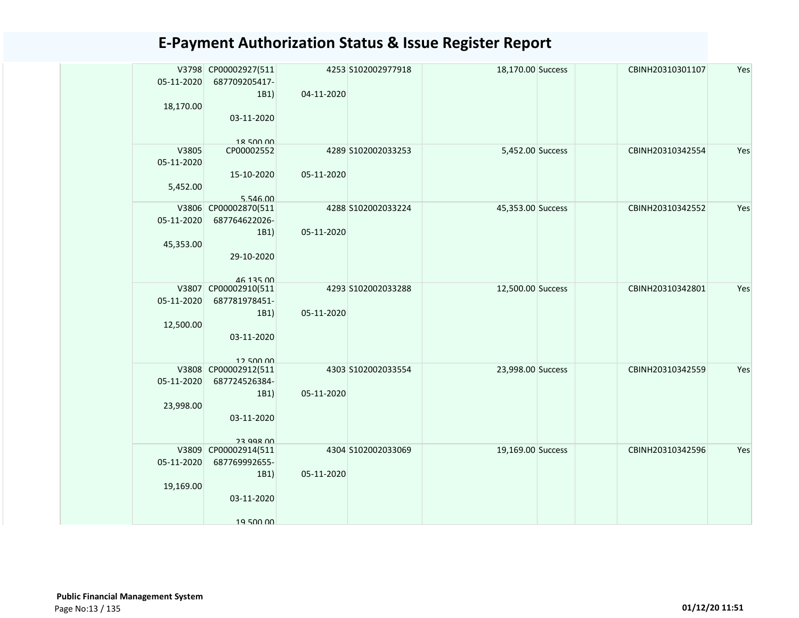| V3798 CP00002927(511<br>4253 S102002977918<br>18,170.00 Success<br>05-11-2020<br>687709205417- | Yes<br>CBINH20310301107 |
|------------------------------------------------------------------------------------------------|-------------------------|
| 1B1)<br>04-11-2020<br>18,170.00                                                                |                         |
| 03-11-2020                                                                                     |                         |
| 18 500 00                                                                                      |                         |
| V3805<br>5,452.00 Success<br>CP00002552<br>4289 S102002033253                                  | CBINH20310342554<br>Yes |
| 05-11-2020                                                                                     |                         |
| 15-10-2020<br>05-11-2020                                                                       |                         |
| 5,452.00                                                                                       |                         |
| 5.546.00                                                                                       |                         |
| V3806 CP00002870(511<br>4288 S102002033224<br>45,353.00 Success                                | CBINH20310342552<br>Yes |
| 05-11-2020<br>687764622026-                                                                    |                         |
| 05-11-2020<br>1B1)                                                                             |                         |
| 45,353.00                                                                                      |                         |
| 29-10-2020                                                                                     |                         |
|                                                                                                |                         |
| 46 135 00                                                                                      |                         |
| V3807 CP00002910(511<br>4293 S102002033288<br>12,500.00 Success                                | Yes<br>CBINH20310342801 |
| 05-11-2020<br>687781978451-                                                                    |                         |
| 05-11-2020<br>1B1)                                                                             |                         |
| 12,500.00                                                                                      |                         |
| 03-11-2020                                                                                     |                         |
|                                                                                                |                         |
| 12.500.00                                                                                      |                         |
| V3808 CP00002912(511<br>4303 S102002033554<br>23,998.00 Success                                | CBINH20310342559<br>Yes |
| 05-11-2020<br>687724526384-                                                                    |                         |
| 1B1)<br>05-11-2020                                                                             |                         |
| 23,998.00                                                                                      |                         |
| 03-11-2020                                                                                     |                         |
|                                                                                                |                         |
| 23 998 00                                                                                      |                         |
| V3809 CP00002914(511<br>4304 S102002033069<br>19,169.00 Success                                | CBINH20310342596<br>Yes |
| 05-11-2020<br>687769992655-                                                                    |                         |
| 05-11-2020<br>1B1)                                                                             |                         |
| 19,169.00                                                                                      |                         |
| 03-11-2020                                                                                     |                         |
|                                                                                                |                         |
| 19 500 00                                                                                      |                         |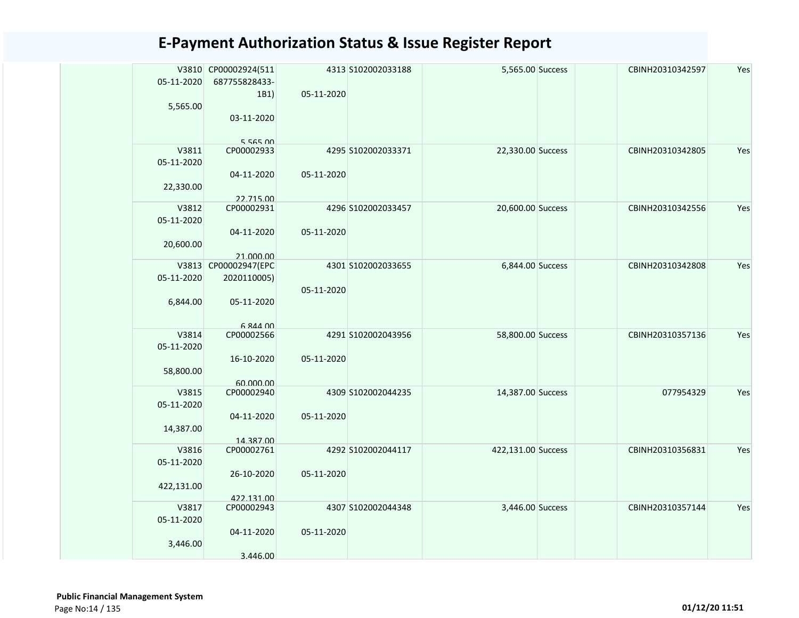| 05-11-2020 | V3810 CP00002924(511<br>687755828433-<br>1B1) | 05-11-2020 | 4313 S102002033188 | 5,565.00 Success   | CBINH20310342597 | Yes |
|------------|-----------------------------------------------|------------|--------------------|--------------------|------------------|-----|
| 5,565.00   |                                               |            |                    |                    |                  |     |
|            | 03-11-2020                                    |            |                    |                    |                  |     |
|            |                                               |            |                    |                    |                  |     |
|            | 5 565 00                                      |            |                    |                    |                  |     |
| V3811      | CP00002933                                    |            | 4295 S102002033371 | 22,330.00 Success  | CBINH20310342805 | Yes |
| 05-11-2020 |                                               |            |                    |                    |                  |     |
|            | 04-11-2020                                    | 05-11-2020 |                    |                    |                  |     |
| 22,330.00  | 22.715.00                                     |            |                    |                    |                  |     |
| V3812      | CP00002931                                    |            | 4296 S102002033457 | 20,600.00 Success  | CBINH20310342556 | Yes |
| 05-11-2020 |                                               |            |                    |                    |                  |     |
|            | 04-11-2020                                    | 05-11-2020 |                    |                    |                  |     |
| 20,600.00  |                                               |            |                    |                    |                  |     |
|            | 21.000.00                                     |            |                    |                    |                  |     |
|            | V3813 CP00002947(EPC                          |            | 4301 S102002033655 | 6,844.00 Success   | CBINH20310342808 | Yes |
| 05-11-2020 | 2020110005)                                   |            |                    |                    |                  |     |
|            |                                               | 05-11-2020 |                    |                    |                  |     |
| 6,844.00   | 05-11-2020                                    |            |                    |                    |                  |     |
|            |                                               |            |                    |                    |                  |     |
| V3814      | 6 844 00<br>CP00002566                        |            | 4291 S102002043956 | 58,800.00 Success  | CBINH20310357136 | Yes |
| 05-11-2020 |                                               |            |                    |                    |                  |     |
|            | 16-10-2020                                    | 05-11-2020 |                    |                    |                  |     |
| 58,800.00  |                                               |            |                    |                    |                  |     |
|            | 60.000.00                                     |            |                    |                    |                  |     |
| V3815      | CP00002940                                    |            | 4309 S102002044235 | 14,387.00 Success  | 077954329        | Yes |
| 05-11-2020 |                                               |            |                    |                    |                  |     |
|            | 04-11-2020                                    | 05-11-2020 |                    |                    |                  |     |
| 14,387.00  |                                               |            |                    |                    |                  |     |
|            | 14.387.00                                     |            |                    |                    |                  |     |
| V3816      | CP00002761                                    |            | 4292 S102002044117 | 422,131.00 Success | CBINH20310356831 | Yes |
| 05-11-2020 |                                               |            |                    |                    |                  |     |
| 422,131.00 | 26-10-2020                                    | 05-11-2020 |                    |                    |                  |     |
|            | 422.131.00                                    |            |                    |                    |                  |     |
| V3817      | CP00002943                                    |            | 4307 S102002044348 | 3,446.00 Success   | CBINH20310357144 | Yes |
| 05-11-2020 |                                               |            |                    |                    |                  |     |
|            | 04-11-2020                                    | 05-11-2020 |                    |                    |                  |     |
| 3,446.00   |                                               |            |                    |                    |                  |     |
|            | 3.446.00                                      |            |                    |                    |                  |     |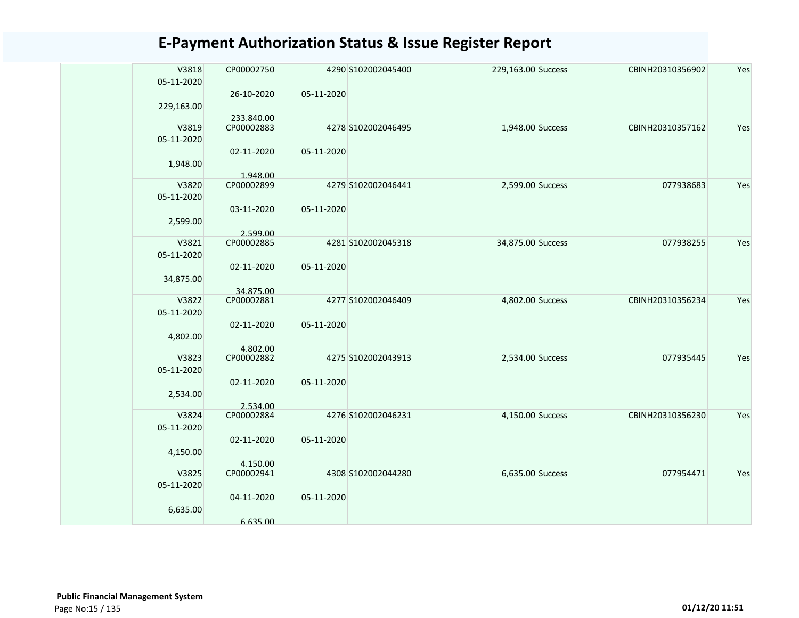| V3818      | CP00002750               |            | 4290 S102002045400 | 229,163.00 Success | CBINH20310356902 | Yes |
|------------|--------------------------|------------|--------------------|--------------------|------------------|-----|
| 05-11-2020 |                          |            |                    |                    |                  |     |
|            | 26-10-2020               | 05-11-2020 |                    |                    |                  |     |
| 229,163.00 |                          |            |                    |                    |                  |     |
| V3819      | 233.840.00<br>CP00002883 |            | 4278 S102002046495 | 1,948.00 Success   | CBINH20310357162 | Yes |
| 05-11-2020 |                          |            |                    |                    |                  |     |
|            | 02-11-2020               | 05-11-2020 |                    |                    |                  |     |
| 1,948.00   |                          |            |                    |                    |                  |     |
| V3820      | 1.948.00<br>CP00002899   |            | 4279 S102002046441 | 2,599.00 Success   | 077938683        | Yes |
| 05-11-2020 |                          |            |                    |                    |                  |     |
|            | 03-11-2020               | 05-11-2020 |                    |                    |                  |     |
| 2,599.00   |                          |            |                    |                    |                  |     |
|            | 2.599.00                 |            |                    |                    |                  |     |
| V3821      | CP00002885               |            | 4281 S102002045318 | 34,875.00 Success  | 077938255        | Yes |
| 05-11-2020 | 02-11-2020               | 05-11-2020 |                    |                    |                  |     |
| 34,875.00  |                          |            |                    |                    |                  |     |
|            | 34.875.00                |            |                    |                    |                  |     |
| V3822      | CP00002881               |            | 4277 S102002046409 | 4,802.00 Success   | CBINH20310356234 | Yes |
| 05-11-2020 |                          |            |                    |                    |                  |     |
| 4,802.00   | 02-11-2020               | 05-11-2020 |                    |                    |                  |     |
|            | 4.802.00                 |            |                    |                    |                  |     |
| V3823      | CP00002882               |            | 4275 S102002043913 | 2,534.00 Success   | 077935445        | Yes |
| 05-11-2020 |                          |            |                    |                    |                  |     |
|            | 02-11-2020               | 05-11-2020 |                    |                    |                  |     |
| 2,534.00   | 2.534.00                 |            |                    |                    |                  |     |
| V3824      | CP00002884               |            | 4276 S102002046231 | 4,150.00 Success   | CBINH20310356230 | Yes |
| 05-11-2020 |                          |            |                    |                    |                  |     |
|            | 02-11-2020               | 05-11-2020 |                    |                    |                  |     |
| 4,150.00   | 4.150.00                 |            |                    |                    |                  |     |
| V3825      | CP00002941               |            | 4308 S102002044280 | 6,635.00 Success   | 077954471        | Yes |
| 05-11-2020 |                          |            |                    |                    |                  |     |
|            | 04-11-2020               | 05-11-2020 |                    |                    |                  |     |
| 6,635.00   |                          |            |                    |                    |                  |     |
|            | 6.635.00                 |            |                    |                    |                  |     |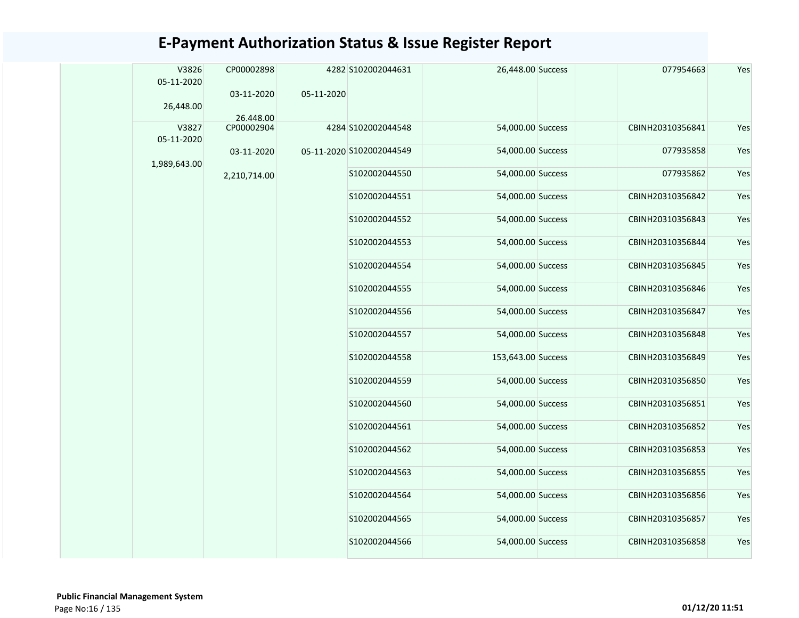|  | V3826<br>05-11-2020<br>26,448.00 | CP00002898<br>03-11-2020 | 05-11-2020 | 4282 S102002044631       | 26,448.00 Success  | 077954663        | Yes |
|--|----------------------------------|--------------------------|------------|--------------------------|--------------------|------------------|-----|
|  | V3827                            | 26.448.00<br>CP00002904  |            | 4284 S102002044548       | 54,000.00 Success  | CBINH20310356841 | Yes |
|  | 05-11-2020                       |                          |            |                          |                    |                  |     |
|  | 1,989,643.00                     | 03-11-2020               |            | 05-11-2020 S102002044549 | 54,000.00 Success  | 077935858        | Yes |
|  |                                  | 2,210,714.00             |            | S102002044550            | 54,000.00 Success  | 077935862        | Yes |
|  |                                  |                          |            | S102002044551            | 54,000.00 Success  | CBINH20310356842 | Yes |
|  |                                  |                          |            | S102002044552            | 54,000.00 Success  | CBINH20310356843 | Yes |
|  |                                  |                          |            | S102002044553            | 54,000.00 Success  | CBINH20310356844 | Yes |
|  |                                  |                          |            | S102002044554            | 54,000.00 Success  | CBINH20310356845 | Yes |
|  |                                  |                          |            | S102002044555            | 54,000.00 Success  | CBINH20310356846 | Yes |
|  |                                  |                          |            | S102002044556            | 54,000.00 Success  | CBINH20310356847 | Yes |
|  |                                  |                          |            | S102002044557            | 54,000.00 Success  | CBINH20310356848 | Yes |
|  |                                  |                          |            | S102002044558            | 153,643.00 Success | CBINH20310356849 | Yes |
|  |                                  |                          |            | S102002044559            | 54,000.00 Success  | CBINH20310356850 | Yes |
|  |                                  |                          |            | S102002044560            | 54,000.00 Success  | CBINH20310356851 | Yes |
|  |                                  |                          |            | S102002044561            | 54,000.00 Success  | CBINH20310356852 | Yes |
|  |                                  |                          |            | S102002044562            | 54,000.00 Success  | CBINH20310356853 | Yes |
|  |                                  |                          |            | S102002044563            | 54,000.00 Success  | CBINH20310356855 | Yes |
|  |                                  |                          |            | S102002044564            | 54,000.00 Success  | CBINH20310356856 | Yes |
|  |                                  |                          |            | S102002044565            | 54,000.00 Success  | CBINH20310356857 | Yes |
|  |                                  |                          |            | S102002044566            | 54,000.00 Success  | CBINH20310356858 | Yes |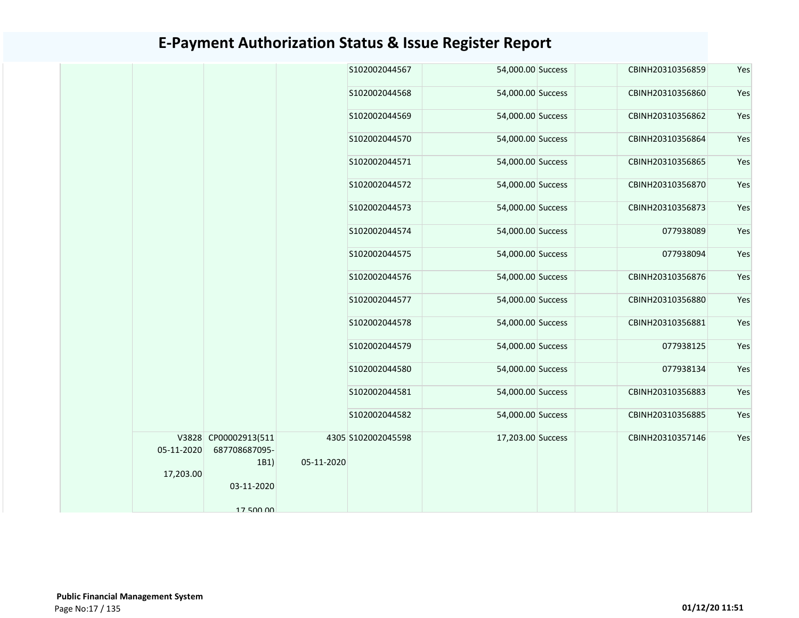| S102002044567<br>54,000.00 Success<br>CBINH20310356859<br>S102002044568<br>54,000.00 Success<br>CBINH20310356860<br>S102002044569<br>54,000.00 Success<br>CBINH20310356862<br>54,000.00 Success<br>S102002044570<br>CBINH20310356864<br>S102002044571<br>54,000.00 Success<br>CBINH20310356865 | Yes                                    |
|------------------------------------------------------------------------------------------------------------------------------------------------------------------------------------------------------------------------------------------------------------------------------------------------|----------------------------------------|
|                                                                                                                                                                                                                                                                                                | Yes<br>Yes<br>Yes<br>Yes<br>Yes<br>Yes |
|                                                                                                                                                                                                                                                                                                |                                        |
|                                                                                                                                                                                                                                                                                                |                                        |
|                                                                                                                                                                                                                                                                                                |                                        |
|                                                                                                                                                                                                                                                                                                |                                        |
| S102002044572<br>54,000.00 Success<br>CBINH20310356870                                                                                                                                                                                                                                         |                                        |
| S102002044573<br>54,000.00 Success<br>CBINH20310356873                                                                                                                                                                                                                                         |                                        |
| S102002044574<br>54,000.00 Success<br>077938089                                                                                                                                                                                                                                                | Yes                                    |
| 077938094<br>S102002044575<br>54,000.00 Success                                                                                                                                                                                                                                                | Yes                                    |
| CBINH20310356876<br>S102002044576<br>54,000.00 Success                                                                                                                                                                                                                                         | Yes                                    |
| 54,000.00 Success<br>S102002044577<br>CBINH20310356880                                                                                                                                                                                                                                         | Yes                                    |
| 54,000.00 Success<br>S102002044578<br>CBINH20310356881                                                                                                                                                                                                                                         | Yes                                    |
| S102002044579<br>54,000.00 Success<br>077938125                                                                                                                                                                                                                                                | Yes                                    |
| S102002044580<br>54,000.00 Success<br>077938134                                                                                                                                                                                                                                                | Yes                                    |
| S102002044581<br>54,000.00 Success<br>CBINH20310356883                                                                                                                                                                                                                                         | Yes                                    |
| 54,000.00 Success<br>CBINH20310356885<br>S102002044582                                                                                                                                                                                                                                         | Yes                                    |
| V3828 CP00002913(511<br>4305 S102002045598<br>17,203.00 Success<br>CBINH20310357146                                                                                                                                                                                                            | Yes                                    |
| 05-11-2020<br>687708687095-                                                                                                                                                                                                                                                                    |                                        |
| 05-11-2020<br>1B1)                                                                                                                                                                                                                                                                             |                                        |
| 17,203.00<br>03-11-2020                                                                                                                                                                                                                                                                        |                                        |
| 17 500 00                                                                                                                                                                                                                                                                                      |                                        |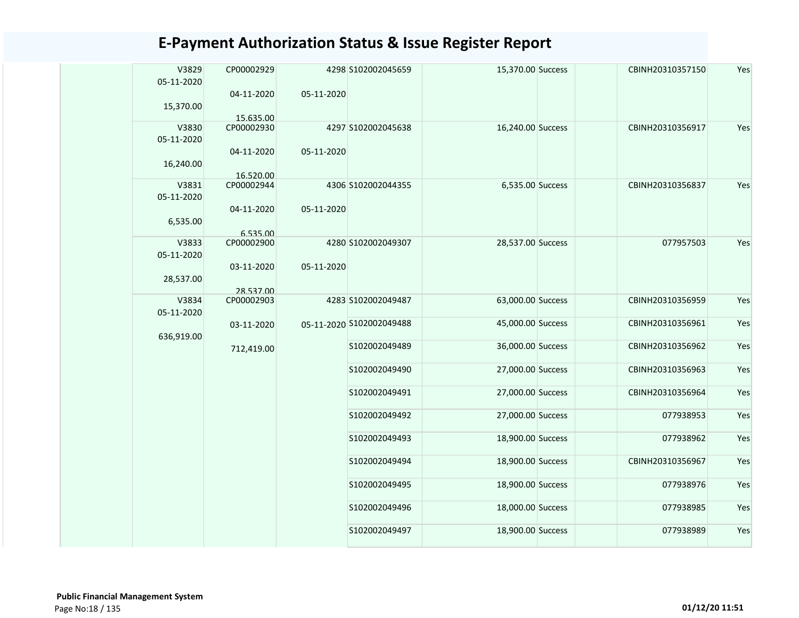| V3829<br>05-11-2020 | CP00002929              |            | 4298 S102002045659       | 15,370.00 Success | CBINH20310357150 | Yes |
|---------------------|-------------------------|------------|--------------------------|-------------------|------------------|-----|
|                     | 04-11-2020              | 05-11-2020 |                          |                   |                  |     |
| 15,370.00           |                         |            |                          |                   |                  |     |
|                     | 15.635.00               |            |                          |                   |                  |     |
| V3830               | CP00002930              |            | 4297 S102002045638       | 16,240.00 Success | CBINH20310356917 | Yes |
| 05-11-2020          |                         |            |                          |                   |                  |     |
| 16,240.00           | 04-11-2020<br>16.520.00 | 05-11-2020 |                          |                   |                  |     |
| V3831               | CP00002944              |            | 4306 S102002044355       | 6,535.00 Success  | CBINH20310356837 | Yes |
| 05-11-2020          |                         |            |                          |                   |                  |     |
| 6,535.00            | 04-11-2020              | 05-11-2020 |                          |                   |                  |     |
|                     | 6.535.00                |            |                          |                   |                  |     |
| V3833               | CP00002900              |            | 4280 S102002049307       | 28,537.00 Success | 077957503        | Yes |
| 05-11-2020          |                         |            |                          |                   |                  |     |
|                     | 03-11-2020              | 05-11-2020 |                          |                   |                  |     |
| 28,537.00           |                         |            |                          |                   |                  |     |
|                     | 28.537.00               |            |                          |                   |                  |     |
| V3834               | CP00002903              |            | 4283 S102002049487       | 63,000.00 Success | CBINH20310356959 | Yes |
| 05-11-2020          |                         |            |                          | 45,000.00 Success | CBINH20310356961 | Yes |
|                     | 03-11-2020              |            | 05-11-2020 S102002049488 |                   |                  |     |
| 636,919.00          | 712,419.00              |            | S102002049489            | 36,000.00 Success | CBINH20310356962 | Yes |
|                     |                         |            |                          |                   |                  |     |
|                     |                         |            | S102002049490            | 27,000.00 Success | CBINH20310356963 | Yes |
|                     |                         |            |                          |                   |                  |     |
|                     |                         |            | S102002049491            | 27,000.00 Success | CBINH20310356964 | Yes |
|                     |                         |            |                          |                   |                  |     |
|                     |                         |            | S102002049492            | 27,000.00 Success | 077938953        | Yes |
|                     |                         |            | S102002049493            | 18,900.00 Success | 077938962        | Yes |
|                     |                         |            |                          |                   |                  |     |
|                     |                         |            | S102002049494            | 18,900.00 Success | CBINH20310356967 | Yes |
|                     |                         |            |                          |                   |                  |     |
|                     |                         |            | S102002049495            | 18,900.00 Success | 077938976        | Yes |
|                     |                         |            |                          |                   |                  |     |
|                     |                         |            | S102002049496            | 18,000.00 Success | 077938985        | Yes |
|                     |                         |            |                          |                   |                  |     |
|                     |                         |            | S102002049497            | 18,900.00 Success | 077938989        | Yes |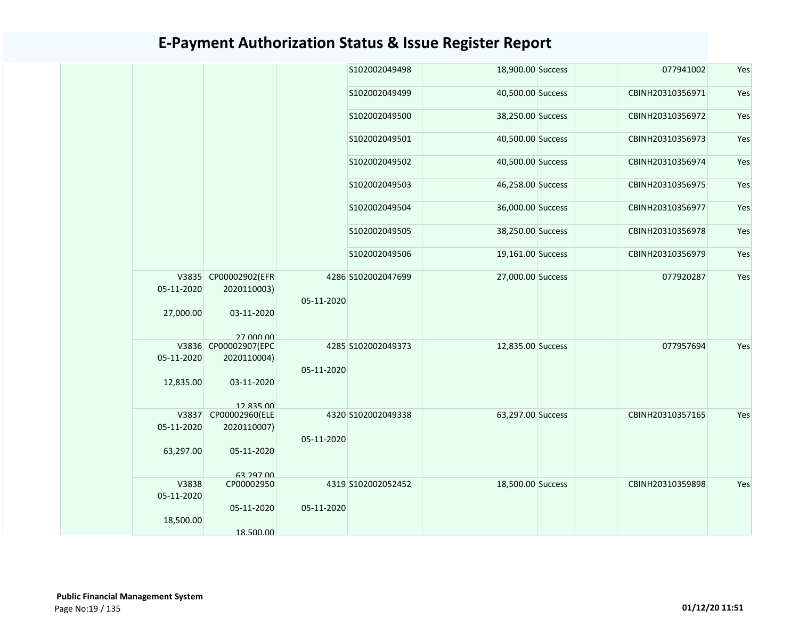|                |                                                                                                                                                                                                                                                                       |                                                      |                                                                                                                                                                                                                                               | 077941002                                                                                                                                                                                                                                                                     | Yes                           |
|----------------|-----------------------------------------------------------------------------------------------------------------------------------------------------------------------------------------------------------------------------------------------------------------------|------------------------------------------------------|-----------------------------------------------------------------------------------------------------------------------------------------------------------------------------------------------------------------------------------------------|-------------------------------------------------------------------------------------------------------------------------------------------------------------------------------------------------------------------------------------------------------------------------------|-------------------------------|
|                |                                                                                                                                                                                                                                                                       |                                                      |                                                                                                                                                                                                                                               | CBINH20310356971                                                                                                                                                                                                                                                              | Yes                           |
|                |                                                                                                                                                                                                                                                                       |                                                      |                                                                                                                                                                                                                                               | CBINH20310356972                                                                                                                                                                                                                                                              | Yes                           |
|                |                                                                                                                                                                                                                                                                       |                                                      |                                                                                                                                                                                                                                               | CBINH20310356973                                                                                                                                                                                                                                                              | Yes                           |
|                |                                                                                                                                                                                                                                                                       |                                                      |                                                                                                                                                                                                                                               | CBINH20310356974                                                                                                                                                                                                                                                              | Yes                           |
|                |                                                                                                                                                                                                                                                                       |                                                      |                                                                                                                                                                                                                                               | CBINH20310356975                                                                                                                                                                                                                                                              | Yes                           |
|                |                                                                                                                                                                                                                                                                       |                                                      |                                                                                                                                                                                                                                               | CBINH20310356977                                                                                                                                                                                                                                                              | Yes                           |
|                |                                                                                                                                                                                                                                                                       |                                                      |                                                                                                                                                                                                                                               | CBINH20310356978                                                                                                                                                                                                                                                              | Yes                           |
|                |                                                                                                                                                                                                                                                                       |                                                      |                                                                                                                                                                                                                                               | CBINH20310356979                                                                                                                                                                                                                                                              | Yes                           |
|                |                                                                                                                                                                                                                                                                       |                                                      |                                                                                                                                                                                                                                               | 077920287                                                                                                                                                                                                                                                                     | Yes                           |
|                |                                                                                                                                                                                                                                                                       |                                                      |                                                                                                                                                                                                                                               |                                                                                                                                                                                                                                                                               |                               |
| 03-11-2020     |                                                                                                                                                                                                                                                                       |                                                      |                                                                                                                                                                                                                                               |                                                                                                                                                                                                                                                                               |                               |
| 27 000 00      |                                                                                                                                                                                                                                                                       |                                                      |                                                                                                                                                                                                                                               |                                                                                                                                                                                                                                                                               |                               |
|                |                                                                                                                                                                                                                                                                       |                                                      |                                                                                                                                                                                                                                               |                                                                                                                                                                                                                                                                               | Yes                           |
|                |                                                                                                                                                                                                                                                                       |                                                      |                                                                                                                                                                                                                                               |                                                                                                                                                                                                                                                                               |                               |
| 03-11-2020     |                                                                                                                                                                                                                                                                       |                                                      |                                                                                                                                                                                                                                               |                                                                                                                                                                                                                                                                               |                               |
|                |                                                                                                                                                                                                                                                                       |                                                      |                                                                                                                                                                                                                                               |                                                                                                                                                                                                                                                                               |                               |
| CP00002960(ELE |                                                                                                                                                                                                                                                                       |                                                      |                                                                                                                                                                                                                                               | CBINH20310357165                                                                                                                                                                                                                                                              | Yes                           |
| 2020110007)    |                                                                                                                                                                                                                                                                       |                                                      |                                                                                                                                                                                                                                               |                                                                                                                                                                                                                                                                               |                               |
|                |                                                                                                                                                                                                                                                                       |                                                      |                                                                                                                                                                                                                                               |                                                                                                                                                                                                                                                                               |                               |
| 05-11-2020     |                                                                                                                                                                                                                                                                       |                                                      |                                                                                                                                                                                                                                               |                                                                                                                                                                                                                                                                               |                               |
|                |                                                                                                                                                                                                                                                                       |                                                      |                                                                                                                                                                                                                                               |                                                                                                                                                                                                                                                                               |                               |
|                |                                                                                                                                                                                                                                                                       |                                                      |                                                                                                                                                                                                                                               |                                                                                                                                                                                                                                                                               | Yes                           |
|                |                                                                                                                                                                                                                                                                       |                                                      |                                                                                                                                                                                                                                               |                                                                                                                                                                                                                                                                               |                               |
|                |                                                                                                                                                                                                                                                                       |                                                      |                                                                                                                                                                                                                                               |                                                                                                                                                                                                                                                                               |                               |
|                |                                                                                                                                                                                                                                                                       |                                                      |                                                                                                                                                                                                                                               |                                                                                                                                                                                                                                                                               |                               |
| 18.500.00      |                                                                                                                                                                                                                                                                       |                                                      |                                                                                                                                                                                                                                               |                                                                                                                                                                                                                                                                               |                               |
|                | V3835 CP00002902(EFR<br>05-11-2020<br>2020110003)<br>27,000.00<br>V3836 CP00002907(EPC<br>05-11-2020<br>2020110004)<br>12,835.00<br>12 835 00<br>V3837<br>05-11-2020<br>63,297.00<br><b>63 797 00</b><br>V3838<br>CP00002950<br>05-11-2020<br>05-11-2020<br>18,500.00 | 05-11-2020<br>05-11-2020<br>05-11-2020<br>05-11-2020 | S102002049498<br>S102002049499<br>S102002049500<br>S102002049501<br>S102002049502<br>S102002049503<br>S102002049504<br>S102002049505<br>S102002049506<br>4286 S102002047699<br>4285 S102002049373<br>4320 S102002049338<br>4319 S102002052452 | 18,900.00 Success<br>40,500.00 Success<br>38,250.00 Success<br>40,500.00 Success<br>40,500.00 Success<br>46,258.00 Success<br>36,000.00 Success<br>38,250.00 Success<br>19,161.00 Success<br>27,000.00 Success<br>12,835.00 Success<br>63,297.00 Success<br>18,500.00 Success | 077957694<br>CBINH20310359898 |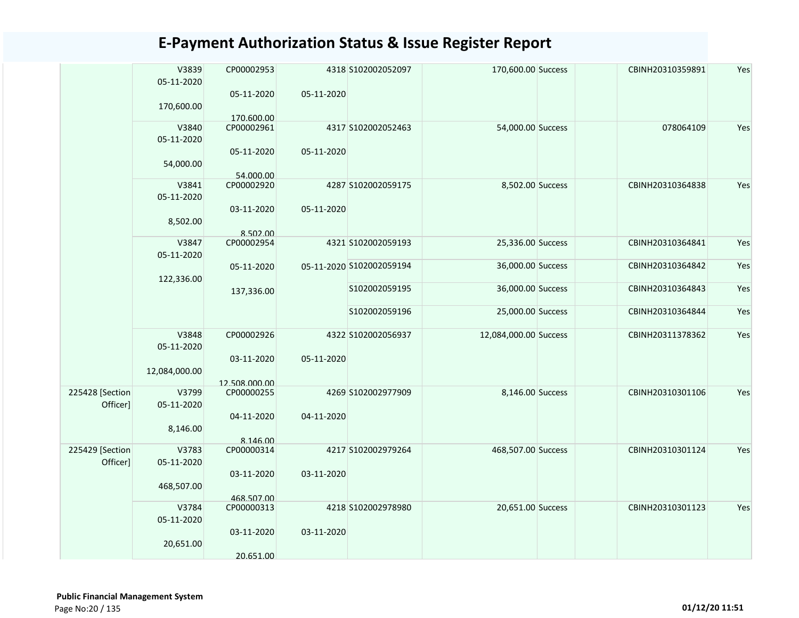|                             | V3839<br>05-11-2020<br>170,600.00    | CP00002953<br>05-11-2020                              | 05-11-2020 | 4318 S102002052097       | 170,600.00 Success    | CBINH20310359891 | Yes |
|-----------------------------|--------------------------------------|-------------------------------------------------------|------------|--------------------------|-----------------------|------------------|-----|
|                             | V3840<br>05-11-2020<br>54,000.00     | 170.600.00<br>CP00002961<br>05-11-2020<br>54.000.00   | 05-11-2020 | 4317 S102002052463       | 54,000.00 Success     | 078064109        | Yes |
|                             | V3841<br>05-11-2020<br>8,502.00      | CP00002920<br>03-11-2020<br>8.502.00                  | 05-11-2020 | 4287 S102002059175       | 8,502.00 Success      | CBINH20310364838 | Yes |
|                             | V3847<br>05-11-2020                  | CP00002954                                            |            | 4321 S102002059193       | 25,336.00 Success     | CBINH20310364841 | Yes |
|                             | 122,336.00                           | 05-11-2020                                            |            | 05-11-2020 S102002059194 | 36,000.00 Success     | CBINH20310364842 | Yes |
|                             |                                      | 137,336.00                                            |            | S102002059195            | 36,000.00 Success     | CBINH20310364843 | Yes |
|                             |                                      |                                                       |            | S102002059196            | 25,000.00 Success     | CBINH20310364844 | Yes |
|                             | V3848<br>05-11-2020<br>12,084,000.00 | CP00002926<br>03-11-2020                              | 05-11-2020 | 4322 S102002056937       | 12,084,000.00 Success | CBINH20311378362 | Yes |
| 225428 [Section<br>Officer] | V3799<br>05-11-2020<br>8,146.00      | 12.508.000.00<br>CP00000255<br>04-11-2020<br>8.146.00 | 04-11-2020 | 4269 S102002977909       | 8,146.00 Success      | CBINH20310301106 | Yes |
| 225429 [Section<br>Officer] | V3783<br>05-11-2020<br>468,507.00    | CP00000314<br>03-11-2020<br>468.507.00                | 03-11-2020 | 4217 S102002979264       | 468,507.00 Success    | CBINH20310301124 | Yes |
|                             | V3784<br>05-11-2020<br>20,651.00     | CP00000313<br>03-11-2020<br>20.651.00                 | 03-11-2020 | 4218 S102002978980       | 20,651.00 Success     | CBINH20310301123 | Yes |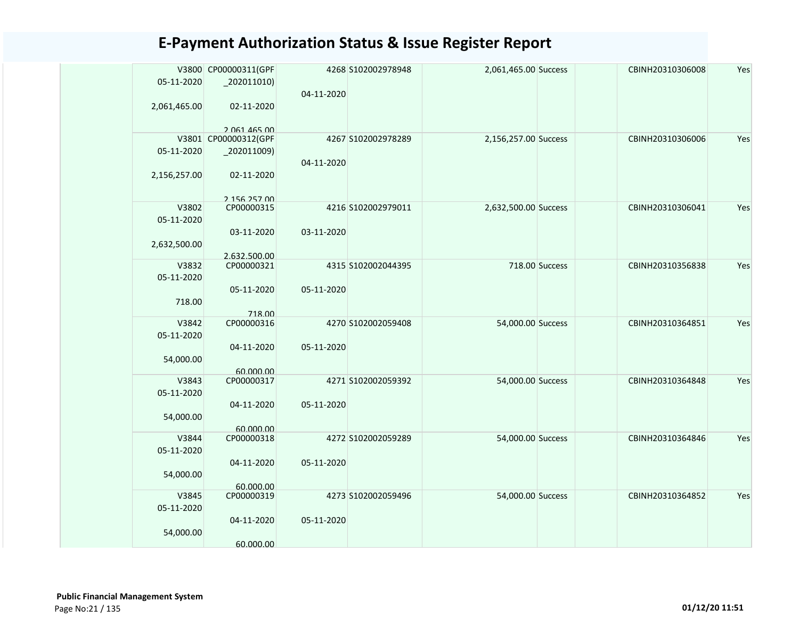|              | V3800 CP00000311(GPF       |            | 4268 S102002978948 | 2,061,465.00 Success |                | CBINH20310306008 | Yes |
|--------------|----------------------------|------------|--------------------|----------------------|----------------|------------------|-----|
| 05-11-2020   |                            |            |                    |                      |                |                  |     |
|              |                            | 04-11-2020 |                    |                      |                |                  |     |
| 2,061,465.00 | 02-11-2020                 |            |                    |                      |                |                  |     |
|              | 2 061 465 00               |            |                    |                      |                |                  |     |
|              | V3801 CP00000312(GPF       |            | 4267 S102002978289 | 2,156,257.00 Success |                | CBINH20310306006 | Yes |
| 05-11-2020   | $_2$ 02011009)             |            |                    |                      |                |                  |     |
|              |                            | 04-11-2020 |                    |                      |                |                  |     |
| 2,156,257.00 | 02-11-2020                 |            |                    |                      |                |                  |     |
|              |                            |            |                    |                      |                |                  |     |
| V3802        | 2 156 257 00<br>CP00000315 |            | 4216 S102002979011 | 2,632,500.00 Success |                | CBINH20310306041 | Yes |
| 05-11-2020   |                            |            |                    |                      |                |                  |     |
|              | 03-11-2020                 | 03-11-2020 |                    |                      |                |                  |     |
| 2,632,500.00 |                            |            |                    |                      |                |                  |     |
|              | 2.632.500.00               |            |                    |                      |                |                  |     |
| V3832        | CP00000321                 |            | 4315 S102002044395 |                      | 718.00 Success | CBINH20310356838 | Yes |
| 05-11-2020   |                            | 05-11-2020 |                    |                      |                |                  |     |
| 718.00       | 05-11-2020                 |            |                    |                      |                |                  |     |
|              | 718.00                     |            |                    |                      |                |                  |     |
| V3842        | CP00000316                 |            | 4270 S102002059408 | 54,000.00 Success    |                | CBINH20310364851 | Yes |
| 05-11-2020   |                            |            |                    |                      |                |                  |     |
|              | 04-11-2020                 | 05-11-2020 |                    |                      |                |                  |     |
| 54,000.00    |                            |            |                    |                      |                |                  |     |
| V3843        | 60.000.00<br>CP00000317    |            | 4271 S102002059392 | 54,000.00 Success    |                | CBINH20310364848 | Yes |
| 05-11-2020   |                            |            |                    |                      |                |                  |     |
|              | 04-11-2020                 | 05-11-2020 |                    |                      |                |                  |     |
| 54,000.00    |                            |            |                    |                      |                |                  |     |
|              | 60.000.00                  |            |                    |                      |                |                  |     |
| V3844        | CP00000318                 |            | 4272 S102002059289 | 54,000.00 Success    |                | CBINH20310364846 | Yes |
| 05-11-2020   | 04-11-2020                 | 05-11-2020 |                    |                      |                |                  |     |
| 54,000.00    |                            |            |                    |                      |                |                  |     |
|              | 60.000.00                  |            |                    |                      |                |                  |     |
| V3845        | CP00000319                 |            | 4273 S102002059496 | 54,000.00 Success    |                | CBINH20310364852 | Yes |
| 05-11-2020   |                            |            |                    |                      |                |                  |     |
|              | 04-11-2020                 | 05-11-2020 |                    |                      |                |                  |     |
| 54,000.00    |                            |            |                    |                      |                |                  |     |
|              | 60.000.00                  |            |                    |                      |                |                  |     |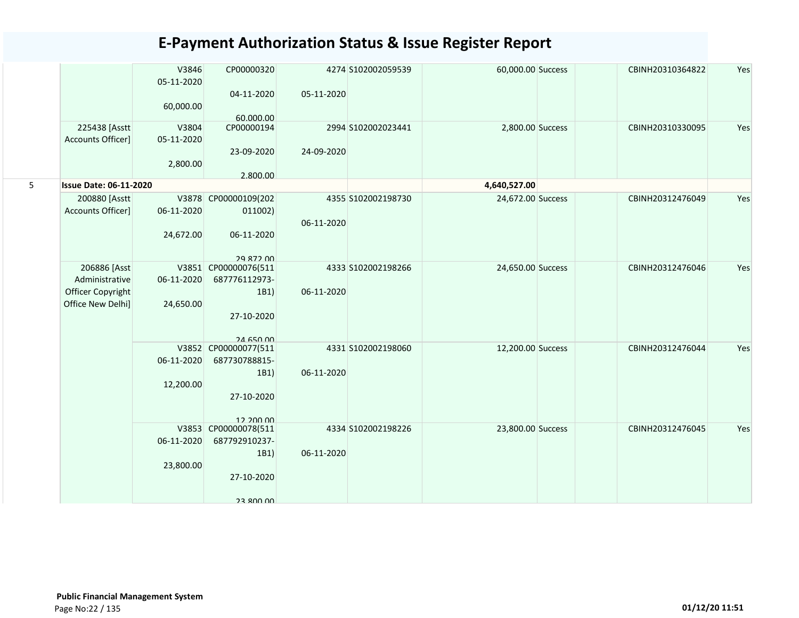|   |                                    | V3846<br>05-11-2020 | CP00000320           |            | 4274 S102002059539 | 60,000.00 Success | CBINH20310364822 | Yes |
|---|------------------------------------|---------------------|----------------------|------------|--------------------|-------------------|------------------|-----|
|   |                                    |                     | 04-11-2020           | 05-11-2020 |                    |                   |                  |     |
|   |                                    | 60,000.00           | 60.000.00            |            |                    |                   |                  |     |
|   | 225438 [Asstt<br>Accounts Officer] | V3804               | CP00000194           |            | 2994 S102002023441 | 2,800.00 Success  | CBINH20310330095 | Yes |
|   |                                    | 05-11-2020          | 23-09-2020           | 24-09-2020 |                    |                   |                  |     |
|   |                                    | 2,800.00            |                      |            |                    |                   |                  |     |
|   |                                    |                     | 2.800.00             |            |                    |                   |                  |     |
| 5 | <b>Issue Date: 06-11-2020</b>      |                     |                      |            |                    | 4,640,527.00      |                  |     |
|   | 200880 [Asstt]                     | 06-11-2020          | V3878 CP00000109(202 |            | 4355 S102002198730 | 24,672.00 Success | CBINH20312476049 | Yes |
|   | Accounts Officer]                  |                     | 011002)              | 06-11-2020 |                    |                   |                  |     |
|   |                                    | 24,672.00           | 06-11-2020           |            |                    |                   |                  |     |
|   |                                    |                     | 29 872 00            |            |                    |                   |                  |     |
|   | 206886 [Asst                       |                     | V3851 CP00000076(511 |            | 4333 S102002198266 | 24,650.00 Success | CBINH20312476046 | Yes |
|   | Administrative                     | 06-11-2020          | 687776112973-        |            |                    |                   |                  |     |
|   | Officer Copyright                  |                     | 1B1)                 | 06-11-2020 |                    |                   |                  |     |
|   | Office New Delhi]                  | 24,650.00           |                      |            |                    |                   |                  |     |
|   |                                    |                     | 27-10-2020           |            |                    |                   |                  |     |
|   |                                    |                     |                      |            |                    |                   |                  |     |
|   |                                    |                     | <b>24 650 00</b>     |            |                    |                   |                  |     |
|   |                                    |                     | V3852 CP00000077(511 |            | 4331 S102002198060 | 12,200.00 Success | CBINH20312476044 | Yes |
|   |                                    | 06-11-2020          | 687730788815-        |            |                    |                   |                  |     |
|   |                                    |                     | 1B1)                 | 06-11-2020 |                    |                   |                  |     |
|   |                                    | 12,200.00           | 27-10-2020           |            |                    |                   |                  |     |
|   |                                    |                     |                      |            |                    |                   |                  |     |
|   |                                    |                     | 12.200.00            |            |                    |                   |                  |     |
|   |                                    |                     | V3853 CP00000078(511 |            | 4334 S102002198226 | 23,800.00 Success | CBINH20312476045 | Yes |
|   |                                    | 06-11-2020          | 687792910237-        |            |                    |                   |                  |     |
|   |                                    |                     | 1B1)                 | 06-11-2020 |                    |                   |                  |     |
|   |                                    | 23,800.00           |                      |            |                    |                   |                  |     |
|   |                                    |                     | 27-10-2020           |            |                    |                   |                  |     |
|   |                                    |                     | 23 800 00            |            |                    |                   |                  |     |
|   |                                    |                     |                      |            |                    |                   |                  |     |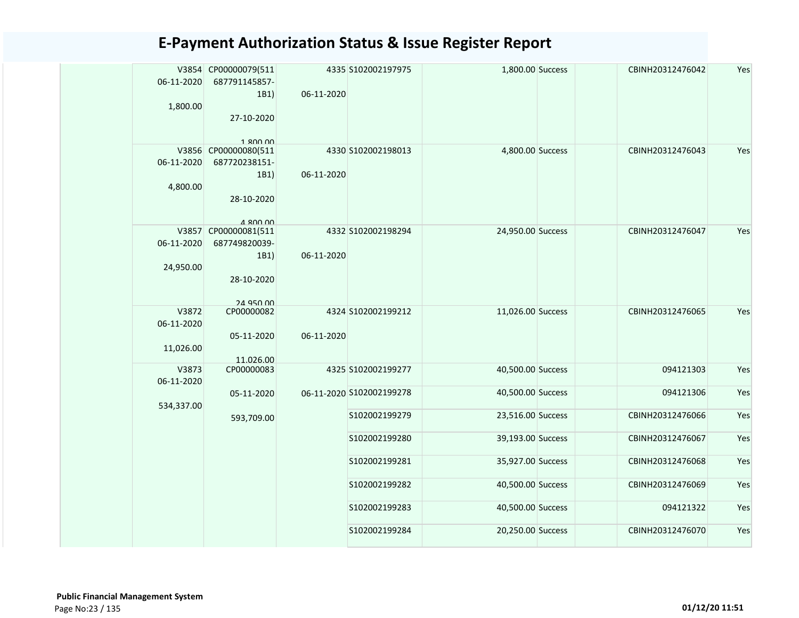| 06-11-2020 | V3854 CP00000079(511<br>687791145857- |            | 4335 S102002197975       | 1,800.00 Success  | CBINH20312476042 | Yes |
|------------|---------------------------------------|------------|--------------------------|-------------------|------------------|-----|
|            | 1B1)                                  | 06-11-2020 |                          |                   |                  |     |
| 1,800.00   |                                       |            |                          |                   |                  |     |
|            | 27-10-2020                            |            |                          |                   |                  |     |
|            |                                       |            |                          |                   |                  |     |
|            | 1.800.00                              |            |                          |                   |                  |     |
| 06-11-2020 | V3856 CP00000080(511<br>687720238151- |            | 4330 S102002198013       | 4,800.00 Success  | CBINH20312476043 | Yes |
|            | 1B1)                                  | 06-11-2020 |                          |                   |                  |     |
| 4,800.00   |                                       |            |                          |                   |                  |     |
|            | 28-10-2020                            |            |                          |                   |                  |     |
|            |                                       |            |                          |                   |                  |     |
|            | $A$ <b>ROO OO</b>                     |            |                          |                   |                  |     |
|            | V3857 CP00000081(511                  |            | 4332 S102002198294       | 24,950.00 Success | CBINH20312476047 | Yes |
| 06-11-2020 | 687749820039-                         |            |                          |                   |                  |     |
|            | 1B1)                                  | 06-11-2020 |                          |                   |                  |     |
| 24,950.00  | 28-10-2020                            |            |                          |                   |                  |     |
|            |                                       |            |                          |                   |                  |     |
|            | <b>24 Q50 00</b>                      |            |                          |                   |                  |     |
| V3872      | CP00000082                            |            | 4324 S102002199212       | 11,026.00 Success | CBINH20312476065 | Yes |
| 06-11-2020 |                                       |            |                          |                   |                  |     |
|            | 05-11-2020                            | 06-11-2020 |                          |                   |                  |     |
| 11,026.00  |                                       |            |                          |                   |                  |     |
| V3873      | 11.026.00<br>CP00000083               |            | 4325 S102002199277       | 40,500.00 Success | 094121303        | Yes |
| 06-11-2020 |                                       |            |                          |                   |                  |     |
|            | 05-11-2020                            |            | 06-11-2020 S102002199278 | 40,500.00 Success | 094121306        | Yes |
| 534,337.00 |                                       |            |                          |                   |                  |     |
|            | 593,709.00                            |            | S102002199279            | 23,516.00 Success | CBINH20312476066 | Yes |
|            |                                       |            |                          |                   |                  |     |
|            |                                       |            | S102002199280            | 39,193.00 Success | CBINH20312476067 | Yes |
|            |                                       |            | S102002199281            | 35,927.00 Success | CBINH20312476068 | Yes |
|            |                                       |            |                          |                   |                  |     |
|            |                                       |            | S102002199282            | 40,500.00 Success | CBINH20312476069 | Yes |
|            |                                       |            |                          |                   |                  |     |
|            |                                       |            | S102002199283            | 40,500.00 Success | 094121322        | Yes |
|            |                                       |            | S102002199284            | 20,250.00 Success | CBINH20312476070 | Yes |
|            |                                       |            |                          |                   |                  |     |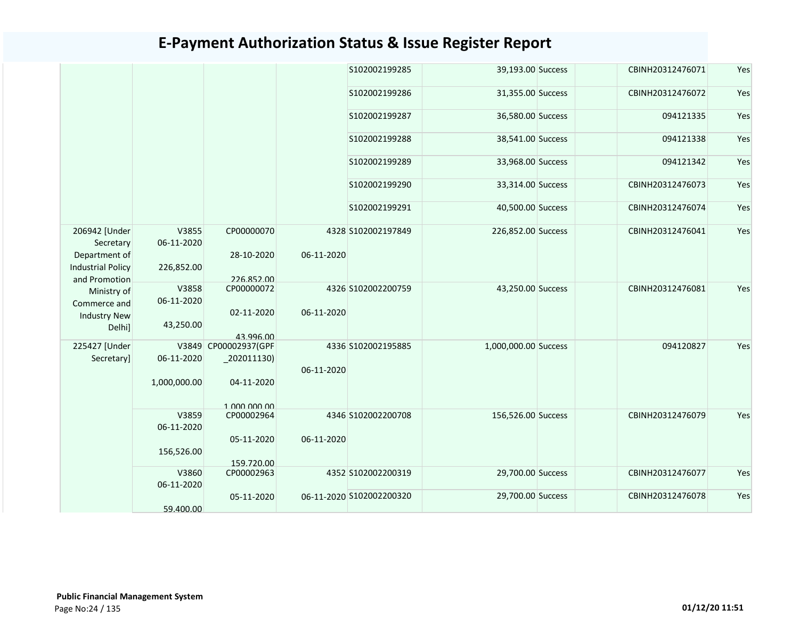|                                                            |                     |                          |            | S102002199285            | 39,193.00 Success    | CBINH20312476071 | Yes |
|------------------------------------------------------------|---------------------|--------------------------|------------|--------------------------|----------------------|------------------|-----|
|                                                            |                     |                          |            | S102002199286            | 31,355.00 Success    | CBINH20312476072 | Yes |
|                                                            |                     |                          |            | S102002199287            | 36,580.00 Success    | 094121335        | Yes |
|                                                            |                     |                          |            | S102002199288            | 38,541.00 Success    | 094121338        | Yes |
|                                                            |                     |                          |            | S102002199289            | 33,968.00 Success    | 094121342        | Yes |
|                                                            |                     |                          |            | S102002199290            | 33,314.00 Success    | CBINH20312476073 | Yes |
|                                                            |                     |                          |            | S102002199291            | 40,500.00 Success    | CBINH20312476074 | Yes |
| 206942 [Under<br>Secretary                                 | V3855<br>06-11-2020 | CP00000070               |            | 4328 S102002197849       | 226,852.00 Success   | CBINH20312476041 | Yes |
| Department of<br><b>Industrial Policy</b><br>and Promotion | 226,852.00          | 28-10-2020<br>226.852.00 | 06-11-2020 |                          |                      |                  |     |
| Ministry of<br>Commerce and                                | V3858<br>06-11-2020 | CP00000072               |            | 4326 S102002200759       | 43,250.00 Success    | CBINH20312476081 | Yes |
| <b>Industry New</b><br>Delhi]                              | 43,250.00           | 02-11-2020<br>43.996.00  | 06-11-2020 |                          |                      |                  |     |
| 225427 [Under                                              |                     | V3849 CP00002937(GPF     |            | 4336 S102002195885       | 1,000,000.00 Success | 094120827        | Yes |
| Secretary]                                                 | 06-11-2020          | $_2$ 202011130)          | 06-11-2020 |                          |                      |                  |     |
|                                                            | 1,000,000.00        | 04-11-2020               |            |                          |                      |                  |     |
|                                                            |                     | 1 000 000 00             |            |                          |                      |                  |     |
|                                                            | V3859<br>06-11-2020 | CP00002964               |            | 4346 S102002200708       | 156,526.00 Success   | CBINH20312476079 | Yes |
|                                                            |                     | 05-11-2020               | 06-11-2020 |                          |                      |                  |     |
|                                                            | 156,526.00          |                          |            |                          |                      |                  |     |
|                                                            | V3860               | 159.720.00<br>CP00002963 |            | 4352 S102002200319       | 29,700.00 Success    | CBINH20312476077 | Yes |
|                                                            | 06-11-2020          |                          |            |                          |                      |                  |     |
|                                                            |                     | 05-11-2020               |            | 06-11-2020 S102002200320 | 29,700.00 Success    | CBINH20312476078 | Yes |
|                                                            | 59.400.00           |                          |            |                          |                      |                  |     |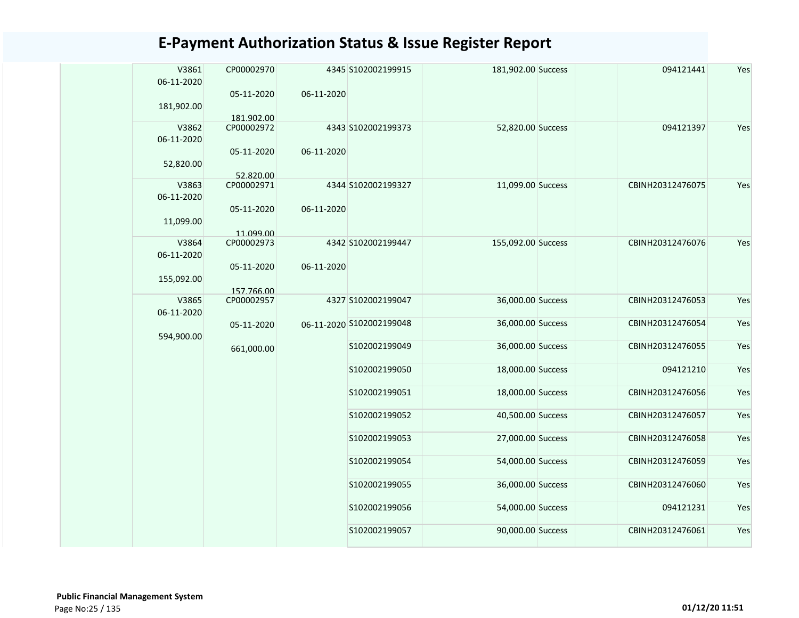| V3861<br>06-11-2020 | CP00002970              |            | 4345 S102002199915       | 181,902.00 Success | 094121441        | Yes |
|---------------------|-------------------------|------------|--------------------------|--------------------|------------------|-----|
| 181,902.00          | 05-11-2020              | 06-11-2020 |                          |                    |                  |     |
|                     | 181.902.00              |            |                          |                    |                  |     |
| V3862<br>06-11-2020 | CP00002972              |            | 4343 S102002199373       | 52,820.00 Success  | 094121397        | Yes |
| 52,820.00           | 05-11-2020              | 06-11-2020 |                          |                    |                  |     |
|                     | 52.820.00               |            |                          |                    |                  |     |
| V3863<br>06-11-2020 | CP00002971              |            | 4344 S102002199327       | 11,099.00 Success  | CBINH20312476075 | Yes |
| 11,099.00           | 05-11-2020<br>11.099.00 | 06-11-2020 |                          |                    |                  |     |
| V3864               | CP00002973              |            | 4342 S102002199447       | 155,092.00 Success | CBINH20312476076 | Yes |
| 06-11-2020          |                         |            |                          |                    |                  |     |
| 155,092.00          | 05-11-2020              | 06-11-2020 |                          |                    |                  |     |
|                     | 157.766.00              |            |                          |                    |                  |     |
| V3865<br>06-11-2020 | CP00002957              |            | 4327 S102002199047       | 36,000.00 Success  | CBINH20312476053 | Yes |
| 594,900.00          | 05-11-2020              |            | 06-11-2020 S102002199048 | 36,000.00 Success  | CBINH20312476054 | Yes |
|                     | 661,000.00              |            | S102002199049            | 36,000.00 Success  | CBINH20312476055 | Yes |
|                     |                         |            | S102002199050            | 18,000.00 Success  | 094121210        | Yes |
|                     |                         |            | S102002199051            | 18,000.00 Success  | CBINH20312476056 | Yes |
|                     |                         |            | S102002199052            | 40,500.00 Success  | CBINH20312476057 | Yes |
|                     |                         |            | S102002199053            | 27,000.00 Success  | CBINH20312476058 | Yes |
|                     |                         |            | S102002199054            | 54,000.00 Success  | CBINH20312476059 | Yes |
|                     |                         |            | S102002199055            | 36,000.00 Success  | CBINH20312476060 | Yes |
|                     |                         |            | S102002199056            | 54,000.00 Success  | 094121231        | Yes |
|                     |                         |            | S102002199057            | 90,000.00 Success  | CBINH20312476061 | Yes |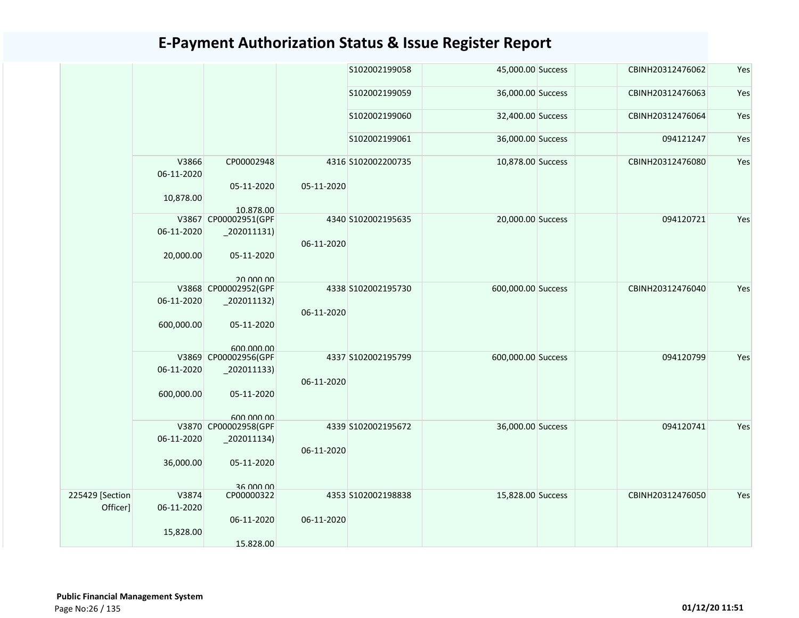|                 |                     |                                              |            | S102002199058      | 45,000.00 Success  | CBINH20312476062 | Yes |
|-----------------|---------------------|----------------------------------------------|------------|--------------------|--------------------|------------------|-----|
|                 |                     |                                              |            | S102002199059      | 36,000.00 Success  | CBINH20312476063 | Yes |
|                 |                     |                                              |            | S102002199060      | 32,400.00 Success  | CBINH20312476064 | Yes |
|                 |                     |                                              |            | S102002199061      | 36,000.00 Success  | 094121247        | Yes |
|                 | V3866<br>06-11-2020 | CP00002948<br>05-11-2020                     | 05-11-2020 | 4316 S102002200735 | 10,878.00 Success  | CBINH20312476080 | Yes |
|                 | 10,878.00           | 10.878.00                                    |            |                    |                    |                  |     |
|                 |                     | V3867 CP00002951(GPF                         |            | 4340 S102002195635 | 20,000.00 Success  | 094120721        | Yes |
|                 | 06-11-2020          | $_2$ 02011131)                               | 06-11-2020 |                    |                    |                  |     |
|                 | 20,000.00           | 05-11-2020                                   |            |                    |                    |                  |     |
|                 |                     | 20,000,00<br>V3868 CP00002952(GPF            |            | 4338 S102002195730 | 600,000.00 Success | CBINH20312476040 | Yes |
|                 | 06-11-2020          | $\left  \frac{202011132}{200011132} \right $ | 06-11-2020 |                    |                    |                  |     |
|                 | 600,000.00          | 05-11-2020                                   |            |                    |                    |                  |     |
|                 |                     | 600.000.00<br>V3869 CP00002956(GPF           |            | 4337 S102002195799 | 600,000.00 Success | 094120799        | Yes |
|                 | 06-11-2020          | $_2$ 202011133)                              |            |                    |                    |                  |     |
|                 |                     |                                              | 06-11-2020 |                    |                    |                  |     |
|                 | 600,000.00          | 05-11-2020                                   |            |                    |                    |                  |     |
|                 |                     | 600 000 00<br>V3870 CP00002958(GPF           |            | 4339 S102002195672 | 36,000.00 Success  | 094120741        | Yes |
|                 | 06-11-2020          | $_2$ 02011134)                               |            |                    |                    |                  |     |
|                 |                     |                                              | 06-11-2020 |                    |                    |                  |     |
|                 | 36,000.00           | 05-11-2020                                   |            |                    |                    |                  |     |
|                 |                     |                                              |            |                    |                    |                  |     |
|                 |                     | 36,000,00                                    |            |                    |                    |                  |     |
| 225429 [Section | V3874               | CP00000322                                   |            | 4353 S102002198838 | 15,828.00 Success  | CBINH20312476050 | Yes |
| Officer]        | 06-11-2020          |                                              |            |                    |                    |                  |     |
|                 | 15,828.00           | 06-11-2020                                   | 06-11-2020 |                    |                    |                  |     |
|                 |                     | 15.828.00                                    |            |                    |                    |                  |     |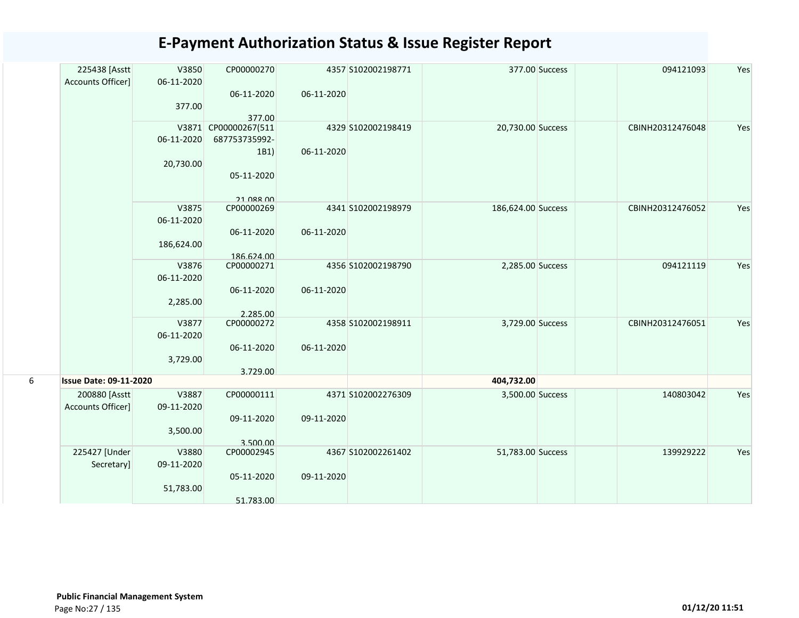| 225438 [Asstt                 | V3850      | CP00000270           |            | 4357 S102002198771 |                    | 377.00 Success | 094121093        | Yes |
|-------------------------------|------------|----------------------|------------|--------------------|--------------------|----------------|------------------|-----|
| Accounts Officer]             | 06-11-2020 |                      |            |                    |                    |                |                  |     |
|                               |            | 06-11-2020           | 06-11-2020 |                    |                    |                |                  |     |
|                               | 377.00     |                      |            |                    |                    |                |                  |     |
|                               |            | 377.00               |            |                    | 20,730.00 Success  |                |                  |     |
|                               |            | V3871 CP00000267(511 |            | 4329 S102002198419 |                    |                | CBINH20312476048 | Yes |
|                               | 06-11-2020 | 687753735992-        |            |                    |                    |                |                  |     |
|                               |            | 1B1)                 | 06-11-2020 |                    |                    |                |                  |     |
|                               | 20,730.00  | 05-11-2020           |            |                    |                    |                |                  |     |
|                               |            |                      |            |                    |                    |                |                  |     |
|                               |            | <b>21 088 00</b>     |            |                    |                    |                |                  |     |
|                               | V3875      | CP00000269           |            | 4341 S102002198979 | 186,624.00 Success |                | CBINH20312476052 | Yes |
|                               | 06-11-2020 |                      |            |                    |                    |                |                  |     |
|                               |            | 06-11-2020           | 06-11-2020 |                    |                    |                |                  |     |
|                               | 186,624.00 |                      |            |                    |                    |                |                  |     |
|                               |            | 186.624.00           |            |                    |                    |                |                  |     |
|                               | V3876      | CP00000271           |            | 4356 S102002198790 | 2,285.00 Success   |                | 094121119        | Yes |
|                               | 06-11-2020 |                      |            |                    |                    |                |                  |     |
|                               |            | 06-11-2020           | 06-11-2020 |                    |                    |                |                  |     |
|                               | 2,285.00   |                      |            |                    |                    |                |                  |     |
|                               |            | 2.285.00             |            |                    |                    |                |                  |     |
|                               | V3877      | CP00000272           |            | 4358 S102002198911 | 3,729.00 Success   |                | CBINH20312476051 | Yes |
|                               | 06-11-2020 | 06-11-2020           | 06-11-2020 |                    |                    |                |                  |     |
|                               |            |                      |            |                    |                    |                |                  |     |
|                               | 3,729.00   | 3.729.00             |            |                    |                    |                |                  |     |
| <b>Issue Date: 09-11-2020</b> |            |                      |            |                    | 404,732.00         |                |                  |     |
| 200880 [Asstt]                | V3887      | CP00000111           |            | 4371 S102002276309 | 3,500.00 Success   |                | 140803042        | Yes |
| Accounts Officer]             | 09-11-2020 |                      |            |                    |                    |                |                  |     |
|                               |            | 09-11-2020           | 09-11-2020 |                    |                    |                |                  |     |
|                               | 3,500.00   |                      |            |                    |                    |                |                  |     |
|                               |            | 3.500.00             |            |                    |                    |                |                  |     |
| 225427 [Under                 | V3880      | CP00002945           |            | 4367 S102002261402 | 51,783.00 Success  |                | 139929222        | Yes |
| Secretary]                    | 09-11-2020 |                      |            |                    |                    |                |                  |     |
|                               |            | 05-11-2020           | 09-11-2020 |                    |                    |                |                  |     |
|                               | 51,783.00  |                      |            |                    |                    |                |                  |     |
|                               |            | 51.783.00            |            |                    |                    |                |                  |     |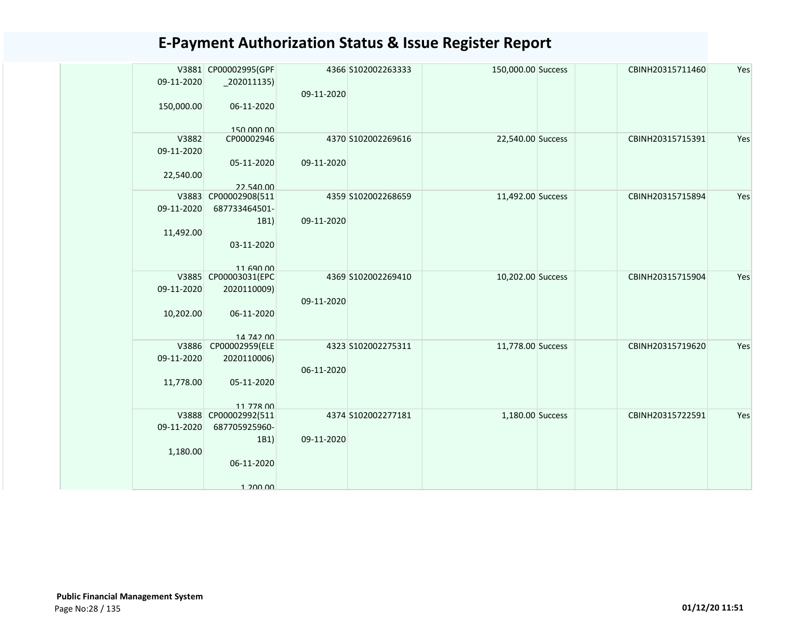|            | V3881 CP00002995(GPF              |            | 4366 S102002263333 | 150,000.00 Success | CBINH20315711460 | Yes |
|------------|-----------------------------------|------------|--------------------|--------------------|------------------|-----|
| 09-11-2020 | $_2$ 202011135)                   |            |                    |                    |                  |     |
|            |                                   | 09-11-2020 |                    |                    |                  |     |
| 150,000.00 | 06-11-2020                        |            |                    |                    |                  |     |
|            |                                   |            |                    |                    |                  |     |
|            | 150.000.00                        |            |                    |                    |                  |     |
| V3882      | CP00002946                        |            | 4370 S102002269616 | 22,540.00 Success  | CBINH20315715391 | Yes |
| 09-11-2020 |                                   |            |                    |                    |                  |     |
|            | 05-11-2020                        | 09-11-2020 |                    |                    |                  |     |
| 22,540.00  |                                   |            |                    |                    |                  |     |
|            | 22.540.00                         |            |                    |                    |                  |     |
|            | V3883 CP00002908(511              |            | 4359 S102002268659 | 11,492.00 Success  | CBINH20315715894 | Yes |
| 09-11-2020 | 687733464501-                     |            |                    |                    |                  |     |
|            | 1B1)                              | 09-11-2020 |                    |                    |                  |     |
| 11,492.00  |                                   |            |                    |                    |                  |     |
|            | 03-11-2020                        |            |                    |                    |                  |     |
|            |                                   |            |                    |                    |                  |     |
|            | 11 690 00                         |            |                    |                    |                  |     |
|            | V3885 CP00003031(EPC              |            | 4369 S102002269410 | 10,202.00 Success  | CBINH20315715904 | Yes |
| 09-11-2020 | 2020110009)                       |            |                    |                    |                  |     |
|            |                                   | 09-11-2020 |                    |                    |                  |     |
| 10,202.00  | 06-11-2020                        |            |                    |                    |                  |     |
|            |                                   |            |                    |                    |                  |     |
| V3886      | 14 742 00                         |            |                    |                    | CBINH20315719620 | Yes |
|            | CP00002959(ELE                    |            | 4323 S102002275311 | 11,778.00 Success  |                  |     |
| 09-11-2020 | 2020110006)                       |            |                    |                    |                  |     |
|            |                                   | 06-11-2020 |                    |                    |                  |     |
| 11,778.00  | 05-11-2020                        |            |                    |                    |                  |     |
|            |                                   |            |                    |                    |                  |     |
|            | 11 778 00<br>V3888 CP00002992(511 |            | 4374 S102002277181 | 1,180.00 Success   | CBINH20315722591 | Yes |
| 09-11-2020 | 687705925960-                     |            |                    |                    |                  |     |
|            | 1B1)                              | 09-11-2020 |                    |                    |                  |     |
| 1,180.00   |                                   |            |                    |                    |                  |     |
|            | 06-11-2020                        |            |                    |                    |                  |     |
|            |                                   |            |                    |                    |                  |     |
|            | 1 200 00                          |            |                    |                    |                  |     |
|            |                                   |            |                    |                    |                  |     |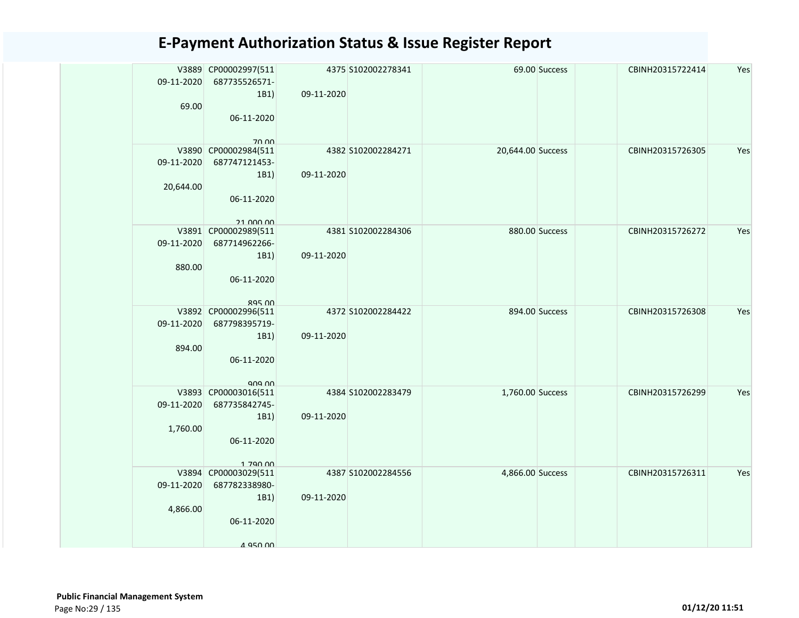| 09-11-2020 | V3889 CP00002997(511<br>687735526571-<br>1B1) | 09-11-2020 | 4375 S102002278341 | 69.00 Success     | CBINH20315722414 | Yes |
|------------|-----------------------------------------------|------------|--------------------|-------------------|------------------|-----|
| 69.00      | 06-11-2020                                    |            |                    |                   |                  |     |
|            | 70.00<br>V3890 CP00002984(511                 |            | 4382 S102002284271 | 20,644.00 Success | CBINH20315726305 | Yes |
| 09-11-2020 | 687747121453-<br>1B1)                         | 09-11-2020 |                    |                   |                  |     |
| 20,644.00  |                                               |            |                    |                   |                  |     |
|            | 06-11-2020                                    |            |                    |                   |                  |     |
|            | 21 000 00<br>V3891 CP00002989(511             |            | 4381 S102002284306 | 880.00 Success    | CBINH20315726272 | Yes |
| 09-11-2020 | 687714962266-                                 |            |                    |                   |                  |     |
| 880.00     | 1B1)                                          | 09-11-2020 |                    |                   |                  |     |
|            | 06-11-2020                                    |            |                    |                   |                  |     |
|            | $ROF$ $OQ$                                    |            |                    |                   |                  |     |
| 09-11-2020 | V3892 CP00002996(511<br>687798395719-         |            | 4372 S102002284422 | 894.00 Success    | CBINH20315726308 | Yes |
|            | 1B1)                                          | 09-11-2020 |                    |                   |                  |     |
| 894.00     | 06-11-2020                                    |            |                    |                   |                  |     |
|            |                                               |            |                    |                   |                  |     |
|            | ana nn<br>V3893 CP00003016(511                |            | 4384 S102002283479 | 1,760.00 Success  | CBINH20315726299 | Yes |
| 09-11-2020 | 687735842745-<br>1B1)                         | 09-11-2020 |                    |                   |                  |     |
| 1,760.00   |                                               |            |                    |                   |                  |     |
|            | 06-11-2020                                    |            |                    |                   |                  |     |
|            | 1 790 00                                      |            |                    |                   |                  |     |
|            | V3894 CP00003029(511                          |            | 4387 S102002284556 | 4,866.00 Success  | CBINH20315726311 | Yes |
| 09-11-2020 | 687782338980-                                 |            |                    |                   |                  |     |
| 4,866.00   | 1B1)                                          | 09-11-2020 |                    |                   |                  |     |
|            | 06-11-2020                                    |            |                    |                   |                  |     |
|            | 4 950 00                                      |            |                    |                   |                  |     |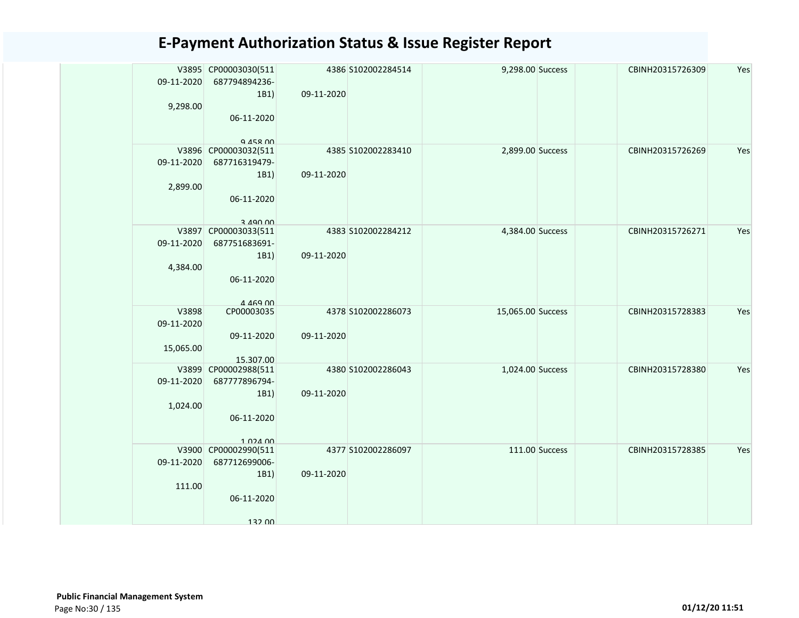| 09-11-2020<br>9,298.00           | V3895 CP00003030(511<br>687794894236-<br>1B1)<br>06-11-2020<br>Q 458 00          | 09-11-2020 | 4386 S102002284514 | 9,298.00 Success  |                | CBINH20315726309 | Yes |
|----------------------------------|----------------------------------------------------------------------------------|------------|--------------------|-------------------|----------------|------------------|-----|
| 09-11-2020<br>2,899.00           | V3896 CP00003032(511<br>687716319479-<br>1B1)<br>06-11-2020<br>3 490 00          | 09-11-2020 | 4385 S102002283410 | 2,899.00 Success  |                | CBINH20315726269 | Yes |
| 09-11-2020<br>4,384.00           | V3897 CP00003033(511<br>687751683691-<br>1B1)<br>06-11-2020<br>$A$ $A$ $69$ $00$ | 09-11-2020 | 4383 S102002284212 | 4,384.00 Success  |                | CBINH20315726271 | Yes |
| V3898<br>09-11-2020<br>15,065.00 | CP00003035<br>09-11-2020<br>15.307.00                                            | 09-11-2020 | 4378 S102002286073 | 15,065.00 Success |                | CBINH20315728383 | Yes |
| 09-11-2020<br>1,024.00           | V3899 CP00002988(511<br>687777896794-<br>1B1)<br>06-11-2020<br>1 024 00          | 09-11-2020 | 4380 S102002286043 | 1,024.00 Success  |                | CBINH20315728380 | Yes |
| V3900<br>09-11-2020<br>111.00    | CP00002990(511<br>687712699006-<br>1B1)<br>06-11-2020<br>132 00                  | 09-11-2020 | 4377 S102002286097 |                   | 111.00 Success | CBINH20315728385 | Yes |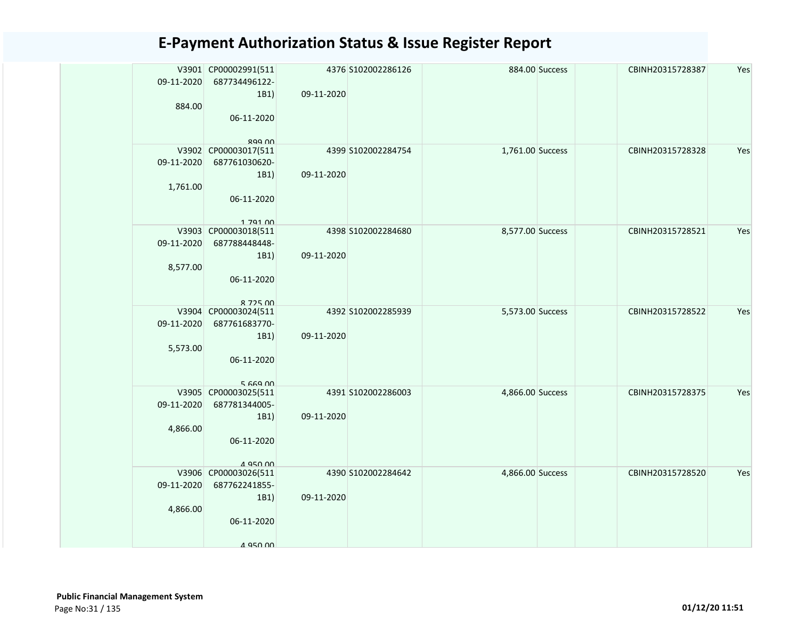| 09-11-2020<br>884.00   | V3901 CP00002991(511<br>687734496122-<br>1B1)<br>06-11-2020                               | 4376 S102002286126<br>09-11-2020 |                  | 884.00 Success | CBINH20315728387 | Yes |
|------------------------|-------------------------------------------------------------------------------------------|----------------------------------|------------------|----------------|------------------|-----|
| 09-11-2020<br>1,761.00 | RQQ NN<br>V3902 CP00003017(511<br>687761030620-<br>1B1)<br>06-11-2020                     | 4399 S102002284754<br>09-11-2020 | 1,761.00 Success |                | CBINH20315728328 | Yes |
| 09-11-2020<br>8,577.00 | 1 7 9 1 0 0<br>V3903 CP00003018(511<br>687788448448-<br>1B1)<br>06-11-2020<br>$R$ 725 $n$ | 4398 S102002284680<br>09-11-2020 | 8,577.00 Success |                | CBINH20315728521 | Yes |
| 09-11-2020<br>5,573.00 | V3904 CP00003024(511<br>687761683770-<br>1B1)<br>06-11-2020<br>566900                     | 4392 S102002285939<br>09-11-2020 | 5,573.00 Success |                | CBINH20315728522 | Yes |
| 09-11-2020<br>4,866.00 | V3905 CP00003025(511<br>687781344005-<br>1B1)<br>06-11-2020<br>4 950 00                   | 4391 S102002286003<br>09-11-2020 | 4,866.00 Success |                | CBINH20315728375 | Yes |
| 09-11-2020<br>4,866.00 | V3906 CP00003026(511<br>687762241855-<br>1B1)<br>06-11-2020<br>4 950 00                   | 4390 S102002284642<br>09-11-2020 | 4,866.00 Success |                | CBINH20315728520 | Yes |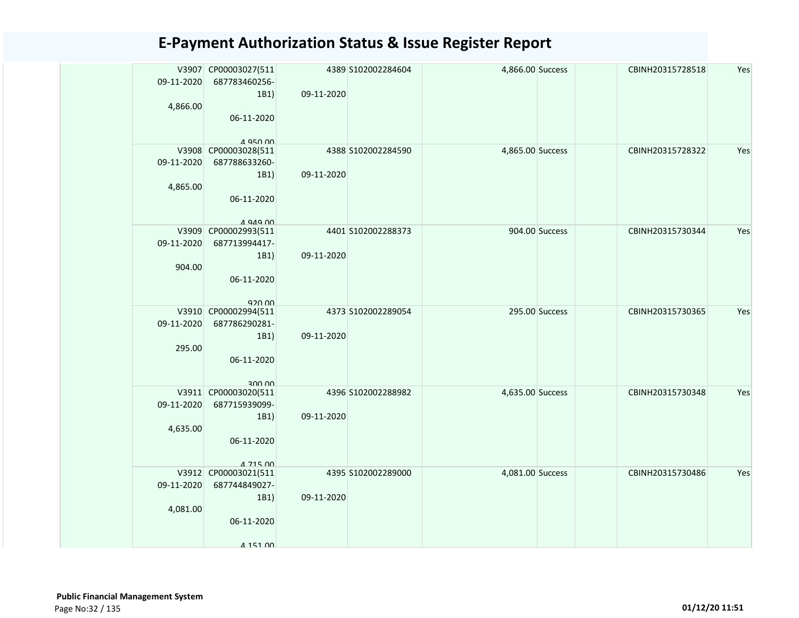| 09-11-2020 | V3907 CP00003027(511<br>687783460256-<br>1B1) | 09-11-2020 | 4389 S102002284604 | 4,866.00 Success |                | CBINH20315728518 | Yes |
|------------|-----------------------------------------------|------------|--------------------|------------------|----------------|------------------|-----|
| 4,866.00   | 06-11-2020                                    |            |                    |                  |                |                  |     |
|            | A 950 00                                      |            |                    |                  |                |                  |     |
| 09-11-2020 | V3908 CP00003028(511<br>687788633260-         |            | 4388 S102002284590 | 4,865.00 Success |                | CBINH20315728322 | Yes |
|            | 1B1)                                          | 09-11-2020 |                    |                  |                |                  |     |
| 4,865.00   |                                               |            |                    |                  |                |                  |     |
|            | 06-11-2020                                    |            |                    |                  |                |                  |     |
|            |                                               |            |                    |                  |                |                  |     |
|            | $A$ Q $A$ Q $\Omega$                          |            |                    |                  |                |                  |     |
|            | V3909 CP00002993(511                          |            | 4401 S102002288373 |                  | 904.00 Success | CBINH20315730344 | Yes |
| 09-11-2020 | 687713994417-                                 |            |                    |                  |                |                  |     |
|            | 1B1)                                          | 09-11-2020 |                    |                  |                |                  |     |
| 904.00     |                                               |            |                    |                  |                |                  |     |
|            | 06-11-2020                                    |            |                    |                  |                |                  |     |
|            | 920.00                                        |            |                    |                  |                |                  |     |
|            | V3910 CP00002994(511                          |            | 4373 S102002289054 |                  | 295.00 Success | CBINH20315730365 | Yes |
| 09-11-2020 | 687786290281-                                 |            |                    |                  |                |                  |     |
|            | 1B1)                                          | 09-11-2020 |                    |                  |                |                  |     |
| 295.00     |                                               |            |                    |                  |                |                  |     |
|            | 06-11-2020                                    |            |                    |                  |                |                  |     |
|            |                                               |            |                    |                  |                |                  |     |
|            | 300 00<br>V3911 CP00003020(511                |            | 4396 S102002288982 | 4,635.00 Success |                | CBINH20315730348 | Yes |
| 09-11-2020 | 687715939099-                                 |            |                    |                  |                |                  |     |
|            | 1B1)                                          | 09-11-2020 |                    |                  |                |                  |     |
| 4,635.00   |                                               |            |                    |                  |                |                  |     |
|            | 06-11-2020                                    |            |                    |                  |                |                  |     |
|            |                                               |            |                    |                  |                |                  |     |
|            | 4 715 00                                      |            | 4395 S102002289000 | 4,081.00 Success |                |                  |     |
| 09-11-2020 | V3912 CP00003021(511<br>687744849027-         |            |                    |                  |                | CBINH20315730486 | Yes |
|            | 1B1)                                          | 09-11-2020 |                    |                  |                |                  |     |
| 4,081.00   |                                               |            |                    |                  |                |                  |     |
|            | 06-11-2020                                    |            |                    |                  |                |                  |     |
|            |                                               |            |                    |                  |                |                  |     |
|            | 4 151 00                                      |            |                    |                  |                |                  |     |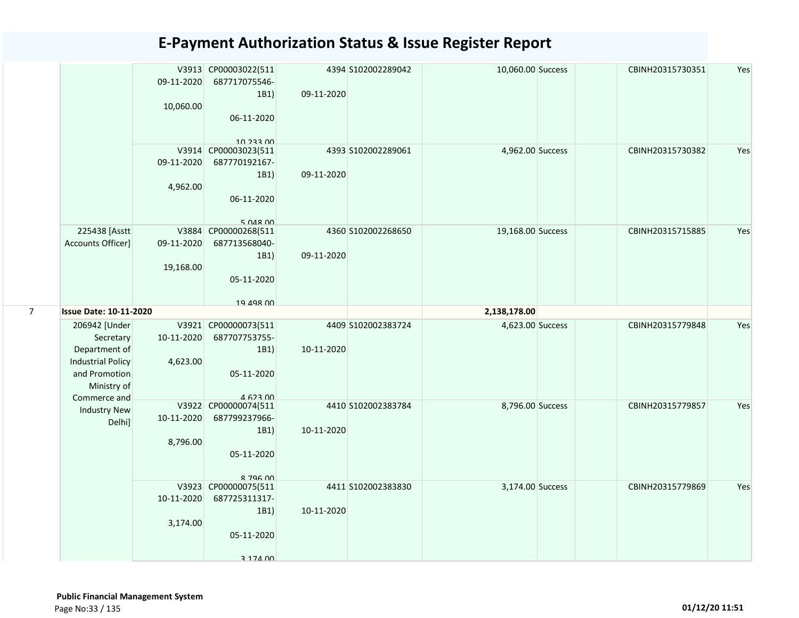|   |                                                                                                                         | 09-11-2020<br>10,060.00          | V3913 CP00003022(511<br>687717075546-<br>1B1)<br>06-11-2020                                | 09-11-2020 | 4394 S102002289042 | 10,060.00 Success | CBINH20315730351 | Yes |
|---|-------------------------------------------------------------------------------------------------------------------------|----------------------------------|--------------------------------------------------------------------------------------------|------------|--------------------|-------------------|------------------|-----|
|   |                                                                                                                         | 09-11-2020<br>4,962.00           | 10 233 00<br>V3914 CP00003023(511<br>687770192167-<br>1B1)<br>06-11-2020<br>$5$ $048$ $00$ | 09-11-2020 | 4393 S102002289061 | 4,962.00 Success  | CBINH20315730382 | Yes |
|   | 225438 [Asstt<br>Accounts Officer]                                                                                      | V3884<br>09-11-2020<br>19,168.00 | CP00000268(511<br>687713568040-<br>1B1)<br>05-11-2020<br>19 198 NO                         | 09-11-2020 | 4360 S102002268650 | 19,168.00 Success | CBINH20315715885 | Yes |
| 7 | <b>Issue Date: 10-11-2020</b>                                                                                           |                                  |                                                                                            |            |                    | 2,138,178.00      |                  |     |
|   | 206942 [Under<br>Secretary<br>Department of<br><b>Industrial Policy</b><br>and Promotion<br>Ministry of<br>Commerce and | 10-11-2020<br>4,623.00           | V3921 CP00000073(511<br>687707753755-<br>1B1)<br>05-11-2020<br>$A$ 623 $n$                 | 10-11-2020 | 4409 S102002383724 | 4,623.00 Success  | CBINH20315779848 | Yes |
|   | <b>Industry New</b><br>Delhi]                                                                                           | 10-11-2020<br>8,796.00           | V3922 CP00000074(511<br>687799237966-<br>1B1)<br>05-11-2020<br><b>8 796 00</b>             | 10-11-2020 | 4410 S102002383784 | 8,796.00 Success  | CBINH20315779857 | Yes |
|   |                                                                                                                         | 10-11-2020<br>3,174.00           | V3923 CP00000075(511<br>687725311317-<br>1B1)<br>05-11-2020<br>3 174 00                    | 10-11-2020 | 4411 S102002383830 | 3,174.00 Success  | CBINH20315779869 | Yes |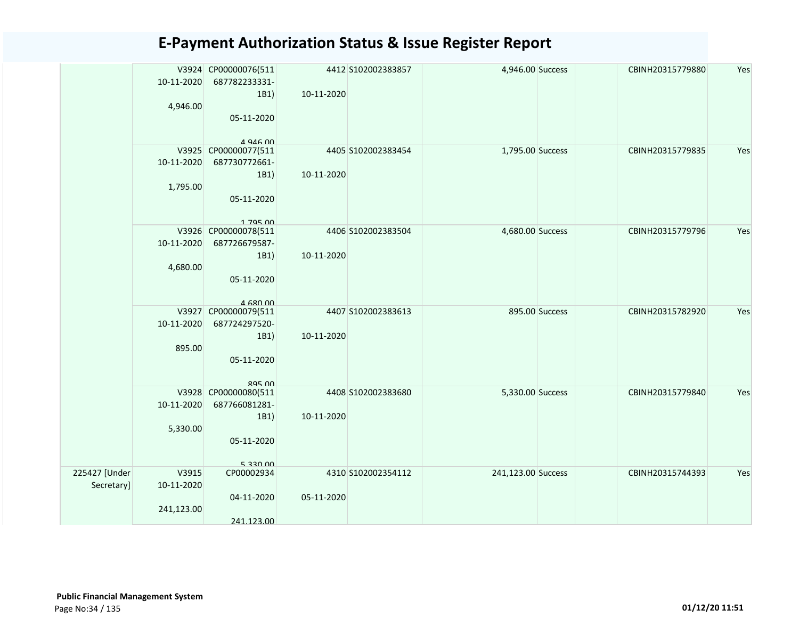|                             | 10-11-2020<br>4,946.00            | V3924 CP00000076(511<br>687782233331-<br>1B1)<br>05-11-2020                       | 10-11-2020 | 4412 S102002383857 | 4,946.00 Success   |                | CBINH20315779880 | Yes |
|-----------------------------|-----------------------------------|-----------------------------------------------------------------------------------|------------|--------------------|--------------------|----------------|------------------|-----|
|                             | 10-11-2020<br>1,795.00            | $A$ Q $AB$ $AD$<br>V3925 CP00000077(511<br>687730772661-<br>1B1)<br>05-11-2020    | 10-11-2020 | 4405 S102002383454 | 1,795.00 Success   |                | CBINH20315779835 | Yes |
|                             | 10-11-2020<br>4,680.00            | 1 795 00<br>V3926 CP00000078(511<br>687726679587-<br>1B1)<br>05-11-2020           | 10-11-2020 | 4406 S102002383504 | 4,680.00 Success   |                | CBINH20315779796 | Yes |
|                             | V3927<br>10-11-2020<br>895.00     | $A$ 680 00<br>CP00000079(511<br>687724297520-<br>1B1)<br>05-11-2020<br>$ROF$ $OQ$ | 10-11-2020 | 4407 S102002383613 |                    | 895.00 Success | CBINH20315782920 | Yes |
|                             | 10-11-2020<br>5,330.00            | V3928 CP00000080(511<br>687766081281-<br>1B1)<br>05-11-2020<br>5330.00            | 10-11-2020 | 4408 S102002383680 | 5,330.00 Success   |                | CBINH20315779840 | Yes |
| 225427 [Under<br>Secretary] | V3915<br>10-11-2020<br>241,123.00 | CP00002934<br>04-11-2020<br>241.123.00                                            | 05-11-2020 | 4310 S102002354112 | 241,123.00 Success |                | CBINH20315744393 | Yes |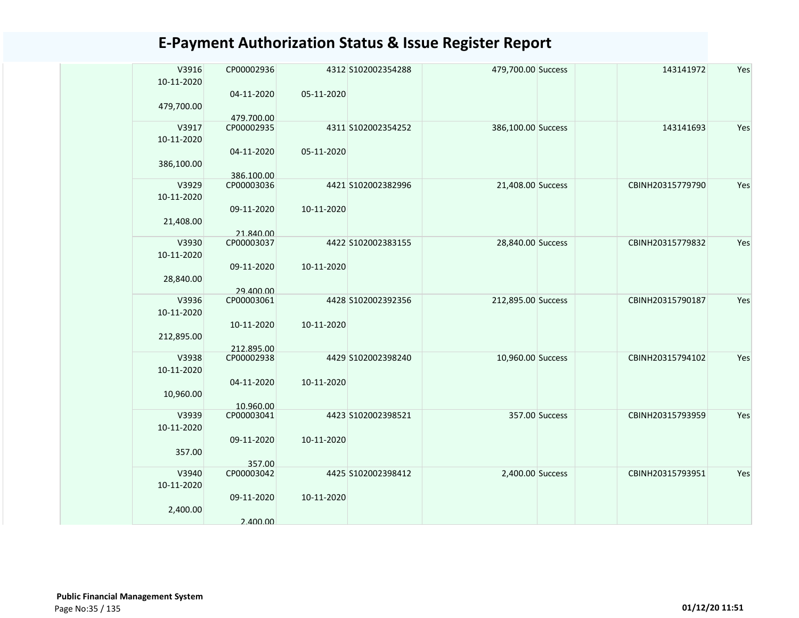| V3916<br>10-11-2020 | CP00002936 |            | 4312 S102002354288 | 479,700.00 Success |                | 143141972        | Yes |
|---------------------|------------|------------|--------------------|--------------------|----------------|------------------|-----|
| 479,700.00          | 04-11-2020 | 05-11-2020 |                    |                    |                |                  |     |
|                     | 479.700.00 |            |                    |                    |                |                  |     |
| V3917<br>10-11-2020 | CP00002935 |            | 4311 S102002354252 | 386,100.00 Success |                | 143141693        | Yes |
| 386,100.00          | 04-11-2020 | 05-11-2020 |                    |                    |                |                  |     |
|                     | 386.100.00 |            |                    |                    |                |                  |     |
| V3929               | CP00003036 |            | 4421 S102002382996 | 21,408.00 Success  |                | CBINH20315779790 | Yes |
| 10-11-2020          |            |            |                    |                    |                |                  |     |
| 21,408.00           | 09-11-2020 | 10-11-2020 |                    |                    |                |                  |     |
|                     | 21.840.00  |            |                    |                    |                |                  |     |
| V3930               | CP00003037 |            | 4422 S102002383155 | 28,840.00 Success  |                | CBINH20315779832 | Yes |
| 10-11-2020          |            |            |                    |                    |                |                  |     |
|                     | 09-11-2020 | 10-11-2020 |                    |                    |                |                  |     |
| 28,840.00           |            |            |                    |                    |                |                  |     |
|                     | 29.400.00  |            |                    |                    |                |                  |     |
| V3936               | CP00003061 |            | 4428 S102002392356 | 212,895.00 Success |                | CBINH20315790187 | Yes |
| 10-11-2020          |            |            |                    |                    |                |                  |     |
|                     |            |            |                    |                    |                |                  |     |
|                     | 10-11-2020 | 10-11-2020 |                    |                    |                |                  |     |
| 212,895.00          |            |            |                    |                    |                |                  |     |
|                     | 212.895.00 |            |                    |                    |                |                  |     |
| V3938               | CP00002938 |            | 4429 S102002398240 | 10,960.00 Success  |                | CBINH20315794102 | Yes |
| 10-11-2020          |            |            |                    |                    |                |                  |     |
|                     | 04-11-2020 | 10-11-2020 |                    |                    |                |                  |     |
| 10,960.00           |            |            |                    |                    |                |                  |     |
|                     | 10.960.00  |            |                    |                    |                |                  |     |
| V3939               | CP00003041 |            | 4423 S102002398521 |                    | 357.00 Success | CBINH20315793959 | Yes |
| 10-11-2020          |            |            |                    |                    |                |                  |     |
|                     | 09-11-2020 | 10-11-2020 |                    |                    |                |                  |     |
| 357.00              |            |            |                    |                    |                |                  |     |
|                     | 357.00     |            |                    |                    |                |                  |     |
| V3940               | CP00003042 |            | 4425 S102002398412 | 2,400.00 Success   |                | CBINH20315793951 | Yes |
| 10-11-2020          |            |            |                    |                    |                |                  |     |
|                     |            |            |                    |                    |                |                  |     |
|                     | 09-11-2020 | 10-11-2020 |                    |                    |                |                  |     |
| 2,400.00            |            |            |                    |                    |                |                  |     |
|                     | 2.400.00   |            |                    |                    |                |                  |     |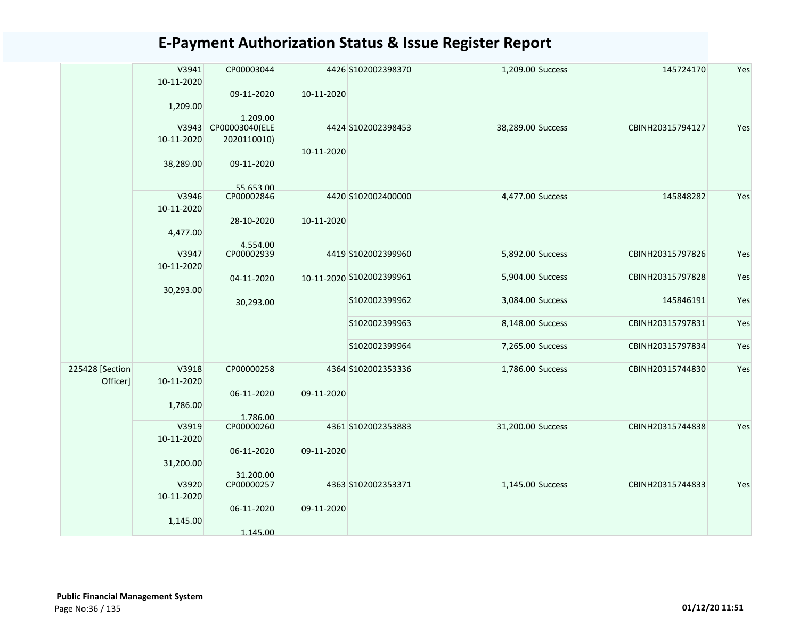|                 | V3941      | CP00003044                 |            | 4426 S102002398370       | 1,209.00 Success  | 145724170        | Yes |
|-----------------|------------|----------------------------|------------|--------------------------|-------------------|------------------|-----|
|                 | 10-11-2020 |                            |            |                          |                   |                  |     |
|                 |            | 09-11-2020                 | 10-11-2020 |                          |                   |                  |     |
|                 | 1,209.00   |                            |            |                          |                   |                  |     |
|                 | V3943      | 1.209.00<br>CP00003040(ELE |            | 4424 S102002398453       | 38,289.00 Success | CBINH20315794127 | Yes |
|                 | 10-11-2020 | 2020110010)                |            |                          |                   |                  |     |
|                 |            |                            | 10-11-2020 |                          |                   |                  |     |
|                 | 38,289.00  | 09-11-2020                 |            |                          |                   |                  |     |
|                 |            |                            |            |                          |                   |                  |     |
|                 |            | 55 653 00                  |            |                          |                   |                  |     |
|                 | V3946      | CP00002846                 |            | 4420 S102002400000       | 4,477.00 Success  | 145848282        | Yes |
|                 | 10-11-2020 |                            |            |                          |                   |                  |     |
|                 |            | 28-10-2020                 | 10-11-2020 |                          |                   |                  |     |
|                 | 4,477.00   |                            |            |                          |                   |                  |     |
|                 |            | 4.554.00                   |            |                          |                   |                  |     |
|                 | V3947      | CP00002939                 |            | 4419 S102002399960       | 5,892.00 Success  | CBINH20315797826 | Yes |
|                 | 10-11-2020 |                            |            |                          |                   |                  |     |
|                 |            | 04-11-2020                 |            | 10-11-2020 S102002399961 | 5,904.00 Success  | CBINH20315797828 | Yes |
|                 | 30,293.00  |                            |            |                          |                   |                  |     |
|                 |            | 30,293.00                  |            | S102002399962            | 3,084.00 Success  | 145846191        | Yes |
|                 |            |                            |            |                          |                   |                  |     |
|                 |            |                            |            | S102002399963            | 8,148.00 Success  | CBINH20315797831 | Yes |
|                 |            |                            |            |                          |                   |                  |     |
|                 |            |                            |            | S102002399964            | 7,265.00 Success  | CBINH20315797834 | Yes |
|                 |            |                            |            |                          |                   |                  |     |
| 225428 [Section | V3918      | CP00000258                 |            | 4364 S102002353336       | 1,786.00 Success  | CBINH20315744830 | Yes |
| Officer]        | 10-11-2020 |                            |            |                          |                   |                  |     |
|                 |            | 06-11-2020                 | 09-11-2020 |                          |                   |                  |     |
|                 | 1,786.00   |                            |            |                          |                   |                  |     |
|                 |            | 1.786.00                   |            |                          |                   |                  |     |
|                 | V3919      | CP00000260                 |            | 4361 S102002353883       | 31,200.00 Success | CBINH20315744838 | Yes |
|                 | 10-11-2020 |                            |            |                          |                   |                  |     |
|                 |            | 06-11-2020                 | 09-11-2020 |                          |                   |                  |     |
|                 | 31,200.00  |                            |            |                          |                   |                  |     |
|                 |            | 31.200.00                  |            |                          |                   |                  |     |
|                 | V3920      | CP00000257                 |            | 4363 S102002353371       | 1,145.00 Success  | CBINH20315744833 | Yes |
|                 | 10-11-2020 |                            |            |                          |                   |                  |     |
|                 |            | 06-11-2020                 | 09-11-2020 |                          |                   |                  |     |
|                 | 1,145.00   |                            |            |                          |                   |                  |     |
|                 |            | 1.145.00                   |            |                          |                   |                  |     |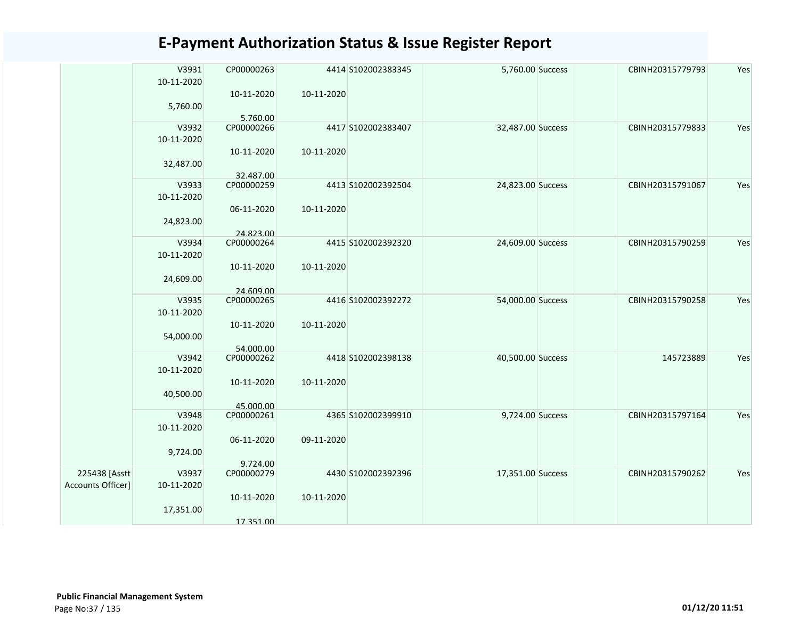|                   | V3931<br>10-11-2020 | CP00000263              |            | 4414 S102002383345 | 5,760.00 Success  | CBINH20315779793 | Yes |
|-------------------|---------------------|-------------------------|------------|--------------------|-------------------|------------------|-----|
|                   | 5,760.00            | 10-11-2020              | 10-11-2020 |                    |                   |                  |     |
|                   |                     | 5.760.00                |            |                    |                   |                  |     |
|                   | V3932<br>10-11-2020 | CP00000266              |            | 4417 S102002383407 | 32,487.00 Success | CBINH20315779833 | Yes |
|                   | 32,487.00           | 10-11-2020              | 10-11-2020 |                    |                   |                  |     |
|                   |                     | 32.487.00               |            |                    |                   |                  |     |
|                   | V3933<br>10-11-2020 | CP00000259              |            | 4413 S102002392504 | 24,823.00 Success | CBINH20315791067 | Yes |
|                   | 24,823.00           | 06-11-2020              | 10-11-2020 |                    |                   |                  |     |
|                   |                     | 24.823.00               |            |                    |                   |                  |     |
|                   | V3934<br>10-11-2020 | CP00000264              |            | 4415 S102002392320 | 24,609.00 Success | CBINH20315790259 | Yes |
|                   |                     | 10-11-2020              | 10-11-2020 |                    |                   |                  |     |
|                   | 24,609.00           | 24.609.00               |            |                    |                   |                  |     |
|                   | V3935               | CP00000265              |            | 4416 S102002392272 | 54,000.00 Success | CBINH20315790258 | Yes |
|                   | 10-11-2020          | 10-11-2020              | 10-11-2020 |                    |                   |                  |     |
|                   | 54,000.00           |                         |            |                    |                   |                  |     |
|                   | V3942               | 54.000.00<br>CP00000262 |            | 4418 S102002398138 | 40,500.00 Success | 145723889        | Yes |
|                   | 10-11-2020          |                         |            |                    |                   |                  |     |
|                   |                     | 10-11-2020              | 10-11-2020 |                    |                   |                  |     |
|                   | 40,500.00           |                         |            |                    |                   |                  |     |
|                   |                     | 45.000.00               |            |                    |                   |                  |     |
|                   | V3948               | CP00000261              |            | 4365 S102002399910 | 9,724.00 Success  | CBINH20315797164 | Yes |
|                   | 10-11-2020          |                         |            |                    |                   |                  |     |
|                   |                     | 06-11-2020              | 09-11-2020 |                    |                   |                  |     |
|                   | 9,724.00            |                         |            |                    |                   |                  |     |
|                   |                     | 9.724.00                |            |                    |                   |                  |     |
| 225438 [Asstt     | V3937               | CP00000279              |            | 4430 S102002392396 | 17,351.00 Success | CBINH20315790262 | Yes |
| Accounts Officer] | 10-11-2020          | 10-11-2020              | 10-11-2020 |                    |                   |                  |     |
|                   | 17,351.00           |                         |            |                    |                   |                  |     |
|                   |                     | 17.351.00               |            |                    |                   |                  |     |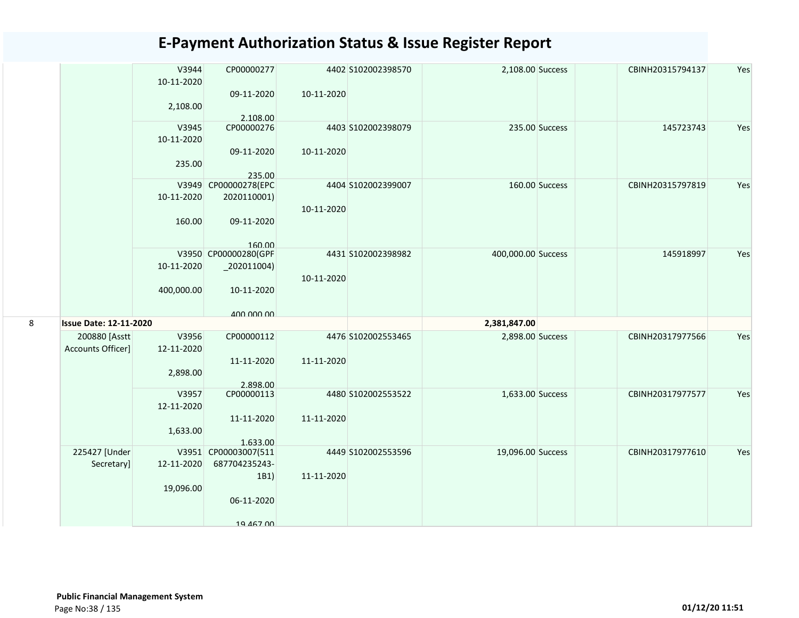|   |                               | V3944      | CP00000277                     |            | 4402 S102002398570 | 2,108.00 Success   | CBINH20315794137 | Yes |
|---|-------------------------------|------------|--------------------------------|------------|--------------------|--------------------|------------------|-----|
|   |                               | 10-11-2020 | 09-11-2020                     | 10-11-2020 |                    |                    |                  |     |
|   |                               | 2,108.00   |                                |            |                    |                    |                  |     |
|   |                               |            | 2.108.00                       |            |                    |                    |                  |     |
|   |                               | V3945      | CP00000276                     |            | 4403 S102002398079 | 235.00 Success     | 145723743        | Yes |
|   |                               | 10-11-2020 |                                |            |                    |                    |                  |     |
|   |                               |            | 09-11-2020                     | 10-11-2020 |                    |                    |                  |     |
|   |                               | 235.00     |                                |            |                    |                    |                  |     |
|   |                               |            | 235.00<br>V3949 CP00000278(EPC |            | 4404 S102002399007 | 160.00 Success     | CBINH20315797819 | Yes |
|   |                               | 10-11-2020 | 2020110001)                    |            |                    |                    |                  |     |
|   |                               |            |                                | 10-11-2020 |                    |                    |                  |     |
|   |                               | 160.00     | 09-11-2020                     |            |                    |                    |                  |     |
|   |                               |            |                                |            |                    |                    |                  |     |
|   |                               |            | 160.00<br>V3950 CP00000280(GPF |            |                    | 400,000.00 Success |                  |     |
|   |                               | 10-11-2020 | $_2$ 202011004)                |            | 4431 S102002398982 |                    | 145918997        | Yes |
|   |                               |            |                                | 10-11-2020 |                    |                    |                  |     |
|   |                               | 400,000.00 | 10-11-2020                     |            |                    |                    |                  |     |
|   |                               |            |                                |            |                    |                    |                  |     |
| 8 | <b>Issue Date: 12-11-2020</b> |            | 400 000 00                     |            |                    | 2,381,847.00       |                  |     |
|   | 200880 [Asstt                 | V3956      | CP00000112                     |            | 4476 S102002553465 |                    | CBINH20317977566 | Yes |
|   | Accounts Officer]             | 12-11-2020 |                                |            |                    | 2,898.00 Success   |                  |     |
|   |                               |            | 11-11-2020                     | 11-11-2020 |                    |                    |                  |     |
|   |                               | 2,898.00   |                                |            |                    |                    |                  |     |
|   |                               |            | 2.898.00                       |            |                    |                    |                  |     |
|   |                               | V3957      | CP00000113                     |            | 4480 S102002553522 | 1,633.00 Success   | CBINH20317977577 | Yes |
|   |                               | 12-11-2020 |                                |            |                    |                    |                  |     |
|   |                               |            | 11-11-2020                     | 11-11-2020 |                    |                    |                  |     |
|   |                               | 1,633.00   | 1.633.00                       |            |                    |                    |                  |     |
|   | 225427 [Under                 |            | V3951 CP00003007(511           |            | 4449 S102002553596 | 19,096.00 Success  | CBINH20317977610 | Yes |
|   | Secretary]                    | 12-11-2020 | 687704235243-                  |            |                    |                    |                  |     |
|   |                               |            | 1B1)                           | 11-11-2020 |                    |                    |                  |     |
|   |                               | 19,096.00  |                                |            |                    |                    |                  |     |
|   |                               |            | 06-11-2020                     |            |                    |                    |                  |     |
|   |                               |            |                                |            |                    |                    |                  |     |
|   |                               |            | 19 467 00                      |            |                    |                    |                  |     |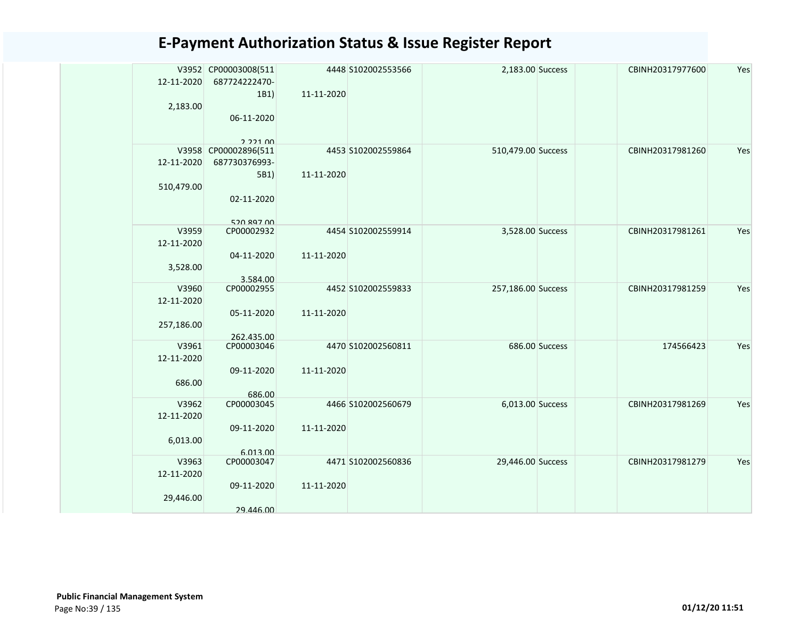|            | V3952 CP00003008(511 |            | 4448 S102002553566 | 2,183.00 Success   |                | CBINH20317977600 | Yes |
|------------|----------------------|------------|--------------------|--------------------|----------------|------------------|-----|
| 12-11-2020 | 687724222470-        |            |                    |                    |                |                  |     |
|            | 1B1)                 | 11-11-2020 |                    |                    |                |                  |     |
| 2,183.00   |                      |            |                    |                    |                |                  |     |
|            | 06-11-2020           |            |                    |                    |                |                  |     |
|            |                      |            |                    |                    |                |                  |     |
|            | 222100               |            |                    |                    |                |                  |     |
| V3958      | CP00002896(511       |            | 4453 S102002559864 | 510,479.00 Success |                | CBINH20317981260 | Yes |
| 12-11-2020 | 687730376993-        |            |                    |                    |                |                  |     |
|            | 5B1)                 | 11-11-2020 |                    |                    |                |                  |     |
|            |                      |            |                    |                    |                |                  |     |
| 510,479.00 |                      |            |                    |                    |                |                  |     |
|            | 02-11-2020           |            |                    |                    |                |                  |     |
|            |                      |            |                    |                    |                |                  |     |
|            | 520 897 00           |            |                    |                    |                |                  |     |
| V3959      | CP00002932           |            | 4454 S102002559914 | 3,528.00 Success   |                | CBINH20317981261 | Yes |
| 12-11-2020 |                      |            |                    |                    |                |                  |     |
|            | 04-11-2020           | 11-11-2020 |                    |                    |                |                  |     |
| 3,528.00   |                      |            |                    |                    |                |                  |     |
|            | 3.584.00             |            |                    |                    |                |                  |     |
| V3960      | CP00002955           |            | 4452 S102002559833 | 257,186.00 Success |                | CBINH20317981259 | Yes |
| 12-11-2020 |                      |            |                    |                    |                |                  |     |
|            | 05-11-2020           | 11-11-2020 |                    |                    |                |                  |     |
| 257,186.00 |                      |            |                    |                    |                |                  |     |
|            | 262.435.00           |            |                    |                    |                |                  |     |
| V3961      | CP00003046           |            | 4470 S102002560811 |                    | 686.00 Success | 174566423        | Yes |
| 12-11-2020 |                      |            |                    |                    |                |                  |     |
|            | 09-11-2020           | 11-11-2020 |                    |                    |                |                  |     |
| 686.00     |                      |            |                    |                    |                |                  |     |
|            | 686.00               |            |                    |                    |                |                  |     |
| V3962      | CP00003045           |            | 4466 S102002560679 | 6,013.00 Success   |                | CBINH20317981269 | Yes |
| 12-11-2020 |                      |            |                    |                    |                |                  |     |
|            | 09-11-2020           | 11-11-2020 |                    |                    |                |                  |     |
| 6,013.00   |                      |            |                    |                    |                |                  |     |
|            | 6.013.00             |            |                    |                    |                |                  |     |
| V3963      | CP00003047           |            | 4471 S102002560836 | 29,446.00 Success  |                | CBINH20317981279 | Yes |
| 12-11-2020 |                      |            |                    |                    |                |                  |     |
|            |                      |            |                    |                    |                |                  |     |
|            | 09-11-2020           | 11-11-2020 |                    |                    |                |                  |     |
| 29,446.00  |                      |            |                    |                    |                |                  |     |
|            | 29.446.00            |            |                    |                    |                |                  |     |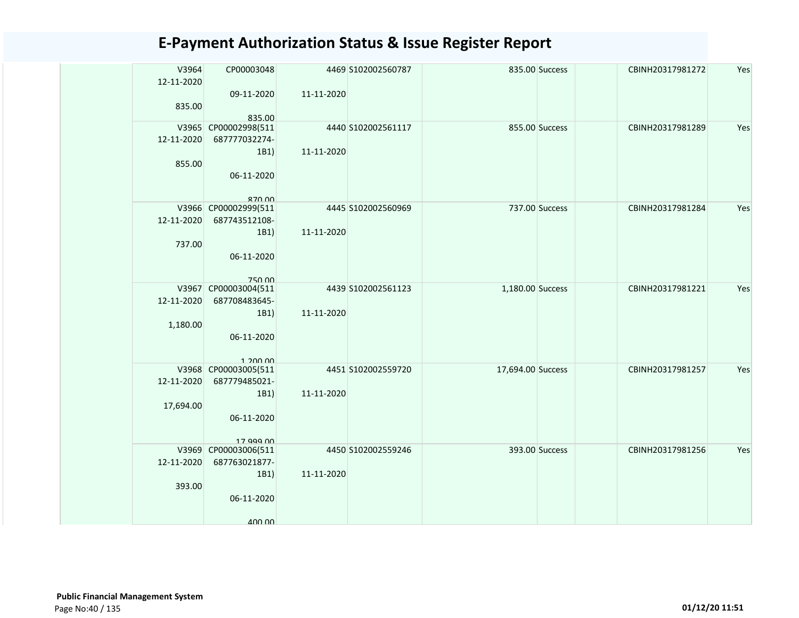| V3964<br>12-11-2020 | CP00003048                  |            | 4469 S102002560787 |                   | 835.00 Success | CBINH20317981272 | Yes |
|---------------------|-----------------------------|------------|--------------------|-------------------|----------------|------------------|-----|
|                     | 09-11-2020                  | 11-11-2020 |                    |                   |                |                  |     |
| 835.00              |                             |            |                    |                   |                |                  |     |
|                     | 835.00                      |            |                    |                   |                |                  |     |
|                     | V3965 CP00002998(511        |            | 4440 S102002561117 |                   | 855.00 Success | CBINH20317981289 | Yes |
| 12-11-2020          | 687777032274-               |            |                    |                   |                |                  |     |
|                     | 1B1)                        | 11-11-2020 |                    |                   |                |                  |     |
| 855.00              |                             |            |                    |                   |                |                  |     |
|                     | 06-11-2020                  |            |                    |                   |                |                  |     |
|                     | 870 00                      |            |                    |                   |                |                  |     |
|                     | V3966 CP00002999(511        |            | 4445 S102002560969 |                   | 737.00 Success | CBINH20317981284 | Yes |
| 12-11-2020          | 687743512108-               |            |                    |                   |                |                  |     |
|                     | 1B1)                        | 11-11-2020 |                    |                   |                |                  |     |
| 737.00              |                             |            |                    |                   |                |                  |     |
|                     | 06-11-2020                  |            |                    |                   |                |                  |     |
|                     |                             |            |                    |                   |                |                  |     |
|                     | 750.00                      |            |                    |                   |                |                  |     |
| V3967               | CP00003004(511              |            | 4439 S102002561123 | 1,180.00 Success  |                | CBINH20317981221 | Yes |
| 12-11-2020          | 687708483645-               |            |                    |                   |                |                  |     |
|                     | 1B1)                        | 11-11-2020 |                    |                   |                |                  |     |
| 1,180.00            | 06-11-2020                  |            |                    |                   |                |                  |     |
|                     |                             |            |                    |                   |                |                  |     |
|                     | 1.20000                     |            |                    |                   |                |                  |     |
|                     | V3968 CP00003005(511        |            | 4451 S102002559720 | 17,694.00 Success |                | CBINH20317981257 | Yes |
| 12-11-2020          | 687779485021-               |            |                    |                   |                |                  |     |
|                     | 1B1)                        | 11-11-2020 |                    |                   |                |                  |     |
| 17,694.00           |                             |            |                    |                   |                |                  |     |
|                     | 06-11-2020                  |            |                    |                   |                |                  |     |
|                     |                             |            |                    |                   |                |                  |     |
| V3969               | 17 999 00<br>CP00003006(511 |            | 4450 S102002559246 |                   | 393.00 Success | CBINH20317981256 | Yes |
| 12-11-2020          | 687763021877-               |            |                    |                   |                |                  |     |
|                     | 1B1)                        | 11-11-2020 |                    |                   |                |                  |     |
| 393.00              |                             |            |                    |                   |                |                  |     |
|                     | 06-11-2020                  |            |                    |                   |                |                  |     |
|                     |                             |            |                    |                   |                |                  |     |
|                     | 400.00                      |            |                    |                   |                |                  |     |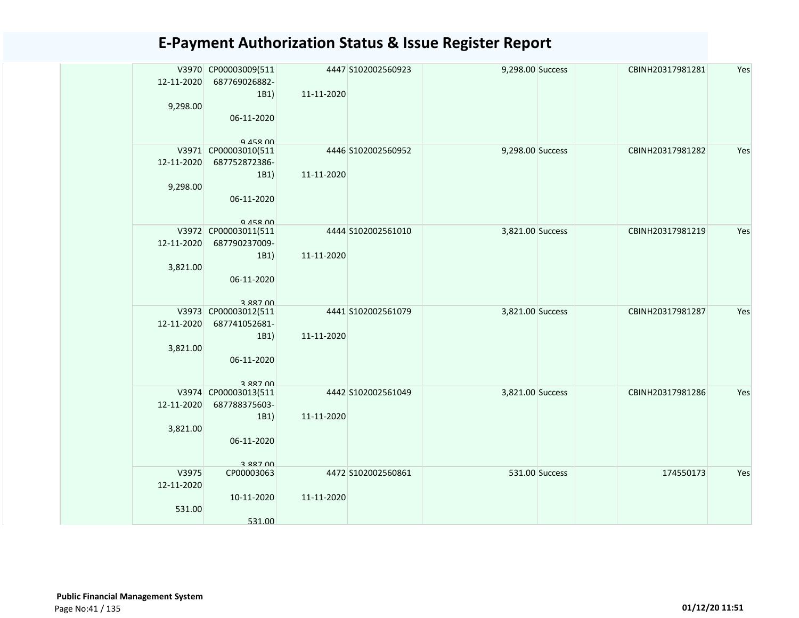| 12-11-2020 | V3970 CP00003009(511<br>687769026882- |            | 4447 S102002560923 | 9,298.00 Success |                | CBINH20317981281 | Yes |
|------------|---------------------------------------|------------|--------------------|------------------|----------------|------------------|-----|
|            | 1B1)                                  | 11-11-2020 |                    |                  |                |                  |     |
| 9,298.00   | 06-11-2020                            |            |                    |                  |                |                  |     |
|            | $Q$ $A5R$ $0$                         |            |                    |                  |                |                  |     |
|            | V3971 CP00003010(511                  |            | 4446 S102002560952 | 9,298.00 Success |                | CBINH20317981282 | Yes |
| 12-11-2020 | 687752872386-                         |            |                    |                  |                |                  |     |
|            |                                       |            |                    |                  |                |                  |     |
|            | 1B1)                                  | 11-11-2020 |                    |                  |                |                  |     |
| 9,298.00   |                                       |            |                    |                  |                |                  |     |
|            | 06-11-2020                            |            |                    |                  |                |                  |     |
|            |                                       |            |                    |                  |                |                  |     |
|            | Q 458 00                              |            |                    |                  |                |                  |     |
|            | V3972 CP00003011(511                  |            | 4444 S102002561010 | 3,821.00 Success |                | CBINH20317981219 | Yes |
| 12-11-2020 | 687790237009-                         |            |                    |                  |                |                  |     |
|            | 1B1)                                  | 11-11-2020 |                    |                  |                |                  |     |
| 3,821.00   |                                       |            |                    |                  |                |                  |     |
|            | 06-11-2020                            |            |                    |                  |                |                  |     |
|            |                                       |            |                    |                  |                |                  |     |
|            | 3 887 NO                              |            |                    |                  |                |                  |     |
|            | V3973 CP00003012(511                  |            | 4441 S102002561079 | 3,821.00 Success |                | CBINH20317981287 | Yes |
| 12-11-2020 | 687741052681-                         |            |                    |                  |                |                  |     |
|            | 1B1)                                  | 11-11-2020 |                    |                  |                |                  |     |
| 3,821.00   |                                       |            |                    |                  |                |                  |     |
|            | 06-11-2020                            |            |                    |                  |                |                  |     |
|            |                                       |            |                    |                  |                |                  |     |
|            | 3 887 NO                              |            |                    |                  |                |                  |     |
|            | V3974 CP00003013(511                  |            | 4442 S102002561049 | 3,821.00 Success |                | CBINH20317981286 | Yes |
| 12-11-2020 | 687788375603-                         |            |                    |                  |                |                  |     |
|            | 1B1)                                  | 11-11-2020 |                    |                  |                |                  |     |
| 3,821.00   |                                       |            |                    |                  |                |                  |     |
|            | 06-11-2020                            |            |                    |                  |                |                  |     |
|            |                                       |            |                    |                  |                |                  |     |
|            | 3 887 00                              |            |                    |                  |                |                  |     |
| V3975      | CP00003063                            |            | 4472 S102002560861 |                  | 531.00 Success | 174550173        | Yes |
| 12-11-2020 |                                       |            |                    |                  |                |                  |     |
|            | 10-11-2020                            | 11-11-2020 |                    |                  |                |                  |     |
| 531.00     |                                       |            |                    |                  |                |                  |     |
|            | 531.00                                |            |                    |                  |                |                  |     |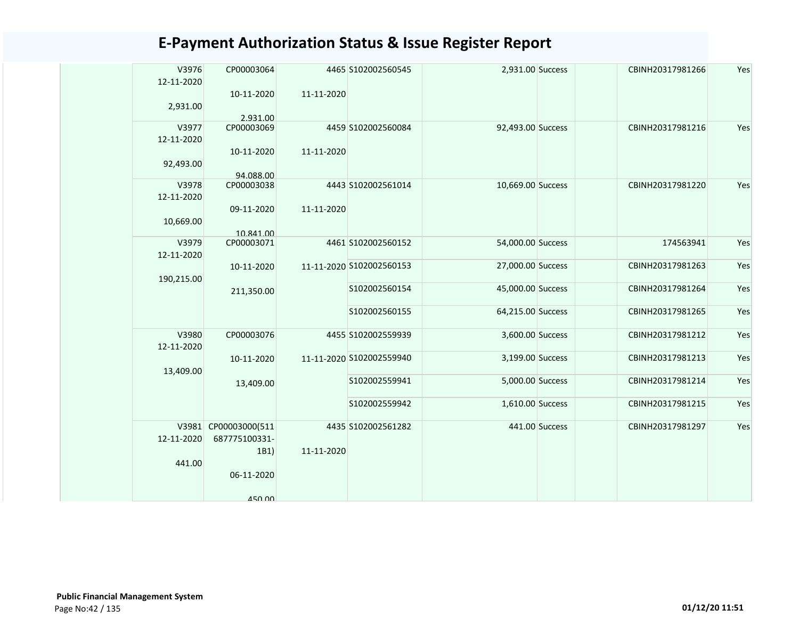| V3976<br>12-11-2020 | CP00003064              |            | 4465 S102002560545       | 2,931.00 Success  |                | CBINH20317981266 | Yes |
|---------------------|-------------------------|------------|--------------------------|-------------------|----------------|------------------|-----|
|                     | 10-11-2020              | 11-11-2020 |                          |                   |                |                  |     |
| 2,931.00            | 2.931.00                |            |                          |                   |                |                  |     |
| V3977               | CP00003069              |            | 4459 S102002560084       | 92,493.00 Success |                | CBINH20317981216 | Yes |
| 12-11-2020          | 10-11-2020              | 11-11-2020 |                          |                   |                |                  |     |
| 92,493.00           |                         |            |                          |                   |                |                  |     |
| V3978               | 94.088.00<br>CP00003038 |            | 4443 S102002561014       | 10,669.00 Success |                | CBINH20317981220 | Yes |
| 12-11-2020          |                         |            |                          |                   |                |                  |     |
|                     | 09-11-2020              | 11-11-2020 |                          |                   |                |                  |     |
| 10,669.00           | 10.841.00               |            |                          |                   |                |                  |     |
| V3979               | CP00003071              |            | 4461 S102002560152       | 54,000.00 Success |                | 174563941        | Yes |
| 12-11-2020          |                         |            | 11-11-2020 S102002560153 | 27,000.00 Success |                | CBINH20317981263 | Yes |
| 190,215.00          | 10-11-2020              |            |                          |                   |                |                  |     |
|                     | 211,350.00              |            | S102002560154            | 45,000.00 Success |                | CBINH20317981264 | Yes |
|                     |                         |            | S102002560155            | 64,215.00 Success |                | CBINH20317981265 | Yes |
| V3980<br>12-11-2020 | CP00003076              |            | 4455 S102002559939       | 3,600.00 Success  |                | CBINH20317981212 | Yes |
|                     | 10-11-2020              |            | 11-11-2020 S102002559940 | 3,199.00 Success  |                | CBINH20317981213 | Yes |
| 13,409.00           |                         |            |                          |                   |                |                  |     |
|                     | 13,409.00               |            | S102002559941            | 5,000.00 Success  |                | CBINH20317981214 | Yes |
|                     |                         |            | S102002559942            | 1,610.00 Success  |                | CBINH20317981215 | Yes |
|                     | V3981 CP00003000(511    |            | 4435 S102002561282       |                   | 441.00 Success | CBINH20317981297 | Yes |
| 12-11-2020          | 687775100331-           | 11-11-2020 |                          |                   |                |                  |     |
| 441.00              | 1B1)                    |            |                          |                   |                |                  |     |
|                     | 06-11-2020              |            |                          |                   |                |                  |     |
|                     | <b>450.00</b>           |            |                          |                   |                |                  |     |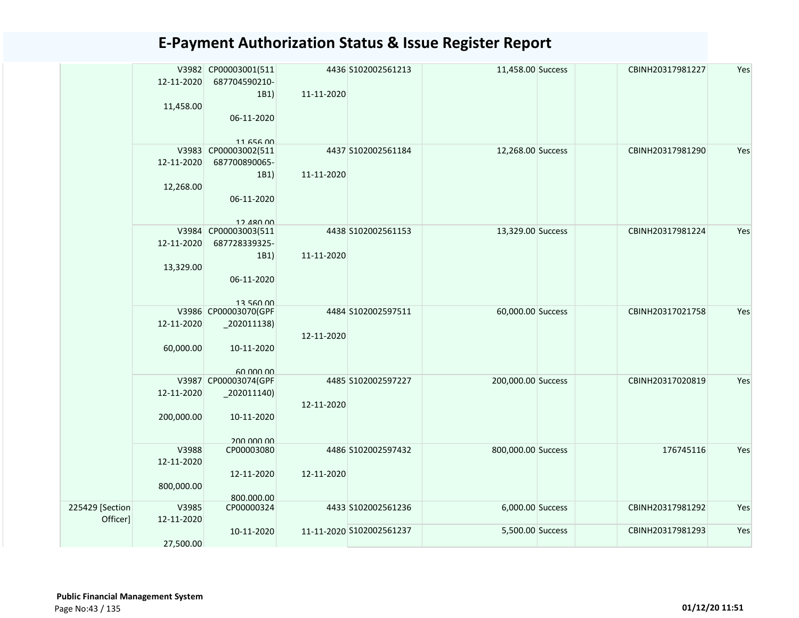|                 |            | V3982 CP00003001(511 |            | 4436 S102002561213       | 11,458.00 Success  | CBINH20317981227 | Yes |
|-----------------|------------|----------------------|------------|--------------------------|--------------------|------------------|-----|
|                 | 12-11-2020 | 687704590210-        |            |                          |                    |                  |     |
|                 |            | 1B1)                 | 11-11-2020 |                          |                    |                  |     |
|                 | 11,458.00  |                      |            |                          |                    |                  |     |
|                 |            | 06-11-2020           |            |                          |                    |                  |     |
|                 |            |                      |            |                          |                    |                  |     |
|                 |            | 1165600              |            |                          |                    |                  |     |
|                 |            | V3983 CP00003002(511 |            | 4437 S102002561184       | 12,268.00 Success  | CBINH20317981290 | Yes |
|                 | 12-11-2020 | 687700890065-        |            |                          |                    |                  |     |
|                 |            | 1B1)                 | 11-11-2020 |                          |                    |                  |     |
|                 | 12,268.00  |                      |            |                          |                    |                  |     |
|                 |            | 06-11-2020           |            |                          |                    |                  |     |
|                 |            |                      |            |                          |                    |                  |     |
|                 |            | 12 480 00            |            |                          |                    |                  |     |
|                 |            | V3984 CP00003003(511 |            | 4438 S102002561153       | 13,329.00 Success  | CBINH20317981224 | Yes |
|                 | 12-11-2020 | 687728339325-        |            |                          |                    |                  |     |
|                 |            | 1B1)                 | 11-11-2020 |                          |                    |                  |     |
|                 |            |                      |            |                          |                    |                  |     |
|                 | 13,329.00  |                      |            |                          |                    |                  |     |
|                 |            | 06-11-2020           |            |                          |                    |                  |     |
|                 |            |                      |            |                          |                    |                  |     |
|                 |            | 13 560 00            |            | 4484 S102002597511       |                    | CBINH20317021758 |     |
|                 |            | V3986 CP00003070(GPF |            |                          | 60,000.00 Success  |                  | Yes |
|                 | 12-11-2020 | $_2$ 202011138)      |            |                          |                    |                  |     |
|                 |            |                      | 12-11-2020 |                          |                    |                  |     |
|                 | 60,000.00  | 10-11-2020           |            |                          |                    |                  |     |
|                 |            |                      |            |                          |                    |                  |     |
|                 |            | 60.000.00            |            |                          |                    |                  |     |
|                 |            | V3987 CP00003074(GPF |            | 4485 S102002597227       | 200,000.00 Success | CBINH20317020819 | Yes |
|                 | 12-11-2020 | $_2$ 02011140)       |            |                          |                    |                  |     |
|                 |            |                      | 12-11-2020 |                          |                    |                  |     |
|                 | 200,000.00 | 10-11-2020           |            |                          |                    |                  |     |
|                 |            |                      |            |                          |                    |                  |     |
|                 |            | 200,000,00           |            |                          |                    |                  |     |
|                 | V3988      | CP00003080           |            | 4486 S102002597432       | 800,000.00 Success | 176745116        | Yes |
|                 | 12-11-2020 |                      |            |                          |                    |                  |     |
|                 |            | 12-11-2020           | 12-11-2020 |                          |                    |                  |     |
|                 | 800,000.00 |                      |            |                          |                    |                  |     |
|                 |            | 800.000.00           |            |                          |                    |                  |     |
| 225429 [Section | V3985      | CP00000324           |            | 4433 S102002561236       | 6,000.00 Success   | CBINH20317981292 | Yes |
| Officer]        | 12-11-2020 |                      |            |                          |                    |                  |     |
|                 |            | 10-11-2020           |            | 11-11-2020 S102002561237 | 5,500.00 Success   | CBINH20317981293 | Yes |
|                 | 27,500.00  |                      |            |                          |                    |                  |     |
|                 |            |                      |            |                          |                    |                  |     |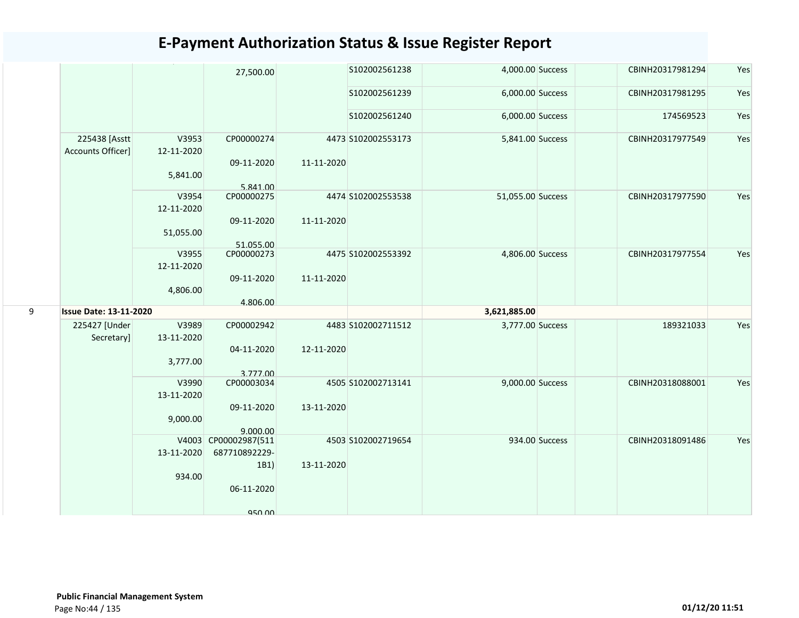|   |                                    |                                  | 27,500.00                               |            | S102002561238      | 4,000.00 Success  |                | CBINH20317981294 | Yes |
|---|------------------------------------|----------------------------------|-----------------------------------------|------------|--------------------|-------------------|----------------|------------------|-----|
|   |                                    |                                  |                                         |            | S102002561239      | 6,000.00 Success  |                | CBINH20317981295 | Yes |
|   |                                    |                                  |                                         |            | S102002561240      | 6,000.00 Success  |                | 174569523        | Yes |
|   | 225438 [Asstt<br>Accounts Officer] | V3953<br>12-11-2020<br>5,841.00  | CP00000274<br>09-11-2020                | 11-11-2020 | 4473 S102002553173 | 5,841.00 Success  |                | CBINH20317977549 | Yes |
|   |                                    | V3954<br>12-11-2020<br>51,055.00 | 5.841.00<br>CP00000275<br>09-11-2020    | 11-11-2020 | 4474 S102002553538 | 51,055.00 Success |                | CBINH20317977590 | Yes |
|   |                                    | V3955<br>12-11-2020              | 51.055.00<br>CP00000273                 |            | 4475 S102002553392 | 4,806.00 Success  |                | CBINH20317977554 | Yes |
|   |                                    | 4,806.00                         | 09-11-2020<br>4.806.00                  | 11-11-2020 |                    |                   |                |                  |     |
| 9 | <b>Issue Date: 13-11-2020</b>      |                                  |                                         |            |                    | 3,621,885.00      |                |                  |     |
|   | 225427 [Under<br>Secretary]        | V3989<br>13-11-2020              | CP00002942<br>04-11-2020                | 12-11-2020 | 4483 S102002711512 | 3,777.00 Success  |                | 189321033        | Yes |
|   |                                    | 3,777.00                         | 3.777.00                                |            |                    |                   |                |                  |     |
|   |                                    | V3990<br>13-11-2020              | CP00003034<br>09-11-2020                | 13-11-2020 | 4505 S102002713141 | 9,000.00 Success  |                | CBINH20318088001 | Yes |
|   |                                    | 9,000.00                         | 9.000.00                                |            |                    |                   |                |                  |     |
|   |                                    | V4003<br>13-11-2020<br>934.00    | CP00002987(511<br>687710892229-<br>1B1) | 13-11-2020 | 4503 S102002719654 |                   | 934.00 Success | CBINH20318091486 | Yes |
|   |                                    |                                  | 06-11-2020<br>950.00                    |            |                    |                   |                |                  |     |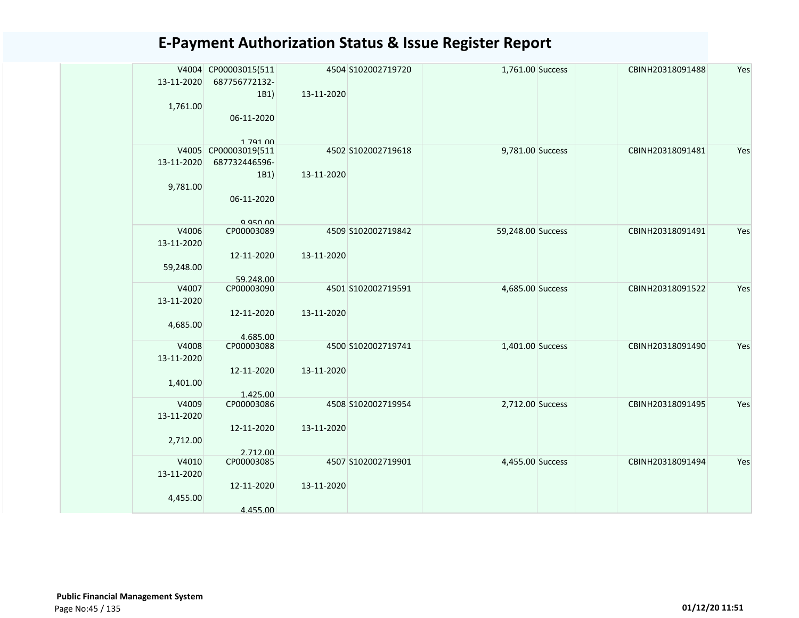|            | V4004 CP00003015(511 |            | 4504 S102002719720 | 1,761.00 Success  | CBINH20318091488 | Yes |
|------------|----------------------|------------|--------------------|-------------------|------------------|-----|
| 13-11-2020 | 687756772132-        |            |                    |                   |                  |     |
|            | 1B1)                 | 13-11-2020 |                    |                   |                  |     |
| 1,761.00   |                      |            |                    |                   |                  |     |
|            | 06-11-2020           |            |                    |                   |                  |     |
|            |                      |            |                    |                   |                  |     |
|            | 1 7 9 1 0 0          |            |                    |                   |                  |     |
|            | V4005 CP00003019(511 |            | 4502 S102002719618 | 9,781.00 Success  | CBINH20318091481 | Yes |
| 13-11-2020 | 687732446596-        |            |                    |                   |                  |     |
|            | 1B1)                 | 13-11-2020 |                    |                   |                  |     |
| 9,781.00   |                      |            |                    |                   |                  |     |
|            | 06-11-2020           |            |                    |                   |                  |     |
|            |                      |            |                    |                   |                  |     |
|            | 9 950 00             |            |                    |                   |                  |     |
| V4006      | CP00003089           |            | 4509 S102002719842 | 59,248.00 Success | CBINH20318091491 | Yes |
| 13-11-2020 |                      |            |                    |                   |                  |     |
|            | 12-11-2020           | 13-11-2020 |                    |                   |                  |     |
| 59,248.00  |                      |            |                    |                   |                  |     |
|            | 59.248.00            |            |                    |                   |                  |     |
| V4007      | CP00003090           |            | 4501 S102002719591 | 4,685.00 Success  | CBINH20318091522 | Yes |
| 13-11-2020 |                      |            |                    |                   |                  |     |
|            | 12-11-2020           | 13-11-2020 |                    |                   |                  |     |
| 4,685.00   |                      |            |                    |                   |                  |     |
|            | 4.685.00             |            |                    |                   |                  |     |
| V4008      | CP00003088           |            | 4500 S102002719741 | 1,401.00 Success  | CBINH20318091490 | Yes |
| 13-11-2020 |                      |            |                    |                   |                  |     |
|            | 12-11-2020           | 13-11-2020 |                    |                   |                  |     |
| 1,401.00   |                      |            |                    |                   |                  |     |
|            | 1.425.00             |            |                    |                   |                  |     |
| V4009      | CP00003086           |            | 4508 S102002719954 | 2,712.00 Success  | CBINH20318091495 | Yes |
| 13-11-2020 |                      |            |                    |                   |                  |     |
|            | 12-11-2020           | 13-11-2020 |                    |                   |                  |     |
| 2,712.00   |                      |            |                    |                   |                  |     |
|            | 2.712.00             |            |                    |                   |                  |     |
| V4010      | CP00003085           |            | 4507 S102002719901 | 4,455.00 Success  | CBINH20318091494 | Yes |
| 13-11-2020 |                      |            |                    |                   |                  |     |
|            | 12-11-2020           | 13-11-2020 |                    |                   |                  |     |
| 4,455.00   |                      |            |                    |                   |                  |     |
|            | 4.455.00             |            |                    |                   |                  |     |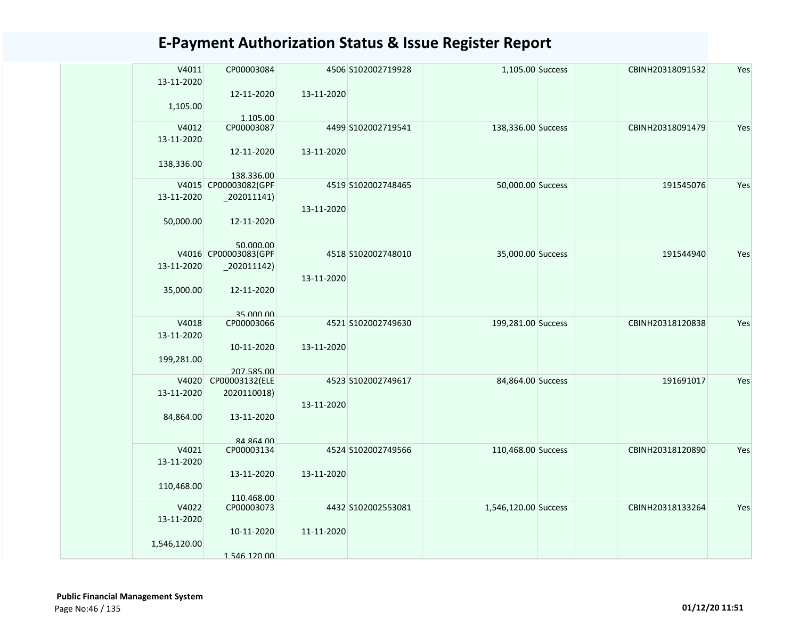| V4011        | CP00003084                                   |            | 4506 S102002719928 | 1,105.00 Success     | CBINH20318091532 | Yes |
|--------------|----------------------------------------------|------------|--------------------|----------------------|------------------|-----|
| 13-11-2020   |                                              |            |                    |                      |                  |     |
|              | 12-11-2020                                   | 13-11-2020 |                    |                      |                  |     |
| 1,105.00     |                                              |            |                    |                      |                  |     |
|              | 1.105.00                                     |            |                    |                      |                  |     |
| V4012        | CP00003087                                   |            | 4499 S102002719541 | 138,336.00 Success   | CBINH20318091479 | Yes |
| 13-11-2020   | 12-11-2020                                   | 13-11-2020 |                    |                      |                  |     |
| 138,336.00   |                                              |            |                    |                      |                  |     |
|              | 138.336.00                                   |            |                    |                      |                  |     |
|              | V4015 CP00003082(GPF                         |            | 4519 S102002748465 | 50,000.00 Success    | 191545076        | Yes |
| 13-11-2020   | $_2$ 02011141)                               |            |                    |                      |                  |     |
|              |                                              | 13-11-2020 |                    |                      |                  |     |
| 50,000.00    | 12-11-2020                                   |            |                    |                      |                  |     |
|              |                                              |            |                    |                      |                  |     |
|              | 50.000.00                                    |            |                    |                      |                  |     |
|              | V4016 CP00003083(GPF                         |            | 4518 S102002748010 | 35,000.00 Success    | 191544940        | Yes |
| 13-11-2020   | $\left  \frac{202011142}{200011142} \right $ |            |                    |                      |                  |     |
|              |                                              | 13-11-2020 |                    |                      |                  |     |
| 35,000.00    | 12-11-2020                                   |            |                    |                      |                  |     |
|              | 35 000 00                                    |            |                    |                      |                  |     |
| V4018        | CP00003066                                   |            | 4521 S102002749630 | 199,281.00 Success   | CBINH20318120838 | Yes |
| 13-11-2020   |                                              |            |                    |                      |                  |     |
|              | 10-11-2020                                   | 13-11-2020 |                    |                      |                  |     |
| 199,281.00   |                                              |            |                    |                      |                  |     |
|              | 207.585.00                                   |            |                    |                      |                  |     |
|              | V4020 CP00003132(ELE                         |            | 4523 S102002749617 | 84,864.00 Success    | 191691017        | Yes |
| 13-11-2020   | 2020110018)                                  |            |                    |                      |                  |     |
|              |                                              | 13-11-2020 |                    |                      |                  |     |
| 84,864.00    | 13-11-2020                                   |            |                    |                      |                  |     |
|              |                                              |            |                    |                      |                  |     |
| V4021        | 84 864 00<br>CP00003134                      |            | 4524 S102002749566 | 110,468.00 Success   | CBINH20318120890 | Yes |
| 13-11-2020   |                                              |            |                    |                      |                  |     |
|              | 13-11-2020                                   | 13-11-2020 |                    |                      |                  |     |
| 110,468.00   |                                              |            |                    |                      |                  |     |
|              | 110.468.00                                   |            |                    |                      |                  |     |
| V4022        | CP00003073                                   |            | 4432 S102002553081 | 1,546,120.00 Success | CBINH20318133264 | Yes |
| 13-11-2020   |                                              |            |                    |                      |                  |     |
|              | 10-11-2020                                   | 11-11-2020 |                    |                      |                  |     |
| 1,546,120.00 |                                              |            |                    |                      |                  |     |
|              | 1.546.120.00                                 |            |                    |                      |                  |     |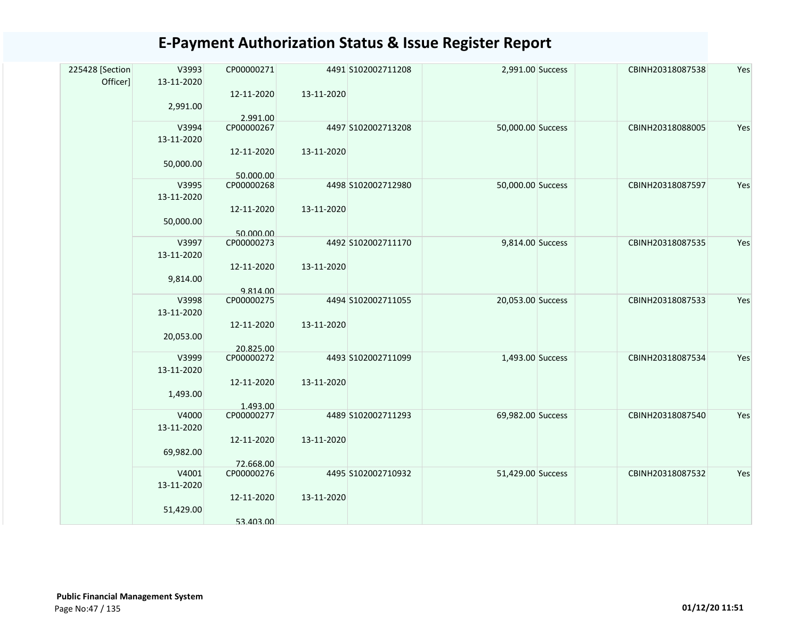| 225428 [Section<br>Officer] | V3993<br>13-11-2020 | CP00000271              |            | 4491 S102002711208 | 2,991.00 Success  | CBINH20318087538 | Yes |
|-----------------------------|---------------------|-------------------------|------------|--------------------|-------------------|------------------|-----|
|                             |                     | 12-11-2020              | 13-11-2020 |                    |                   |                  |     |
|                             | 2,991.00            |                         |            |                    |                   |                  |     |
|                             | V3994               | 2.991.00<br>CP00000267  |            | 4497 S102002713208 | 50,000.00 Success | CBINH20318088005 | Yes |
|                             | 13-11-2020          |                         |            |                    |                   |                  |     |
|                             |                     | 12-11-2020              | 13-11-2020 |                    |                   |                  |     |
|                             | 50,000.00           | 50.000.00               |            |                    |                   |                  |     |
|                             | V3995               | CP00000268              |            | 4498 S102002712980 | 50,000.00 Success | CBINH20318087597 | Yes |
|                             | 13-11-2020          |                         |            |                    |                   |                  |     |
|                             | 50,000.00           | 12-11-2020              | 13-11-2020 |                    |                   |                  |     |
|                             |                     | 50.000.00               |            |                    |                   |                  |     |
|                             | V3997               | CP00000273              |            | 4492 S102002711170 | 9,814.00 Success  | CBINH20318087535 | Yes |
|                             | 13-11-2020          |                         |            |                    |                   |                  |     |
|                             | 9,814.00            | 12-11-2020              | 13-11-2020 |                    |                   |                  |     |
|                             |                     | 9.814.00                |            |                    |                   |                  |     |
|                             | V3998               | CP00000275              |            | 4494 S102002711055 | 20,053.00 Success | CBINH20318087533 | Yes |
|                             | 13-11-2020          | 12-11-2020              | 13-11-2020 |                    |                   |                  |     |
|                             | 20,053.00           |                         |            |                    |                   |                  |     |
|                             | V3999               | 20.825.00<br>CP00000272 |            | 4493 S102002711099 | 1,493.00 Success  | CBINH20318087534 | Yes |
|                             | 13-11-2020          |                         |            |                    |                   |                  |     |
|                             |                     | 12-11-2020              | 13-11-2020 |                    |                   |                  |     |
|                             | 1,493.00            |                         |            |                    |                   |                  |     |
|                             | V4000               | 1.493.00<br>CP00000277  |            | 4489 S102002711293 | 69,982.00 Success | CBINH20318087540 | Yes |
|                             | 13-11-2020          |                         |            |                    |                   |                  |     |
|                             |                     | 12-11-2020              | 13-11-2020 |                    |                   |                  |     |
|                             | 69,982.00           | 72.668.00               |            |                    |                   |                  |     |
|                             | V4001               | CP00000276              |            | 4495 S102002710932 | 51,429.00 Success | CBINH20318087532 | Yes |
|                             | 13-11-2020          |                         |            |                    |                   |                  |     |
|                             |                     | 12-11-2020              | 13-11-2020 |                    |                   |                  |     |
|                             | 51,429.00           | 53.403.00               |            |                    |                   |                  |     |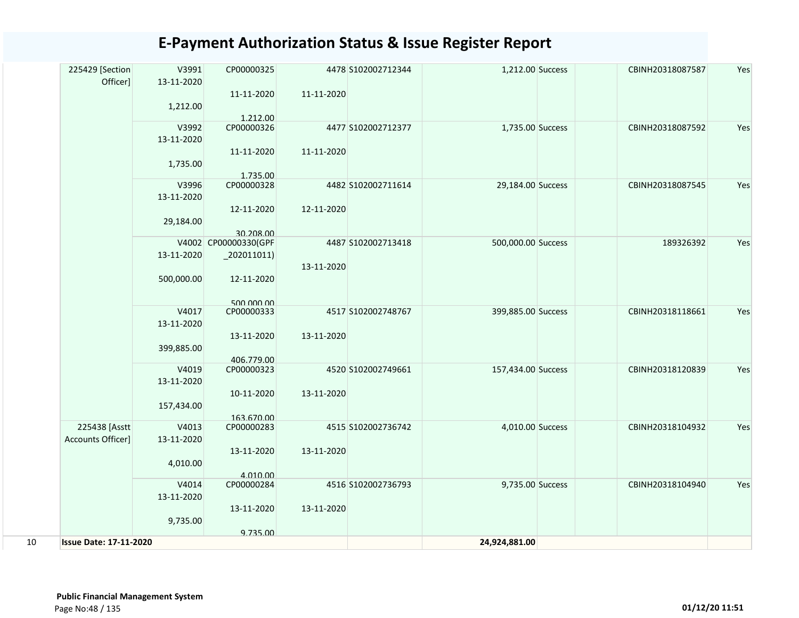|    | 225429 [Section<br>Officer]   | V3991<br>13-11-2020 | CP00000325                        |            | 4478 S102002712344 | 1,212.00 Success   | CBINH20318087587 | Yes |
|----|-------------------------------|---------------------|-----------------------------------|------------|--------------------|--------------------|------------------|-----|
|    |                               | 1,212.00            | 11-11-2020                        | 11-11-2020 |                    |                    |                  |     |
|    |                               | V3992               | 1.212.00<br>CP00000326            |            | 4477 S102002712377 | 1,735.00 Success   | CBINH20318087592 | Yes |
|    |                               | 13-11-2020          |                                   |            |                    |                    |                  |     |
|    |                               |                     | 11-11-2020                        | 11-11-2020 |                    |                    |                  |     |
|    |                               | 1,735.00            |                                   |            |                    |                    |                  |     |
|    |                               |                     | 1.735.00                          |            |                    |                    |                  |     |
|    |                               | V3996               | CP00000328                        |            | 4482 S102002711614 | 29,184.00 Success  | CBINH20318087545 | Yes |
|    |                               | 13-11-2020          |                                   |            |                    |                    |                  |     |
|    |                               |                     | 12-11-2020                        | 12-11-2020 |                    |                    |                  |     |
|    |                               | 29,184.00           |                                   |            |                    |                    |                  |     |
|    |                               |                     | 30.208.00<br>V4002 CP00000330(GPF |            | 4487 S102002713418 | 500,000.00 Success | 189326392        | Yes |
|    |                               | 13-11-2020          | $_2$ 02011011)                    |            |                    |                    |                  |     |
|    |                               |                     |                                   | 13-11-2020 |                    |                    |                  |     |
|    |                               | 500,000.00          | 12-11-2020                        |            |                    |                    |                  |     |
|    |                               |                     |                                   |            |                    |                    |                  |     |
|    |                               |                     | 500,000,00                        |            |                    |                    |                  |     |
|    |                               | V4017               | CP00000333                        |            | 4517 S102002748767 | 399,885.00 Success | CBINH20318118661 | Yes |
|    |                               | 13-11-2020          | 13-11-2020                        | 13-11-2020 |                    |                    |                  |     |
|    |                               | 399,885.00          |                                   |            |                    |                    |                  |     |
|    |                               |                     | 406.779.00                        |            |                    |                    |                  |     |
|    |                               | V4019               | CP00000323                        |            | 4520 S102002749661 | 157,434.00 Success | CBINH20318120839 | Yes |
|    |                               | 13-11-2020          |                                   |            |                    |                    |                  |     |
|    |                               |                     | 10-11-2020                        | 13-11-2020 |                    |                    |                  |     |
|    |                               | 157,434.00          |                                   |            |                    |                    |                  |     |
|    | 225438 [Asstt                 | V4013               | 163.670.00<br>CP00000283          |            | 4515 S102002736742 | 4,010.00 Success   | CBINH20318104932 | Yes |
|    | Accounts Officer]             | 13-11-2020          |                                   |            |                    |                    |                  |     |
|    |                               |                     | 13-11-2020                        | 13-11-2020 |                    |                    |                  |     |
|    |                               | 4,010.00            |                                   |            |                    |                    |                  |     |
|    |                               |                     | 4.010.00                          |            |                    |                    |                  |     |
|    |                               | V4014               | CP00000284                        |            | 4516 S102002736793 | 9,735.00 Success   | CBINH20318104940 | Yes |
|    |                               | 13-11-2020          |                                   |            |                    |                    |                  |     |
|    |                               |                     | 13-11-2020                        | 13-11-2020 |                    |                    |                  |     |
|    |                               | 9,735.00            |                                   |            |                    |                    |                  |     |
| 10 | <b>Issue Date: 17-11-2020</b> |                     | 9.735.00                          |            |                    | 24,924,881.00      |                  |     |
|    |                               |                     |                                   |            |                    |                    |                  |     |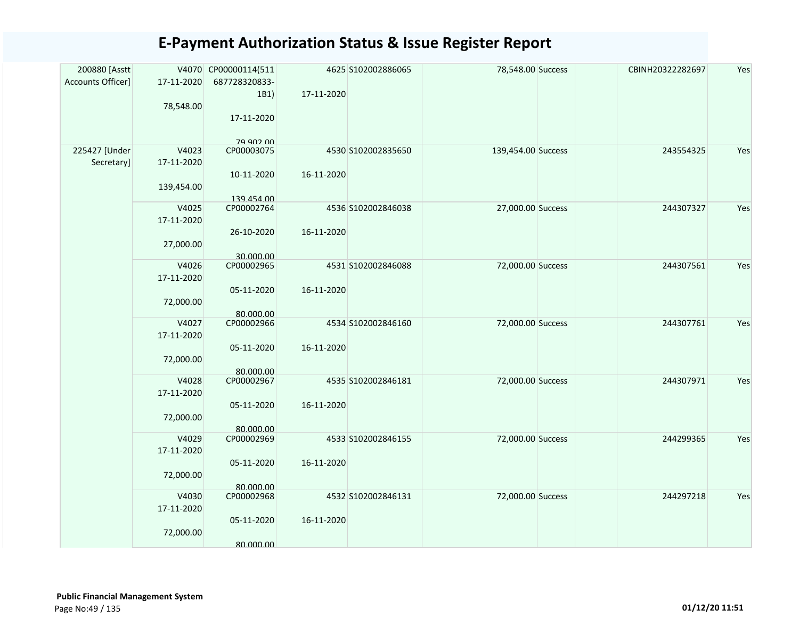| 200880 [Asstt<br>Accounts Officer] | 17-11-2020<br>78,548.00           | V4070 CP00000114(511<br>687728320833-<br>1B1)<br>17-11-2020<br>79 902 00 | 17-11-2020 | 4625 S102002886065 | 78,548.00 Success  | CBINH20322282697 | Yes |
|------------------------------------|-----------------------------------|--------------------------------------------------------------------------|------------|--------------------|--------------------|------------------|-----|
| 225427 [Under<br>Secretary]        | V4023<br>17-11-2020<br>139,454.00 | CP00003075<br>10-11-2020<br>139.454.00                                   | 16-11-2020 | 4530 S102002835650 | 139,454.00 Success | 243554325        | Yes |
|                                    | V4025<br>17-11-2020<br>27,000.00  | CP00002764<br>26-10-2020<br>30.000.00                                    | 16-11-2020 | 4536 S102002846038 | 27,000.00 Success  | 244307327        | Yes |
|                                    | V4026<br>17-11-2020<br>72,000.00  | CP00002965<br>05-11-2020<br>80.000.00                                    | 16-11-2020 | 4531 S102002846088 | 72,000.00 Success  | 244307561        | Yes |
|                                    | V4027<br>17-11-2020<br>72,000.00  | CP00002966<br>05-11-2020<br>80.000.00                                    | 16-11-2020 | 4534 S102002846160 | 72,000.00 Success  | 244307761        | Yes |
|                                    | V4028<br>17-11-2020<br>72,000.00  | CP00002967<br>05-11-2020<br>80.000.00                                    | 16-11-2020 | 4535 S102002846181 | 72,000.00 Success  | 244307971        | Yes |
|                                    | V4029<br>17-11-2020<br>72,000.00  | CP00002969<br>05-11-2020<br>80.000.00                                    | 16-11-2020 | 4533 S102002846155 | 72,000.00 Success  | 244299365        | Yes |
|                                    | V4030<br>17-11-2020<br>72,000.00  | CP00002968<br>05-11-2020<br>80.000.00                                    | 16-11-2020 | 4532 S102002846131 | 72,000.00 Success  | 244297218        | Yes |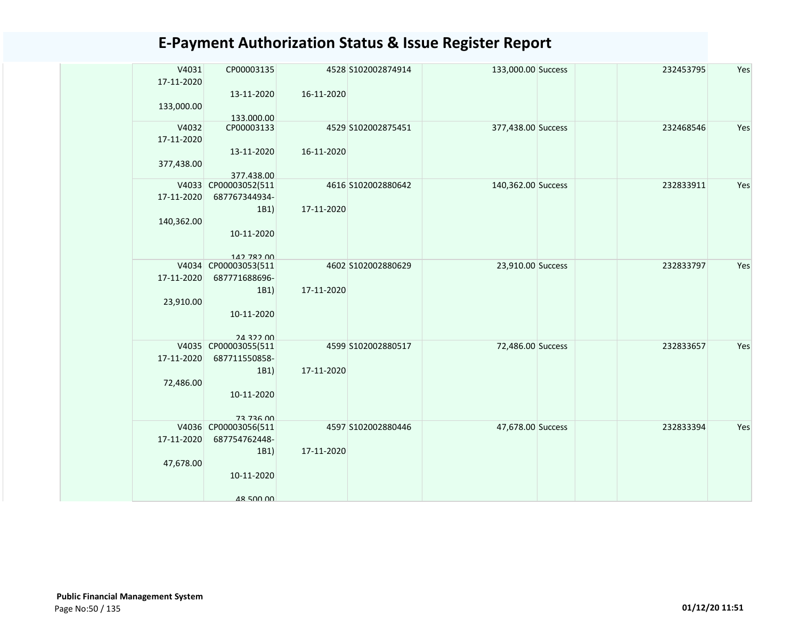| V4031      | CP00003135               |            | 4528 S102002874914 | 133,000.00 Success | 232453795 | Yes |
|------------|--------------------------|------------|--------------------|--------------------|-----------|-----|
| 17-11-2020 |                          |            |                    |                    |           |     |
|            | 13-11-2020               | 16-11-2020 |                    |                    |           |     |
| 133,000.00 |                          |            |                    |                    |           |     |
| V4032      | 133,000.00<br>CP00003133 |            | 4529 S102002875451 | 377,438.00 Success | 232468546 | Yes |
| 17-11-2020 |                          |            |                    |                    |           |     |
|            | 13-11-2020               | 16-11-2020 |                    |                    |           |     |
|            |                          |            |                    |                    |           |     |
| 377,438.00 | 377.438.00               |            |                    |                    |           |     |
|            | V4033 CP00003052(511     |            | 4616 S102002880642 | 140,362.00 Success | 232833911 | Yes |
| 17-11-2020 | 687767344934-            |            |                    |                    |           |     |
|            | 1B1)                     | 17-11-2020 |                    |                    |           |     |
| 140,362.00 |                          |            |                    |                    |           |     |
|            | 10-11-2020               |            |                    |                    |           |     |
|            |                          |            |                    |                    |           |     |
|            | 142 782 00               |            |                    |                    |           |     |
|            | V4034 CP00003053(511     |            | 4602 S102002880629 | 23,910.00 Success  | 232833797 | Yes |
| 17-11-2020 | 687771688696-            |            |                    |                    |           |     |
|            | 1B1)                     | 17-11-2020 |                    |                    |           |     |
| 23,910.00  |                          |            |                    |                    |           |     |
|            | 10-11-2020               |            |                    |                    |           |     |
|            |                          |            |                    |                    |           |     |
|            | 243200                   |            |                    |                    |           |     |
|            | V4035 CP00003055(511     |            | 4599 S102002880517 | 72,486.00 Success  | 232833657 | Yes |
| 17-11-2020 | 687711550858-            |            |                    |                    |           |     |
|            | 1B1)                     | 17-11-2020 |                    |                    |           |     |
| 72,486.00  |                          |            |                    |                    |           |     |
|            | 10-11-2020               |            |                    |                    |           |     |
|            | 73 736 00                |            |                    |                    |           |     |
|            | V4036 CP00003056(511     |            | 4597 S102002880446 | 47,678.00 Success  | 232833394 | Yes |
| 17-11-2020 | 687754762448-            |            |                    |                    |           |     |
|            | 1B1)                     | 17-11-2020 |                    |                    |           |     |
| 47,678.00  |                          |            |                    |                    |           |     |
|            | 10-11-2020               |            |                    |                    |           |     |
|            |                          |            |                    |                    |           |     |
|            | 48 500 00                |            |                    |                    |           |     |
|            |                          |            |                    |                    |           |     |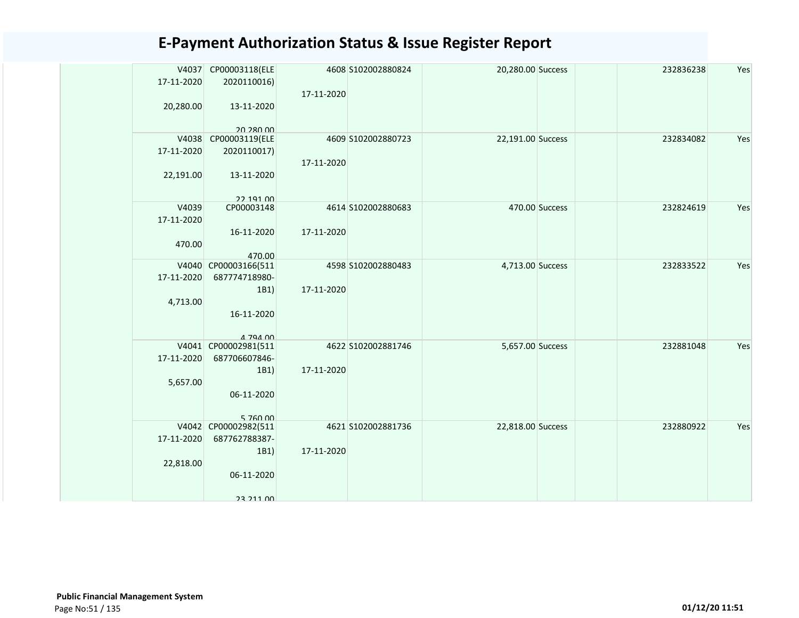|            | V4037 CP00003118(ELE             |            | 4608 S102002880824 | 20,280.00 Success |                | 232836238 | Yes |
|------------|----------------------------------|------------|--------------------|-------------------|----------------|-----------|-----|
| 17-11-2020 | 2020110016)                      |            |                    |                   |                |           |     |
|            |                                  | 17-11-2020 |                    |                   |                |           |     |
| 20,280.00  | 13-11-2020                       |            |                    |                   |                |           |     |
|            |                                  |            |                    |                   |                |           |     |
|            | 20.280.00                        |            |                    |                   |                |           |     |
| 17-11-2020 | V4038 CP00003119(ELE             |            | 4609 S102002880723 | 22,191.00 Success |                | 232834082 | Yes |
|            | 2020110017)                      | 17-11-2020 |                    |                   |                |           |     |
|            |                                  |            |                    |                   |                |           |     |
| 22,191.00  | 13-11-2020                       |            |                    |                   |                |           |     |
|            | 22 191 00                        |            |                    |                   |                |           |     |
| V4039      | CP00003148                       |            | 4614 S102002880683 |                   | 470.00 Success | 232824619 | Yes |
| 17-11-2020 |                                  |            |                    |                   |                |           |     |
|            | 16-11-2020                       | 17-11-2020 |                    |                   |                |           |     |
| 470.00     |                                  |            |                    |                   |                |           |     |
|            | 470.00                           |            |                    |                   |                |           |     |
|            | V4040 CP00003166(511             |            | 4598 S102002880483 | 4,713.00 Success  |                | 232833522 | Yes |
| 17-11-2020 | 687774718980-                    |            |                    |                   |                |           |     |
|            | 1B1)                             | 17-11-2020 |                    |                   |                |           |     |
| 4,713.00   |                                  |            |                    |                   |                |           |     |
|            | 16-11-2020                       |            |                    |                   |                |           |     |
|            |                                  |            |                    |                   |                |           |     |
|            | A 794 00<br>V4041 CP00002981(511 |            | 4622 S102002881746 | 5,657.00 Success  |                | 232881048 | Yes |
| 17-11-2020 | 687706607846-                    |            |                    |                   |                |           |     |
|            | 1B1)                             | 17-11-2020 |                    |                   |                |           |     |
| 5,657.00   |                                  |            |                    |                   |                |           |     |
|            | 06-11-2020                       |            |                    |                   |                |           |     |
|            |                                  |            |                    |                   |                |           |     |
|            | 5,760,00                         |            |                    |                   |                |           |     |
|            | V4042 CP00002982(511             |            | 4621 S102002881736 | 22,818.00 Success |                | 232880922 | Yes |
| 17-11-2020 | 687762788387-                    |            |                    |                   |                |           |     |
|            | 1B1)                             | 17-11-2020 |                    |                   |                |           |     |
| 22,818.00  |                                  |            |                    |                   |                |           |     |
|            | 06-11-2020                       |            |                    |                   |                |           |     |
|            |                                  |            |                    |                   |                |           |     |
|            | 23 211 00                        |            |                    |                   |                |           |     |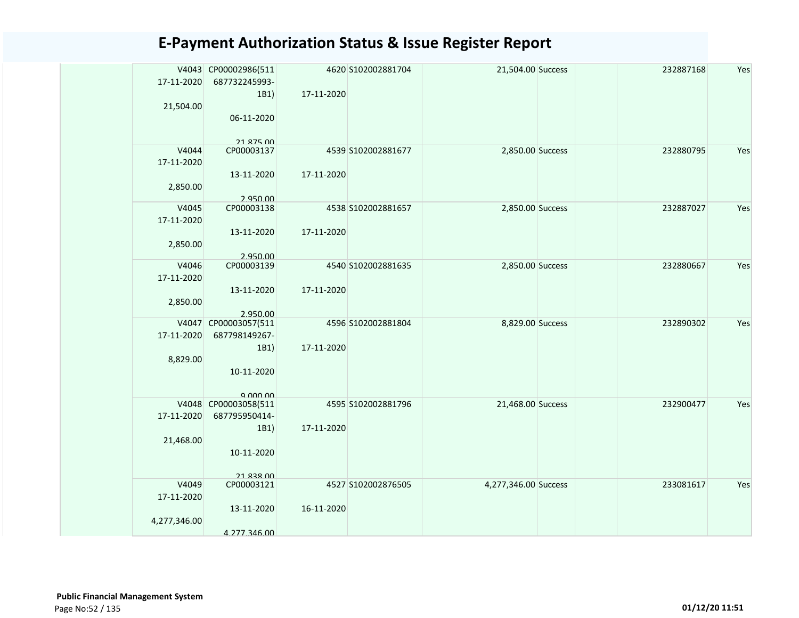|                     | V4043 CP00002986(511                                |            | 4620 S102002881704 | 21,504.00 Success    | 232887168 | Yes |
|---------------------|-----------------------------------------------------|------------|--------------------|----------------------|-----------|-----|
| 17-11-2020          | 687732245993-                                       |            |                    |                      |           |     |
|                     | 1B1)                                                | 17-11-2020 |                    |                      |           |     |
| 21,504.00           |                                                     |            |                    |                      |           |     |
|                     | 06-11-2020                                          |            |                    |                      |           |     |
|                     |                                                     |            |                    |                      |           |     |
| V4044               | 21 875 00<br>CP00003137                             |            | 4539 S102002881677 | 2,850.00 Success     | 232880795 | Yes |
| 17-11-2020          |                                                     |            |                    |                      |           |     |
|                     | 13-11-2020                                          | 17-11-2020 |                    |                      |           |     |
| 2,850.00            |                                                     |            |                    |                      |           |     |
|                     | 2.950.00                                            |            |                    |                      |           |     |
| V4045               | CP00003138                                          |            | 4538 S102002881657 | 2,850.00 Success     | 232887027 | Yes |
| 17-11-2020          |                                                     |            |                    |                      |           |     |
|                     | 13-11-2020                                          | 17-11-2020 |                    |                      |           |     |
| 2,850.00            |                                                     |            |                    |                      |           |     |
|                     | 2.950.00                                            |            |                    |                      |           |     |
| V4046<br>17-11-2020 | CP00003139                                          |            | 4540 S102002881635 | 2,850.00 Success     | 232880667 | Yes |
|                     | 13-11-2020                                          | 17-11-2020 |                    |                      |           |     |
| 2,850.00            |                                                     |            |                    |                      |           |     |
|                     | 2.950.00                                            |            |                    |                      |           |     |
|                     | V4047 CP00003057(511                                |            | 4596 S102002881804 | 8,829.00 Success     | 232890302 | Yes |
| 17-11-2020          | 687798149267-                                       |            |                    |                      |           |     |
|                     | 1B1)                                                | 17-11-2020 |                    |                      |           |     |
| 8,829.00            |                                                     |            |                    |                      |           |     |
|                     | 10-11-2020                                          |            |                    |                      |           |     |
|                     |                                                     |            |                    |                      |           |     |
|                     | $Q$ $Q$ $Q$ $Q$ $Q$ $Q$ $Q$<br>V4048 CP00003058(511 |            | 4595 S102002881796 | 21,468.00 Success    | 232900477 | Yes |
| 17-11-2020          | 687795950414-                                       |            |                    |                      |           |     |
|                     | 1B1)                                                | 17-11-2020 |                    |                      |           |     |
| 21,468.00           |                                                     |            |                    |                      |           |     |
|                     | 10-11-2020                                          |            |                    |                      |           |     |
|                     |                                                     |            |                    |                      |           |     |
|                     | <b>21 838 00</b>                                    |            |                    |                      |           |     |
| V4049               | CP00003121                                          |            | 4527 S102002876505 | 4,277,346.00 Success | 233081617 | Yes |
| 17-11-2020          | 13-11-2020                                          | 16-11-2020 |                    |                      |           |     |
| 4,277,346.00        |                                                     |            |                    |                      |           |     |
|                     |                                                     |            |                    |                      |           |     |
|                     | 4.277.346.00                                        |            |                    |                      |           |     |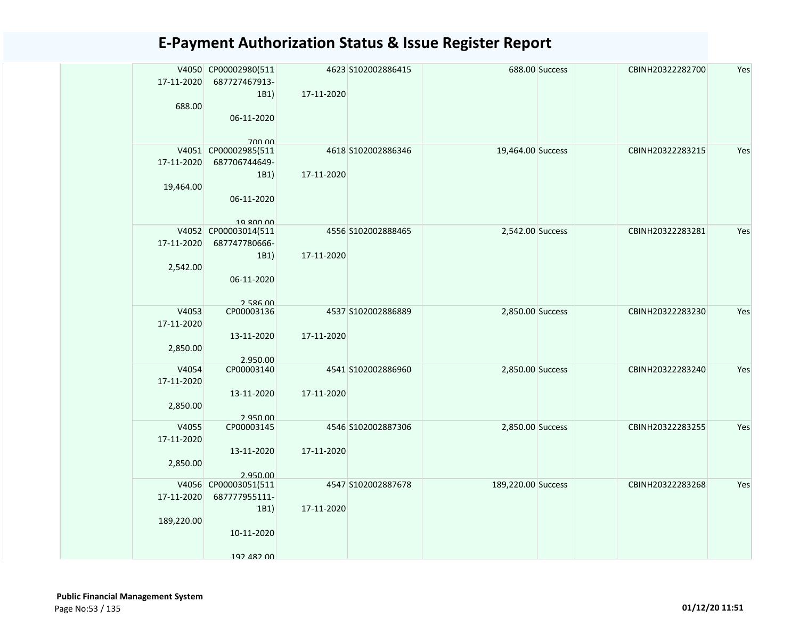|            | V4050 CP00002980(511   |            | 4623 S102002886415 |                    | 688.00 Success | CBINH20322282700 | Yes |
|------------|------------------------|------------|--------------------|--------------------|----------------|------------------|-----|
| 17-11-2020 | 687727467913-          |            |                    |                    |                |                  |     |
|            | 1B1)                   | 17-11-2020 |                    |                    |                |                  |     |
| 688.00     |                        |            |                    |                    |                |                  |     |
|            | 06-11-2020             |            |                    |                    |                |                  |     |
|            |                        |            |                    |                    |                |                  |     |
|            | 700.00                 |            |                    |                    |                |                  |     |
|            | V4051 CP00002985(511   |            | 4618 S102002886346 | 19,464.00 Success  |                | CBINH20322283215 | Yes |
| 17-11-2020 | 687706744649-          |            |                    |                    |                |                  |     |
|            | 1B1)                   | 17-11-2020 |                    |                    |                |                  |     |
| 19,464.00  |                        |            |                    |                    |                |                  |     |
|            | 06-11-2020             |            |                    |                    |                |                  |     |
|            |                        |            |                    |                    |                |                  |     |
|            | 19 ROO OO              |            |                    |                    |                |                  |     |
|            | V4052 CP00003014(511   |            | 4556 S102002888465 | 2,542.00 Success   |                | CBINH20322283281 | Yes |
| 17-11-2020 | 687747780666-          |            |                    |                    |                |                  |     |
|            | 1B1)                   | 17-11-2020 |                    |                    |                |                  |     |
| 2,542.00   |                        |            |                    |                    |                |                  |     |
|            | 06-11-2020             |            |                    |                    |                |                  |     |
|            |                        |            |                    |                    |                |                  |     |
| V4053      | 758600<br>CP00003136   |            | 4537 S102002886889 |                    |                | CBINH20322283230 | Yes |
|            |                        |            |                    | 2,850.00 Success   |                |                  |     |
| 17-11-2020 |                        |            |                    |                    |                |                  |     |
|            | 13-11-2020             | 17-11-2020 |                    |                    |                |                  |     |
| 2,850.00   |                        |            |                    |                    |                |                  |     |
| V4054      | 2.950.00<br>CP00003140 |            | 4541 S102002886960 | 2,850.00 Success   |                | CBINH20322283240 | Yes |
| 17-11-2020 |                        |            |                    |                    |                |                  |     |
|            | 13-11-2020             | 17-11-2020 |                    |                    |                |                  |     |
| 2,850.00   |                        |            |                    |                    |                |                  |     |
|            | 2.950.00               |            |                    |                    |                |                  |     |
| V4055      | CP00003145             |            | 4546 S102002887306 | 2,850.00 Success   |                | CBINH20322283255 | Yes |
| 17-11-2020 |                        |            |                    |                    |                |                  |     |
|            | 13-11-2020             | 17-11-2020 |                    |                    |                |                  |     |
| 2,850.00   |                        |            |                    |                    |                |                  |     |
|            | 2.950.00               |            |                    |                    |                |                  |     |
|            | V4056 CP00003051(511   |            | 4547 S102002887678 | 189,220.00 Success |                | CBINH20322283268 | Yes |
| 17-11-2020 | 687777955111-          |            |                    |                    |                |                  |     |
|            | 1B1)                   | 17-11-2020 |                    |                    |                |                  |     |
| 189,220.00 |                        |            |                    |                    |                |                  |     |
|            | 10-11-2020             |            |                    |                    |                |                  |     |
|            |                        |            |                    |                    |                |                  |     |
|            | 102 482 00             |            |                    |                    |                |                  |     |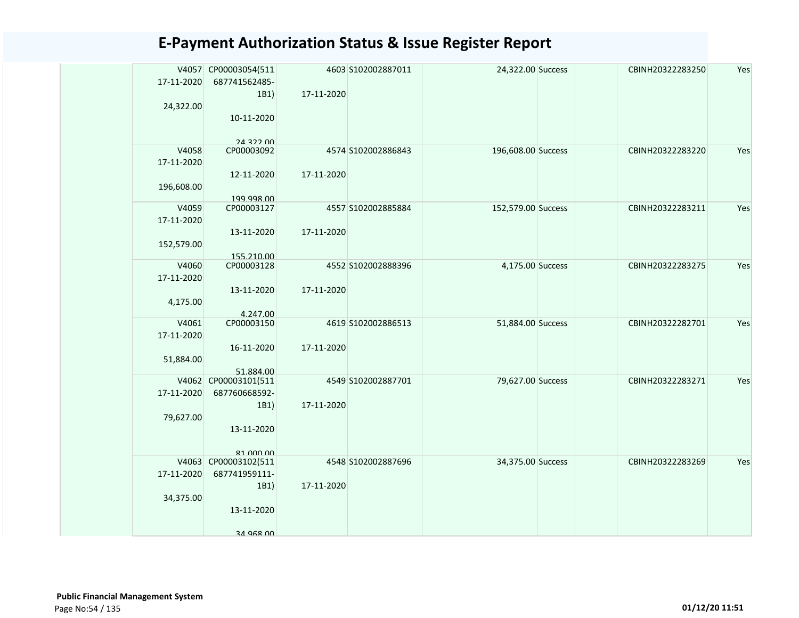| 17-11-2020<br>24,322.00           | V4057 CP00003054(511<br>687741562485-<br>1B1)<br>10-11-2020                           | 17-11-2020 | 4603 S102002887011 | 24,322.00 Success  | CBINH20322283250 | Yes |
|-----------------------------------|---------------------------------------------------------------------------------------|------------|--------------------|--------------------|------------------|-----|
| V4058<br>17-11-2020<br>196,608.00 | 24.322.00<br>CP00003092<br>12-11-2020<br>199.998.00                                   | 17-11-2020 | 4574 S102002886843 | 196,608.00 Success | CBINH20322283220 | Yes |
| V4059<br>17-11-2020<br>152,579.00 | CP00003127<br>13-11-2020<br>155.210.00                                                | 17-11-2020 | 4557 S102002885884 | 152,579.00 Success | CBINH20322283211 | Yes |
| V4060<br>17-11-2020<br>4,175.00   | CP00003128<br>13-11-2020<br>4.247.00                                                  | 17-11-2020 | 4552 S102002888396 | 4,175.00 Success   | CBINH20322283275 | Yes |
| V4061<br>17-11-2020<br>51,884.00  | CP00003150<br>16-11-2020<br>51.884.00                                                 | 17-11-2020 | 4619 S102002886513 | 51,884.00 Success  | CBINH20322282701 | Yes |
| 17-11-2020<br>79,627.00           | V4062 CP00003101(511<br>687760668592-<br>1B1)<br>13-11-2020                           | 17-11-2020 | 4549 S102002887701 | 79,627.00 Success  | CBINH20322283271 | Yes |
| 17-11-2020<br>34,375.00           | 81 000 00<br>V4063 CP00003102(511<br>687741959111-<br>1B1)<br>13-11-2020<br>34 968 00 | 17-11-2020 | 4548 S102002887696 | 34,375.00 Success  | CBINH20322283269 | Yes |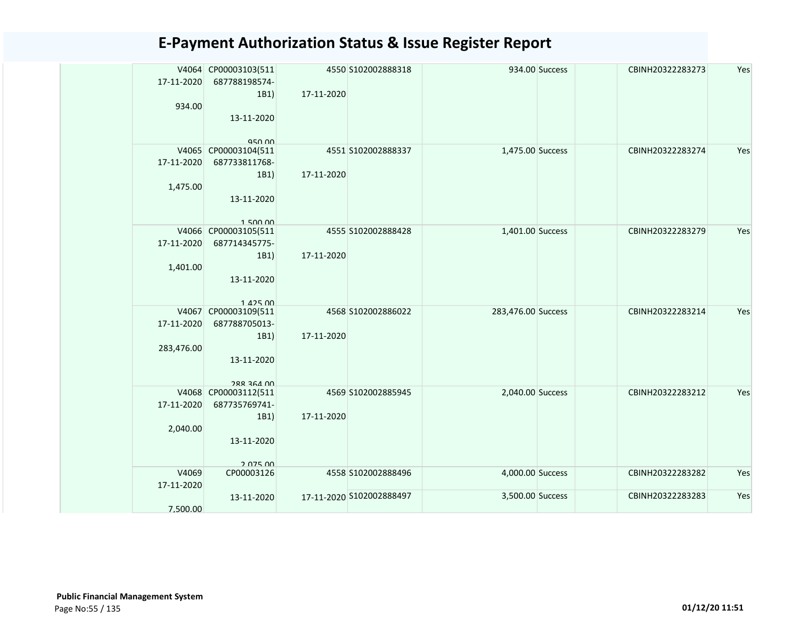| 17-11-2020          | V4064 CP00003103(511<br>687788198574-                 |            | 4550 S102002888318       |                    | 934.00 Success | CBINH20322283273 | Yes |
|---------------------|-------------------------------------------------------|------------|--------------------------|--------------------|----------------|------------------|-----|
| 934.00              | 1B1)<br>13-11-2020                                    | 17-11-2020 |                          |                    |                |                  |     |
| V4065               | 950.00<br>CP00003104(511                              |            | 4551 S102002888337       | 1,475.00 Success   |                | CBINH20322283274 | Yes |
| 17-11-2020          | 687733811768-<br>1B1)                                 | 17-11-2020 |                          |                    |                |                  |     |
| 1,475.00            | 13-11-2020<br>150000                                  |            |                          |                    |                |                  |     |
| 17-11-2020          | V4066 CP00003105(511<br>687714345775-                 |            | 4555 S102002888428       | 1,401.00 Success   |                | CBINH20322283279 | Yes |
| 1,401.00            | 1B1)<br>13-11-2020                                    | 17-11-2020 |                          |                    |                |                  |     |
| V4067<br>17-11-2020 | $1.425$ 00<br>CP00003109(511<br>687788705013-<br>1B1) | 17-11-2020 | 4568 S102002886022       | 283,476.00 Success |                | CBINH20322283214 | Yes |
| 283,476.00          | 13-11-2020<br><b>288 364 00</b>                       |            |                          |                    |                |                  |     |
| V4068<br>17-11-2020 | CP00003112(511<br>687735769741-                       |            | 4569 S102002885945       | 2,040.00 Success   |                | CBINH20322283212 | Yes |
| 2,040.00            | 1B1)<br>13-11-2020<br>2 075 00                        | 17-11-2020 |                          |                    |                |                  |     |
| V4069<br>17-11-2020 | CP00003126                                            |            | 4558 S102002888496       | 4,000.00 Success   |                | CBINH20322283282 | Yes |
| 7.500.00            | 13-11-2020                                            |            | 17-11-2020 S102002888497 | 3,500.00 Success   |                | CBINH20322283283 | Yes |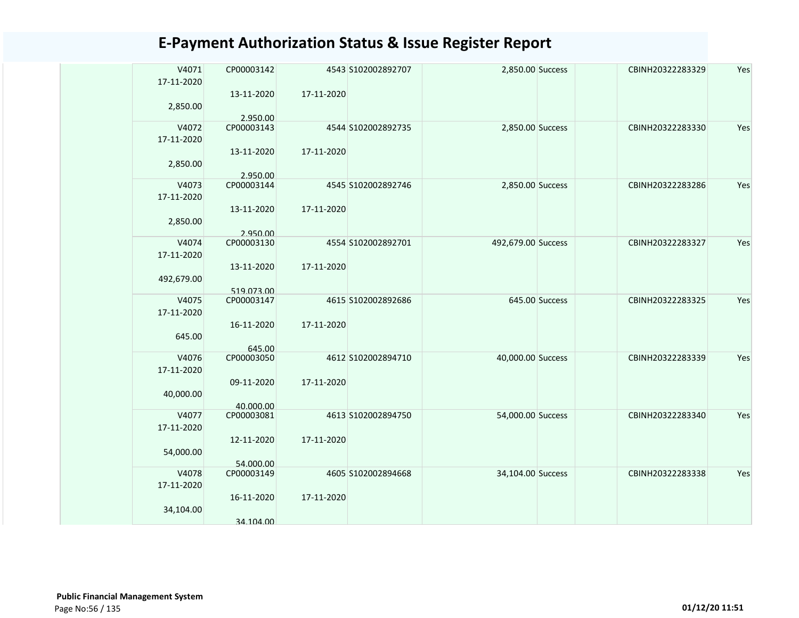| V4071<br>17-11-2020 | CP00003142              |            | 4543 S102002892707 | 2,850.00 Success   |                | CBINH20322283329 | Yes |
|---------------------|-------------------------|------------|--------------------|--------------------|----------------|------------------|-----|
| 2,850.00            | 13-11-2020<br>2.950.00  | 17-11-2020 |                    |                    |                |                  |     |
| V4072               | CP00003143              |            | 4544 S102002892735 | 2,850.00 Success   |                | CBINH20322283330 | Yes |
| 17-11-2020          |                         |            |                    |                    |                |                  |     |
|                     | 13-11-2020              | 17-11-2020 |                    |                    |                |                  |     |
| 2,850.00            |                         |            |                    |                    |                |                  |     |
|                     | 2.950.00                |            |                    |                    |                |                  |     |
| V4073               | CP00003144              |            | 4545 S102002892746 | 2,850.00 Success   |                | CBINH20322283286 | Yes |
| 17-11-2020          |                         |            |                    |                    |                |                  |     |
|                     | 13-11-2020              | 17-11-2020 |                    |                    |                |                  |     |
| 2,850.00            | 2.950.00                |            |                    |                    |                |                  |     |
| V4074               | CP00003130              |            | 4554 S102002892701 | 492,679.00 Success |                | CBINH20322283327 | Yes |
| 17-11-2020          |                         |            |                    |                    |                |                  |     |
|                     | 13-11-2020              | 17-11-2020 |                    |                    |                |                  |     |
| 492,679.00          |                         |            |                    |                    |                |                  |     |
|                     | 519.073.00              |            |                    |                    |                |                  |     |
| V4075               | CP00003147              |            | 4615 S102002892686 |                    | 645.00 Success | CBINH20322283325 | Yes |
| 17-11-2020          |                         |            |                    |                    |                |                  |     |
| 645.00              | 16-11-2020              | 17-11-2020 |                    |                    |                |                  |     |
|                     | 645.00                  |            |                    |                    |                |                  |     |
| V4076               | CP00003050              |            | 4612 S102002894710 | 40,000.00 Success  |                | CBINH20322283339 | Yes |
| 17-11-2020          |                         |            |                    |                    |                |                  |     |
|                     | 09-11-2020              | 17-11-2020 |                    |                    |                |                  |     |
| 40,000.00           |                         |            |                    |                    |                |                  |     |
| V4077               | 40.000.00<br>CP00003081 |            | 4613 S102002894750 | 54,000.00 Success  |                | CBINH20322283340 | Yes |
| 17-11-2020          |                         |            |                    |                    |                |                  |     |
|                     | 12-11-2020              | 17-11-2020 |                    |                    |                |                  |     |
| 54,000.00           |                         |            |                    |                    |                |                  |     |
|                     | 54.000.00               |            |                    |                    |                |                  |     |
| V4078               | CP00003149              |            | 4605 S102002894668 | 34,104.00 Success  |                | CBINH20322283338 | Yes |
| 17-11-2020          |                         |            |                    |                    |                |                  |     |
|                     | 16-11-2020              | 17-11-2020 |                    |                    |                |                  |     |
| 34,104.00           |                         |            |                    |                    |                |                  |     |
|                     | 34.104.00               |            |                    |                    |                |                  |     |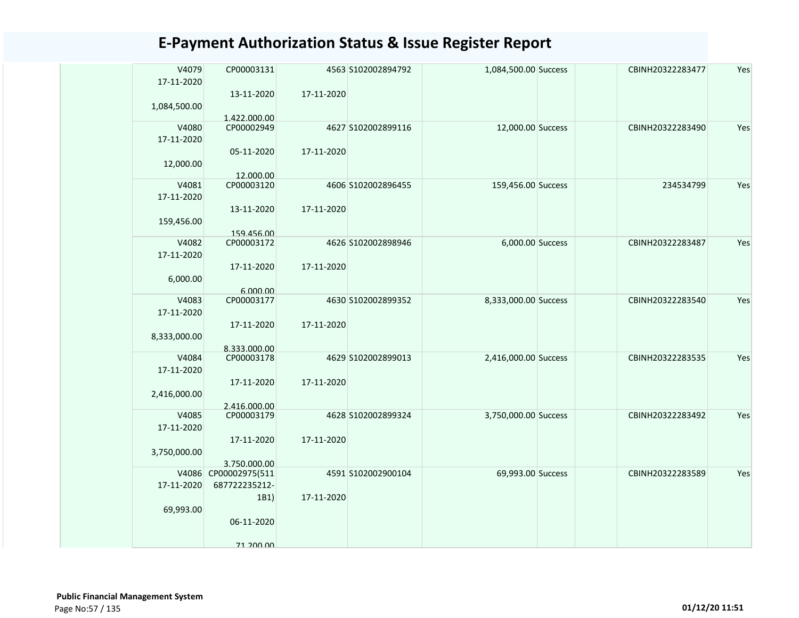| V4079        | CP00003131                 |            | 4563 S102002894792 | 1,084,500.00 Success | CBINH20322283477 | Yes |
|--------------|----------------------------|------------|--------------------|----------------------|------------------|-----|
| 17-11-2020   |                            |            |                    |                      |                  |     |
|              | 13-11-2020                 | 17-11-2020 |                    |                      |                  |     |
| 1,084,500.00 |                            |            |                    |                      |                  |     |
| V4080        | 1.422.000.00<br>CP00002949 |            | 4627 S102002899116 | 12,000.00 Success    | CBINH20322283490 | Yes |
| 17-11-2020   |                            |            |                    |                      |                  |     |
|              |                            |            |                    |                      |                  |     |
|              | 05-11-2020                 | 17-11-2020 |                    |                      |                  |     |
| 12,000.00    |                            |            |                    |                      |                  |     |
| V4081        | 12.000.00<br>CP00003120    |            | 4606 S102002896455 | 159,456.00 Success   | 234534799        | Yes |
| 17-11-2020   |                            |            |                    |                      |                  |     |
|              | 13-11-2020                 | 17-11-2020 |                    |                      |                  |     |
| 159,456.00   |                            |            |                    |                      |                  |     |
|              | 159.456.00                 |            |                    |                      |                  |     |
| V4082        | CP00003172                 |            | 4626 S102002898946 | 6,000.00 Success     | CBINH20322283487 | Yes |
| 17-11-2020   |                            |            |                    |                      |                  |     |
|              | 17-11-2020                 | 17-11-2020 |                    |                      |                  |     |
| 6,000.00     |                            |            |                    |                      |                  |     |
|              | 6.000.00                   |            |                    |                      |                  |     |
| V4083        | CP00003177                 |            | 4630 S102002899352 | 8,333,000.00 Success | CBINH20322283540 | Yes |
| 17-11-2020   |                            |            |                    |                      |                  |     |
|              | 17-11-2020                 | 17-11-2020 |                    |                      |                  |     |
| 8,333,000.00 |                            |            |                    |                      |                  |     |
|              | 8.333.000.00               |            |                    |                      |                  |     |
| V4084        | CP00003178                 |            | 4629 S102002899013 | 2,416,000.00 Success | CBINH20322283535 | Yes |
| 17-11-2020   |                            |            |                    |                      |                  |     |
|              | 17-11-2020                 | 17-11-2020 |                    |                      |                  |     |
| 2,416,000.00 |                            |            |                    |                      |                  |     |
|              | 2.416.000.00               |            |                    |                      |                  |     |
| V4085        | CP00003179                 |            | 4628 S102002899324 | 3,750,000.00 Success | CBINH20322283492 | Yes |
| 17-11-2020   |                            |            |                    |                      |                  |     |
|              | 17-11-2020                 | 17-11-2020 |                    |                      |                  |     |
| 3,750,000.00 |                            |            |                    |                      |                  |     |
|              | 3.750.000.00               |            |                    |                      |                  |     |
|              | V4086 CP00002975(511       |            | 4591 S102002900104 | 69,993.00 Success    | CBINH20322283589 | Yes |
| 17-11-2020   | 687722235212-              |            |                    |                      |                  |     |
|              | 1B1)                       | 17-11-2020 |                    |                      |                  |     |
| 69,993.00    |                            |            |                    |                      |                  |     |
|              | 06-11-2020                 |            |                    |                      |                  |     |
|              |                            |            |                    |                      |                  |     |
|              | 71 200 00                  |            |                    |                      |                  |     |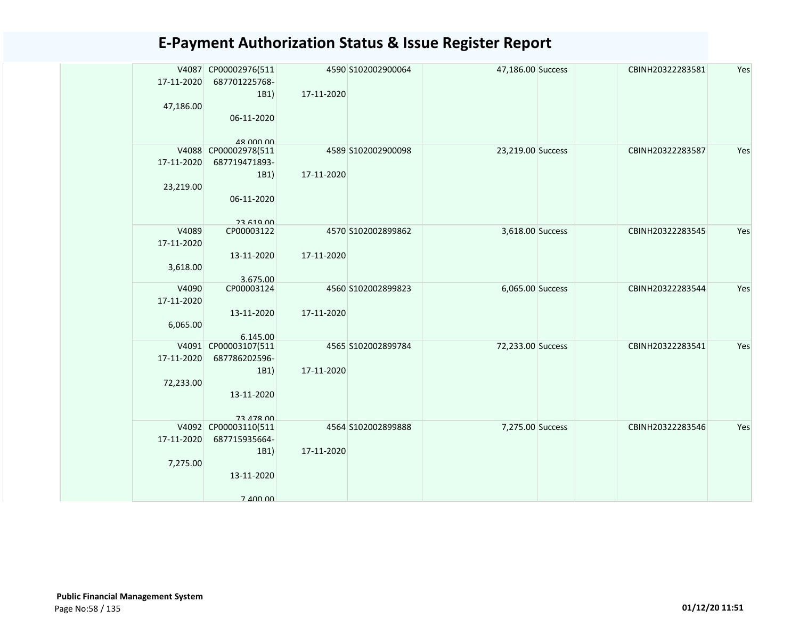|                     | V4087 CP00002976(511  |            | 4590 S102002900064 | 47,186.00 Success | CBINH20322283581 | Yes |
|---------------------|-----------------------|------------|--------------------|-------------------|------------------|-----|
| 17-11-2020          | 687701225768-         |            |                    |                   |                  |     |
|                     | 1B1)                  | 17-11-2020 |                    |                   |                  |     |
| 47,186.00           |                       |            |                    |                   |                  |     |
|                     | 06-11-2020            |            |                    |                   |                  |     |
|                     | 48 000 00             |            |                    |                   |                  |     |
|                     | V4088 CP00002978(511  |            | 4589 S102002900098 | 23,219.00 Success | CBINH20322283587 | Yes |
| 17-11-2020          | 687719471893-         |            |                    |                   |                  |     |
|                     | 1B1)                  | 17-11-2020 |                    |                   |                  |     |
| 23,219.00           |                       |            |                    |                   |                  |     |
|                     | 06-11-2020            |            |                    |                   |                  |     |
|                     |                       |            |                    |                   |                  |     |
| V4089               | 2261900<br>CP00003122 |            | 4570 S102002899862 | 3,618.00 Success  | CBINH20322283545 | Yes |
| 17-11-2020          |                       |            |                    |                   |                  |     |
|                     | 13-11-2020            | 17-11-2020 |                    |                   |                  |     |
| 3,618.00            |                       |            |                    |                   |                  |     |
|                     | 3.675.00              |            |                    |                   |                  |     |
| V4090<br>17-11-2020 | CP00003124            |            | 4560 S102002899823 | 6,065.00 Success  | CBINH20322283544 | Yes |
|                     | 13-11-2020            | 17-11-2020 |                    |                   |                  |     |
| 6,065.00            |                       |            |                    |                   |                  |     |
|                     | 6.145.00              |            |                    |                   |                  |     |
|                     | V4091 CP00003107(511  |            | 4565 S102002899784 | 72,233.00 Success | CBINH20322283541 | Yes |
| 17-11-2020          | 687786202596-         |            |                    |                   |                  |     |
|                     | 1B1)                  | 17-11-2020 |                    |                   |                  |     |
| 72,233.00           | 13-11-2020            |            |                    |                   |                  |     |
|                     |                       |            |                    |                   |                  |     |
|                     | 73 478 00             |            |                    |                   |                  |     |
|                     | V4092 CP00003110(511  |            | 4564 S102002899888 | 7,275.00 Success  | CBINH20322283546 | Yes |
| 17-11-2020          | 687715935664-         |            |                    |                   |                  |     |
|                     | 1B1)                  | 17-11-2020 |                    |                   |                  |     |
| 7,275.00            |                       |            |                    |                   |                  |     |
|                     | 13-11-2020            |            |                    |                   |                  |     |
|                     | 7 400 00              |            |                    |                   |                  |     |
|                     |                       |            |                    |                   |                  |     |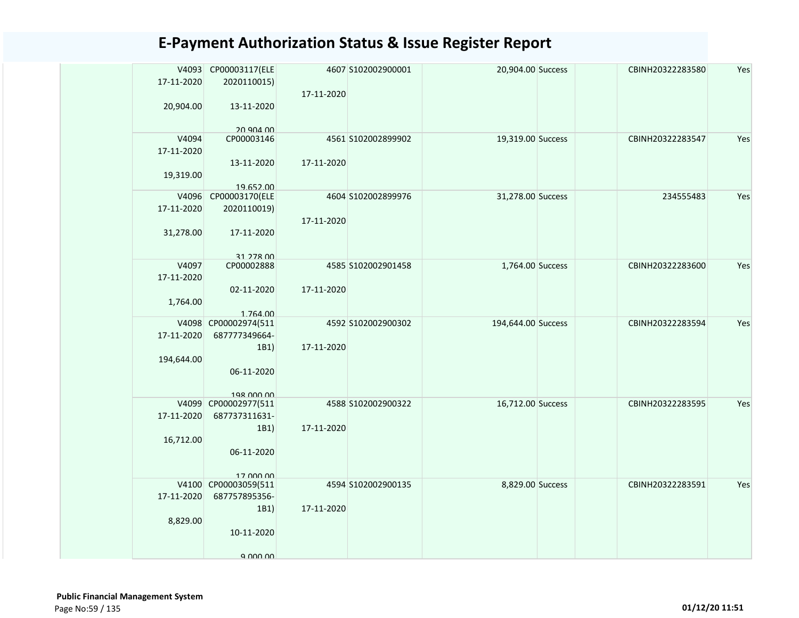|            | V4093 CP00003117(ELE               |            | 4607 S102002900001 | 20,904.00 Success  | CBINH20322283580 | Yes |
|------------|------------------------------------|------------|--------------------|--------------------|------------------|-----|
| 17-11-2020 | 2020110015)                        |            |                    |                    |                  |     |
|            |                                    | 17-11-2020 |                    |                    |                  |     |
| 20,904.00  | 13-11-2020                         |            |                    |                    |                  |     |
|            |                                    |            |                    |                    |                  |     |
| V4094      | 20 904 00<br>CP00003146            |            | 4561 S102002899902 | 19,319.00 Success  | CBINH20322283547 | Yes |
| 17-11-2020 |                                    |            |                    |                    |                  |     |
|            | 13-11-2020                         | 17-11-2020 |                    |                    |                  |     |
| 19,319.00  |                                    |            |                    |                    |                  |     |
|            | 19.652.00                          |            |                    |                    |                  |     |
| V4096      | CP00003170(ELE                     |            | 4604 S102002899976 | 31,278.00 Success  | 234555483        | Yes |
| 17-11-2020 | 2020110019)                        |            |                    |                    |                  |     |
|            |                                    | 17-11-2020 |                    |                    |                  |     |
| 31,278.00  | 17-11-2020                         |            |                    |                    |                  |     |
|            |                                    |            |                    |                    |                  |     |
|            | 31 278 00                          |            |                    |                    |                  |     |
| V4097      | CP00002888                         |            | 4585 S102002901458 | 1,764.00 Success   | CBINH20322283600 | Yes |
| 17-11-2020 |                                    |            |                    |                    |                  |     |
|            | 02-11-2020                         | 17-11-2020 |                    |                    |                  |     |
| 1,764.00   |                                    |            |                    |                    |                  |     |
|            | 1.764.00                           |            |                    |                    |                  |     |
|            | V4098 CP00002974(511               |            | 4592 S102002900302 | 194,644.00 Success | CBINH20322283594 | Yes |
| 17-11-2020 | 687777349664-                      |            |                    |                    |                  |     |
|            | 1B1                                | 17-11-2020 |                    |                    |                  |     |
| 194,644.00 |                                    |            |                    |                    |                  |     |
|            | 06-11-2020                         |            |                    |                    |                  |     |
|            |                                    |            |                    |                    |                  |     |
|            | 198 000 00<br>V4099 CP00002977(511 |            | 4588 S102002900322 | 16,712.00 Success  | CBINH20322283595 | Yes |
| 17-11-2020 | 687737311631-                      |            |                    |                    |                  |     |
|            | 1B1)                               | 17-11-2020 |                    |                    |                  |     |
| 16,712.00  |                                    |            |                    |                    |                  |     |
|            | 06-11-2020                         |            |                    |                    |                  |     |
|            |                                    |            |                    |                    |                  |     |
|            | 17 000 00                          |            |                    |                    |                  |     |
|            | V4100 CP00003059(511               |            | 4594 S102002900135 | 8,829.00 Success   | CBINH20322283591 | Yes |
| 17-11-2020 | 687757895356-                      |            |                    |                    |                  |     |
|            | 1B1                                | 17-11-2020 |                    |                    |                  |     |
| 8,829.00   |                                    |            |                    |                    |                  |     |
|            | 10-11-2020                         |            |                    |                    |                  |     |
|            |                                    |            |                    |                    |                  |     |
|            | $9$ $000$ $00$                     |            |                    |                    |                  |     |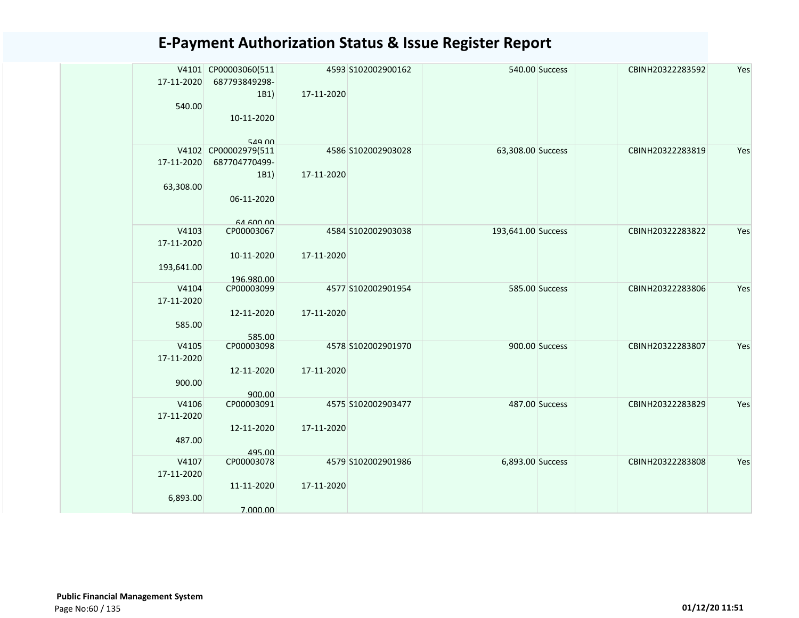|            | V4101 CP00003060(511 |            | 4593 S102002900162 |                    | 540.00 Success | CBINH20322283592 | Yes |
|------------|----------------------|------------|--------------------|--------------------|----------------|------------------|-----|
| 17-11-2020 | 687793849298-        |            |                    |                    |                |                  |     |
|            | 1B1)                 | 17-11-2020 |                    |                    |                |                  |     |
| 540.00     |                      |            |                    |                    |                |                  |     |
|            | 10-11-2020           |            |                    |                    |                |                  |     |
|            |                      |            |                    |                    |                |                  |     |
|            | 549 00               |            |                    |                    |                |                  |     |
|            | V4102 CP00002979(511 |            | 4586 S102002903028 | 63,308.00 Success  |                | CBINH20322283819 | Yes |
| 17-11-2020 | 687704770499-        |            |                    |                    |                |                  |     |
|            | 1B1)                 | 17-11-2020 |                    |                    |                |                  |     |
| 63,308.00  |                      |            |                    |                    |                |                  |     |
|            | 06-11-2020           |            |                    |                    |                |                  |     |
|            |                      |            |                    |                    |                |                  |     |
|            | 64,600,00            |            |                    |                    |                |                  |     |
| V4103      | CP00003067           |            | 4584 S102002903038 | 193,641.00 Success |                | CBINH20322283822 | Yes |
| 17-11-2020 |                      |            |                    |                    |                |                  |     |
|            | 10-11-2020           | 17-11-2020 |                    |                    |                |                  |     |
| 193,641.00 |                      |            |                    |                    |                |                  |     |
|            | 196.980.00           |            |                    |                    |                |                  |     |
| V4104      | CP00003099           |            | 4577 S102002901954 |                    | 585.00 Success | CBINH20322283806 | Yes |
| 17-11-2020 |                      |            |                    |                    |                |                  |     |
|            | 12-11-2020           | 17-11-2020 |                    |                    |                |                  |     |
| 585.00     |                      |            |                    |                    |                |                  |     |
| V4105      | 585.00<br>CP00003098 |            | 4578 S102002901970 |                    | 900.00 Success | CBINH20322283807 | Yes |
| 17-11-2020 |                      |            |                    |                    |                |                  |     |
|            | 12-11-2020           | 17-11-2020 |                    |                    |                |                  |     |
| 900.00     |                      |            |                    |                    |                |                  |     |
|            | 900.00               |            |                    |                    |                |                  |     |
| V4106      | CP00003091           |            | 4575 S102002903477 |                    | 487.00 Success | CBINH20322283829 | Yes |
| 17-11-2020 |                      |            |                    |                    |                |                  |     |
|            | 12-11-2020           | 17-11-2020 |                    |                    |                |                  |     |
| 487.00     |                      |            |                    |                    |                |                  |     |
|            | 495.00               |            |                    |                    |                |                  |     |
| V4107      | CP00003078           |            | 4579 S102002901986 | 6,893.00 Success   |                | CBINH20322283808 | Yes |
| 17-11-2020 |                      |            |                    |                    |                |                  |     |
|            | 11-11-2020           | 17-11-2020 |                    |                    |                |                  |     |
| 6,893.00   |                      |            |                    |                    |                |                  |     |
|            | 7.000.00             |            |                    |                    |                |                  |     |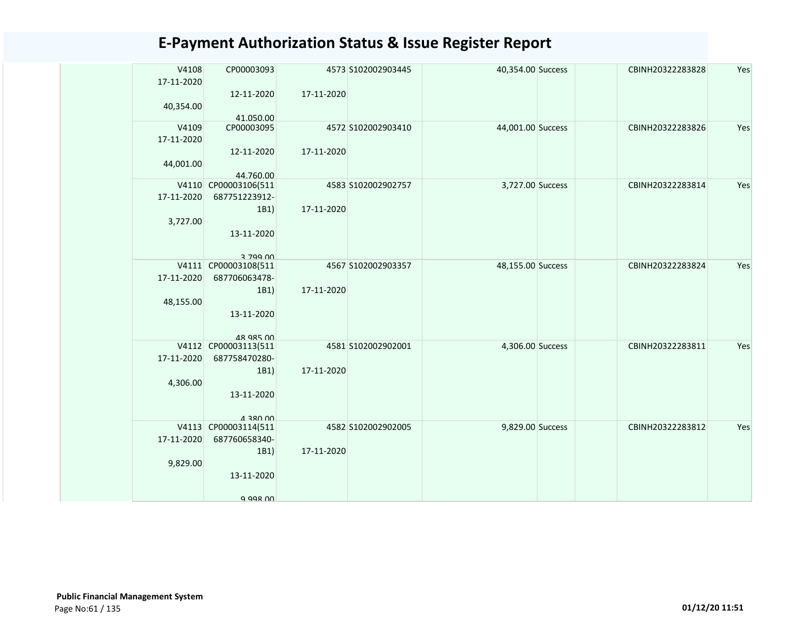| V4108<br>17-11-2020 | CP00003093                              |            | 4573 S102002903445 | 40,354.00 Success | CBINH20322283828 | Yes |
|---------------------|-----------------------------------------|------------|--------------------|-------------------|------------------|-----|
|                     | 12-11-2020                              | 17-11-2020 |                    |                   |                  |     |
| 40,354.00           | 41.050.00                               |            |                    |                   |                  |     |
| V4109               | CP00003095                              |            | 4572 S102002903410 | 44,001.00 Success | CBINH20322283826 | Yes |
| 17-11-2020          | 12-11-2020                              | 17-11-2020 |                    |                   |                  |     |
| 44,001.00           |                                         |            |                    |                   |                  |     |
|                     | 44.760.00                               |            |                    |                   |                  |     |
| 17-11-2020          | V4110 CP00003106(511<br>687751223912-   |            | 4583 S102002902757 | 3,727.00 Success  | CBINH20322283814 | Yes |
|                     | 1B1)                                    | 17-11-2020 |                    |                   |                  |     |
| 3,727.00            |                                         |            |                    |                   |                  |     |
|                     | 13-11-2020                              |            |                    |                   |                  |     |
|                     | 3 799 NO                                |            |                    |                   |                  |     |
|                     | V4111 CP00003108(511                    |            | 4567 S102002903357 | 48,155.00 Success | CBINH20322283824 | Yes |
| 17-11-2020          | 687706063478-<br>1B1)                   | 17-11-2020 |                    |                   |                  |     |
| 48,155.00           |                                         |            |                    |                   |                  |     |
|                     | 13-11-2020                              |            |                    |                   |                  |     |
|                     | 48 985 00                               |            |                    |                   |                  |     |
|                     | V4112 CP00003113(511                    |            | 4581 S102002902001 | 4,306.00 Success  | CBINH20322283811 | Yes |
| 17-11-2020          | 687758470280-                           |            |                    |                   |                  |     |
| 4,306.00            | 1B1)                                    | 17-11-2020 |                    |                   |                  |     |
|                     | 13-11-2020                              |            |                    |                   |                  |     |
|                     |                                         |            |                    |                   |                  |     |
|                     | <b>UU USE V</b><br>V4113 CP00003114(511 |            | 4582 S102002902005 | 9,829.00 Success  | CBINH20322283812 | Yes |
| 17-11-2020          | 687760658340-                           |            |                    |                   |                  |     |
|                     | 1B1)                                    | 17-11-2020 |                    |                   |                  |     |
| 9,829.00            | 13-11-2020                              |            |                    |                   |                  |     |
|                     |                                         |            |                    |                   |                  |     |
|                     | a aas nn                                |            |                    |                   |                  |     |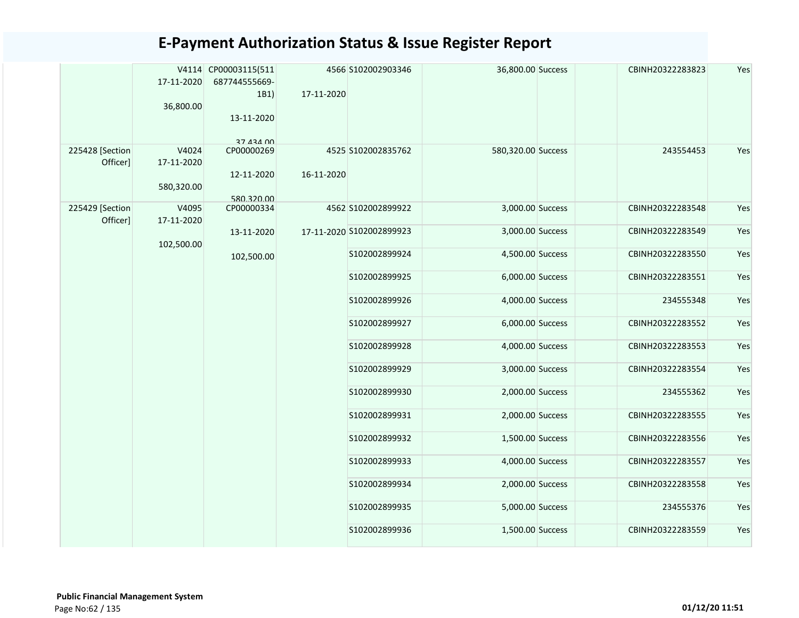|                             | 17-11-2020<br>36,800.00           | V4114 CP00003115(511<br>687744555669-<br>1B1)<br>13-11-2020 | 17-11-2020 | 4566 S102002903346       | 36,800.00 Success  | CBINH20322283823 | Yes |
|-----------------------------|-----------------------------------|-------------------------------------------------------------|------------|--------------------------|--------------------|------------------|-----|
| 225428 [Section<br>Officer] | V4024<br>17-11-2020<br>580,320.00 | 27 434 00<br>CP00000269<br>12-11-2020<br>580.320.00         | 16-11-2020 | 4525 S102002835762       | 580,320.00 Success | 243554453        | Yes |
| 225429 [Section             | V4095                             | CP00000334                                                  |            | 4562 S102002899922       | 3,000.00 Success   | CBINH20322283548 | Yes |
| Officer]                    | 17-11-2020<br>102,500.00          | 13-11-2020                                                  |            | 17-11-2020 S102002899923 | 3,000.00 Success   | CBINH20322283549 | Yes |
|                             |                                   | 102,500.00                                                  |            | S102002899924            | 4,500.00 Success   | CBINH20322283550 | Yes |
|                             |                                   |                                                             |            | S102002899925            | 6,000.00 Success   | CBINH20322283551 | Yes |
|                             |                                   |                                                             |            | S102002899926            | 4,000.00 Success   | 234555348        | Yes |
|                             |                                   |                                                             |            | S102002899927            | 6,000.00 Success   | CBINH20322283552 | Yes |
|                             |                                   |                                                             |            | S102002899928            | 4,000.00 Success   | CBINH20322283553 | Yes |
|                             |                                   |                                                             |            | S102002899929            | 3,000.00 Success   | CBINH20322283554 | Yes |
|                             |                                   |                                                             |            | S102002899930            | 2,000.00 Success   | 234555362        | Yes |
|                             |                                   |                                                             |            | S102002899931            | 2,000.00 Success   | CBINH20322283555 | Yes |
|                             |                                   |                                                             |            | S102002899932            | 1,500.00 Success   | CBINH20322283556 | Yes |
|                             |                                   |                                                             |            | S102002899933            | 4,000.00 Success   | CBINH20322283557 | Yes |
|                             |                                   |                                                             |            | S102002899934            | 2,000.00 Success   | CBINH20322283558 | Yes |
|                             |                                   |                                                             |            | S102002899935            | 5,000.00 Success   | 234555376        | Yes |
|                             |                                   |                                                             |            | S102002899936            | 1,500.00 Success   | CBINH20322283559 | Yes |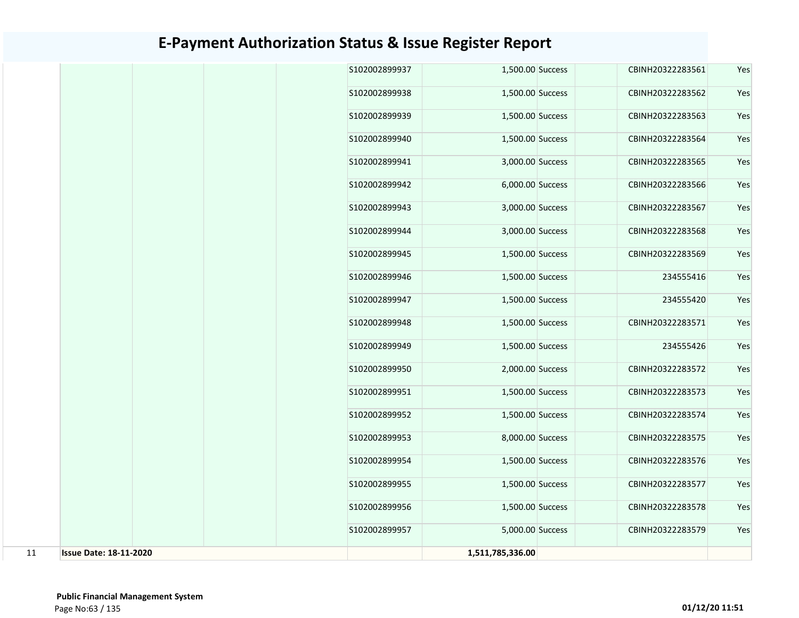|    |                               |  | S102002899937 | 1,500.00 Success | CBINH20322283561 | Yes |
|----|-------------------------------|--|---------------|------------------|------------------|-----|
|    |                               |  | S102002899938 | 1,500.00 Success | CBINH20322283562 | Yes |
|    |                               |  | S102002899939 | 1,500.00 Success | CBINH20322283563 | Yes |
|    |                               |  | S102002899940 | 1,500.00 Success | CBINH20322283564 | Yes |
|    |                               |  | S102002899941 | 3,000.00 Success | CBINH20322283565 | Yes |
|    |                               |  | S102002899942 | 6,000.00 Success | CBINH20322283566 | Yes |
|    |                               |  | S102002899943 | 3,000.00 Success | CBINH20322283567 | Yes |
|    |                               |  | S102002899944 | 3,000.00 Success | CBINH20322283568 | Yes |
|    |                               |  | S102002899945 | 1,500.00 Success | CBINH20322283569 | Yes |
|    |                               |  | S102002899946 | 1,500.00 Success | 234555416        | Yes |
|    |                               |  | S102002899947 | 1,500.00 Success | 234555420        | Yes |
|    |                               |  | S102002899948 | 1,500.00 Success | CBINH20322283571 | Yes |
|    |                               |  | S102002899949 | 1,500.00 Success | 234555426        | Yes |
|    |                               |  | S102002899950 | 2,000.00 Success | CBINH20322283572 | Yes |
|    |                               |  | S102002899951 | 1,500.00 Success | CBINH20322283573 | Yes |
|    |                               |  | S102002899952 | 1,500.00 Success | CBINH20322283574 | Yes |
|    |                               |  | S102002899953 | 8,000.00 Success | CBINH20322283575 | Yes |
|    |                               |  | S102002899954 | 1,500.00 Success | CBINH20322283576 | Yes |
|    |                               |  | S102002899955 | 1,500.00 Success | CBINH20322283577 | Yes |
|    |                               |  | S102002899956 | 1,500.00 Success | CBINH20322283578 | Yes |
|    |                               |  | S102002899957 | 5,000.00 Success | CBINH20322283579 | Yes |
| 11 | <b>Issue Date: 18-11-2020</b> |  |               | 1,511,785,336.00 |                  |     |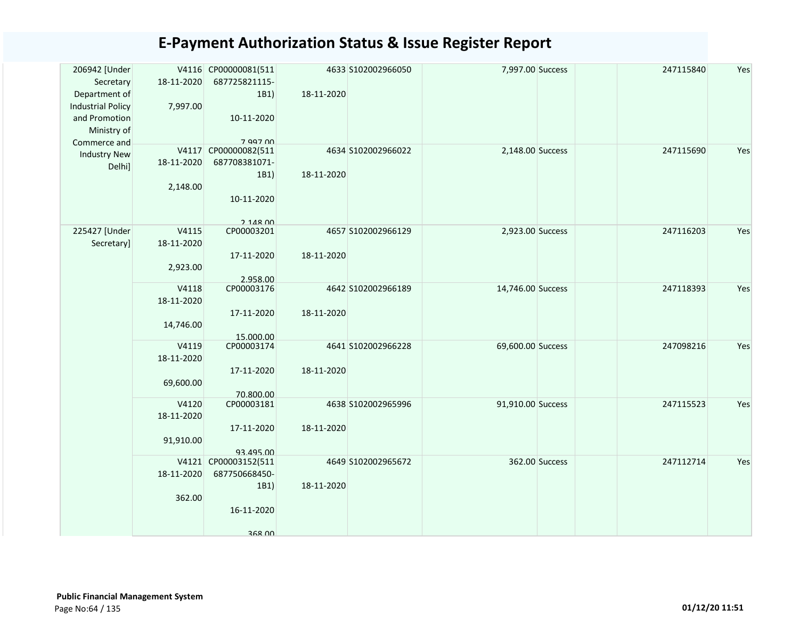| 206942 [Under<br>Secretary | 18-11-2020 | V4116 CP00000081(511<br>687725821115- |            | 4633 S102002966050 | 7,997.00 Success  |                | 247115840 | Yes |
|----------------------------|------------|---------------------------------------|------------|--------------------|-------------------|----------------|-----------|-----|
| Department of              |            | 1B1)                                  | 18-11-2020 |                    |                   |                |           |     |
| <b>Industrial Policy</b>   | 7,997.00   |                                       |            |                    |                   |                |           |     |
| and Promotion              |            | 10-11-2020                            |            |                    |                   |                |           |     |
| Ministry of                |            |                                       |            |                    |                   |                |           |     |
| Commerce and               |            | 7 997 00                              |            |                    |                   |                |           |     |
| <b>Industry New</b>        |            | V4117 CP00000082(511                  |            | 4634 S102002966022 | 2,148.00 Success  |                | 247115690 | Yes |
| Delhi]                     | 18-11-2020 | 687708381071-                         |            |                    |                   |                |           |     |
|                            |            | 1B1)                                  | 18-11-2020 |                    |                   |                |           |     |
|                            | 2,148.00   |                                       |            |                    |                   |                |           |     |
|                            |            | 10-11-2020                            |            |                    |                   |                |           |     |
|                            |            | $2.148$ $00$                          |            |                    |                   |                |           |     |
| 225427 [Under              | V4115      | CP00003201                            |            | 4657 S102002966129 | 2,923.00 Success  |                | 247116203 | Yes |
| Secretary]                 | 18-11-2020 |                                       |            |                    |                   |                |           |     |
|                            |            | 17-11-2020                            | 18-11-2020 |                    |                   |                |           |     |
|                            | 2,923.00   |                                       |            |                    |                   |                |           |     |
|                            |            | 2.958.00                              |            |                    |                   |                |           |     |
|                            | V4118      | CP00003176                            |            | 4642 S102002966189 | 14,746.00 Success |                | 247118393 | Yes |
|                            | 18-11-2020 |                                       | 18-11-2020 |                    |                   |                |           |     |
|                            |            | 17-11-2020                            |            |                    |                   |                |           |     |
|                            | 14,746.00  | 15.000.00                             |            |                    |                   |                |           |     |
|                            | V4119      | CP00003174                            |            | 4641 S102002966228 | 69,600.00 Success |                | 247098216 | Yes |
|                            | 18-11-2020 |                                       |            |                    |                   |                |           |     |
|                            |            | 17-11-2020                            | 18-11-2020 |                    |                   |                |           |     |
|                            | 69,600.00  |                                       |            |                    |                   |                |           |     |
|                            |            | 70.800.00                             |            |                    |                   |                |           |     |
|                            | V4120      | CP00003181                            |            | 4638 S102002965996 | 91,910.00 Success |                | 247115523 | Yes |
|                            | 18-11-2020 |                                       |            |                    |                   |                |           |     |
|                            |            | 17-11-2020                            | 18-11-2020 |                    |                   |                |           |     |
|                            | 91,910.00  |                                       |            |                    |                   |                |           |     |
|                            |            | 93.495.00                             |            |                    |                   |                |           |     |
|                            |            | V4121 CP00003152(511                  |            | 4649 S102002965672 |                   | 362.00 Success | 247112714 | Yes |
|                            | 18-11-2020 | 687750668450-                         |            |                    |                   |                |           |     |
|                            |            | 1B1)                                  | 18-11-2020 |                    |                   |                |           |     |
|                            | 362.00     |                                       |            |                    |                   |                |           |     |
|                            |            | 16-11-2020                            |            |                    |                   |                |           |     |
|                            |            | 368 NO                                |            |                    |                   |                |           |     |
|                            |            |                                       |            |                    |                   |                |           |     |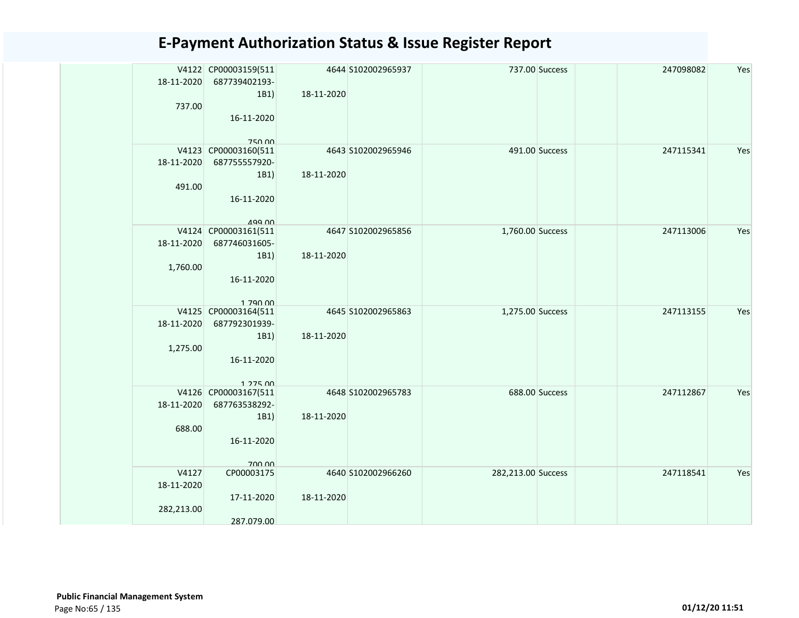|            | V4122 CP00003159(511                  |            | 4644 S102002965937 |                    | 737.00 Success | 247098082 | Yes |
|------------|---------------------------------------|------------|--------------------|--------------------|----------------|-----------|-----|
| 18-11-2020 | 687739402193-                         |            |                    |                    |                |           |     |
| 737.00     | 1B1)                                  | 18-11-2020 |                    |                    |                |           |     |
|            | 16-11-2020                            |            |                    |                    |                |           |     |
|            |                                       |            |                    |                    |                |           |     |
|            | <b>750.00</b>                         |            |                    |                    |                |           |     |
|            | V4123 CP00003160(511                  |            | 4643 S102002965946 |                    | 491.00 Success | 247115341 | Yes |
| 18-11-2020 | 687755557920-                         |            |                    |                    |                |           |     |
|            | 1B1)                                  | 18-11-2020 |                    |                    |                |           |     |
| 491.00     |                                       |            |                    |                    |                |           |     |
|            | 16-11-2020                            |            |                    |                    |                |           |     |
|            | $100 \, \text{M}$                     |            |                    |                    |                |           |     |
|            | V4124 CP00003161(511                  |            | 4647 S102002965856 | 1,760.00 Success   |                | 247113006 | Yes |
| 18-11-2020 | 687746031605-                         |            |                    |                    |                |           |     |
|            | 1B1)                                  | 18-11-2020 |                    |                    |                |           |     |
| 1,760.00   |                                       |            |                    |                    |                |           |     |
|            | 16-11-2020                            |            |                    |                    |                |           |     |
|            |                                       |            |                    |                    |                |           |     |
|            | 1 790 00                              |            |                    |                    |                |           |     |
| 18-11-2020 | V4125 CP00003164(511<br>687792301939- |            | 4645 S102002965863 | 1,275.00 Success   |                | 247113155 | Yes |
|            | 1B1)                                  | 18-11-2020 |                    |                    |                |           |     |
| 1,275.00   |                                       |            |                    |                    |                |           |     |
|            | 16-11-2020                            |            |                    |                    |                |           |     |
|            |                                       |            |                    |                    |                |           |     |
|            | $1.275$ 00                            |            |                    |                    |                |           |     |
|            | V4126 CP00003167(511                  |            | 4648 S102002965783 |                    | 688.00 Success | 247112867 | Yes |
| 18-11-2020 | 687763538292-                         |            |                    |                    |                |           |     |
|            | 1B1)                                  | 18-11-2020 |                    |                    |                |           |     |
| 688.00     |                                       |            |                    |                    |                |           |     |
|            | 16-11-2020                            |            |                    |                    |                |           |     |
|            | 700.00                                |            |                    |                    |                |           |     |
| V4127      | CP00003175                            |            | 4640 S102002966260 | 282,213.00 Success |                | 247118541 | Yes |
| 18-11-2020 |                                       |            |                    |                    |                |           |     |
|            | 17-11-2020                            | 18-11-2020 |                    |                    |                |           |     |
| 282,213.00 |                                       |            |                    |                    |                |           |     |
|            | 287.079.00                            |            |                    |                    |                |           |     |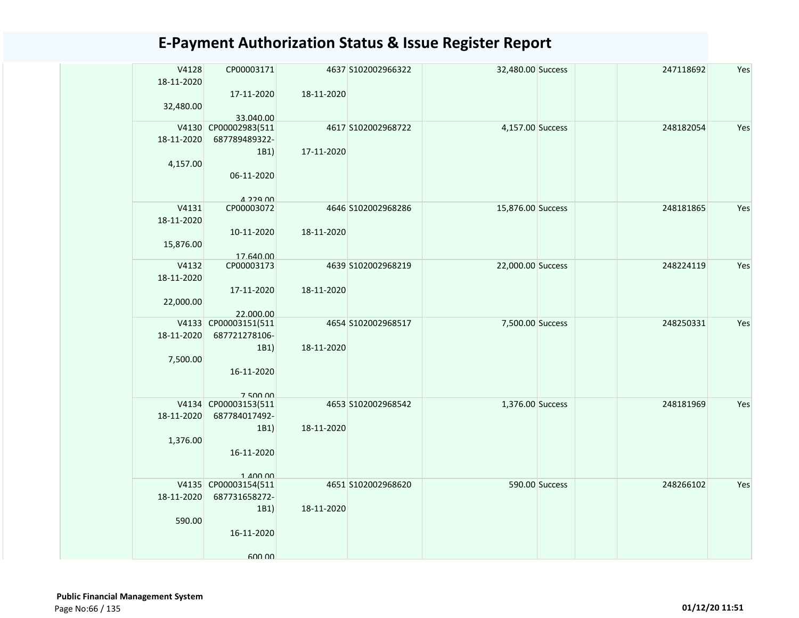| V4128<br>18-11-2020<br>32,480.00 | CP00003171<br>17-11-2020<br>33.040.00                                         | 18-11-2020 | 4637 S102002966322 | 32,480.00 Success |                | 247118692 | Yes |
|----------------------------------|-------------------------------------------------------------------------------|------------|--------------------|-------------------|----------------|-----------|-----|
| 18-11-2020<br>4,157.00           | V4130 CP00002983(511<br>687789489322-<br>1B1)<br>06-11-2020<br>$A$ 229 $n$    | 17-11-2020 | 4617 S102002968722 | 4,157.00 Success  |                | 248182054 | Yes |
| V4131<br>18-11-2020<br>15,876.00 | CP00003072<br>10-11-2020<br>17.640.00                                         | 18-11-2020 | 4646 S102002968286 | 15,876.00 Success |                | 248181865 | Yes |
| V4132<br>18-11-2020<br>22,000.00 | CP00003173<br>17-11-2020<br>22.000.00                                         | 18-11-2020 | 4639 S102002968219 | 22,000.00 Success |                | 248224119 | Yes |
| 18-11-2020<br>7,500.00           | V4133 CP00003151(511<br>687721278106-<br>1B1)<br>16-11-2020<br>750000         | 18-11-2020 | 4654 S102002968517 | 7,500.00 Success  |                | 248250331 | Yes |
| 18-11-2020<br>1,376.00           | V4134 CP00003153(511<br>687784017492-<br>1B1)<br>16-11-2020<br>$1$ $100$ $00$ | 18-11-2020 | 4653 S102002968542 | 1,376.00 Success  |                | 248181969 | Yes |
| 18-11-2020<br>590.00             | V4135 CP00003154(511<br>687731658272-<br>1B1)<br>16-11-2020<br>600.00         | 18-11-2020 | 4651 S102002968620 |                   | 590.00 Success | 248266102 | Yes |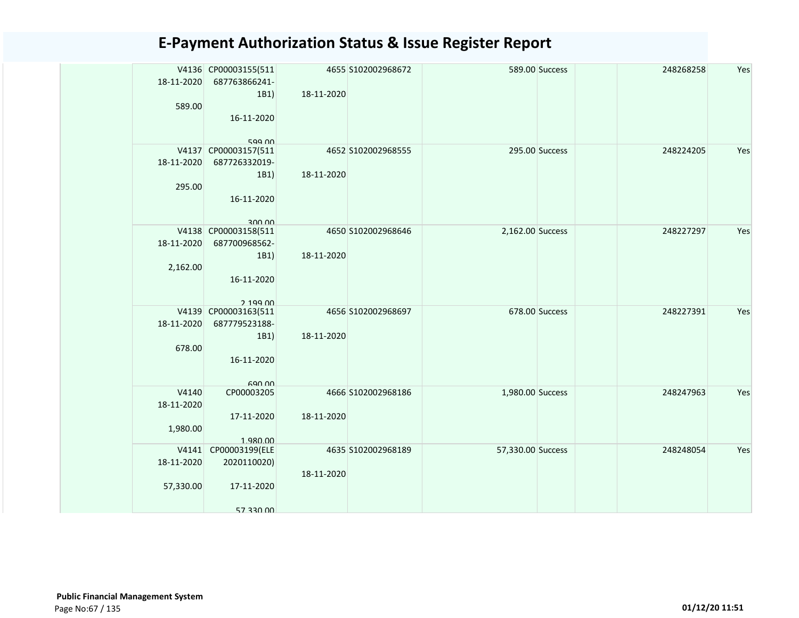| 18-11-2020<br>589.00             | V4136 CP00003155(511<br>687763866241-<br>1B1)<br>16-11-2020                       | 18-11-2020 | 4655 S102002968672 |                   | 589.00 Success | 248268258 | Yes |
|----------------------------------|-----------------------------------------------------------------------------------|------------|--------------------|-------------------|----------------|-----------|-----|
| 18-11-2020<br>295.00             | 599 00<br>V4137 CP00003157(511<br>687726332019-<br>1B1)<br>16-11-2020             | 18-11-2020 | 4652 S102002968555 |                   | 295.00 Success | 248224205 | Yes |
| 18-11-2020<br>2,162.00           | 300 00<br>V4138 CP00003158(511<br>687700968562-<br>1B1)<br>16-11-2020<br>2,199,00 | 18-11-2020 | 4650 S102002968646 | 2,162.00 Success  |                | 248227297 | Yes |
| 18-11-2020<br>678.00             | V4139 CP00003163(511<br>687779523188-<br>1B1)<br>16-11-2020<br>690 00             | 18-11-2020 | 4656 S102002968697 |                   | 678.00 Success | 248227391 | Yes |
| V4140<br>18-11-2020<br>1,980.00  | CP00003205<br>17-11-2020<br>1.980.00                                              | 18-11-2020 | 4666 S102002968186 | 1,980.00 Success  |                | 248247963 | Yes |
| V4141<br>18-11-2020<br>57,330.00 | CP00003199(ELE<br>2020110020)<br>17-11-2020<br>57 330 00                          | 18-11-2020 | 4635 S102002968189 | 57,330.00 Success |                | 248248054 | Yes |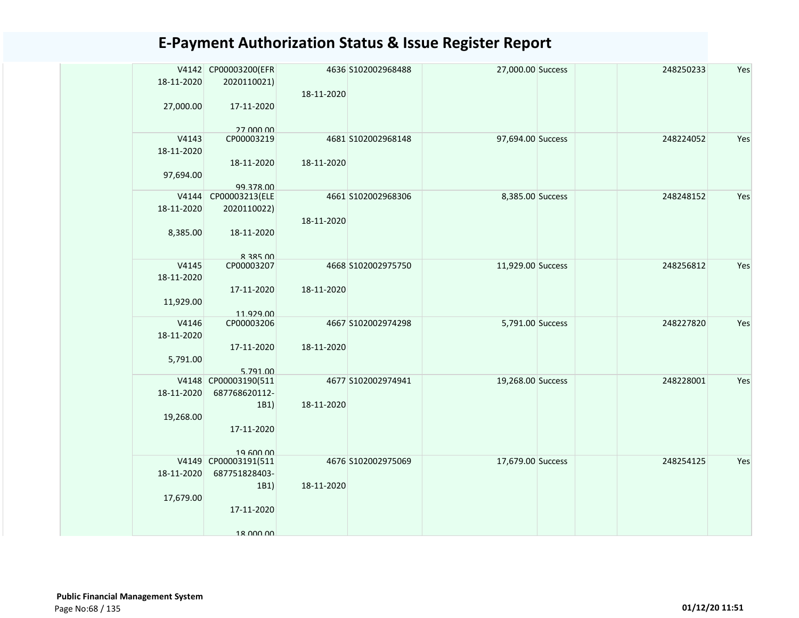| 18-11-2020 | V4142 CP00003200(EFR<br>2020110021) |            | 4636 S102002968488 | 27,000.00 Success | 248250233 | Yes |
|------------|-------------------------------------|------------|--------------------|-------------------|-----------|-----|
| 27,000.00  | 17-11-2020                          | 18-11-2020 |                    |                   |           |     |
|            | 27 000 00                           |            |                    |                   |           |     |
| V4143      | CP00003219                          |            | 4681 S102002968148 | 97,694.00 Success | 248224052 | Yes |
| 18-11-2020 |                                     |            |                    |                   |           |     |
|            | 18-11-2020                          | 18-11-2020 |                    |                   |           |     |
| 97,694.00  |                                     |            |                    |                   |           |     |
|            |                                     |            |                    |                   |           |     |
| V4144      | 99.378.00<br>CP00003213(ELE         |            | 4661 S102002968306 | 8,385.00 Success  | 248248152 | Yes |
|            |                                     |            |                    |                   |           |     |
| 18-11-2020 | 2020110022)                         |            |                    |                   |           |     |
|            |                                     | 18-11-2020 |                    |                   |           |     |
| 8,385.00   | 18-11-2020                          |            |                    |                   |           |     |
|            |                                     |            |                    |                   |           |     |
|            | 8 385 00                            |            |                    |                   |           |     |
| V4145      | CP00003207                          |            | 4668 S102002975750 | 11,929.00 Success | 248256812 | Yes |
| 18-11-2020 |                                     |            |                    |                   |           |     |
|            | 17-11-2020                          | 18-11-2020 |                    |                   |           |     |
| 11,929.00  |                                     |            |                    |                   |           |     |
|            | 11.929.00                           |            |                    |                   |           |     |
| V4146      | CP00003206                          |            | 4667 S102002974298 | 5,791.00 Success  | 248227820 | Yes |
| 18-11-2020 |                                     |            |                    |                   |           |     |
|            | 17-11-2020                          | 18-11-2020 |                    |                   |           |     |
| 5,791.00   |                                     |            |                    |                   |           |     |
|            | 5.791.00                            |            |                    |                   |           |     |
|            | V4148 CP00003190(511                |            | 4677 S102002974941 | 19,268.00 Success | 248228001 | Yes |
| 18-11-2020 | 687768620112-                       |            |                    |                   |           |     |
|            | 1B1)                                | 18-11-2020 |                    |                   |           |     |
| 19,268.00  |                                     |            |                    |                   |           |     |
|            | 17-11-2020                          |            |                    |                   |           |     |
|            |                                     |            |                    |                   |           |     |
|            | 19 600 00                           |            |                    |                   |           |     |
|            | V4149 CP00003191(511                |            | 4676 S102002975069 | 17,679.00 Success | 248254125 | Yes |
| 18-11-2020 | 687751828403-                       |            |                    |                   |           |     |
|            | 1B1)                                | 18-11-2020 |                    |                   |           |     |
|            |                                     |            |                    |                   |           |     |
| 17,679.00  |                                     |            |                    |                   |           |     |
|            | 17-11-2020                          |            |                    |                   |           |     |
|            |                                     |            |                    |                   |           |     |
|            | 18 000 00                           |            |                    |                   |           |     |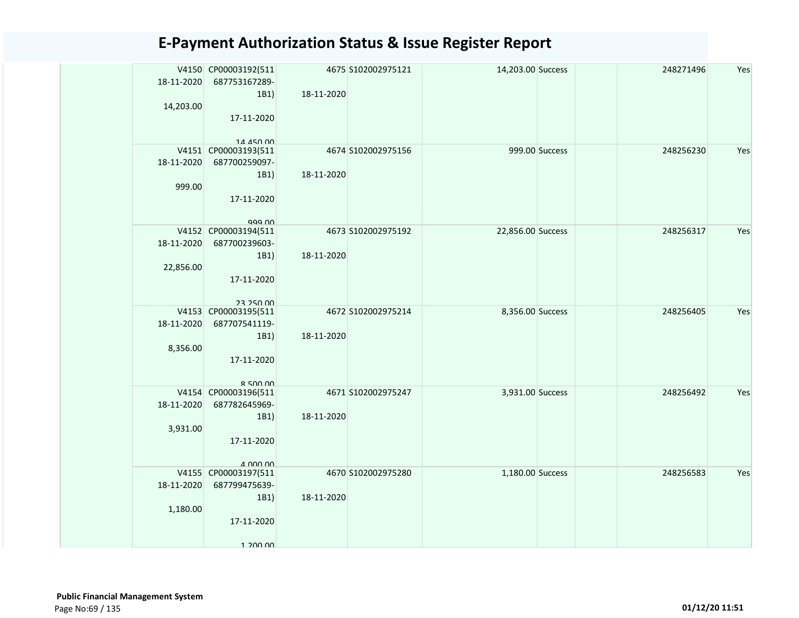| 18-11-2020<br>14,203.00 | V4150 CP00003192(511<br>687753167289-<br>1B1)                                  | 18-11-2020 | 4675 S102002975121 | 14,203.00 Success |                | 248271496 | Yes |
|-------------------------|--------------------------------------------------------------------------------|------------|--------------------|-------------------|----------------|-----------|-----|
|                         | 17-11-2020<br>14 450 00                                                        |            |                    |                   |                |           |     |
| 18-11-2020<br>999.00    | V4151 CP00003193(511<br>687700259097-<br>1B1)<br>17-11-2020<br>999 NO          | 18-11-2020 | 4674 S102002975156 |                   | 999.00 Success | 248256230 | Yes |
| 18-11-2020<br>22,856.00 | V4152 CP00003194(511<br>687700239603-<br>1B1)<br>17-11-2020<br>23 250 00       | 18-11-2020 | 4673 S102002975192 | 22,856.00 Success |                | 248256317 | Yes |
| 18-11-2020<br>8,356.00  | V4153 CP00003195(511<br>687707541119-<br>1B1)<br>17-11-2020<br>$R$ 500 00      | 18-11-2020 | 4672 S102002975214 | 8,356.00 Success  |                | 248256405 | Yes |
| 18-11-2020<br>3,931.00  | V4154 CP00003196(511<br>687782645969-<br>1B1)<br>17-11-2020<br>$\Delta$ 000 00 | 18-11-2020 | 4671 S102002975247 | 3,931.00 Success  |                | 248256492 | Yes |
| 18-11-2020<br>1,180.00  | V4155 CP00003197(511<br>687799475639-<br>1B1)<br>17-11-2020<br>1 200 00        | 18-11-2020 | 4670 S102002975280 | 1,180.00 Success  |                | 248256583 | Yes |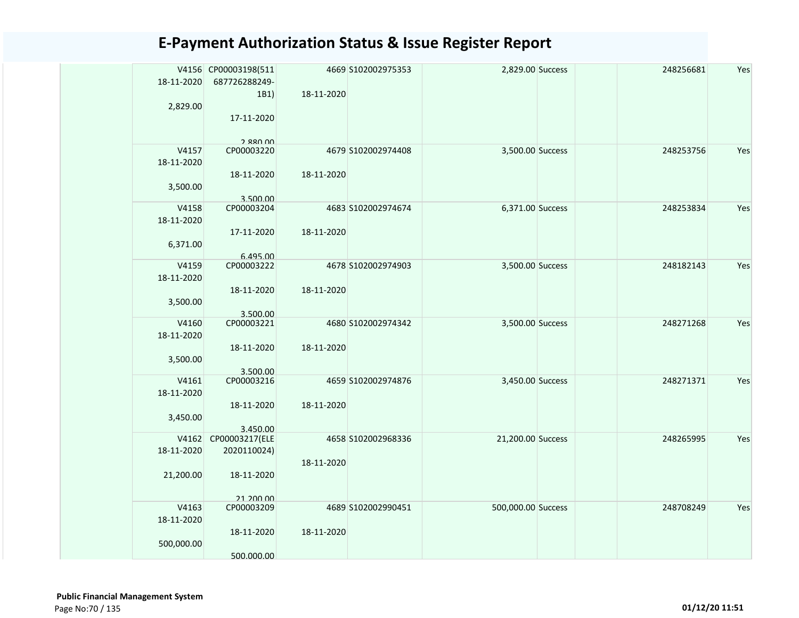| 18-11-2020          | V4156 CP00003198(511<br>687726288249- |            | 4669 S102002975353 | 2,829.00 Success   | 248256681 | Yes |
|---------------------|---------------------------------------|------------|--------------------|--------------------|-----------|-----|
|                     | 1B1)                                  | 18-11-2020 |                    |                    |           |     |
| 2,829.00            |                                       |            |                    |                    |           |     |
|                     | 17-11-2020                            |            |                    |                    |           |     |
|                     |                                       |            |                    |                    |           |     |
|                     | 2.880.00                              |            |                    |                    |           |     |
| V4157<br>18-11-2020 | CP00003220                            |            | 4679 S102002974408 | 3,500.00 Success   | 248253756 | Yes |
|                     | 18-11-2020                            | 18-11-2020 |                    |                    |           |     |
| 3,500.00            |                                       |            |                    |                    |           |     |
| V4158               | 3.500.00<br>CP00003204                |            | 4683 S102002974674 | 6,371.00 Success   | 248253834 | Yes |
| 18-11-2020          |                                       |            |                    |                    |           |     |
|                     | 17-11-2020                            | 18-11-2020 |                    |                    |           |     |
| 6,371.00            |                                       |            |                    |                    |           |     |
| V4159               | 6.495.00<br>CP00003222                |            | 4678 S102002974903 | 3,500.00 Success   | 248182143 | Yes |
| 18-11-2020          |                                       |            |                    |                    |           |     |
|                     | 18-11-2020                            | 18-11-2020 |                    |                    |           |     |
| 3,500.00            |                                       |            |                    |                    |           |     |
|                     | 3.500.00                              |            |                    |                    |           |     |
| V4160               | CP00003221                            |            | 4680 S102002974342 | 3,500.00 Success   | 248271268 | Yes |
| 18-11-2020          |                                       |            |                    |                    |           |     |
|                     | 18-11-2020                            | 18-11-2020 |                    |                    |           |     |
| 3,500.00            |                                       |            |                    |                    |           |     |
|                     | 3.500.00                              |            |                    |                    |           |     |
| V4161               | CP00003216                            |            | 4659 S102002974876 | 3,450.00 Success   | 248271371 | Yes |
| 18-11-2020          |                                       |            |                    |                    |           |     |
|                     | 18-11-2020                            | 18-11-2020 |                    |                    |           |     |
| 3,450.00            |                                       |            |                    |                    |           |     |
| V4162               | 3.450.00<br>CP00003217(ELE            |            | 4658 S102002968336 | 21,200.00 Success  | 248265995 | Yes |
| 18-11-2020          | 2020110024)                           |            |                    |                    |           |     |
|                     |                                       | 18-11-2020 |                    |                    |           |     |
| 21,200.00           | 18-11-2020                            |            |                    |                    |           |     |
|                     |                                       |            |                    |                    |           |     |
|                     | 21 200 00                             |            |                    |                    |           |     |
| V4163               | CP00003209                            |            | 4689 S102002990451 | 500,000.00 Success | 248708249 | Yes |
| 18-11-2020          |                                       |            |                    |                    |           |     |
|                     | 18-11-2020                            | 18-11-2020 |                    |                    |           |     |
| 500,000.00          |                                       |            |                    |                    |           |     |
|                     | 500.000.00                            |            |                    |                    |           |     |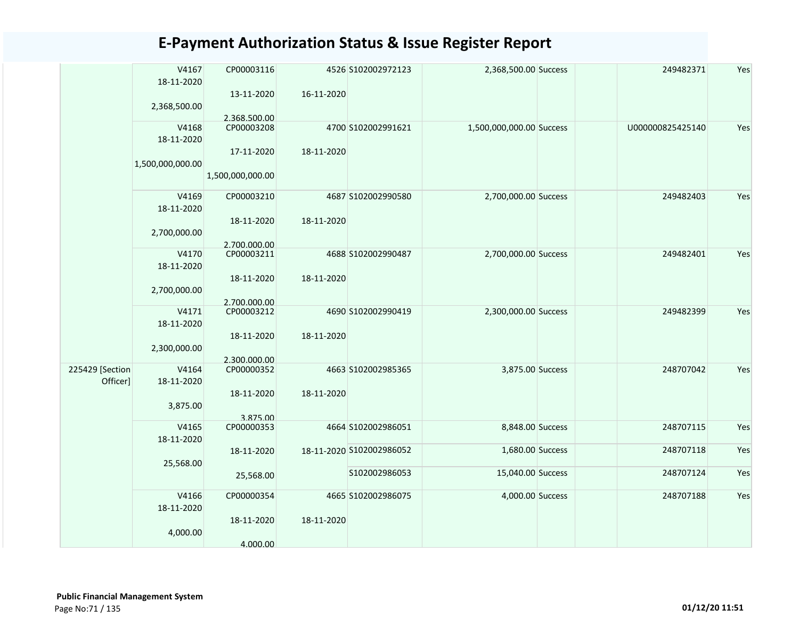|                 | V4167<br>18-11-2020 | CP00003116<br>13-11-2020 | 16-11-2020 | 4526 S102002972123       | 2,368,500.00 Success     | 249482371        | Yes |
|-----------------|---------------------|--------------------------|------------|--------------------------|--------------------------|------------------|-----|
|                 | 2,368,500.00        |                          |            |                          |                          |                  |     |
|                 |                     | 2.368.500.00             |            |                          |                          |                  |     |
|                 | V4168<br>18-11-2020 | CP00003208               |            | 4700 S102002991621       | 1,500,000,000.00 Success | U000000825425140 | Yes |
|                 | 1,500,000,000.00    | 17-11-2020               | 18-11-2020 |                          |                          |                  |     |
|                 |                     | 1,500,000,000.00         |            |                          |                          |                  |     |
|                 | V4169<br>18-11-2020 | CP00003210               |            | 4687 S102002990580       | 2,700,000.00 Success     | 249482403        | Yes |
|                 | 2,700,000.00        | 18-11-2020               | 18-11-2020 |                          |                          |                  |     |
|                 |                     | 2.700.000.00             |            |                          |                          |                  |     |
|                 | V4170<br>18-11-2020 | CP00003211               |            | 4688 S102002990487       | 2,700,000.00 Success     | 249482401        | Yes |
|                 |                     | 18-11-2020               | 18-11-2020 |                          |                          |                  |     |
|                 | 2,700,000.00        |                          |            |                          |                          |                  |     |
|                 |                     | 2.700.000.00             |            |                          |                          |                  |     |
|                 | V4171               | CP00003212               |            | 4690 S102002990419       | 2,300,000.00 Success     | 249482399        | Yes |
|                 | 18-11-2020          |                          |            |                          |                          |                  |     |
|                 |                     | 18-11-2020               | 18-11-2020 |                          |                          |                  |     |
|                 | 2,300,000.00        |                          |            |                          |                          |                  |     |
|                 |                     | 2.300.000.00             |            |                          |                          |                  |     |
| 225429 [Section | V4164               | CP00000352               |            | 4663 S102002985365       | 3,875.00 Success         | 248707042        | Yes |
| Officer]        | 18-11-2020          |                          |            |                          |                          |                  |     |
|                 |                     |                          |            |                          |                          |                  |     |
|                 |                     | 18-11-2020               | 18-11-2020 |                          |                          |                  |     |
|                 | 3,875.00            |                          |            |                          |                          |                  |     |
|                 |                     | 3.875.00                 |            |                          |                          |                  |     |
|                 | V4165               | CP00000353               |            | 4664 S102002986051       | 8,848.00 Success         | 248707115        | Yes |
|                 | 18-11-2020          |                          |            |                          |                          |                  |     |
|                 |                     | 18-11-2020               |            | 18-11-2020 S102002986052 | 1,680.00 Success         | 248707118        | Yes |
|                 | 25,568.00           |                          |            |                          |                          |                  |     |
|                 |                     |                          |            | S102002986053            | 15,040.00 Success        | 248707124        | Yes |
|                 |                     | 25,568.00                |            |                          |                          |                  |     |
|                 | V4166               | CP00000354               |            | 4665 \$102002986075      | 4,000.00 Success         | 248707188        | Yes |
|                 | 18-11-2020          |                          |            |                          |                          |                  |     |
|                 |                     |                          |            |                          |                          |                  |     |
|                 |                     | 18-11-2020               | 18-11-2020 |                          |                          |                  |     |
|                 | 4,000.00            |                          |            |                          |                          |                  |     |
|                 |                     | 4.000.00                 |            |                          |                          |                  |     |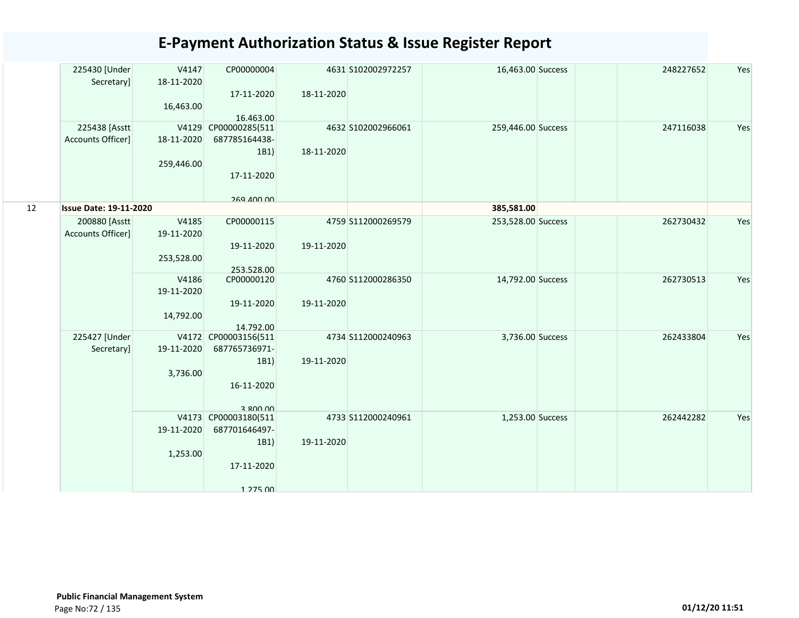|    | 225430 [Under<br>Secretary]   | V4147<br>18-11-2020 | CP00000004                  |            | 4631 S102002972257 | 16,463.00 Success  | 248227652 | Yes |
|----|-------------------------------|---------------------|-----------------------------|------------|--------------------|--------------------|-----------|-----|
|    |                               | 16,463.00           | 17-11-2020                  | 18-11-2020 |                    |                    |           |     |
|    | 225438 [Asstt                 | V4129               | 16.463.00<br>CP00000285(511 |            | 4632 S102002966061 | 259,446.00 Success | 247116038 | Yes |
|    | Accounts Officer]             | 18-11-2020          | 687785164438-               |            |                    |                    |           |     |
|    |                               |                     | 1B1)                        | 18-11-2020 |                    |                    |           |     |
|    |                               | 259,446.00          |                             |            |                    |                    |           |     |
|    |                               |                     | 17-11-2020                  |            |                    |                    |           |     |
|    |                               |                     |                             |            |                    |                    |           |     |
|    |                               |                     | <b>269 400 00</b>           |            |                    |                    |           |     |
| 12 | <b>Issue Date: 19-11-2020</b> |                     |                             |            |                    | 385,581.00         |           |     |
|    | 200880 [Asstt                 | V4185               | CP00000115                  |            | 4759 S112000269579 | 253,528.00 Success | 262730432 | Yes |
|    | Accounts Officer]             | 19-11-2020          |                             |            |                    |                    |           |     |
|    |                               |                     | 19-11-2020                  | 19-11-2020 |                    |                    |           |     |
|    |                               | 253,528.00          | 253.528.00                  |            |                    |                    |           |     |
|    |                               | V4186               | CP00000120                  |            | 4760 S112000286350 | 14,792.00 Success  | 262730513 | Yes |
|    |                               | 19-11-2020          |                             |            |                    |                    |           |     |
|    |                               |                     | 19-11-2020                  | 19-11-2020 |                    |                    |           |     |
|    |                               | 14,792.00           |                             |            |                    |                    |           |     |
|    |                               |                     | 14.792.00                   |            |                    |                    |           |     |
|    | 225427 [Under                 |                     | V4172 CP00003156(511        |            | 4734 S112000240963 | 3,736.00 Success   | 262433804 | Yes |
|    | Secretary]                    | 19-11-2020          | 687765736971-               |            |                    |                    |           |     |
|    |                               | 3,736.00            | 1B1)                        | 19-11-2020 |                    |                    |           |     |
|    |                               |                     | 16-11-2020                  |            |                    |                    |           |     |
|    |                               |                     |                             |            |                    |                    |           |     |
|    |                               |                     | 3.800.00                    |            |                    |                    |           |     |
|    |                               |                     | V4173 CP00003180(511        |            | 4733 S112000240961 | 1,253.00 Success   | 262442282 | Yes |
|    |                               | 19-11-2020          | 687701646497-               |            |                    |                    |           |     |
|    |                               |                     | 1B1)                        | 19-11-2020 |                    |                    |           |     |
|    |                               | 1,253.00            |                             |            |                    |                    |           |     |
|    |                               |                     | 17-11-2020                  |            |                    |                    |           |     |
|    |                               |                     | 1 275 00                    |            |                    |                    |           |     |
|    |                               |                     |                             |            |                    |                    |           |     |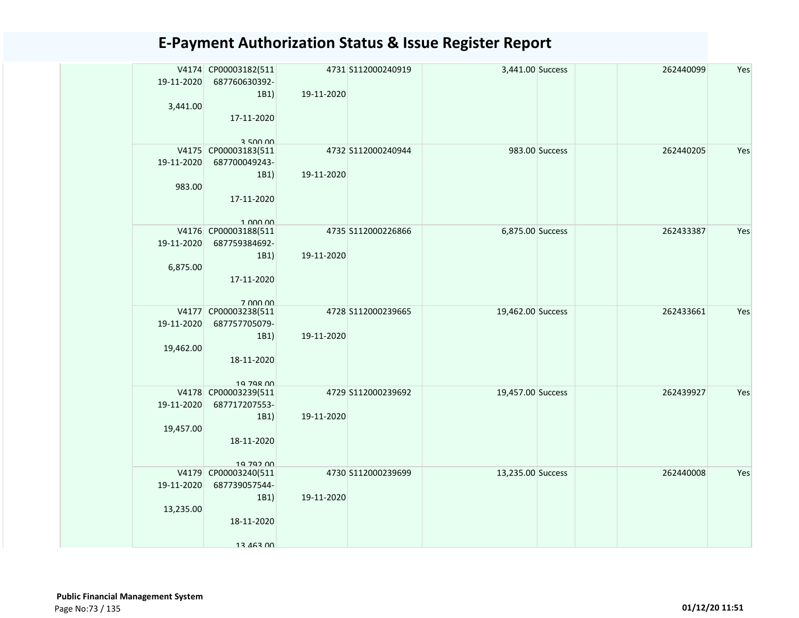| V4174 CP00003182(511<br>19-11-2020<br>687760630392-<br>1B1)<br>3,441.00<br>17-11-2020<br>3.500,00   | 19-11-2020 | 4731 S112000240919 | 3,441.00 Success  |                | 262440099 | Yes |
|-----------------------------------------------------------------------------------------------------|------------|--------------------|-------------------|----------------|-----------|-----|
| V4175 CP00003183(511<br>19-11-2020<br>687700049243-<br>1B1)<br>983.00<br>17-11-2020<br>1.000.00     | 19-11-2020 | 4732 S112000240944 |                   | 983.00 Success | 262440205 | Yes |
| V4176 CP00003188(511<br>687759384692-<br>19-11-2020<br>1B1)<br>6,875.00<br>17-11-2020<br>7 000 00   | 19-11-2020 | 4735 S112000226866 | 6,875.00 Success  |                | 262433387 | Yes |
| V4177 CP00003238(511<br>19-11-2020<br>687757705079-<br>1B1)<br>19,462.00<br>18-11-2020<br>10 708 00 | 19-11-2020 | 4728 S112000239665 | 19,462.00 Success |                | 262433661 | Yes |
| V4178 CP00003239(511<br>19-11-2020<br>687717207553-<br>1B1)<br>19,457.00<br>18-11-2020<br>19 792 00 | 19-11-2020 | 4729 S112000239692 | 19,457.00 Success |                | 262439927 | Yes |
| V4179 CP00003240(511<br>19-11-2020<br>687739057544-<br>1B1)<br>13,235.00<br>18-11-2020<br>13 463 00 | 19-11-2020 | 4730 S112000239699 | 13,235.00 Success |                | 262440008 | Yes |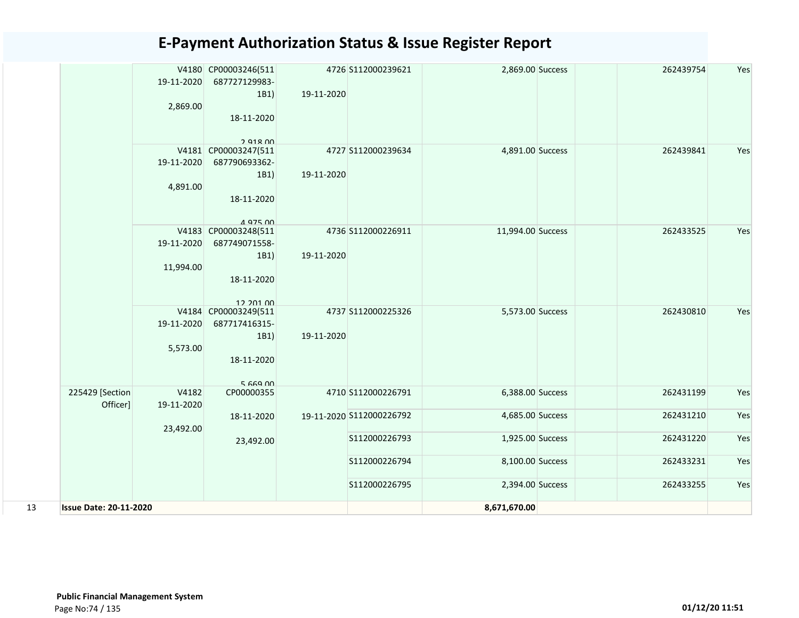|    |                               | 19-11-2020<br>2,869.00          | V4180 CP00003246(511<br>687727129983-<br>1B1)<br>18-11-2020                                                  | 19-11-2020 | 4726 S112000239621       | 2,869.00 Success  | 262439754 | Yes |
|----|-------------------------------|---------------------------------|--------------------------------------------------------------------------------------------------------------|------------|--------------------------|-------------------|-----------|-----|
|    |                               | V4181<br>19-11-2020<br>4,891.00 | $2$ Q <sub>1</sub> $R$ $n$ <sup>0</sup><br>CP00003247(511<br>687790693362-<br>1B1)<br>18-11-2020<br>4 975 DO | 19-11-2020 | 4727 S112000239634       | 4,891.00 Success  | 262439841 | Yes |
|    |                               | 19-11-2020<br>11,994.00         | V4183 CP00003248(511<br>687749071558-<br>1B1)<br>18-11-2020<br>12 201 00                                     | 19-11-2020 | 4736 S112000226911       | 11,994.00 Success | 262433525 | Yes |
|    |                               | 19-11-2020<br>5,573.00          | V4184 CP00003249(511<br>687717416315-<br>1B1)<br>18-11-2020<br>566900                                        | 19-11-2020 | 4737 S112000225326       | 5,573.00 Success  | 262430810 | Yes |
|    | 225429 [Section<br>Officer]   | V4182<br>19-11-2020             | CP00000355                                                                                                   |            | 4710 S112000226791       | 6,388.00 Success  | 262431199 | Yes |
|    |                               | 23,492.00                       | 18-11-2020                                                                                                   |            | 19-11-2020 S112000226792 | 4,685.00 Success  | 262431210 | Yes |
|    |                               |                                 | 23,492.00                                                                                                    |            | S112000226793            | 1,925.00 Success  | 262431220 | Yes |
|    |                               |                                 |                                                                                                              |            | S112000226794            | 8,100.00 Success  | 262433231 | Yes |
|    |                               |                                 |                                                                                                              |            | S112000226795            | 2,394.00 Success  | 262433255 | Yes |
| 13 | <b>Issue Date: 20-11-2020</b> |                                 |                                                                                                              |            |                          | 8,671,670.00      |           |     |
|    |                               |                                 |                                                                                                              |            |                          |                   |           |     |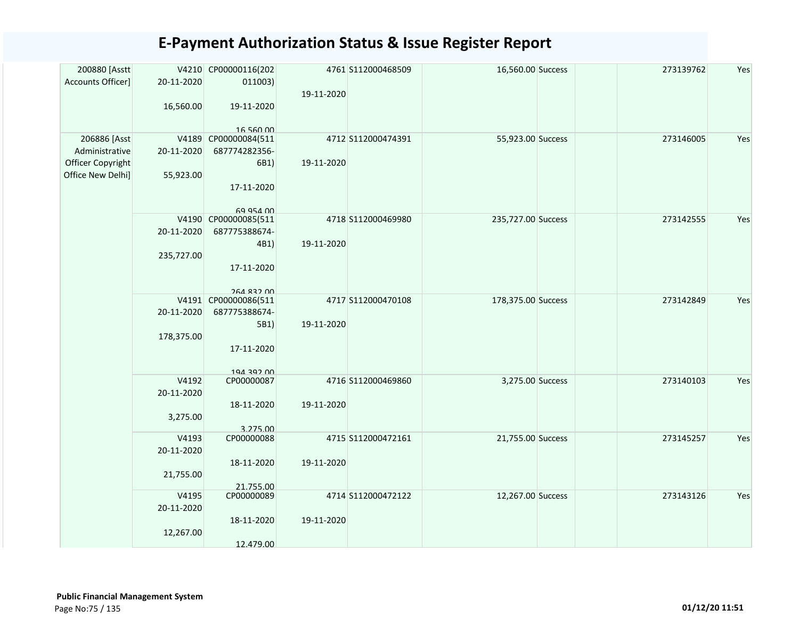| 200880 [Asstt<br>Accounts Officer]                                       | 20-11-2020<br>16,560.00          | V4210 CP00000116(202<br>011003)<br>19-11-2020<br>16 560 00                | 19-11-2020 | 4761 S112000468509 | 16,560.00 Success  | 273139762 | Yes |
|--------------------------------------------------------------------------|----------------------------------|---------------------------------------------------------------------------|------------|--------------------|--------------------|-----------|-----|
| 206886 [Asst<br>Administrative<br>Officer Copyright<br>Office New Delhi] | 20-11-2020<br>55,923.00          | V4189 CP00000084(511<br>687774282356-<br>6B1)<br>17-11-2020<br>69 954 00  | 19-11-2020 | 4712 S112000474391 | 55,923.00 Success  | 273146005 | Yes |
|                                                                          | 20-11-2020<br>235,727.00         | V4190 CP00000085(511<br>687775388674-<br>4B1)<br>17-11-2020<br>264 832 00 | 19-11-2020 | 4718 S112000469980 | 235,727.00 Success | 273142555 | Yes |
|                                                                          | 20-11-2020<br>178,375.00         | V4191 CP00000086(511<br>687775388674-<br>5B1)<br>17-11-2020<br>194 397 00 | 19-11-2020 | 4717 S112000470108 | 178,375.00 Success | 273142849 | Yes |
|                                                                          | V4192<br>20-11-2020<br>3,275.00  | CP00000087<br>18-11-2020<br>3.275.00                                      | 19-11-2020 | 4716 S112000469860 | 3,275.00 Success   | 273140103 | Yes |
|                                                                          | V4193<br>20-11-2020<br>21,755.00 | CP00000088<br>18-11-2020<br>21.755.00                                     | 19-11-2020 | 4715 S112000472161 | 21,755.00 Success  | 273145257 | Yes |
|                                                                          | V4195<br>20-11-2020<br>12,267.00 | CP00000089<br>18-11-2020<br>12.479.00                                     | 19-11-2020 | 4714 S112000472122 | 12,267.00 Success  | 273143126 | Yes |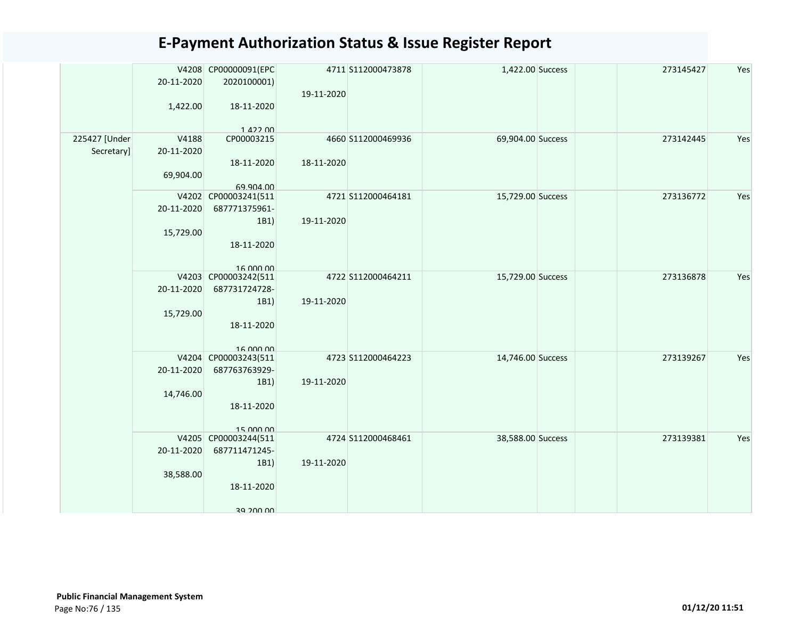|               |            | V4208 CP00000091(EPC              |            | 4711 S112000473878 | 1,422.00 Success  | 273145427 | Yes |
|---------------|------------|-----------------------------------|------------|--------------------|-------------------|-----------|-----|
|               | 20-11-2020 | 2020100001)                       |            |                    |                   |           |     |
|               |            |                                   | 19-11-2020 |                    |                   |           |     |
|               | 1,422.00   | 18-11-2020                        |            |                    |                   |           |     |
|               |            |                                   |            |                    |                   |           |     |
|               |            | 142200                            |            |                    |                   |           |     |
| 225427 [Under | V4188      | CP00003215                        |            | 4660 S112000469936 | 69,904.00 Success | 273142445 | Yes |
| Secretary]    | 20-11-2020 |                                   |            |                    |                   |           |     |
|               |            | 18-11-2020                        | 18-11-2020 |                    |                   |           |     |
|               | 69,904.00  |                                   |            |                    |                   |           |     |
|               |            | 69.904.00<br>V4202 CP00003241(511 |            | 4721 S112000464181 | 15,729.00 Success | 273136772 | Yes |
|               | 20-11-2020 | 687771375961-                     |            |                    |                   |           |     |
|               |            | 1B1)                              | 19-11-2020 |                    |                   |           |     |
|               |            |                                   |            |                    |                   |           |     |
|               | 15,729.00  |                                   |            |                    |                   |           |     |
|               |            | 18-11-2020                        |            |                    |                   |           |     |
|               |            | 16.000.00                         |            |                    |                   |           |     |
|               |            | V4203 CP00003242(511              |            | 4722 S112000464211 | 15,729.00 Success | 273136878 | Yes |
|               | 20-11-2020 | 687731724728-                     |            |                    |                   |           |     |
|               |            | 1B1)                              | 19-11-2020 |                    |                   |           |     |
|               | 15,729.00  |                                   |            |                    |                   |           |     |
|               |            | 18-11-2020                        |            |                    |                   |           |     |
|               |            |                                   |            |                    |                   |           |     |
|               |            | 16 000 00                         |            |                    |                   |           |     |
|               |            | V4204 CP00003243(511              |            | 4723 S112000464223 | 14,746.00 Success | 273139267 | Yes |
|               | 20-11-2020 | 687763763929-                     |            |                    |                   |           |     |
|               |            | 1B1)                              | 19-11-2020 |                    |                   |           |     |
|               | 14,746.00  |                                   |            |                    |                   |           |     |
|               |            | 18-11-2020                        |            |                    |                   |           |     |
|               |            |                                   |            |                    |                   |           |     |
|               |            | 15 000 00                         |            |                    |                   |           |     |
|               |            | V4205 CP00003244(511              |            | 4724 S112000468461 | 38,588.00 Success | 273139381 | Yes |
|               | 20-11-2020 | 687711471245-                     |            |                    |                   |           |     |
|               |            | 1B1)                              | 19-11-2020 |                    |                   |           |     |
|               | 38,588.00  |                                   |            |                    |                   |           |     |
|               |            | 18-11-2020                        |            |                    |                   |           |     |
|               |            |                                   |            |                    |                   |           |     |
|               |            | 30 JUU UU                         |            |                    |                   |           |     |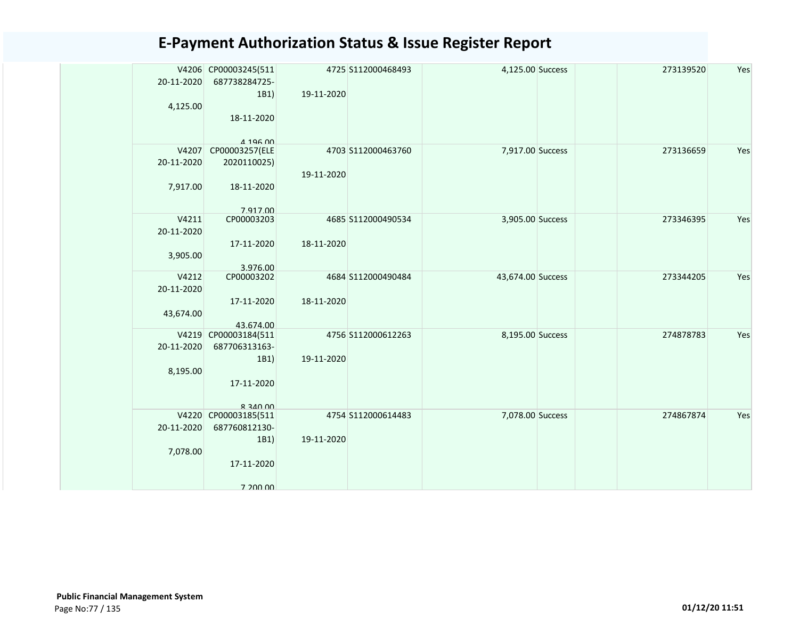|            | V4206 CP00003245(511              |            | 4725 S112000468493 | 4,125.00 Success  | 273139520 | Yes |
|------------|-----------------------------------|------------|--------------------|-------------------|-----------|-----|
| 20-11-2020 | 687738284725-                     |            |                    |                   |           |     |
|            | 1B1)                              | 19-11-2020 |                    |                   |           |     |
| 4,125.00   |                                   |            |                    |                   |           |     |
|            | 18-11-2020                        |            |                    |                   |           |     |
|            |                                   |            |                    |                   |           |     |
|            | $A$ 196 $n$                       |            |                    |                   |           |     |
| V4207      | CP00003257(ELE                    |            | 4703 S112000463760 | 7,917.00 Success  | 273136659 | Yes |
| 20-11-2020 | 2020110025)                       |            |                    |                   |           |     |
|            |                                   | 19-11-2020 |                    |                   |           |     |
| 7,917.00   | 18-11-2020                        |            |                    |                   |           |     |
|            |                                   |            |                    |                   |           |     |
|            | 7 917 00                          |            |                    |                   |           |     |
| V4211      | CP00003203                        |            | 4685 S112000490534 | 3,905.00 Success  | 273346395 | Yes |
| 20-11-2020 |                                   |            |                    |                   |           |     |
|            | 17-11-2020                        | 18-11-2020 |                    |                   |           |     |
| 3,905.00   |                                   |            |                    |                   |           |     |
|            | 3.976.00                          |            |                    |                   |           |     |
| V4212      | CP00003202                        |            | 4684 S112000490484 | 43,674.00 Success | 273344205 | Yes |
| 20-11-2020 |                                   |            |                    |                   |           |     |
|            | 17-11-2020                        | 18-11-2020 |                    |                   |           |     |
| 43,674.00  |                                   |            |                    |                   |           |     |
|            | 43.674.00<br>V4219 CP00003184(511 |            | 4756 S112000612263 | 8,195.00 Success  | 274878783 | Yes |
| 20-11-2020 | 687706313163-                     |            |                    |                   |           |     |
|            | 1B1)                              | 19-11-2020 |                    |                   |           |     |
| 8,195.00   |                                   |            |                    |                   |           |     |
|            | 17-11-2020                        |            |                    |                   |           |     |
|            |                                   |            |                    |                   |           |     |
|            | $R$ 340 00                        |            |                    |                   |           |     |
|            | V4220 CP00003185(511              |            | 4754 S112000614483 | 7,078.00 Success  | 274867874 | Yes |
| 20-11-2020 | 687760812130-                     |            |                    |                   |           |     |
|            | 1B1)                              | 19-11-2020 |                    |                   |           |     |
| 7,078.00   |                                   |            |                    |                   |           |     |
|            | 17-11-2020                        |            |                    |                   |           |     |
|            |                                   |            |                    |                   |           |     |
|            | 7 200 00                          |            |                    |                   |           |     |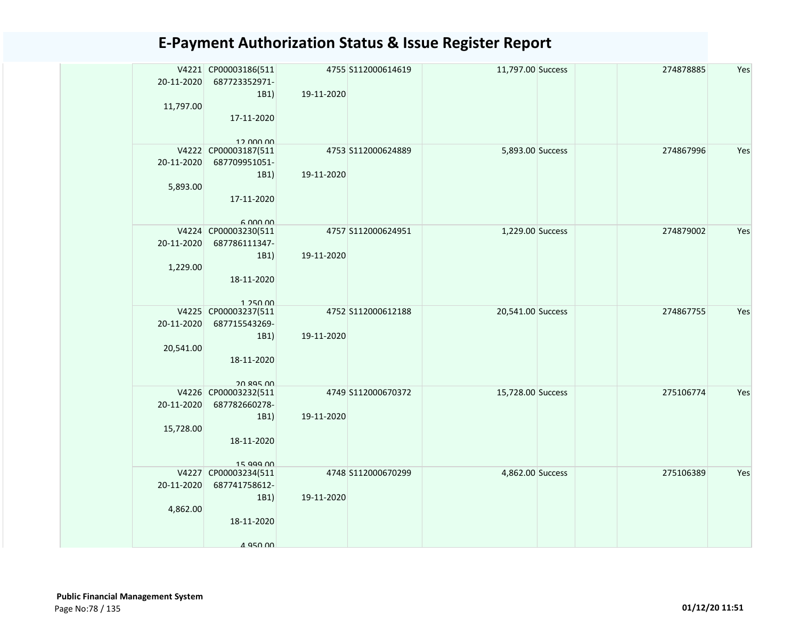| 20-11-2020 | V4221 CP00003186(511<br>687723352971-<br>1B1) | 19-11-2020 | 4755 S112000614619 | 11,797.00 Success | 274878885 | Yes |
|------------|-----------------------------------------------|------------|--------------------|-------------------|-----------|-----|
| 11,797.00  | 17-11-2020                                    |            |                    |                   |           |     |
|            | 12.000.00                                     |            |                    |                   |           |     |
| 20-11-2020 | V4222 CP00003187(511                          |            | 4753 S112000624889 | 5,893.00 Success  | 274867996 | Yes |
|            | 687709951051-                                 |            |                    |                   |           |     |
|            | 1B1)                                          | 19-11-2020 |                    |                   |           |     |
| 5,893.00   |                                               |            |                    |                   |           |     |
|            | 17-11-2020                                    |            |                    |                   |           |     |
|            | 6.000,00                                      |            |                    |                   |           |     |
|            | V4224 CP00003230(511                          |            | 4757 S112000624951 | 1,229.00 Success  | 274879002 | Yes |
| 20-11-2020 | 687786111347-                                 |            |                    |                   |           |     |
|            | 1B1)                                          | 19-11-2020 |                    |                   |           |     |
| 1,229.00   |                                               |            |                    |                   |           |     |
|            | 18-11-2020                                    |            |                    |                   |           |     |
|            |                                               |            |                    |                   |           |     |
|            | 1.25000                                       |            |                    |                   |           |     |
|            | V4225 CP00003237(511                          |            | 4752 S112000612188 | 20,541.00 Success | 274867755 | Yes |
| 20-11-2020 | 687715543269-                                 |            |                    |                   |           |     |
|            | 1B1)                                          | 19-11-2020 |                    |                   |           |     |
| 20,541.00  |                                               |            |                    |                   |           |     |
|            | 18-11-2020                                    |            |                    |                   |           |     |
|            | 20 895 DD                                     |            |                    |                   |           |     |
|            | V4226 CP00003232(511                          |            | 4749 S112000670372 | 15,728.00 Success | 275106774 | Yes |
| 20-11-2020 | 687782660278-                                 |            |                    |                   |           |     |
|            | 1B1)                                          | 19-11-2020 |                    |                   |           |     |
| 15,728.00  |                                               |            |                    |                   |           |     |
|            | 18-11-2020                                    |            |                    |                   |           |     |
|            |                                               |            |                    |                   |           |     |
|            | 15 999 00                                     |            | 4748 S112000670299 | 4,862.00 Success  | 275106389 | Yes |
| 20-11-2020 | V4227 CP00003234(511<br>687741758612-         |            |                    |                   |           |     |
|            | 1B1)                                          | 19-11-2020 |                    |                   |           |     |
| 4,862.00   |                                               |            |                    |                   |           |     |
|            | 18-11-2020                                    |            |                    |                   |           |     |
|            |                                               |            |                    |                   |           |     |
|            | 4 950 00                                      |            |                    |                   |           |     |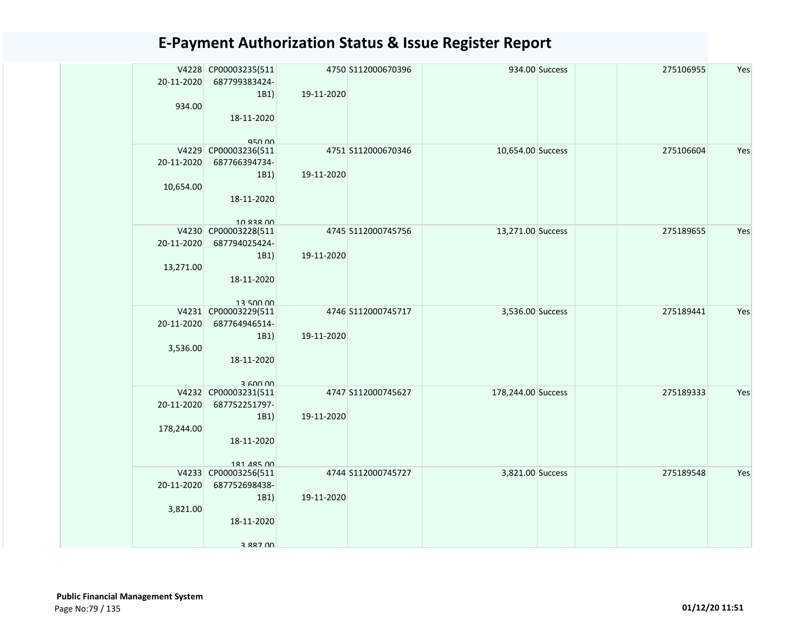| 20-11-2020 | V4228 CP00003235(511<br>687799383424- |            | 4750 S112000670396 |                    | 934.00 Success | 275106955 | Yes |
|------------|---------------------------------------|------------|--------------------|--------------------|----------------|-----------|-----|
| 934.00     | 1B1)                                  | 19-11-2020 |                    |                    |                |           |     |
|            | 18-11-2020                            |            |                    |                    |                |           |     |
|            | 950 00                                |            |                    |                    |                |           |     |
|            | V4229 CP00003236(511                  |            | 4751 S112000670346 | 10,654.00 Success  |                | 275106604 | Yes |
| 20-11-2020 | 687766394734-                         |            |                    |                    |                |           |     |
|            | 1B1)                                  | 19-11-2020 |                    |                    |                |           |     |
| 10,654.00  |                                       |            |                    |                    |                |           |     |
|            | 18-11-2020                            |            |                    |                    |                |           |     |
|            | 10 838 00                             |            |                    |                    |                |           |     |
|            | V4230 CP00003228(511                  |            | 4745 S112000745756 | 13,271.00 Success  |                | 275189655 | Yes |
| 20-11-2020 | 687794025424-                         |            |                    |                    |                |           |     |
|            | 1B1)                                  | 19-11-2020 |                    |                    |                |           |     |
| 13,271.00  |                                       |            |                    |                    |                |           |     |
|            | 18-11-2020                            |            |                    |                    |                |           |     |
|            |                                       |            |                    |                    |                |           |     |
|            | 12 500 00<br>V4231 CP00003229(511     |            | 4746 S112000745717 | 3,536.00 Success   |                | 275189441 | Yes |
| 20-11-2020 | 687764946514-                         |            |                    |                    |                |           |     |
|            | 1B1)                                  | 19-11-2020 |                    |                    |                |           |     |
| 3,536.00   |                                       |            |                    |                    |                |           |     |
|            | 18-11-2020                            |            |                    |                    |                |           |     |
|            |                                       |            |                    |                    |                |           |     |
|            | 3.600.00                              |            |                    |                    |                |           |     |
|            | V4232 CP00003231(511                  |            | 4747 S112000745627 | 178,244.00 Success |                | 275189333 | Yes |
| 20-11-2020 | 687752251797-                         |            |                    |                    |                |           |     |
| 178,244.00 | 1B1)                                  | 19-11-2020 |                    |                    |                |           |     |
|            | 18-11-2020                            |            |                    |                    |                |           |     |
|            |                                       |            |                    |                    |                |           |     |
|            | 181 485 00                            |            |                    |                    |                |           |     |
|            | V4233 CP00003256(511                  |            | 4744 S112000745727 | 3,821.00 Success   |                | 275189548 | Yes |
| 20-11-2020 | 687752698438-                         |            |                    |                    |                |           |     |
|            | 1B1)                                  | 19-11-2020 |                    |                    |                |           |     |
| 3,821.00   |                                       |            |                    |                    |                |           |     |
|            | 18-11-2020                            |            |                    |                    |                |           |     |
|            |                                       |            |                    |                    |                |           |     |
|            | 3 887 00                              |            |                    |                    |                |           |     |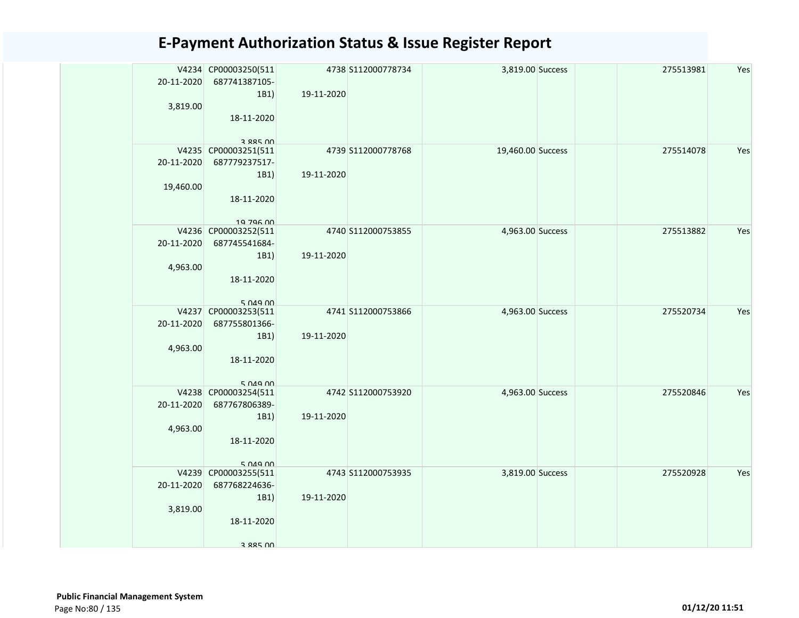| 20-11-2020 | V4234 CP00003250(511<br>687741387105-<br>1B1) | 19-11-2020 | 4738 S112000778734 | 3,819.00 Success  | 275513981 | Yes |
|------------|-----------------------------------------------|------------|--------------------|-------------------|-----------|-----|
| 3,819.00   | 18-11-2020                                    |            |                    |                   |           |     |
|            | 3 885 NO<br>V4235 CP00003251(511              |            | 4739 S112000778768 | 19,460.00 Success | 275514078 | Yes |
| 20-11-2020 | 687779237517-                                 |            |                    |                   |           |     |
|            | 1B1)                                          | 19-11-2020 |                    |                   |           |     |
| 19,460.00  |                                               |            |                    |                   |           |     |
|            | 18-11-2020                                    |            |                    |                   |           |     |
|            | 19 796 00                                     |            |                    |                   |           |     |
|            | V4236 CP00003252(511                          |            | 4740 S112000753855 | 4,963.00 Success  | 275513882 | Yes |
| 20-11-2020 | 687745541684-                                 |            |                    |                   |           |     |
|            | 1B1)                                          | 19-11-2020 |                    |                   |           |     |
| 4,963.00   |                                               |            |                    |                   |           |     |
|            | 18-11-2020                                    |            |                    |                   |           |     |
|            | 5.049.00                                      |            |                    |                   |           |     |
|            | V4237 CP00003253(511                          |            | 4741 S112000753866 | 4,963.00 Success  | 275520734 | Yes |
| 20-11-2020 | 687755801366-                                 |            |                    |                   |           |     |
|            | 1B1)                                          | 19-11-2020 |                    |                   |           |     |
| 4,963.00   | 18-11-2020                                    |            |                    |                   |           |     |
|            |                                               |            |                    |                   |           |     |
|            | 5.049.00                                      |            |                    |                   |           |     |
|            | V4238 CP00003254(511                          |            | 4742 S112000753920 | 4,963.00 Success  | 275520846 | Yes |
| 20-11-2020 | 687767806389-                                 |            |                    |                   |           |     |
| 4,963.00   | 1B1)                                          | 19-11-2020 |                    |                   |           |     |
|            | 18-11-2020                                    |            |                    |                   |           |     |
|            |                                               |            |                    |                   |           |     |
|            | 5.049.00                                      |            |                    |                   |           |     |
|            | V4239 CP00003255(511                          |            | 4743 S112000753935 | 3,819.00 Success  | 275520928 | Yes |
| 20-11-2020 | 687768224636-                                 | 19-11-2020 |                    |                   |           |     |
| 3,819.00   | 1B1)                                          |            |                    |                   |           |     |
|            | 18-11-2020                                    |            |                    |                   |           |     |
|            |                                               |            |                    |                   |           |     |
|            | 3 885 NO                                      |            |                    |                   |           |     |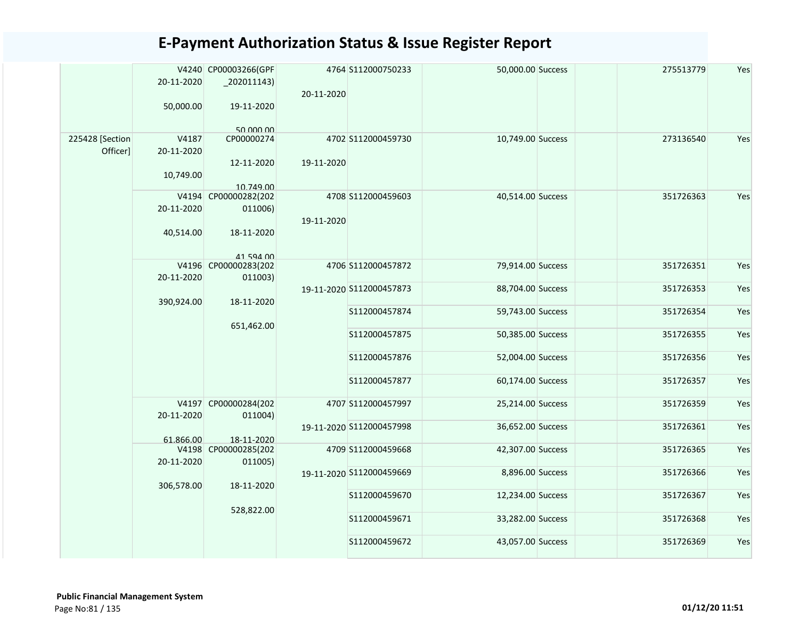|                             | 20-11-2020          | V4240 CP00003266(GPF<br>$_2$ 02011143) | 20-11-2020 | 4764 S112000750233             | 50,000.00 Success                      | 275513779              | Yes        |
|-----------------------------|---------------------|----------------------------------------|------------|--------------------------------|----------------------------------------|------------------------|------------|
|                             | 50,000.00           | 19-11-2020<br>50.000.00                |            |                                |                                        |                        |            |
| 225428 [Section<br>Officer] | V4187<br>20-11-2020 | CP00000274<br>12-11-2020               | 19-11-2020 | 4702 S112000459730             | 10,749.00 Success                      | 273136540              | Yes        |
|                             | 10,749.00           | 10.749.00                              |            |                                |                                        |                        |            |
|                             | V4194<br>20-11-2020 | CP00000282(202<br>011006)              | 19-11-2020 | 4708 S112000459603             | 40,514.00 Success                      | 351726363              | Yes        |
|                             | 40,514.00           | 18-11-2020<br>41 594 00                |            |                                |                                        |                        |            |
|                             | 20-11-2020          | V4196 CP00000283(202<br>011003)        |            | 4706 S112000457872             | 79,914.00 Success                      | 351726351              | Yes        |
|                             | 390,924.00          | 18-11-2020                             |            | 19-11-2020 S112000457873       | 88,704.00 Success                      | 351726353              | Yes        |
|                             |                     | 651,462.00                             |            | S112000457874                  | 59,743.00 Success                      | 351726354              | Yes        |
|                             |                     |                                        |            | S112000457875                  | 50,385.00 Success                      | 351726355              | Yes        |
|                             |                     |                                        |            | S112000457876<br>S112000457877 | 52,004.00 Success<br>60,174.00 Success | 351726356<br>351726357 | Yes<br>Yes |
|                             |                     | V4197 CP00000284(202                   |            | 4707 S112000457997             | 25,214.00 Success                      | 351726359              | Yes        |
|                             | 20-11-2020          | 011004)                                |            | 19-11-2020 S112000457998       | 36,652.00 Success                      | 351726361              | Yes        |
|                             | 61.866.00           | 18-11-2020<br>V4198 CP00000285(202     |            | 4709 S112000459668             | 42,307.00 Success                      | 351726365              | Yes        |
|                             | 20-11-2020          | 011005)                                |            | 19-11-2020 S112000459669       | 8,896.00 Success                       | 351726366              | Yes        |
|                             | 306,578.00          | 18-11-2020                             |            | S112000459670                  | 12,234.00 Success                      | 351726367              | Yes        |
|                             |                     | 528,822.00                             |            | S112000459671                  | 33,282.00 Success                      | 351726368              | Yes        |
|                             |                     |                                        |            | S112000459672                  | 43,057.00 Success                      | 351726369              | Yes        |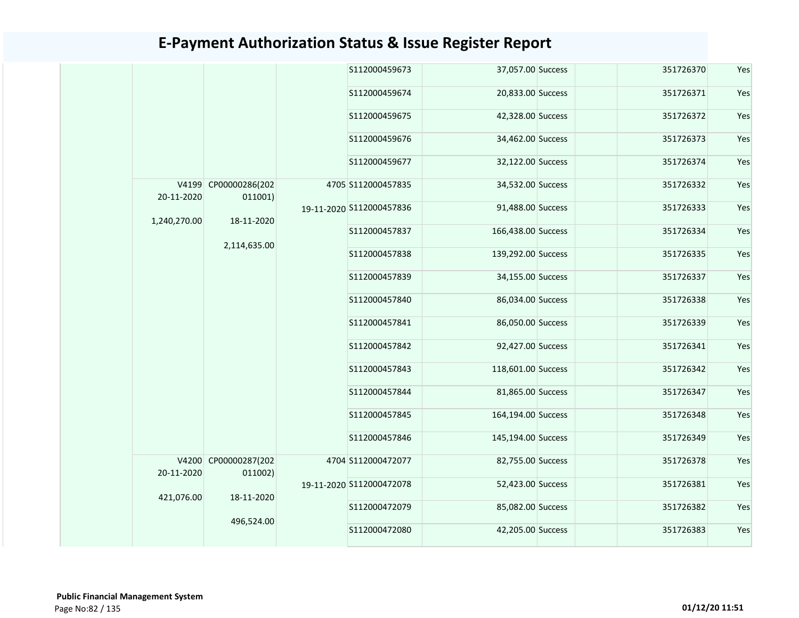|  |                            |                                 |               | S112000459673            | 37,057.00 Success  | 351726370 | Yes |
|--|----------------------------|---------------------------------|---------------|--------------------------|--------------------|-----------|-----|
|  |                            |                                 |               | S112000459674            | 20,833.00 Success  | 351726371 | Yes |
|  |                            |                                 |               | S112000459675            | 42,328.00 Success  | 351726372 | Yes |
|  |                            |                                 |               | S112000459676            | 34,462.00 Success  | 351726373 | Yes |
|  |                            |                                 |               | S112000459677            | 32,122.00 Success  | 351726374 | Yes |
|  | 20-11-2020                 | V4199 CP00000286(202<br>011001) |               | 4705 S112000457835       | 34,532.00 Success  | 351726332 | Yes |
|  | 18-11-2020<br>1,240,270.00 |                                 |               | 19-11-2020 S112000457836 | 91,488.00 Success  | 351726333 | Yes |
|  |                            |                                 | S112000457837 | 166,438.00 Success       | 351726334          | Yes       |     |
|  |                            | 2,114,635.00                    |               | S112000457838            | 139,292.00 Success | 351726335 | Yes |
|  |                            |                                 |               | S112000457839            | 34,155.00 Success  | 351726337 | Yes |
|  |                            |                                 |               | S112000457840            | 86,034.00 Success  | 351726338 | Yes |
|  |                            |                                 |               | S112000457841            | 86,050.00 Success  | 351726339 | Yes |
|  |                            |                                 |               | S112000457842            | 92,427.00 Success  | 351726341 | Yes |
|  |                            |                                 |               | S112000457843            | 118,601.00 Success | 351726342 | Yes |
|  |                            |                                 |               | S112000457844            | 81,865.00 Success  | 351726347 | Yes |
|  |                            |                                 |               | S112000457845            | 164,194.00 Success | 351726348 | Yes |
|  |                            |                                 |               | S112000457846            | 145,194.00 Success | 351726349 | Yes |
|  | 20-11-2020                 | V4200 CP00000287(202<br>011002) |               | 4704 S112000472077       | 82,755.00 Success  | 351726378 | Yes |
|  | 421,076.00                 | 18-11-2020                      |               | 19-11-2020 S112000472078 | 52,423.00 Success  | 351726381 | Yes |
|  |                            | 496,524.00                      |               | S112000472079            | 85,082.00 Success  | 351726382 | Yes |
|  |                            |                                 | S112000472080 | 42,205.00 Success        | 351726383          | Yes       |     |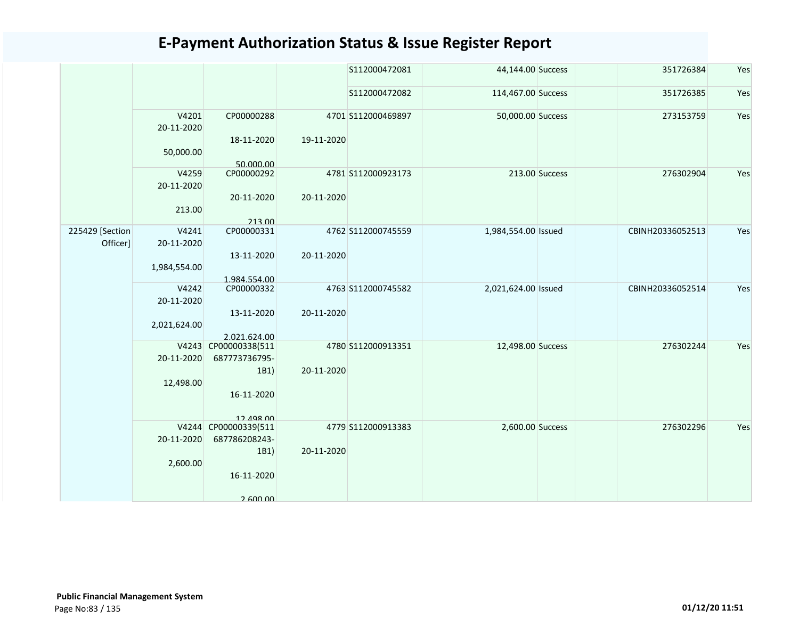|                             |                     |                                       |            | S112000472081      | 44,144.00 Success   |                | 351726384        | Yes |
|-----------------------------|---------------------|---------------------------------------|------------|--------------------|---------------------|----------------|------------------|-----|
|                             |                     |                                       |            | S112000472082      | 114,467.00 Success  |                | 351726385        | Yes |
|                             | V4201<br>20-11-2020 | CP00000288<br>18-11-2020              | 19-11-2020 | 4701 S112000469897 | 50,000.00 Success   |                | 273153759        | Yes |
|                             | 50,000.00           | 50.000.00                             |            |                    |                     |                |                  |     |
|                             | V4259<br>20-11-2020 | CP00000292                            |            | 4781 S112000923173 |                     | 213.00 Success | 276302904        | Yes |
|                             | 213.00              | 20-11-2020<br>213.00                  | 20-11-2020 |                    |                     |                |                  |     |
| 225429 [Section<br>Officer] | V4241<br>20-11-2020 | CP00000331                            |            | 4762 S112000745559 | 1,984,554.00 Issued |                | CBINH20336052513 | Yes |
|                             | 1,984,554.00        | 13-11-2020<br>1.984.554.00            | 20-11-2020 |                    |                     |                |                  |     |
|                             | V4242<br>20-11-2020 | CP00000332                            |            | 4763 S112000745582 | 2,021,624.00 Issued |                | CBINH20336052514 | Yes |
|                             | 2,021,624.00        | 13-11-2020<br>2.021.624.00            | 20-11-2020 |                    |                     |                |                  |     |
|                             | 20-11-2020          | V4243 CP00000338(511<br>687773736795- |            | 4780 S112000913351 | 12,498.00 Success   |                | 276302244        | Yes |
|                             | 12,498.00           | 1B1)<br>16-11-2020                    | 20-11-2020 |                    |                     |                |                  |     |
|                             |                     | 12 498 00                             |            |                    |                     |                |                  |     |
|                             | 20-11-2020          | V4244 CP00000339(511<br>687786208243- |            | 4779 S112000913383 | 2,600.00 Success    |                | 276302296        | Yes |
|                             | 2,600.00            | 1B1)<br>16-11-2020                    | 20-11-2020 |                    |                     |                |                  |     |
|                             |                     | 2.600.00                              |            |                    |                     |                |                  |     |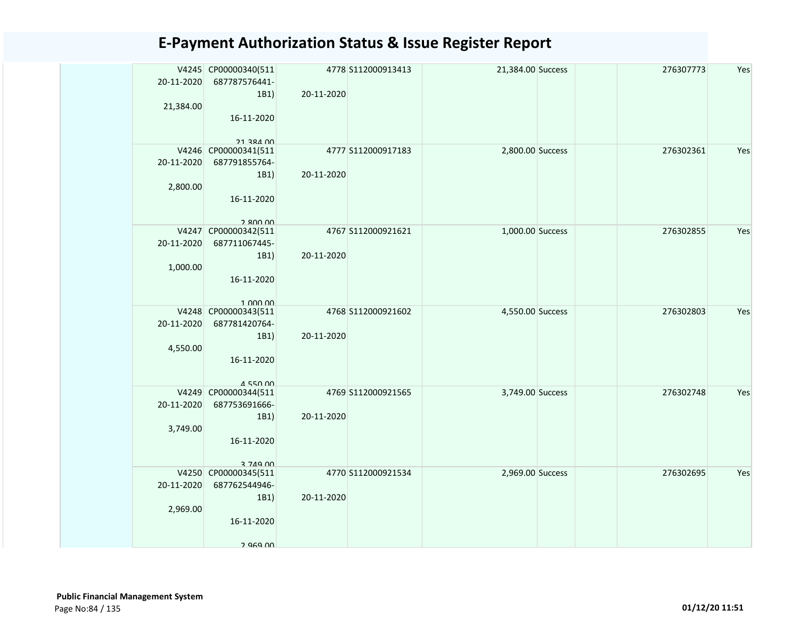| 20-11-2020 | V4245 CP00000340(511<br>687787576441- |            | 4778 S112000913413 | 21,384.00 Success | 276307773 | Yes |
|------------|---------------------------------------|------------|--------------------|-------------------|-----------|-----|
|            | 1B1)                                  | 20-11-2020 |                    |                   |           |     |
| 21,384.00  |                                       |            |                    |                   |           |     |
|            | 16-11-2020                            |            |                    |                   |           |     |
|            |                                       |            |                    |                   |           |     |
|            | <b>21 384 00</b>                      |            |                    |                   |           |     |
|            | V4246 CP00000341(511                  |            | 4777 S112000917183 | 2,800.00 Success  | 276302361 | Yes |
| 20-11-2020 | 687791855764-                         |            |                    |                   |           |     |
| 2,800.00   | 1B1)                                  | 20-11-2020 |                    |                   |           |     |
|            | 16-11-2020                            |            |                    |                   |           |     |
|            |                                       |            |                    |                   |           |     |
|            | 2.800.00                              |            |                    |                   |           |     |
|            | V4247 CP00000342(511                  |            | 4767 S112000921621 | 1,000.00 Success  | 276302855 | Yes |
| 20-11-2020 | 687711067445-                         |            |                    |                   |           |     |
|            | 1B1)                                  | 20-11-2020 |                    |                   |           |     |
| 1,000.00   |                                       |            |                    |                   |           |     |
|            | 16-11-2020                            |            |                    |                   |           |     |
|            | 1.000.00                              |            |                    |                   |           |     |
|            | V4248 CP00000343(511                  |            | 4768 S112000921602 | 4,550.00 Success  | 276302803 | Yes |
| 20-11-2020 | 687781420764-                         |            |                    |                   |           |     |
|            | 1B1)                                  | 20-11-2020 |                    |                   |           |     |
| 4,550.00   |                                       |            |                    |                   |           |     |
|            | 16-11-2020                            |            |                    |                   |           |     |
|            |                                       |            |                    |                   |           |     |
|            | 4550 00<br>V4249 CP00000344(511       |            | 4769 S112000921565 | 3,749.00 Success  | 276302748 | Yes |
| 20-11-2020 | 687753691666-                         |            |                    |                   |           |     |
|            | 1B1)                                  | 20-11-2020 |                    |                   |           |     |
| 3,749.00   |                                       |            |                    |                   |           |     |
|            | 16-11-2020                            |            |                    |                   |           |     |
|            |                                       |            |                    |                   |           |     |
|            | 3 749 00<br>V4250 CP00000345(511      |            | 4770 S112000921534 | 2,969.00 Success  | 276302695 | Yes |
| 20-11-2020 | 687762544946-                         |            |                    |                   |           |     |
|            | 1B1)                                  | 20-11-2020 |                    |                   |           |     |
| 2,969.00   |                                       |            |                    |                   |           |     |
|            | 16-11-2020                            |            |                    |                   |           |     |
|            |                                       |            |                    |                   |           |     |
|            | 2 969 N                               |            |                    |                   |           |     |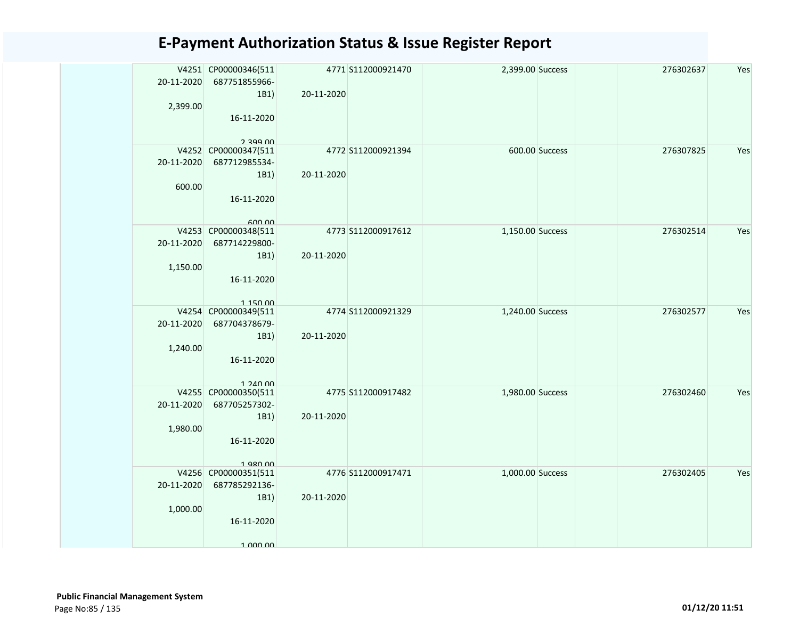| 20-11-2020 | V4251 CP00000346(511<br>687751855966- |            | 4771 S112000921470 | 2,399.00 Success | 276302637 | Yes |
|------------|---------------------------------------|------------|--------------------|------------------|-----------|-----|
|            | 1B1)                                  | 20-11-2020 |                    |                  |           |     |
| 2,399.00   |                                       |            |                    |                  |           |     |
|            | 16-11-2020                            |            |                    |                  |           |     |
|            |                                       |            |                    |                  |           |     |
|            | 2 300 UU                              |            |                    | 600.00 Success   |           | Yes |
| 20-11-2020 | V4252 CP00000347(511<br>687712985534- |            | 4772 S112000921394 |                  | 276307825 |     |
|            | 1B1)                                  | 20-11-2020 |                    |                  |           |     |
| 600.00     |                                       |            |                    |                  |           |     |
|            | 16-11-2020                            |            |                    |                  |           |     |
|            |                                       |            |                    |                  |           |     |
|            | 600.00                                |            |                    |                  |           |     |
|            | V4253 CP00000348(511                  |            | 4773 S112000917612 | 1,150.00 Success | 276302514 | Yes |
| 20-11-2020 | 687714229800-                         |            |                    |                  |           |     |
|            | 1B1)                                  | 20-11-2020 |                    |                  |           |     |
| 1,150.00   |                                       |            |                    |                  |           |     |
|            | 16-11-2020                            |            |                    |                  |           |     |
|            | 115000                                |            |                    |                  |           |     |
|            | V4254 CP00000349(511                  |            | 4774 S112000921329 | 1,240.00 Success | 276302577 | Yes |
| 20-11-2020 | 687704378679-                         |            |                    |                  |           |     |
|            | 1B1)                                  | 20-11-2020 |                    |                  |           |     |
| 1,240.00   |                                       |            |                    |                  |           |     |
|            | 16-11-2020                            |            |                    |                  |           |     |
|            | 1.240.00                              |            |                    |                  |           |     |
|            | V4255 CP00000350(511                  |            | 4775 S112000917482 | 1,980.00 Success | 276302460 | Yes |
| 20-11-2020 | 687705257302-                         |            |                    |                  |           |     |
|            | 1B1)                                  | 20-11-2020 |                    |                  |           |     |
| 1,980.00   |                                       |            |                    |                  |           |     |
|            | 16-11-2020                            |            |                    |                  |           |     |
|            | 1 980 00                              |            |                    |                  |           |     |
|            | V4256 CP00000351(511                  |            | 4776 S112000917471 | 1,000.00 Success | 276302405 | Yes |
| 20-11-2020 | 687785292136-                         |            |                    |                  |           |     |
|            | 1B1)                                  | 20-11-2020 |                    |                  |           |     |
| 1,000.00   |                                       |            |                    |                  |           |     |
|            | 16-11-2020                            |            |                    |                  |           |     |
|            |                                       |            |                    |                  |           |     |
|            | 1 000 00                              |            |                    |                  |           |     |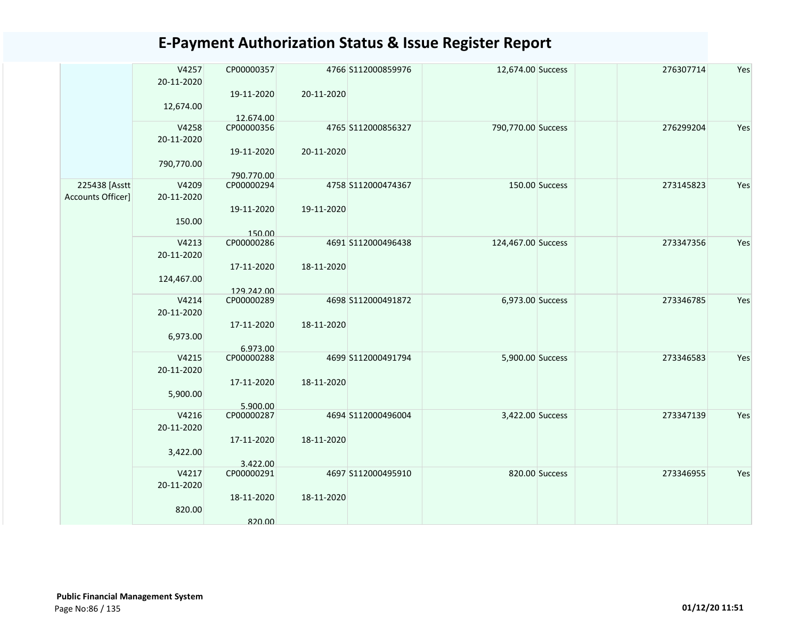|                   | V4257      | CP00000357             |            | 4766 S112000859976 | 12,674.00 Success  |                | 276307714 | Yes |
|-------------------|------------|------------------------|------------|--------------------|--------------------|----------------|-----------|-----|
|                   | 20-11-2020 |                        |            |                    |                    |                |           |     |
|                   |            | 19-11-2020             | 20-11-2020 |                    |                    |                |           |     |
|                   | 12,674.00  |                        |            |                    |                    |                |           |     |
|                   |            | 12.674.00              |            |                    |                    |                |           |     |
|                   | V4258      | CP00000356             |            | 4765 S112000856327 | 790,770.00 Success |                | 276299204 | Yes |
|                   | 20-11-2020 |                        |            |                    |                    |                |           |     |
|                   |            | 19-11-2020             | 20-11-2020 |                    |                    |                |           |     |
|                   | 790,770.00 |                        |            |                    |                    |                |           |     |
|                   |            | 790.770.00             |            |                    |                    |                |           |     |
| 225438 [Asstt     | V4209      | CP00000294             |            | 4758 S112000474367 |                    | 150.00 Success | 273145823 | Yes |
| Accounts Officer] |            |                        |            |                    |                    |                |           |     |
|                   | 20-11-2020 |                        |            |                    |                    |                |           |     |
|                   |            | 19-11-2020             | 19-11-2020 |                    |                    |                |           |     |
|                   | 150.00     |                        |            |                    |                    |                |           |     |
|                   |            | 150.00                 |            |                    |                    |                |           |     |
|                   | V4213      | CP00000286             |            | 4691 S112000496438 | 124,467.00 Success |                | 273347356 | Yes |
|                   | 20-11-2020 |                        |            |                    |                    |                |           |     |
|                   |            | 17-11-2020             | 18-11-2020 |                    |                    |                |           |     |
|                   | 124,467.00 |                        |            |                    |                    |                |           |     |
|                   |            | 129.242.00             |            |                    |                    |                |           |     |
|                   | V4214      | CP00000289             |            | 4698 S112000491872 | 6,973.00 Success   |                | 273346785 | Yes |
|                   | 20-11-2020 |                        |            |                    |                    |                |           |     |
|                   |            | 17-11-2020             | 18-11-2020 |                    |                    |                |           |     |
|                   |            |                        |            |                    |                    |                |           |     |
|                   | 6,973.00   |                        |            |                    |                    |                |           |     |
|                   |            | 6.973.00               |            |                    |                    |                |           |     |
|                   | V4215      | CP00000288             |            | 4699 S112000491794 | 5,900.00 Success   |                | 273346583 | Yes |
|                   | 20-11-2020 |                        |            |                    |                    |                |           |     |
|                   |            | 17-11-2020             | 18-11-2020 |                    |                    |                |           |     |
|                   | 5,900.00   |                        |            |                    |                    |                |           |     |
|                   |            | 5.900.00               |            |                    |                    |                |           |     |
|                   | V4216      | CP00000287             |            | 4694 S112000496004 | 3,422.00 Success   |                | 273347139 | Yes |
|                   | 20-11-2020 |                        |            |                    |                    |                |           |     |
|                   |            | 17-11-2020             | 18-11-2020 |                    |                    |                |           |     |
|                   | 3,422.00   |                        |            |                    |                    |                |           |     |
|                   |            |                        |            |                    |                    |                |           |     |
|                   | V4217      | 3.422.00<br>CP00000291 |            | 4697 S112000495910 |                    | 820.00 Success | 273346955 | Yes |
|                   |            |                        |            |                    |                    |                |           |     |
|                   | 20-11-2020 |                        |            |                    |                    |                |           |     |
|                   |            | 18-11-2020             | 18-11-2020 |                    |                    |                |           |     |
|                   | 820.00     |                        |            |                    |                    |                |           |     |
|                   |            | 820.00                 |            |                    |                    |                |           |     |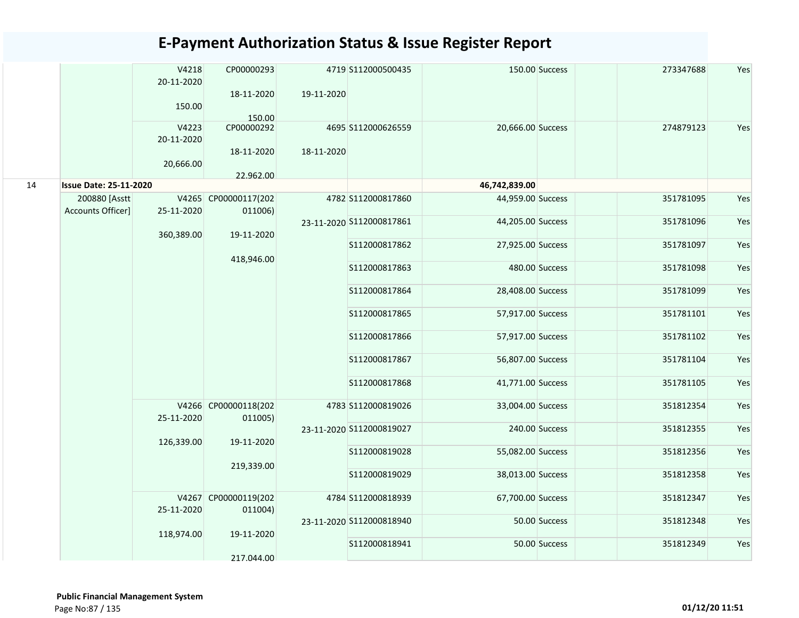|    |                                    | V4218<br>20-11-2020<br>150.00    | CP00000293<br>18-11-2020<br>150.00    | 19-11-2020    | 4719 S112000500435             |                                        | 150.00 Success | 273347688              | Yes        |
|----|------------------------------------|----------------------------------|---------------------------------------|---------------|--------------------------------|----------------------------------------|----------------|------------------------|------------|
|    |                                    | V4223<br>20-11-2020<br>20,666.00 | CP00000292<br>18-11-2020<br>22.962.00 | 18-11-2020    | 4695 S112000626559             | 20,666.00 Success                      |                | 274879123              | Yes        |
| 14 | <b>Issue Date: 25-11-2020</b>      |                                  |                                       |               |                                | 46,742,839.00                          |                |                        |            |
|    | 200880 [Asstt<br>Accounts Officer] | 25-11-2020                       | V4265 CP00000117(202<br>011006)       |               | 4782 S112000817860             | 44,959.00 Success                      |                | 351781095              | Yes        |
|    |                                    | 360,389.00                       | 19-11-2020                            |               | 23-11-2020 S112000817861       | 44,205.00 Success                      |                | 351781096              | Yes        |
|    |                                    |                                  | 418,946.00                            |               | S112000817862                  | 27,925.00 Success                      |                | 351781097              | Yes        |
|    |                                    |                                  |                                       |               | S112000817863                  |                                        | 480.00 Success | 351781098              | Yes        |
|    |                                    |                                  |                                       |               | S112000817864                  | 28,408.00 Success                      |                | 351781099              | Yes        |
|    |                                    |                                  |                                       |               | S112000817865                  | 57,917.00 Success                      |                | 351781101              | Yes        |
|    |                                    |                                  |                                       | S112000817866 | 57,917.00 Success              |                                        | 351781102      | Yes                    |            |
|    |                                    |                                  | V4266 CP00000118(202                  |               | S112000817867<br>S112000817868 | 56,807.00 Success<br>41,771.00 Success |                | 351781104<br>351781105 | Yes<br>Yes |
|    |                                    |                                  |                                       |               | 4783 S112000819026             | 33,004.00 Success                      |                | 351812354              | Yes        |
|    |                                    | 25-11-2020                       | 011005)                               |               | 23-11-2020 S112000819027       |                                        | 240.00 Success | 351812355              | Yes        |
|    |                                    | 126,339.00                       | 19-11-2020                            |               | S112000819028                  | 55,082.00 Success                      |                | 351812356              | Yes        |
|    |                                    |                                  | 219,339.00                            |               | S112000819029                  | 38,013.00 Success                      |                | 351812358              | Yes        |
|    |                                    |                                  | V4267 CP00000119(202                  |               | 4784 S112000818939             | 67,700.00 Success                      |                | 351812347              | Yes        |
|    |                                    | 25-11-2020                       | 011004)                               |               | 23-11-2020 S112000818940       |                                        | 50.00 Success  | 351812348              | Yes        |
|    |                                    | 118,974.00                       | 19-11-2020                            |               | S112000818941                  |                                        | 50.00 Success  | 351812349              | Yes        |
|    |                                    |                                  | 217.044.00                            |               |                                |                                        |                |                        |            |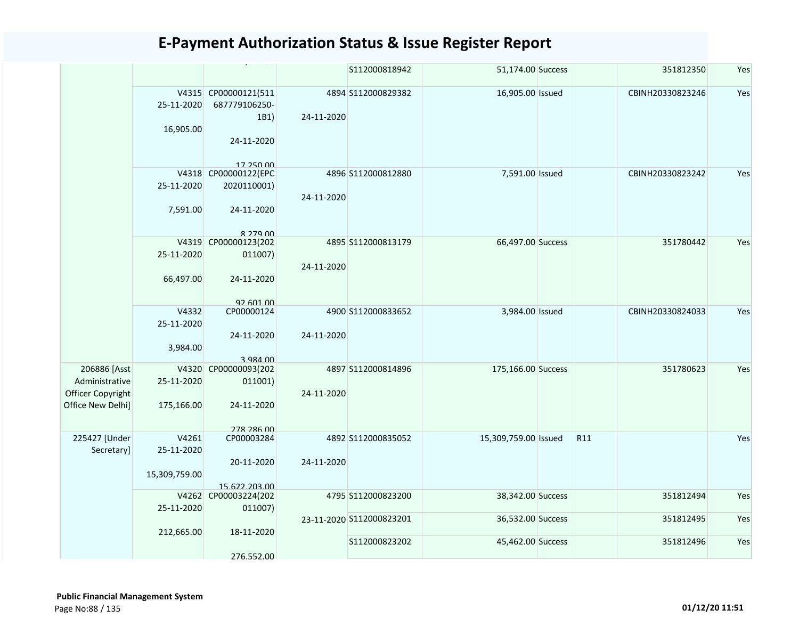|                   |               |                                   |            | S112000818942            | 51,174.00 Success    |                 | 351812350        | Yes |
|-------------------|---------------|-----------------------------------|------------|--------------------------|----------------------|-----------------|------------------|-----|
|                   |               | V4315 CP00000121(511              |            | 4894 S112000829382       | 16,905.00 Issued     |                 | CBINH20330823246 | Yes |
|                   | 25-11-2020    | 687779106250-                     |            |                          |                      |                 |                  |     |
|                   |               | 1B1)                              | 24-11-2020 |                          |                      |                 |                  |     |
|                   | 16,905.00     |                                   |            |                          |                      |                 |                  |     |
|                   |               | 24-11-2020                        |            |                          |                      |                 |                  |     |
|                   |               | 17 250 00<br>V4318 CP00000122(EPC |            | 4896 S112000812880       | 7,591.00 Issued      |                 | CBINH20330823242 | Yes |
|                   | 25-11-2020    |                                   |            |                          |                      |                 |                  |     |
|                   |               | 2020110001)                       |            |                          |                      |                 |                  |     |
|                   |               |                                   | 24-11-2020 |                          |                      |                 |                  |     |
|                   | 7,591.00      | 24-11-2020                        |            |                          |                      |                 |                  |     |
|                   |               | 8 279 00                          |            |                          |                      |                 |                  |     |
|                   |               | V4319 CP00000123(202              |            | 4895 S112000813179       | 66,497.00 Success    |                 | 351780442        | Yes |
|                   | 25-11-2020    | 011007)                           | 24-11-2020 |                          |                      |                 |                  |     |
|                   | 66,497.00     | 24-11-2020                        |            |                          |                      |                 |                  |     |
|                   |               | 92 601 00                         |            |                          |                      |                 |                  |     |
|                   | V4332         | CP00000124                        |            | 4900 S112000833652       | 3,984.00 Issued      |                 | CBINH20330824033 | Yes |
|                   | 25-11-2020    |                                   |            |                          |                      |                 |                  |     |
|                   |               | 24-11-2020                        | 24-11-2020 |                          |                      |                 |                  |     |
|                   | 3,984.00      |                                   |            |                          |                      |                 |                  |     |
|                   |               |                                   |            |                          |                      |                 |                  |     |
| 206886 [Asst      | V4320         | 3.984.00<br>CP00000093(202        |            | 4897 S112000814896       | 175,166.00 Success   |                 | 351780623        | Yes |
| Administrative    |               |                                   |            |                          |                      |                 |                  |     |
|                   | 25-11-2020    | 011001)                           |            |                          |                      |                 |                  |     |
| Officer Copyright |               |                                   | 24-11-2020 |                          |                      |                 |                  |     |
| Office New Delhi] | 175,166.00    | 24-11-2020                        |            |                          |                      |                 |                  |     |
|                   |               |                                   |            |                          |                      |                 |                  |     |
|                   |               | <b>278 286 00</b>                 |            |                          |                      |                 |                  |     |
| 225427 [Under     | V4261         | CP00003284                        |            | 4892 S112000835052       | 15,309,759.00 Issued | R <sub>11</sub> |                  | Yes |
| Secretary]        | 25-11-2020    |                                   |            |                          |                      |                 |                  |     |
|                   |               | 20-11-2020                        | 24-11-2020 |                          |                      |                 |                  |     |
|                   | 15,309,759.00 |                                   |            |                          |                      |                 |                  |     |
|                   |               | 15.622.203.00                     |            |                          |                      |                 |                  |     |
|                   |               | V4262 CP00003224(202              |            | 4795 S112000823200       | 38,342.00 Success    |                 | 351812494        | Yes |
|                   | 25-11-2020    | 011007)                           |            |                          |                      |                 |                  |     |
|                   |               |                                   |            | 23-11-2020 S112000823201 | 36,532.00 Success    |                 | 351812495        | Yes |
|                   | 212,665.00    | 18-11-2020                        |            |                          |                      |                 |                  |     |
|                   |               |                                   |            | S112000823202            | 45,462.00 Success    |                 | 351812496        | Yes |
|                   |               | 276.552.00                        |            |                          |                      |                 |                  |     |
|                   |               |                                   |            |                          |                      |                 |                  |     |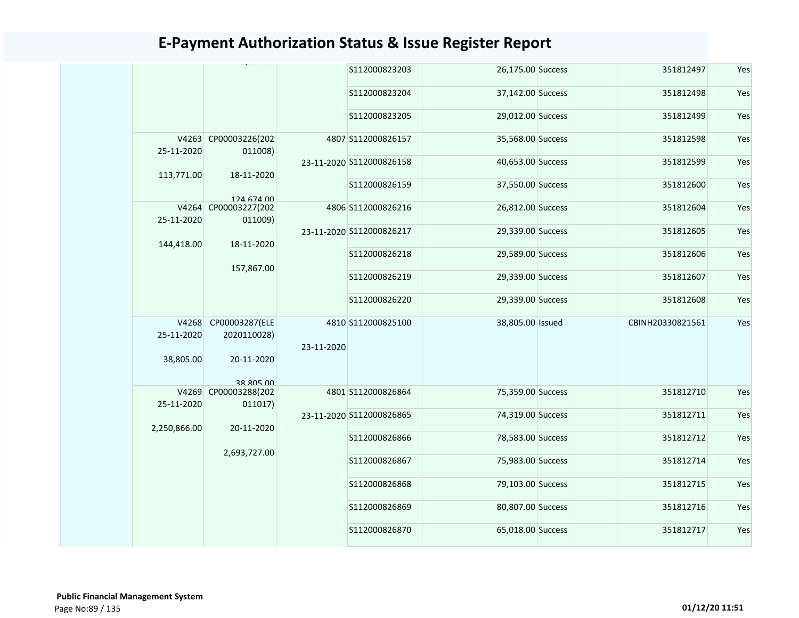|                     |                                 |            | S112000823203            | 26,175.00 Success | 351812497        | Yes |
|---------------------|---------------------------------|------------|--------------------------|-------------------|------------------|-----|
|                     |                                 |            | S112000823204            | 37,142.00 Success | 351812498        | Yes |
|                     |                                 |            | S112000823205            | 29,012.00 Success | 351812499        | Yes |
| 25-11-2020          | V4263 CP00003226(202<br>011008) |            | 4807 S112000826157       | 35,568.00 Success | 351812598        | Yes |
| 113,771.00          | 18-11-2020                      |            | 23-11-2020 S112000826158 | 40,653.00 Success | 351812599        | Yes |
|                     | 124 674 00                      |            | S112000826159            | 37,550.00 Success | 351812600        | Yes |
| 25-11-2020          | V4264 CP00003227(202<br>011009) |            | 4806 S112000826216       | 26,812.00 Success | 351812604        | Yes |
| 144,418.00          | 18-11-2020                      |            | 23-11-2020 S112000826217 | 29,339.00 Success | 351812605        | Yes |
|                     | 157,867.00                      |            | S112000826218            | 29,589.00 Success | 351812606        | Yes |
|                     |                                 |            | S112000826219            | 29,339.00 Success | 351812607        | Yes |
|                     |                                 |            | S112000826220            | 29,339.00 Success | 351812608        | Yes |
| V4268<br>25-11-2020 | CP00003287(ELE<br>2020110028)   | 23-11-2020 | 4810 S112000825100       | 38,805.00 Issued  | CBINH20330821561 | Yes |
| 38,805.00           | 20-11-2020<br>38 805 00         |            |                          |                   |                  |     |
| 25-11-2020          | V4269 CP00003288(202<br>011017) |            | 4801 S112000826864       | 75,359.00 Success | 351812710        | Yes |
| 2,250,866.00        | 20-11-2020                      |            | 23-11-2020 S112000826865 | 74,319.00 Success | 351812711        | Yes |
|                     | 2,693,727.00                    |            | S112000826866            | 78,583.00 Success | 351812712        | Yes |
|                     |                                 |            | S112000826867            | 75,983.00 Success | 351812714        | Yes |
|                     |                                 |            | S112000826868            | 79,103.00 Success | 351812715        | Yes |
|                     |                                 |            | S112000826869            | 80,807.00 Success | 351812716        | Yes |
|                     |                                 |            | S112000826870            | 65,018.00 Success | 351812717        | Yes |
|                     |                                 |            |                          |                   |                  |     |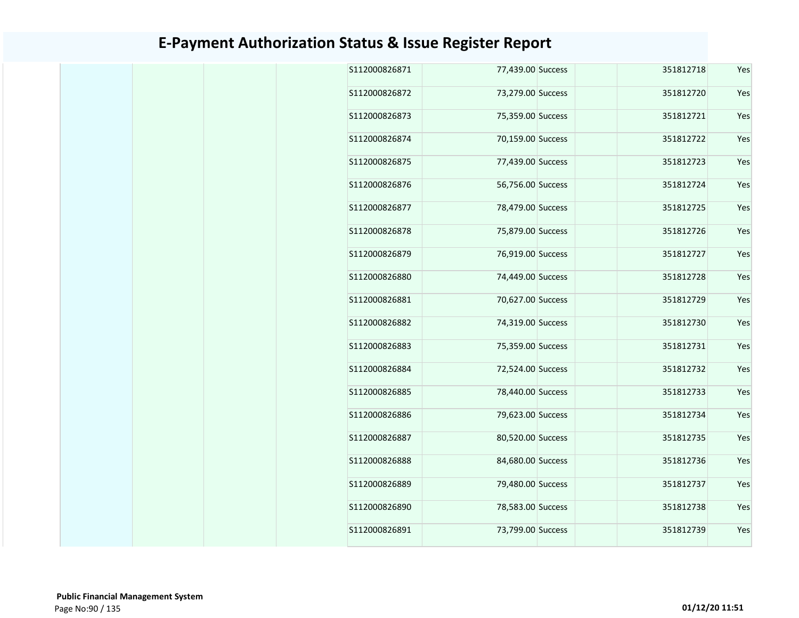|  | S112000826871 | 77,439.00 Success |  | 351812718 | Yes |
|--|---------------|-------------------|--|-----------|-----|
|  | S112000826872 | 73,279.00 Success |  | 351812720 | Yes |
|  | S112000826873 | 75,359.00 Success |  | 351812721 | Yes |
|  | S112000826874 | 70,159.00 Success |  | 351812722 | Yes |
|  | S112000826875 | 77,439.00 Success |  | 351812723 | Yes |
|  | S112000826876 | 56,756.00 Success |  | 351812724 | Yes |
|  | S112000826877 | 78,479.00 Success |  | 351812725 | Yes |
|  | S112000826878 | 75,879.00 Success |  | 351812726 | Yes |
|  | S112000826879 | 76,919.00 Success |  | 351812727 | Yes |
|  | S112000826880 | 74,449.00 Success |  | 351812728 | Yes |
|  | S112000826881 | 70,627.00 Success |  | 351812729 | Yes |
|  | S112000826882 | 74,319.00 Success |  | 351812730 | Yes |
|  | S112000826883 | 75,359.00 Success |  | 351812731 | Yes |
|  | S112000826884 | 72,524.00 Success |  | 351812732 | Yes |
|  | S112000826885 | 78,440.00 Success |  | 351812733 | Yes |
|  | S112000826886 | 79,623.00 Success |  | 351812734 | Yes |
|  | S112000826887 | 80,520.00 Success |  | 351812735 | Yes |
|  | S112000826888 | 84,680.00 Success |  | 351812736 | Yes |
|  | S112000826889 | 79,480.00 Success |  | 351812737 | Yes |
|  | S112000826890 | 78,583.00 Success |  | 351812738 | Yes |
|  | S112000826891 | 73,799.00 Success |  | 351812739 | Yes |
|  |               |                   |  |           |     |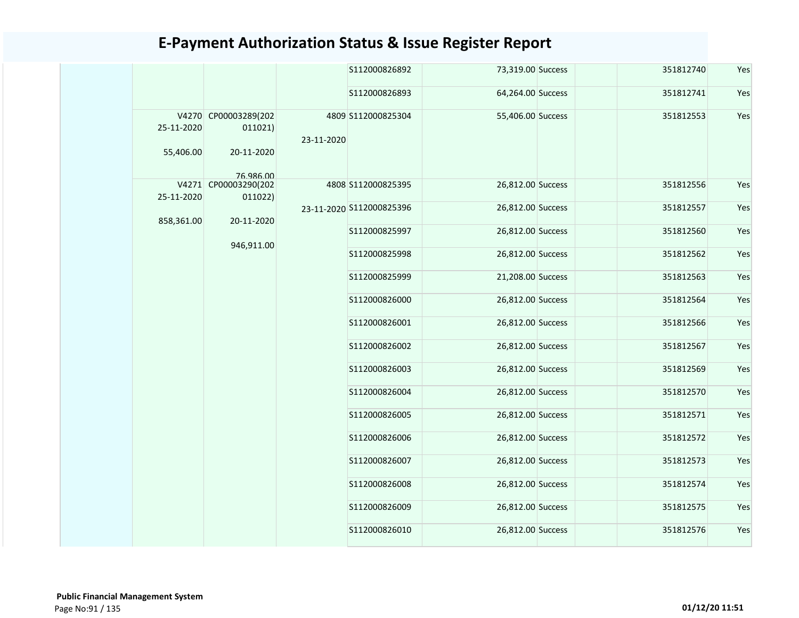|  |                         |                                               |               | S112000826892            | 73,319.00 Success | 351812740         | Yes       |     |
|--|-------------------------|-----------------------------------------------|---------------|--------------------------|-------------------|-------------------|-----------|-----|
|  |                         |                                               |               | S112000826893            | 64,264.00 Success | 351812741         | Yes       |     |
|  | 25-11-2020<br>55,406.00 | V4270 CP00003289(202<br>011021)<br>20-11-2020 | 23-11-2020    | 4809 S112000825304       | 55,406.00 Success | 351812553         | Yes       |     |
|  |                         | 76 986 00                                     |               |                          |                   |                   |           |     |
|  | 25-11-2020              | V4271 CP00003290(202<br>011022)               |               | 4808 S112000825395       | 26,812.00 Success | 351812556         | Yes       |     |
|  | 858,361.00              | 20-11-2020                                    |               | 23-11-2020 S112000825396 | 26,812.00 Success | 351812557         | Yes       |     |
|  |                         | 946,911.00                                    |               | S112000825997            | 26,812.00 Success | 351812560         | Yes       |     |
|  |                         |                                               |               | S112000825998            | 26,812.00 Success | 351812562         | Yes       |     |
|  |                         |                                               |               | S112000825999            | 21,208.00 Success | 351812563         | Yes       |     |
|  |                         |                                               | S112000826000 | 26,812.00 Success        | 351812564         | Yes               |           |     |
|  |                         |                                               |               | S112000826001            | 26,812.00 Success | 351812566         | Yes       |     |
|  |                         |                                               |               | S112000826002            | 26,812.00 Success | 351812567         | Yes       |     |
|  |                         |                                               |               | S112000826003            | 26,812.00 Success | 351812569         | Yes       |     |
|  |                         |                                               |               | S112000826004            | 26,812.00 Success | 351812570         | Yes       |     |
|  |                         |                                               |               |                          | S112000826005     | 26,812.00 Success | 351812571 | Yes |
|  |                         |                                               |               | S112000826006            | 26,812.00 Success | 351812572         | Yes       |     |
|  |                         |                                               |               | S112000826007            | 26,812.00 Success | 351812573         | Yes       |     |
|  |                         |                                               |               | S112000826008            | 26,812.00 Success | 351812574         | Yes       |     |
|  |                         |                                               |               | S112000826009            | 26,812.00 Success | 351812575         | Yes       |     |
|  |                         |                                               |               | S112000826010            | 26,812.00 Success | 351812576         | Yes       |     |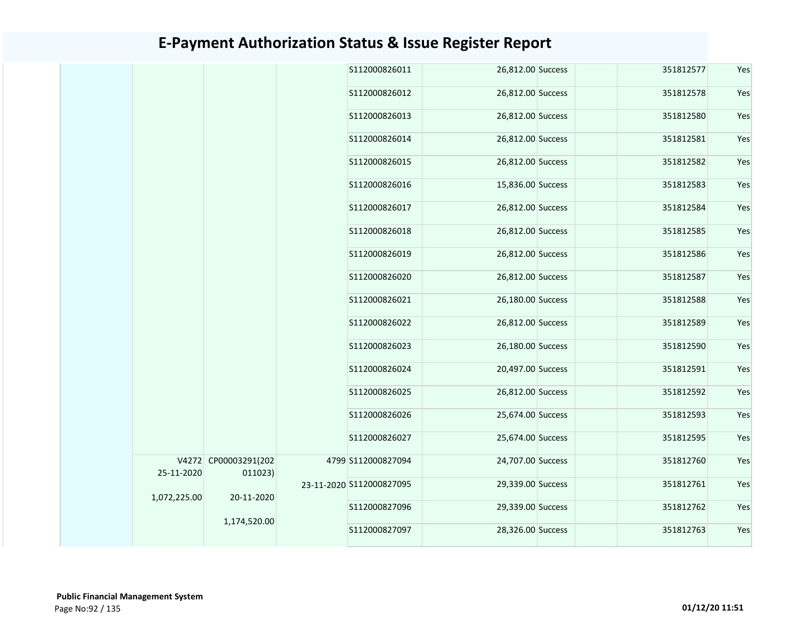|              |                                 | S112000826011            | 26,812.00 Success | 351812577 | Yes |
|--------------|---------------------------------|--------------------------|-------------------|-----------|-----|
|              |                                 | S112000826012            | 26,812.00 Success | 351812578 | Yes |
|              |                                 | S112000826013            | 26,812.00 Success | 351812580 | Yes |
|              |                                 | S112000826014            | 26,812.00 Success | 351812581 | Yes |
|              |                                 | S112000826015            | 26,812.00 Success | 351812582 | Yes |
|              |                                 | \$112000826016           | 15,836.00 Success | 351812583 | Yes |
|              |                                 | S112000826017            | 26,812.00 Success | 351812584 | Yes |
|              |                                 | S112000826018            | 26,812.00 Success | 351812585 | Yes |
|              |                                 | S112000826019            | 26,812.00 Success | 351812586 | Yes |
|              |                                 | S112000826020            | 26,812.00 Success | 351812587 | Yes |
|              |                                 | S112000826021            | 26,180.00 Success | 351812588 | Yes |
|              |                                 | S112000826022            | 26,812.00 Success | 351812589 | Yes |
|              |                                 | S112000826023            | 26,180.00 Success | 351812590 | Yes |
|              |                                 | S112000826024            | 20,497.00 Success | 351812591 | Yes |
|              |                                 | S112000826025            | 26,812.00 Success | 351812592 | Yes |
|              |                                 | S112000826026            | 25,674.00 Success | 351812593 | Yes |
|              |                                 | S112000826027            | 25,674.00 Success | 351812595 | Yes |
| 25-11-2020   | V4272 CP00003291(202<br>011023) | 4799 S112000827094       | 24,707.00 Success | 351812760 | Yes |
| 1,072,225.00 | 20-11-2020                      | 23-11-2020 S112000827095 | 29,339.00 Success | 351812761 | Yes |
|              | 1,174,520.00                    | S112000827096            | 29,339.00 Success | 351812762 | Yes |
|              |                                 | S112000827097            | 28,326.00 Success | 351812763 | Yes |
|              |                                 |                          |                   |           |     |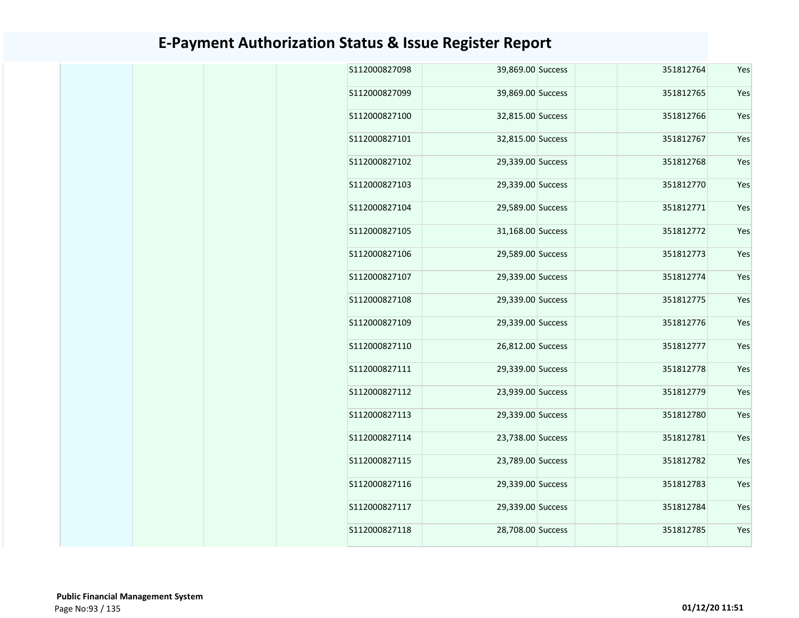| S112000827098 | 39,869.00 Success | 351812764 | Yes |
|---------------|-------------------|-----------|-----|
| S112000827099 | 39,869.00 Success | 351812765 | Yes |
| S112000827100 | 32,815.00 Success | 351812766 | Yes |
| S112000827101 | 32,815.00 Success | 351812767 | Yes |
| S112000827102 | 29,339.00 Success | 351812768 | Yes |
| S112000827103 | 29,339.00 Success | 351812770 | Yes |
| S112000827104 | 29,589.00 Success | 351812771 | Yes |
| S112000827105 | 31,168.00 Success | 351812772 | Yes |
| S112000827106 | 29,589.00 Success | 351812773 | Yes |
| S112000827107 | 29,339.00 Success | 351812774 | Yes |
| S112000827108 | 29,339.00 Success | 351812775 | Yes |
| S112000827109 | 29,339.00 Success | 351812776 | Yes |
| S112000827110 | 26,812.00 Success | 351812777 | Yes |
| S112000827111 | 29,339.00 Success | 351812778 | Yes |
| S112000827112 | 23,939.00 Success | 351812779 | Yes |
| S112000827113 | 29,339.00 Success | 351812780 | Yes |
| S112000827114 | 23,738.00 Success | 351812781 | Yes |
| S112000827115 | 23,789.00 Success | 351812782 | Yes |
| S112000827116 | 29,339.00 Success | 351812783 | Yes |
| S112000827117 | 29,339.00 Success | 351812784 | Yes |
| S112000827118 | 28,708.00 Success | 351812785 | Yes |
|               |                   |           |     |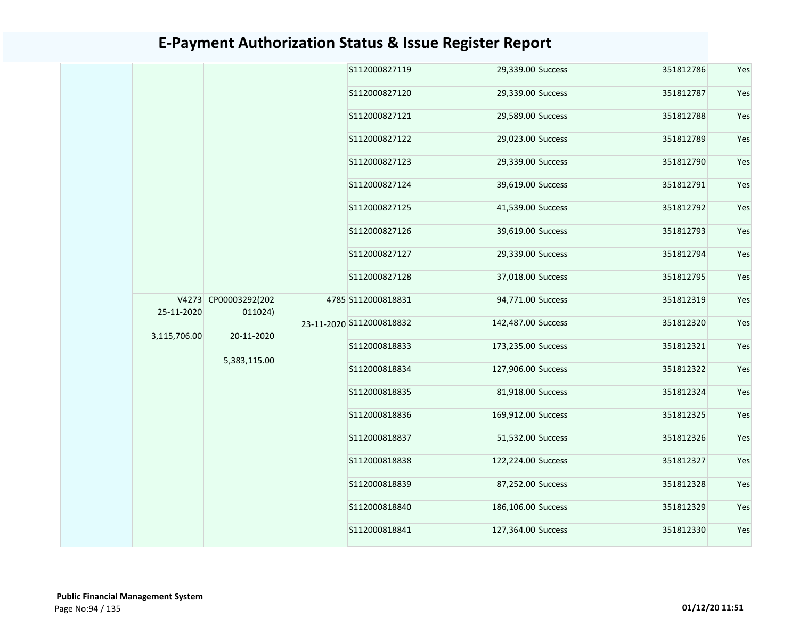|              |                      | S112000827119            | 29,339.00 Success  | 351812786 | Yes |
|--------------|----------------------|--------------------------|--------------------|-----------|-----|
|              |                      | S112000827120            | 29,339.00 Success  | 351812787 | Yes |
|              |                      | S112000827121            | 29,589.00 Success  | 351812788 | Yes |
|              |                      | S112000827122            | 29,023.00 Success  | 351812789 | Yes |
|              |                      | S112000827123            | 29,339.00 Success  | 351812790 | Yes |
|              |                      | S112000827124            | 39,619.00 Success  | 351812791 | Yes |
|              |                      | S112000827125            | 41,539.00 Success  | 351812792 | Yes |
|              |                      | S112000827126            | 39,619.00 Success  | 351812793 | Yes |
|              |                      | S112000827127            | 29,339.00 Success  | 351812794 | Yes |
|              |                      | S112000827128            | 37,018.00 Success  | 351812795 | Yes |
| 25-11-2020   | V4273 CP00003292(202 | 4785 S112000818831       | 94,771.00 Success  | 351812319 | Yes |
|              | 011024)              | 23-11-2020 S112000818832 | 142,487.00 Success | 351812320 | Yes |
| 3,115,706.00 | 20-11-2020           | S112000818833            | 173,235.00 Success | 351812321 | Yes |
|              | 5,383,115.00         | S112000818834            | 127,906.00 Success | 351812322 | Yes |
|              |                      | S112000818835            | 81,918.00 Success  | 351812324 | Yes |
|              |                      | S112000818836            | 169,912.00 Success | 351812325 | Yes |
|              |                      | S112000818837            | 51,532.00 Success  | 351812326 | Yes |
|              |                      | S112000818838            | 122,224.00 Success | 351812327 | Yes |
|              |                      | S112000818839            | 87,252.00 Success  | 351812328 | Yes |
|              |                      | S112000818840            | 186,106.00 Success | 351812329 | Yes |
|              |                      | S112000818841            | 127,364.00 Success | 351812330 | Yes |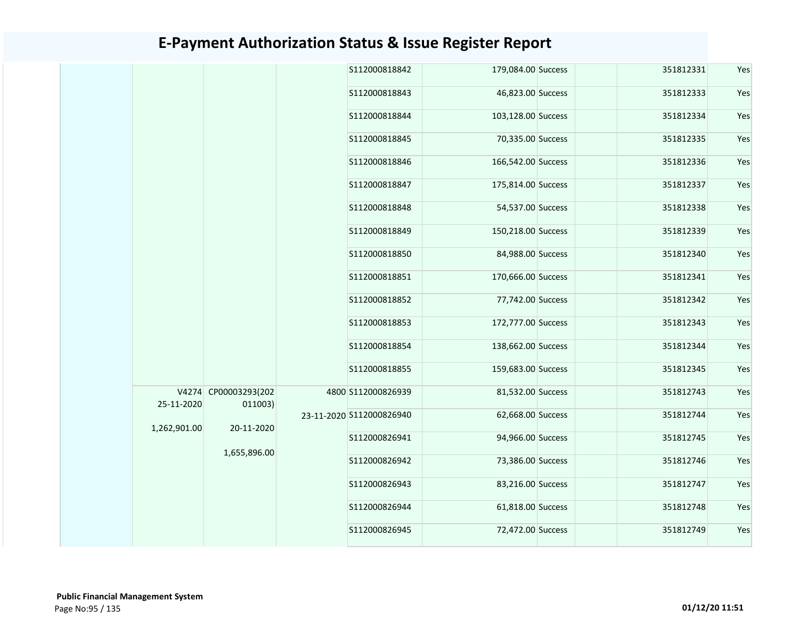|              |                                               |  | S112000818842            | 179,084.00 Success | 351812331         | Yes       |     |
|--------------|-----------------------------------------------|--|--------------------------|--------------------|-------------------|-----------|-----|
|              |                                               |  | \$112000818843           | 46,823.00 Success  | 351812333         | Yes       |     |
|              |                                               |  | S112000818844            | 103,128.00 Success | 351812334         | Yes       |     |
|              |                                               |  | S112000818845            | 70,335.00 Success  | 351812335         | Yes       |     |
|              |                                               |  | S112000818846            | 166,542.00 Success | 351812336         | Yes       |     |
|              |                                               |  | S112000818847            | 175,814.00 Success | 351812337         | Yes       |     |
|              |                                               |  | S112000818848            | 54,537.00 Success  | 351812338         | Yes       |     |
|              |                                               |  | S112000818849            | 150,218.00 Success | 351812339         | Yes       |     |
|              |                                               |  | S112000818850            | 84,988.00 Success  | 351812340         | Yes       |     |
|              |                                               |  | S112000818851            | 170,666.00 Success | 351812341         | Yes       |     |
|              |                                               |  | S112000818852            | 77,742.00 Success  | 351812342         | Yes       |     |
|              |                                               |  | S112000818853            | 172,777.00 Success | 351812343         | Yes       |     |
|              |                                               |  | S112000818854            | 138,662.00 Success | 351812344         | Yes       |     |
|              |                                               |  | S112000818855            | 159,683.00 Success | 351812345         | Yes       |     |
|              | V4274 CP00003293(202<br>25-11-2020<br>011003) |  | 4800 S112000826939       | 81,532.00 Success  | 351812743         | Yes       |     |
| 1,262,901.00 | 20-11-2020                                    |  | 23-11-2020 S112000826940 | 62,668.00 Success  | 351812744         | Yes       |     |
|              | 1,655,896.00                                  |  | S112000826941            | 94,966.00 Success  | 351812745         | Yes       |     |
|              |                                               |  | S112000826942            | 73,386.00 Success  | 351812746         | Yes       |     |
|              |                                               |  |                          | S112000826943      | 83,216.00 Success | 351812747 | Yes |
|              |                                               |  | S112000826944            | 61,818.00 Success  | 351812748         | Yes       |     |
|              |                                               |  | S112000826945            | 72,472.00 Success  | 351812749         | Yes       |     |
|              |                                               |  |                          |                    |                   |           |     |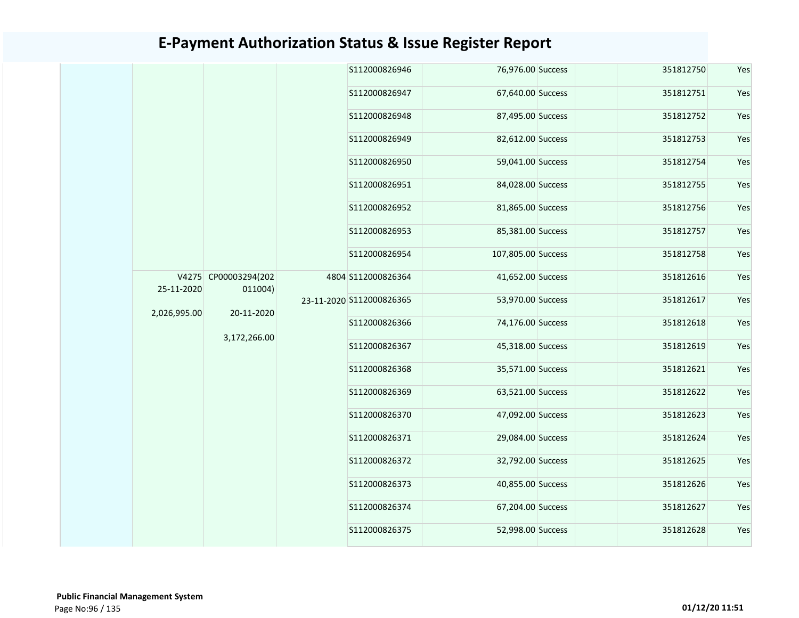|              |                                               | S112000826946            | 76,976.00 Success  | 351812750 | Yes |
|--------------|-----------------------------------------------|--------------------------|--------------------|-----------|-----|
|              |                                               | S112000826947            | 67,640.00 Success  | 351812751 | Yes |
|              |                                               | S112000826948            | 87,495.00 Success  | 351812752 | Yes |
|              |                                               | S112000826949            | 82,612.00 Success  | 351812753 | Yes |
|              |                                               | S112000826950            | 59,041.00 Success  | 351812754 | Yes |
|              |                                               | S112000826951            | 84,028.00 Success  | 351812755 | Yes |
|              |                                               | S112000826952            | 81,865.00 Success  | 351812756 | Yes |
|              |                                               | S112000826953            | 85,381.00 Success  | 351812757 | Yes |
|              |                                               | S112000826954            | 107,805.00 Success | 351812758 | Yes |
| 25-11-2020   | V4275 CP00003294(202<br>011004)<br>20-11-2020 | 4804 S112000826364       | 41,652.00 Success  | 351812616 | Yes |
| 2,026,995.00 |                                               | 23-11-2020 S112000826365 | 53,970.00 Success  | 351812617 | Yes |
|              | 3,172,266.00                                  | S112000826366            | 74,176.00 Success  | 351812618 | Yes |
|              |                                               | S112000826367            | 45,318.00 Success  | 351812619 | Yes |
|              |                                               | S112000826368            | 35,571.00 Success  | 351812621 | Yes |
|              |                                               | S112000826369            | 63,521.00 Success  | 351812622 | Yes |
|              |                                               | S112000826370            | 47,092.00 Success  | 351812623 | Yes |
|              |                                               | S112000826371            | 29,084.00 Success  | 351812624 | Yes |
|              |                                               | S112000826372            | 32,792.00 Success  | 351812625 | Yes |
|              |                                               | S112000826373            | 40,855.00 Success  | 351812626 | Yes |
|              |                                               | S112000826374            | 67,204.00 Success  | 351812627 | Yes |
|              |                                               | S112000826375            | 52,998.00 Success  | 351812628 | Yes |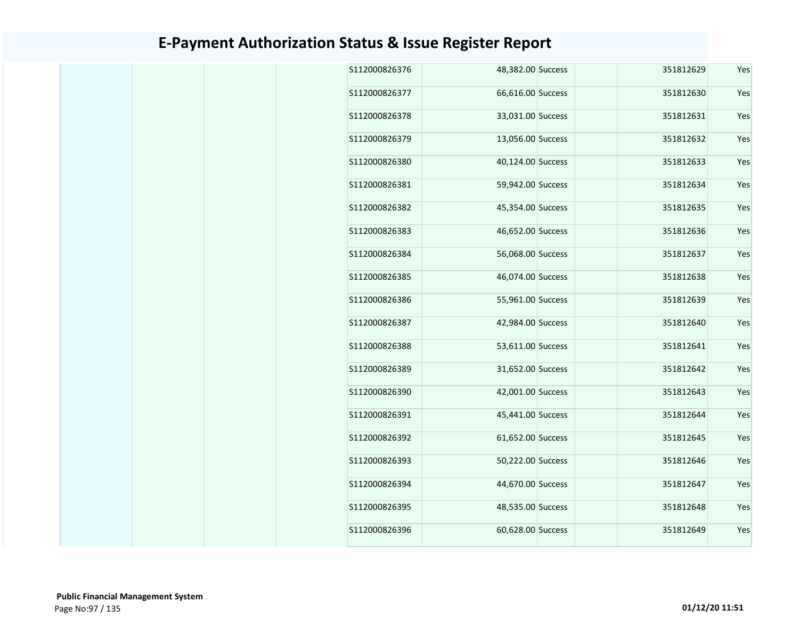| S112000826376 | 48,382.00 Success |  | 351812629 | Yes |
|---------------|-------------------|--|-----------|-----|
| S112000826377 | 66,616.00 Success |  | 351812630 | Yes |
| S112000826378 | 33,031.00 Success |  | 351812631 | Yes |
| S112000826379 | 13,056.00 Success |  | 351812632 | Yes |
| S112000826380 | 40,124.00 Success |  | 351812633 | Yes |
| S112000826381 | 59,942.00 Success |  | 351812634 | Yes |
| S112000826382 | 45,354.00 Success |  | 351812635 | Yes |
| S112000826383 | 46,652.00 Success |  | 351812636 | Yes |
| S112000826384 | 56,068.00 Success |  | 351812637 | Yes |
| S112000826385 | 46,074.00 Success |  | 351812638 | Yes |
| S112000826386 | 55,961.00 Success |  | 351812639 | Yes |
| S112000826387 | 42,984.00 Success |  | 351812640 | Yes |
| S112000826388 | 53,611.00 Success |  | 351812641 | Yes |
| S112000826389 | 31,652.00 Success |  | 351812642 | Yes |
| S112000826390 | 42,001.00 Success |  | 351812643 | Yes |
| S112000826391 | 45,441.00 Success |  | 351812644 | Yes |
| S112000826392 | 61,652.00 Success |  | 351812645 | Yes |
| S112000826393 | 50,222.00 Success |  | 351812646 | Yes |
| S112000826394 | 44,670.00 Success |  | 351812647 | Yes |
| S112000826395 | 48,535.00 Success |  | 351812648 | Yes |
| S112000826396 | 60,628.00 Success |  | 351812649 | Yes |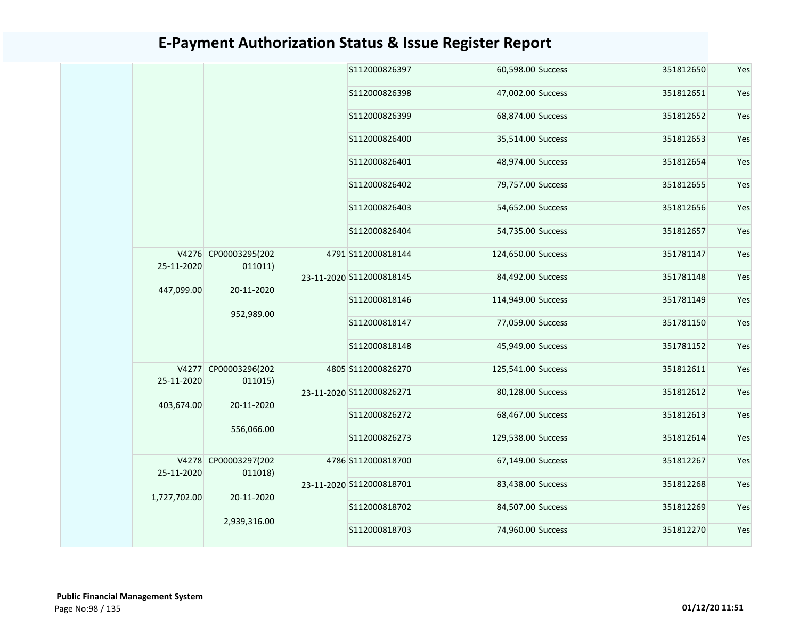|              |                                 | S112000826397            | 60,598.00 Success  | 351812650 | Yes |
|--------------|---------------------------------|--------------------------|--------------------|-----------|-----|
|              |                                 | S112000826398            | 47,002.00 Success  | 351812651 | Yes |
|              |                                 | S112000826399            | 68,874.00 Success  | 351812652 | Yes |
|              |                                 | S112000826400            | 35,514.00 Success  | 351812653 | Yes |
|              |                                 | S112000826401            | 48,974.00 Success  | 351812654 | Yes |
|              |                                 | S112000826402            | 79,757.00 Success  | 351812655 | Yes |
|              |                                 | S112000826403            | 54,652.00 Success  | 351812656 | Yes |
|              |                                 | S112000826404            | 54,735.00 Success  | 351812657 | Yes |
| 25-11-2020   | V4276 CP00003295(202<br>011011) | 4791 S112000818144       | 124,650.00 Success | 351781147 | Yes |
|              |                                 | 23-11-2020 S112000818145 | 84,492.00 Success  | 351781148 | Yes |
| 447,099.00   | 20-11-2020                      | S112000818146            | 114,949.00 Success | 351781149 | Yes |
|              | 952,989.00                      | S112000818147            | 77,059.00 Success  | 351781150 | Yes |
|              |                                 | S112000818148            | 45,949.00 Success  | 351781152 | Yes |
| 25-11-2020   | V4277 CP00003296(202<br>011015) | 4805 S112000826270       | 125,541.00 Success | 351812611 | Yes |
|              |                                 | 23-11-2020 S112000826271 | 80,128.00 Success  | 351812612 | Yes |
| 403,674.00   | 20-11-2020                      | S112000826272            | 68,467.00 Success  | 351812613 | Yes |
|              | 556,066.00                      | S112000826273            | 129,538.00 Success | 351812614 | Yes |
| 25-11-2020   | V4278 CP00003297(202<br>011018) | 4786 S112000818700       | 67,149.00 Success  | 351812267 | Yes |
|              |                                 | 23-11-2020 S112000818701 | 83,438.00 Success  | 351812268 | Yes |
| 1,727,702.00 | 20-11-2020                      | S112000818702            | 84,507.00 Success  | 351812269 | Yes |
|              | 2,939,316.00                    | S112000818703            | 74,960.00 Success  | 351812270 | Yes |
|              |                                 |                          |                    |           |     |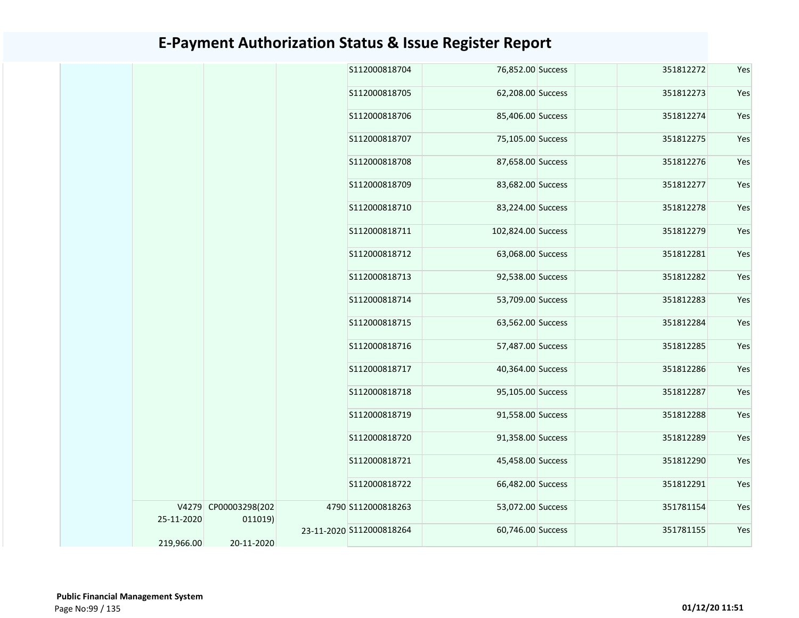|            |                                 | S112000818704            | 76,852.00 Success  | 351812272 | Yes |
|------------|---------------------------------|--------------------------|--------------------|-----------|-----|
|            |                                 | S112000818705            | 62,208.00 Success  | 351812273 | Yes |
|            |                                 | S112000818706            | 85,406.00 Success  | 351812274 | Yes |
|            |                                 | S112000818707            | 75,105.00 Success  | 351812275 | Yes |
|            |                                 | S112000818708            | 87,658.00 Success  | 351812276 | Yes |
|            |                                 | S112000818709            | 83,682.00 Success  | 351812277 | Yes |
|            |                                 | S112000818710            | 83,224.00 Success  | 351812278 | Yes |
|            |                                 | S112000818711            | 102,824.00 Success | 351812279 | Yes |
|            |                                 | S112000818712            | 63,068.00 Success  | 351812281 | Yes |
|            |                                 | S112000818713            | 92,538.00 Success  | 351812282 | Yes |
|            |                                 | S112000818714            | 53,709.00 Success  | 351812283 | Yes |
|            |                                 | S112000818715            | 63,562.00 Success  | 351812284 | Yes |
|            |                                 | S112000818716            | 57,487.00 Success  | 351812285 | Yes |
|            |                                 | S112000818717            | 40,364.00 Success  | 351812286 | Yes |
|            |                                 | S112000818718            | 95,105.00 Success  | 351812287 | Yes |
|            |                                 | S112000818719            | 91,558.00 Success  | 351812288 | Yes |
|            |                                 | S112000818720            | 91,358.00 Success  | 351812289 | Yes |
|            |                                 | S112000818721            | 45,458.00 Success  | 351812290 | Yes |
|            |                                 | S112000818722            | 66,482.00 Success  | 351812291 | Yes |
| 25-11-2020 | V4279 CP00003298(202<br>011019) | 4790 S112000818263       | 53,072.00 Success  | 351781154 | Yes |
| 219,966.00 | 20-11-2020                      | 23-11-2020 S112000818264 | 60,746.00 Success  | 351781155 | Yes |
|            |                                 |                          |                    |           |     |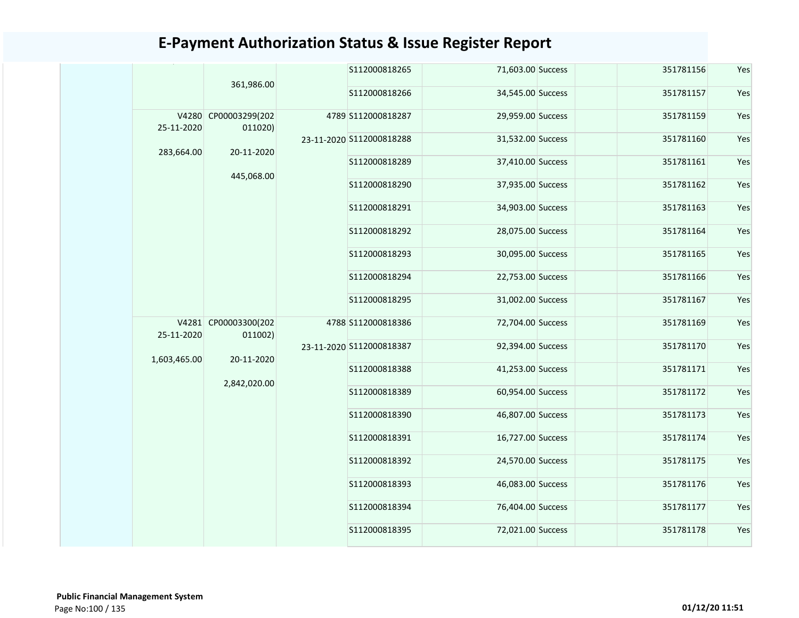|                     | 361,986.00                      | S112000818265            | 71,603.00 Success | 351781156 | Yes |
|---------------------|---------------------------------|--------------------------|-------------------|-----------|-----|
|                     |                                 | S112000818266            | 34,545.00 Success | 351781157 | Yes |
| V4280<br>25-11-2020 | CP00003299(202<br>011020)       | 4789 S112000818287       | 29,959.00 Success | 351781159 | Yes |
| 283,664.00          | 20-11-2020                      | 23-11-2020 S112000818288 | 31,532.00 Success | 351781160 | Yes |
|                     | 445,068.00                      | S112000818289            | 37,410.00 Success | 351781161 | Yes |
|                     |                                 | S112000818290            | 37,935.00 Success | 351781162 | Yes |
|                     |                                 | S112000818291            | 34,903.00 Success | 351781163 | Yes |
|                     |                                 | S112000818292            | 28,075.00 Success | 351781164 | Yes |
|                     |                                 | S112000818293            | 30,095.00 Success | 351781165 | Yes |
|                     |                                 | S112000818294            | 22,753.00 Success | 351781166 | Yes |
|                     |                                 | S112000818295            | 31,002.00 Success | 351781167 | Yes |
| 25-11-2020          | V4281 CP00003300(202<br>011002) | 4788 S112000818386       | 72,704.00 Success | 351781169 | Yes |
| 1,603,465.00        | 20-11-2020                      | 23-11-2020 S112000818387 | 92,394.00 Success | 351781170 | Yes |
|                     | 2,842,020.00                    | S112000818388            | 41,253.00 Success | 351781171 | Yes |
|                     |                                 | S112000818389            | 60,954.00 Success | 351781172 | Yes |
|                     |                                 | S112000818390            | 46,807.00 Success | 351781173 | Yes |
|                     |                                 | S112000818391            | 16,727.00 Success | 351781174 | Yes |
|                     |                                 | S112000818392            | 24,570.00 Success | 351781175 | Yes |
|                     |                                 | S112000818393            | 46,083.00 Success | 351781176 | Yes |
|                     |                                 | S112000818394            | 76,404.00 Success | 351781177 | Yes |
|                     |                                 | S112000818395            | 72,021.00 Success | 351781178 | Yes |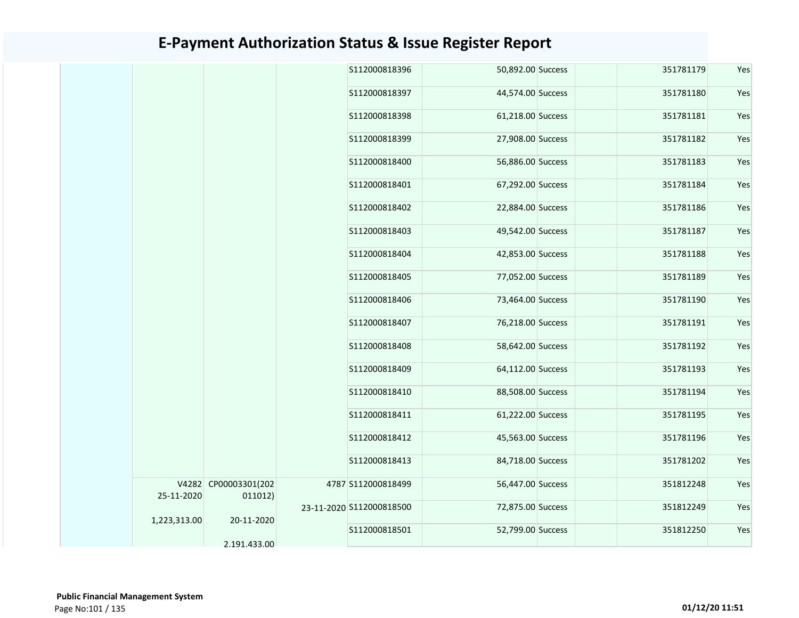| 351781179<br>\$112000818396<br>50,892.00 Success<br>S112000818397<br>44,574.00 Success<br>351781180<br>61,218.00 Success<br>351781181<br>S112000818398<br>27,908.00 Success<br>351781182<br>S112000818399<br>S112000818400<br>56,886.00 Success<br>351781183<br>S112000818401<br>67,292.00 Success<br>351781184<br>S112000818402<br>22,884.00 Success<br>351781186<br>351781187<br>S112000818403<br>49,542.00 Success<br>S112000818404<br>42,853.00 Success<br>351781188<br>S112000818405<br>77,052.00 Success<br>351781189<br>S112000818406<br>73,464.00 Success<br>351781190<br>S112000818407<br>76,218.00 Success<br>351781191<br>351781192<br>S112000818408<br>58,642.00 Success<br>\$112000818409<br>64,112.00 Success<br>351781193<br>S112000818410<br>88,508.00 Success<br>351781194<br>\$112000818411<br>61,222.00 Success<br>351781195<br>351781196<br>S112000818412<br>45,563.00 Success<br>84,718.00 Success<br>S112000818413<br>351781202<br>V4282 CP00003301(202<br>56,447.00 Success<br>4787 S112000818499<br>351812248<br>25-11-2020<br>011012)<br>72,875.00 Success<br>351812249<br>23-11-2020 S112000818500<br>1,223,313.00<br>20-11-2020<br>S112000818501<br>52,799.00 Success<br>351812250<br>2.191.433.00 |  |  |  |  |     |
|-------------------------------------------------------------------------------------------------------------------------------------------------------------------------------------------------------------------------------------------------------------------------------------------------------------------------------------------------------------------------------------------------------------------------------------------------------------------------------------------------------------------------------------------------------------------------------------------------------------------------------------------------------------------------------------------------------------------------------------------------------------------------------------------------------------------------------------------------------------------------------------------------------------------------------------------------------------------------------------------------------------------------------------------------------------------------------------------------------------------------------------------------------------------------------------------------------------------------------|--|--|--|--|-----|
|                                                                                                                                                                                                                                                                                                                                                                                                                                                                                                                                                                                                                                                                                                                                                                                                                                                                                                                                                                                                                                                                                                                                                                                                                               |  |  |  |  | Yes |
|                                                                                                                                                                                                                                                                                                                                                                                                                                                                                                                                                                                                                                                                                                                                                                                                                                                                                                                                                                                                                                                                                                                                                                                                                               |  |  |  |  | Yes |
|                                                                                                                                                                                                                                                                                                                                                                                                                                                                                                                                                                                                                                                                                                                                                                                                                                                                                                                                                                                                                                                                                                                                                                                                                               |  |  |  |  | Yes |
|                                                                                                                                                                                                                                                                                                                                                                                                                                                                                                                                                                                                                                                                                                                                                                                                                                                                                                                                                                                                                                                                                                                                                                                                                               |  |  |  |  | Yes |
|                                                                                                                                                                                                                                                                                                                                                                                                                                                                                                                                                                                                                                                                                                                                                                                                                                                                                                                                                                                                                                                                                                                                                                                                                               |  |  |  |  | Yes |
|                                                                                                                                                                                                                                                                                                                                                                                                                                                                                                                                                                                                                                                                                                                                                                                                                                                                                                                                                                                                                                                                                                                                                                                                                               |  |  |  |  | Yes |
|                                                                                                                                                                                                                                                                                                                                                                                                                                                                                                                                                                                                                                                                                                                                                                                                                                                                                                                                                                                                                                                                                                                                                                                                                               |  |  |  |  | Yes |
|                                                                                                                                                                                                                                                                                                                                                                                                                                                                                                                                                                                                                                                                                                                                                                                                                                                                                                                                                                                                                                                                                                                                                                                                                               |  |  |  |  | Yes |
|                                                                                                                                                                                                                                                                                                                                                                                                                                                                                                                                                                                                                                                                                                                                                                                                                                                                                                                                                                                                                                                                                                                                                                                                                               |  |  |  |  | Yes |
|                                                                                                                                                                                                                                                                                                                                                                                                                                                                                                                                                                                                                                                                                                                                                                                                                                                                                                                                                                                                                                                                                                                                                                                                                               |  |  |  |  | Yes |
|                                                                                                                                                                                                                                                                                                                                                                                                                                                                                                                                                                                                                                                                                                                                                                                                                                                                                                                                                                                                                                                                                                                                                                                                                               |  |  |  |  | Yes |
|                                                                                                                                                                                                                                                                                                                                                                                                                                                                                                                                                                                                                                                                                                                                                                                                                                                                                                                                                                                                                                                                                                                                                                                                                               |  |  |  |  | Yes |
|                                                                                                                                                                                                                                                                                                                                                                                                                                                                                                                                                                                                                                                                                                                                                                                                                                                                                                                                                                                                                                                                                                                                                                                                                               |  |  |  |  | Yes |
|                                                                                                                                                                                                                                                                                                                                                                                                                                                                                                                                                                                                                                                                                                                                                                                                                                                                                                                                                                                                                                                                                                                                                                                                                               |  |  |  |  | Yes |
|                                                                                                                                                                                                                                                                                                                                                                                                                                                                                                                                                                                                                                                                                                                                                                                                                                                                                                                                                                                                                                                                                                                                                                                                                               |  |  |  |  | Yes |
|                                                                                                                                                                                                                                                                                                                                                                                                                                                                                                                                                                                                                                                                                                                                                                                                                                                                                                                                                                                                                                                                                                                                                                                                                               |  |  |  |  | Yes |
|                                                                                                                                                                                                                                                                                                                                                                                                                                                                                                                                                                                                                                                                                                                                                                                                                                                                                                                                                                                                                                                                                                                                                                                                                               |  |  |  |  | Yes |
|                                                                                                                                                                                                                                                                                                                                                                                                                                                                                                                                                                                                                                                                                                                                                                                                                                                                                                                                                                                                                                                                                                                                                                                                                               |  |  |  |  | Yes |
|                                                                                                                                                                                                                                                                                                                                                                                                                                                                                                                                                                                                                                                                                                                                                                                                                                                                                                                                                                                                                                                                                                                                                                                                                               |  |  |  |  | Yes |
|                                                                                                                                                                                                                                                                                                                                                                                                                                                                                                                                                                                                                                                                                                                                                                                                                                                                                                                                                                                                                                                                                                                                                                                                                               |  |  |  |  | Yes |
|                                                                                                                                                                                                                                                                                                                                                                                                                                                                                                                                                                                                                                                                                                                                                                                                                                                                                                                                                                                                                                                                                                                                                                                                                               |  |  |  |  | Yes |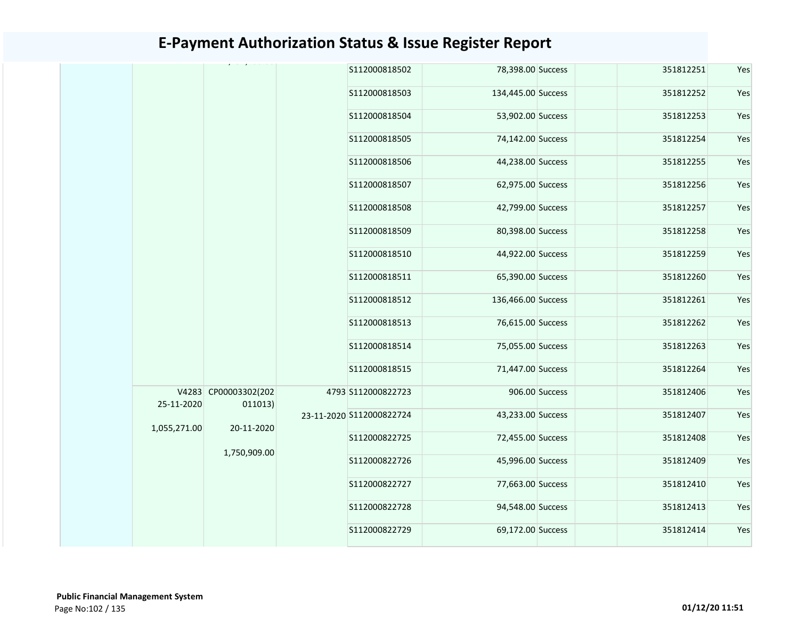|              |                                 | S112000818502            | 78,398.00 Success  |                | 351812251 | Yes |
|--------------|---------------------------------|--------------------------|--------------------|----------------|-----------|-----|
|              |                                 | S112000818503            | 134,445.00 Success |                | 351812252 | Yes |
|              |                                 | S112000818504            | 53,902.00 Success  |                | 351812253 | Yes |
|              |                                 | S112000818505            | 74,142.00 Success  |                | 351812254 | Yes |
|              |                                 | S112000818506            | 44,238.00 Success  |                | 351812255 | Yes |
|              |                                 | S112000818507            | 62,975.00 Success  |                | 351812256 | Yes |
|              |                                 | S112000818508            | 42,799.00 Success  |                | 351812257 | Yes |
|              |                                 | S112000818509            | 80,398.00 Success  |                | 351812258 | Yes |
|              |                                 | S112000818510            | 44,922.00 Success  |                | 351812259 | Yes |
|              |                                 | S112000818511            | 65,390.00 Success  |                | 351812260 | Yes |
|              |                                 | S112000818512            | 136,466.00 Success |                | 351812261 | Yes |
|              |                                 | S112000818513            | 76,615.00 Success  |                | 351812262 | Yes |
|              |                                 | S112000818514            | 75,055.00 Success  |                | 351812263 | Yes |
|              |                                 | \$112000818515           | 71,447.00 Success  |                | 351812264 | Yes |
| 25-11-2020   | V4283 CP00003302(202<br>011013) | 4793 S112000822723       |                    | 906.00 Success | 351812406 | Yes |
| 1,055,271.00 | 20-11-2020                      | 23-11-2020 S112000822724 | 43,233.00 Success  |                | 351812407 | Yes |
|              |                                 | S112000822725            | 72,455.00 Success  |                | 351812408 | Yes |
|              | 1,750,909.00                    | S112000822726            | 45,996.00 Success  |                | 351812409 | Yes |
|              |                                 | S112000822727            | 77,663.00 Success  |                | 351812410 | Yes |
|              |                                 | S112000822728            | 94,548.00 Success  |                | 351812413 | Yes |
|              |                                 | S112000822729            | 69,172.00 Success  |                | 351812414 | Yes |
|              |                                 |                          |                    |                |           |     |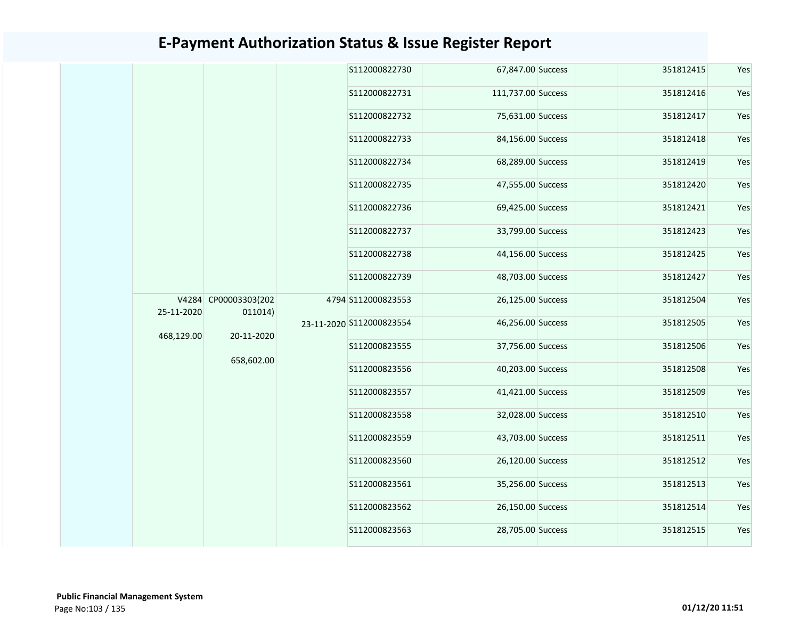|            |                      |  | S112000822730            | 67,847.00 Success  | 351812415         |                   |           |  |
|------------|----------------------|--|--------------------------|--------------------|-------------------|-------------------|-----------|--|
|            |                      |  | S112000822731            | 111,737.00 Success | 351812416         |                   |           |  |
|            |                      |  | S112000822732            | 75,631.00 Success  | 351812417         |                   |           |  |
|            |                      |  | S112000822733            | 84,156.00 Success  | 351812418         |                   |           |  |
|            |                      |  | S112000822734            | 68,289.00 Success  | 351812419         |                   |           |  |
|            |                      |  | S112000822735            | 47,555.00 Success  | 351812420         |                   |           |  |
|            |                      |  | S112000822736            | 69,425.00 Success  | 351812421         |                   |           |  |
|            |                      |  | S112000822737            | 33,799.00 Success  | 351812423         |                   |           |  |
|            |                      |  | S112000822738            | 44,156.00 Success  | 351812425         |                   |           |  |
|            |                      |  | S112000822739            | 48,703.00 Success  | 351812427         |                   |           |  |
|            | V4284 CP00003303(202 |  | 4794 S112000823553       | 26,125.00 Success  | 351812504         |                   |           |  |
| 25-11-2020 | 011014)              |  | 23-11-2020 S112000823554 | 46,256.00 Success  | 351812505         |                   |           |  |
| 468,129.00 | 20-11-2020           |  | S112000823555            | 37,756.00 Success  | 351812506         |                   |           |  |
|            | 658,602.00           |  | S112000823556            | 40,203.00 Success  | 351812508         |                   |           |  |
|            |                      |  | S112000823557            | 41,421.00 Success  | 351812509         |                   |           |  |
|            |                      |  | S112000823558            | 32,028.00 Success  | 351812510         |                   |           |  |
|            |                      |  | S112000823559            | 43,703.00 Success  | 351812511         |                   |           |  |
|            |                      |  | S112000823560            | 26,120.00 Success  | 351812512         |                   |           |  |
|            |                      |  | S112000823561            | 35,256.00 Success  | 351812513         |                   |           |  |
|            |                      |  |                          |                    | S112000823562     | 26,150.00 Success | 351812514 |  |
|            |                      |  |                          | S112000823563      | 28,705.00 Success | 351812515         |           |  |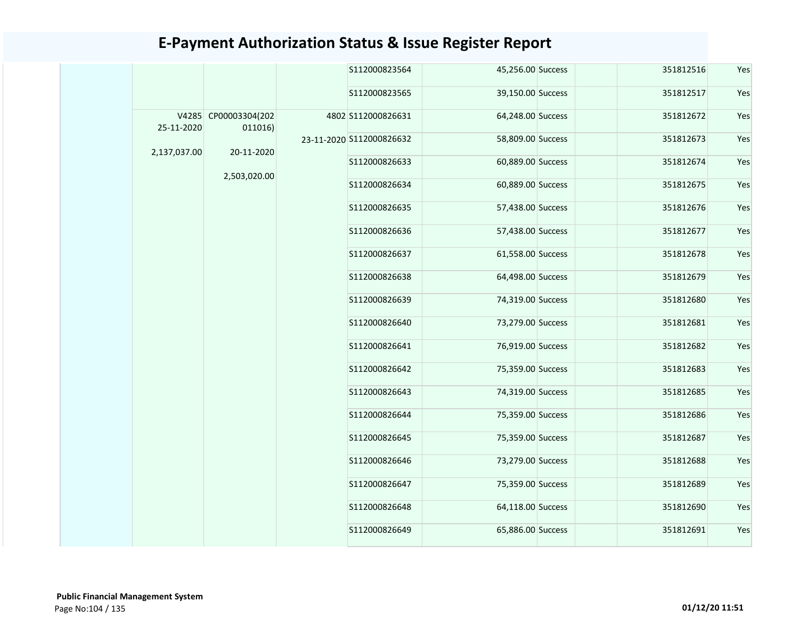|              |                                 | S112000823564            | 45,256.00 Success | 351812516 | Yes |
|--------------|---------------------------------|--------------------------|-------------------|-----------|-----|
|              |                                 | S112000823565            | 39,150.00 Success | 351812517 | Yes |
| 25-11-2020   | V4285 CP00003304(202<br>011016) | 4802 S112000826631       | 64,248.00 Success | 351812672 | Yes |
| 2,137,037.00 | 20-11-2020                      | 23-11-2020 S112000826632 | 58,809.00 Success | 351812673 | Yes |
|              | 2,503,020.00                    | S112000826633            | 60,889.00 Success | 351812674 | Yes |
|              |                                 | S112000826634            | 60,889.00 Success | 351812675 | Yes |
|              |                                 | S112000826635            | 57,438.00 Success | 351812676 | Yes |
|              |                                 | S112000826636            | 57,438.00 Success | 351812677 | Yes |
|              |                                 | S112000826637            | 61,558.00 Success | 351812678 | Yes |
|              |                                 | S112000826638            | 64,498.00 Success | 351812679 | Yes |
|              |                                 | S112000826639            | 74,319.00 Success | 351812680 | Yes |
|              |                                 | S112000826640            | 73,279.00 Success | 351812681 | Yes |
|              |                                 | S112000826641            | 76,919.00 Success | 351812682 | Yes |
|              |                                 | S112000826642            | 75,359.00 Success | 351812683 | Yes |
|              |                                 | S112000826643            | 74,319.00 Success | 351812685 | Yes |
|              |                                 | S112000826644            | 75,359.00 Success | 351812686 | Yes |
|              |                                 | S112000826645            | 75,359.00 Success | 351812687 | Yes |
|              |                                 | S112000826646            | 73,279.00 Success | 351812688 | Yes |
|              |                                 | S112000826647            | 75,359.00 Success | 351812689 | Yes |
|              |                                 | S112000826648            | 64,118.00 Success | 351812690 | Yes |
|              |                                 | S112000826649            | 65,886.00 Success | 351812691 | Yes |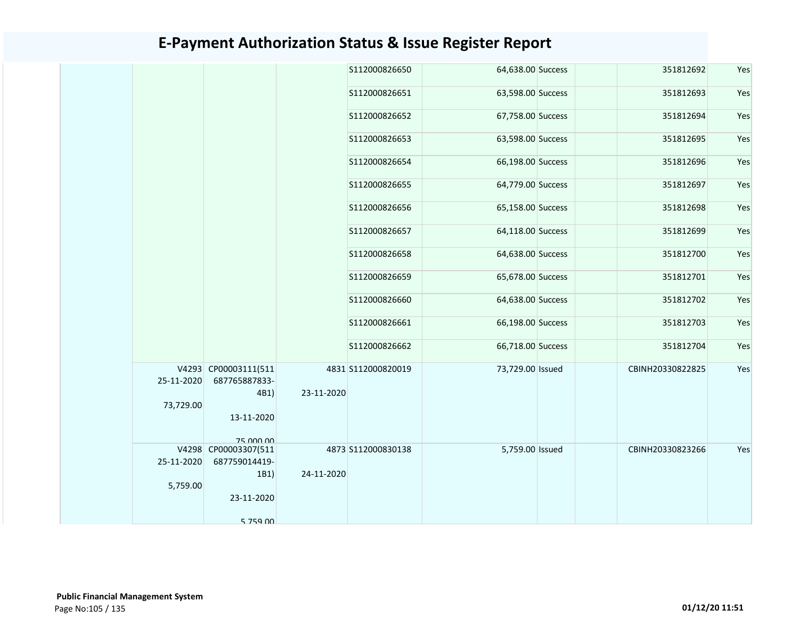|                         |                                               |            | S112000826650      | 64,638.00 Success | 351812692        | Yes |
|-------------------------|-----------------------------------------------|------------|--------------------|-------------------|------------------|-----|
|                         |                                               |            | S112000826651      | 63,598.00 Success | 351812693        | Yes |
|                         |                                               |            | S112000826652      | 67,758.00 Success | 351812694        | Yes |
|                         |                                               |            | S112000826653      | 63,598.00 Success | 351812695        | Yes |
|                         |                                               |            | S112000826654      | 66,198.00 Success | 351812696        | Yes |
|                         |                                               |            | S112000826655      | 64,779.00 Success | 351812697        | Yes |
|                         |                                               |            | S112000826656      | 65,158.00 Success | 351812698        | Yes |
|                         |                                               |            | S112000826657      | 64,118.00 Success | 351812699        | Yes |
|                         |                                               |            | S112000826658      | 64,638.00 Success | 351812700        | Yes |
|                         |                                               |            | \$112000826659     | 65,678.00 Success | 351812701        | Yes |
|                         |                                               |            | \$112000826660     | 64,638.00 Success | 351812702        | Yes |
|                         |                                               |            | S112000826661      | 66,198.00 Success | 351812703        | Yes |
|                         |                                               |            | S112000826662      | 66,718.00 Success | 351812704        | Yes |
| 25-11-2020<br>73,729.00 | V4293 CP00003111(511<br>687765887833-<br>4B1) | 23-11-2020 | 4831 S112000820019 | 73,729.00 Issued  | CBINH20330822825 | Yes |
|                         | 13-11-2020<br>75 000 00                       |            |                    |                   |                  |     |
| 25-11-2020              | V4298 CP00003307(511<br>687759014419-         |            | 4873 S112000830138 | 5,759.00 Issued   | CBINH20330823266 | Yes |
| 5,759.00                | 1B1)<br>23-11-2020                            | 24-11-2020 |                    |                   |                  |     |
|                         | 5 759 00                                      |            |                    |                   |                  |     |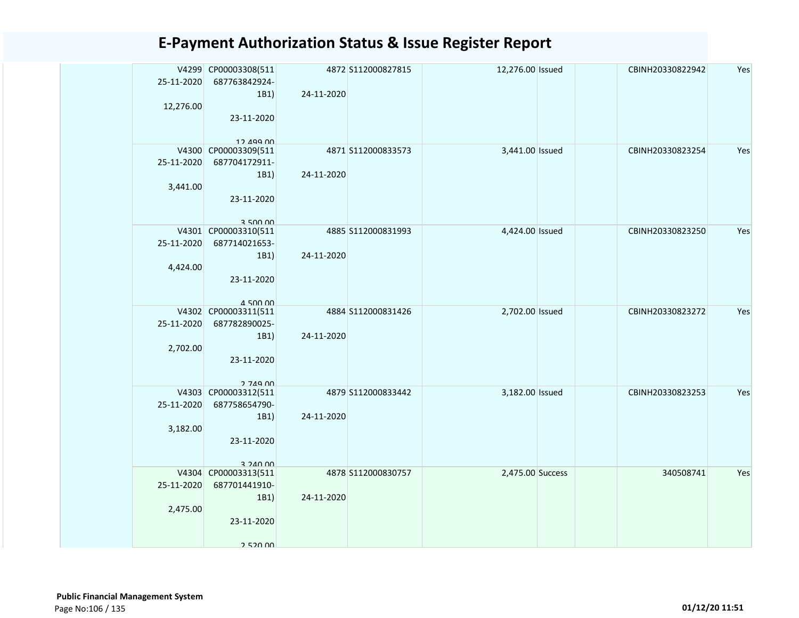| 25-11-2020 | V4299 CP00003308(511<br>687763842924- |            | 4872 S112000827815 | 12,276.00 Issued | CBINH20330822942 | Yes |
|------------|---------------------------------------|------------|--------------------|------------------|------------------|-----|
|            | 1B1)                                  | 24-11-2020 |                    |                  |                  |     |
| 12,276.00  |                                       |            |                    |                  |                  |     |
|            | 23-11-2020                            |            |                    |                  |                  |     |
|            |                                       |            |                    |                  |                  |     |
|            | 12 499 00<br>V4300 CP00003309(511     |            | 4871 S112000833573 | 3,441.00 Issued  | CBINH20330823254 | Yes |
| 25-11-2020 | 687704172911-                         |            |                    |                  |                  |     |
|            | 1B1)                                  | 24-11-2020 |                    |                  |                  |     |
| 3,441.00   |                                       |            |                    |                  |                  |     |
|            | 23-11-2020                            |            |                    |                  |                  |     |
|            |                                       |            |                    |                  |                  |     |
|            | 3 500 00                              |            |                    |                  |                  |     |
|            | V4301 CP00003310(511                  |            | 4885 S112000831993 | 4,424.00 Issued  | CBINH20330823250 | Yes |
| 25-11-2020 | 687714021653-                         |            |                    |                  |                  |     |
|            | 1B1)                                  | 24-11-2020 |                    |                  |                  |     |
| 4,424.00   |                                       |            |                    |                  |                  |     |
|            | 23-11-2020                            |            |                    |                  |                  |     |
|            | $A$ 500 00                            |            |                    |                  |                  |     |
|            | V4302 CP00003311(511                  |            | 4884 S112000831426 | 2,702.00 Issued  | CBINH20330823272 | Yes |
| 25-11-2020 | 687782890025-                         |            |                    |                  |                  |     |
|            | 1B1)                                  | 24-11-2020 |                    |                  |                  |     |
| 2,702.00   |                                       |            |                    |                  |                  |     |
|            | 23-11-2020                            |            |                    |                  |                  |     |
|            |                                       |            |                    |                  |                  |     |
|            | 2 749 00<br>V4303 CP00003312(511      |            | 4879 S112000833442 | 3,182.00 Issued  | CBINH20330823253 | Yes |
| 25-11-2020 | 687758654790-                         |            |                    |                  |                  |     |
|            | 1B1)                                  | 24-11-2020 |                    |                  |                  |     |
| 3,182.00   |                                       |            |                    |                  |                  |     |
|            | 23-11-2020                            |            |                    |                  |                  |     |
|            |                                       |            |                    |                  |                  |     |
|            | 3 240 00<br>V4304 CP00003313(511      |            | 4878 S112000830757 | 2,475.00 Success | 340508741        | Yes |
| 25-11-2020 | 687701441910-                         |            |                    |                  |                  |     |
|            | 1B1)                                  | 24-11-2020 |                    |                  |                  |     |
| 2,475.00   |                                       |            |                    |                  |                  |     |
|            | 23-11-2020                            |            |                    |                  |                  |     |
|            |                                       |            |                    |                  |                  |     |
|            | 2 520 00                              |            |                    |                  |                  |     |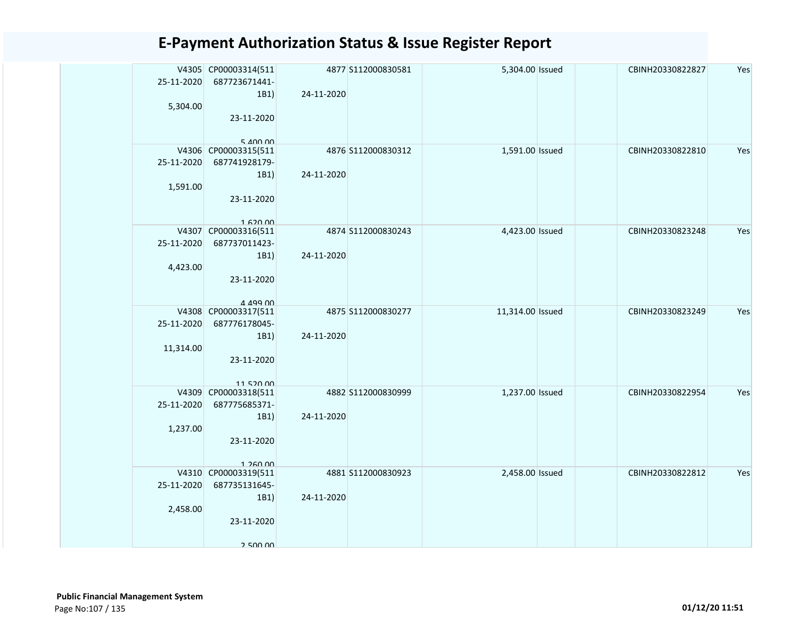| 25-11-2020 | V4305 CP00003314(511<br>687723671441-  |            | 4877 S112000830581 | 5,304.00 Issued  | CBINH20330822827 | Yes |
|------------|----------------------------------------|------------|--------------------|------------------|------------------|-----|
|            | 1B1)                                   | 24-11-2020 |                    |                  |                  |     |
| 5,304.00   |                                        |            |                    |                  |                  |     |
|            | 23-11-2020                             |            |                    |                  |                  |     |
|            |                                        |            |                    |                  |                  |     |
|            | $5$ $100$ $00$<br>V4306 CP00003315(511 |            | 4876 S112000830312 | 1,591.00 Issued  | CBINH20330822810 | Yes |
| 25-11-2020 | 687741928179-                          |            |                    |                  |                  |     |
|            | 1B1)                                   | 24-11-2020 |                    |                  |                  |     |
| 1,591.00   |                                        |            |                    |                  |                  |     |
|            | 23-11-2020                             |            |                    |                  |                  |     |
|            |                                        |            |                    |                  |                  |     |
|            | 1.620.00                               |            |                    |                  |                  |     |
|            | V4307 CP00003316(511                   |            | 4874 S112000830243 | 4,423.00 Issued  | CBINH20330823248 | Yes |
| 25-11-2020 | 687737011423-                          |            |                    |                  |                  |     |
| 4,423.00   | 1B1)                                   | 24-11-2020 |                    |                  |                  |     |
|            | 23-11-2020                             |            |                    |                  |                  |     |
|            |                                        |            |                    |                  |                  |     |
|            | A 499 00                               |            |                    |                  |                  |     |
|            | V4308 CP00003317(511                   |            | 4875 S112000830277 | 11,314.00 Issued | CBINH20330823249 | Yes |
| 25-11-2020 | 687776178045-                          |            |                    |                  |                  |     |
|            | 1B1)                                   | 24-11-2020 |                    |                  |                  |     |
| 11,314.00  |                                        |            |                    |                  |                  |     |
|            | 23-11-2020                             |            |                    |                  |                  |     |
|            | 1152000                                |            |                    |                  |                  |     |
|            | V4309 CP00003318(511                   |            | 4882 S112000830999 | 1,237.00 Issued  | CBINH20330822954 | Yes |
| 25-11-2020 | 687775685371-                          |            |                    |                  |                  |     |
|            | 1B1)                                   | 24-11-2020 |                    |                  |                  |     |
| 1,237.00   |                                        |            |                    |                  |                  |     |
|            | 23-11-2020                             |            |                    |                  |                  |     |
|            | 1 260 00                               |            |                    |                  |                  |     |
|            | V4310 CP00003319(511                   |            | 4881 S112000830923 | 2,458.00 Issued  | CBINH20330822812 | Yes |
| 25-11-2020 | 687735131645-                          |            |                    |                  |                  |     |
|            | 1B1)                                   | 24-11-2020 |                    |                  |                  |     |
| 2,458.00   |                                        |            |                    |                  |                  |     |
|            | 23-11-2020                             |            |                    |                  |                  |     |
|            |                                        |            |                    |                  |                  |     |
|            | 2 500 00                               |            |                    |                  |                  |     |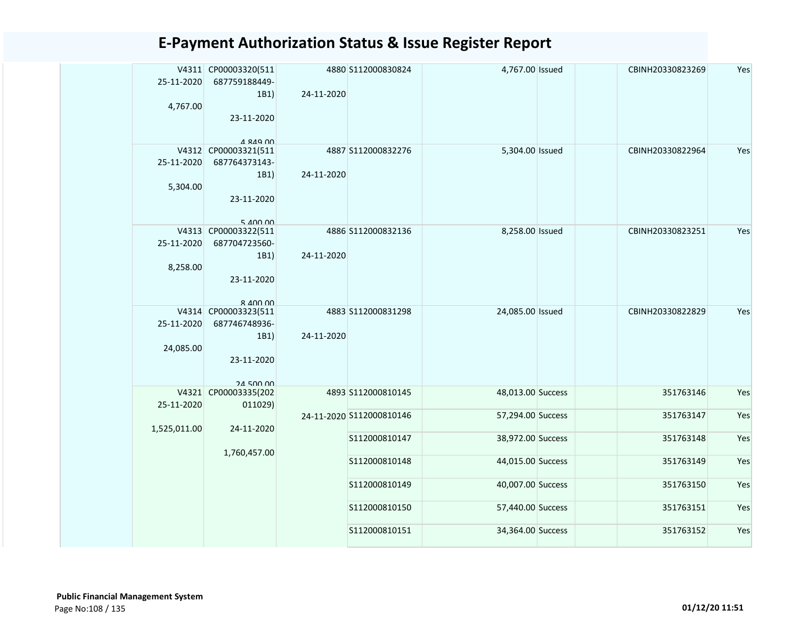| 25-11-2020   | V4311 CP00003320(511<br>687759188449-    |            | 4880 S112000830824       | 4,767.00 Issued   | CBINH20330823269 | Yes |
|--------------|------------------------------------------|------------|--------------------------|-------------------|------------------|-----|
|              | 1B1)                                     | 24-11-2020 |                          |                   |                  |     |
| 4,767.00     |                                          |            |                          |                   |                  |     |
|              | 23-11-2020                               |            |                          |                   |                  |     |
|              |                                          |            |                          |                   |                  |     |
|              | 1 849 00                                 |            |                          |                   |                  |     |
|              | V4312 CP00003321(511                     |            | 4887 S112000832276       | 5,304.00 Issued   | CBINH20330822964 | Yes |
| 25-11-2020   | 687764373143-<br>1B1)                    | 24-11-2020 |                          |                   |                  |     |
| 5,304.00     |                                          |            |                          |                   |                  |     |
|              | 23-11-2020                               |            |                          |                   |                  |     |
|              |                                          |            |                          |                   |                  |     |
|              | $5$ $100$ $00$                           |            |                          |                   |                  |     |
|              | V4313 CP00003322(511                     |            | 4886 S112000832136       | 8,258.00 Issued   | CBINH20330823251 | Yes |
| 25-11-2020   | 687704723560-                            |            |                          |                   |                  |     |
|              | 1B1)                                     | 24-11-2020 |                          |                   |                  |     |
| 8,258.00     |                                          |            |                          |                   |                  |     |
|              | 23-11-2020                               |            |                          |                   |                  |     |
|              | $R$ $A$ $\Omega$ $\Omega$ $\Omega$       |            |                          |                   |                  |     |
|              | V4314 CP00003323(511                     |            | 4883 \$112000831298      | 24,085.00 Issued  | CBINH20330822829 | Yes |
| 25-11-2020   | 687746748936-                            |            |                          |                   |                  |     |
|              | 1B1)                                     | 24-11-2020 |                          |                   |                  |     |
| 24,085.00    |                                          |            |                          |                   |                  |     |
|              | 23-11-2020                               |            |                          |                   |                  |     |
|              |                                          |            |                          |                   |                  |     |
|              | <b>24 500 00</b><br>V4321 CP00003335(202 |            | 4893 S112000810145       | 48,013.00 Success | 351763146        | Yes |
| 25-11-2020   | 011029)                                  |            |                          |                   |                  |     |
|              |                                          |            | 24-11-2020 S112000810146 | 57,294.00 Success | 351763147        | Yes |
| 1,525,011.00 | 24-11-2020                               |            |                          |                   |                  |     |
|              |                                          |            | S112000810147            | 38,972.00 Success | 351763148        | Yes |
|              | 1,760,457.00                             |            | S112000810148            | 44,015.00 Success | 351763149        | Yes |
|              |                                          |            |                          |                   |                  |     |
|              |                                          |            | S112000810149            | 40,007.00 Success | 351763150        | Yes |
|              |                                          |            |                          |                   |                  |     |
|              |                                          |            | S112000810150            | 57,440.00 Success | 351763151        | Yes |
|              |                                          |            |                          |                   |                  |     |
|              |                                          |            | S112000810151            | 34,364.00 Success | 351763152        | Yes |
|              |                                          |            |                          |                   |                  |     |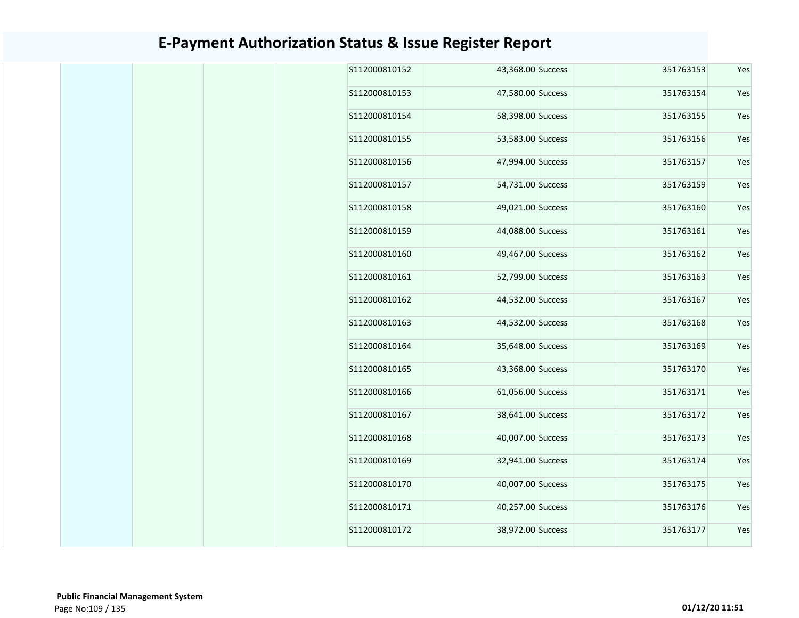| S112000810152 | 43,368.00 Success | 351763153 | Yes |
|---------------|-------------------|-----------|-----|
| S112000810153 | 47,580.00 Success | 351763154 | Yes |
| S112000810154 | 58,398.00 Success | 351763155 | Yes |
| S112000810155 | 53,583.00 Success | 351763156 | Yes |
| S112000810156 | 47,994.00 Success | 351763157 | Yes |
| S112000810157 | 54,731.00 Success | 351763159 | Yes |
| S112000810158 | 49,021.00 Success | 351763160 | Yes |
| S112000810159 | 44,088.00 Success | 351763161 | Yes |
| S112000810160 | 49,467.00 Success | 351763162 | Yes |
| S112000810161 | 52,799.00 Success | 351763163 | Yes |
| S112000810162 | 44,532.00 Success | 351763167 | Yes |
| S112000810163 | 44,532.00 Success | 351763168 | Yes |
| S112000810164 | 35,648.00 Success | 351763169 | Yes |
| S112000810165 | 43,368.00 Success | 351763170 | Yes |
| S112000810166 | 61,056.00 Success | 351763171 | Yes |
| S112000810167 | 38,641.00 Success | 351763172 | Yes |
| S112000810168 | 40,007.00 Success | 351763173 | Yes |
| S112000810169 | 32,941.00 Success | 351763174 | Yes |
| S112000810170 | 40,007.00 Success | 351763175 | Yes |
| S112000810171 | 40,257.00 Success | 351763176 | Yes |
| S112000810172 | 38,972.00 Success | 351763177 | Yes |
|               |                   |           |     |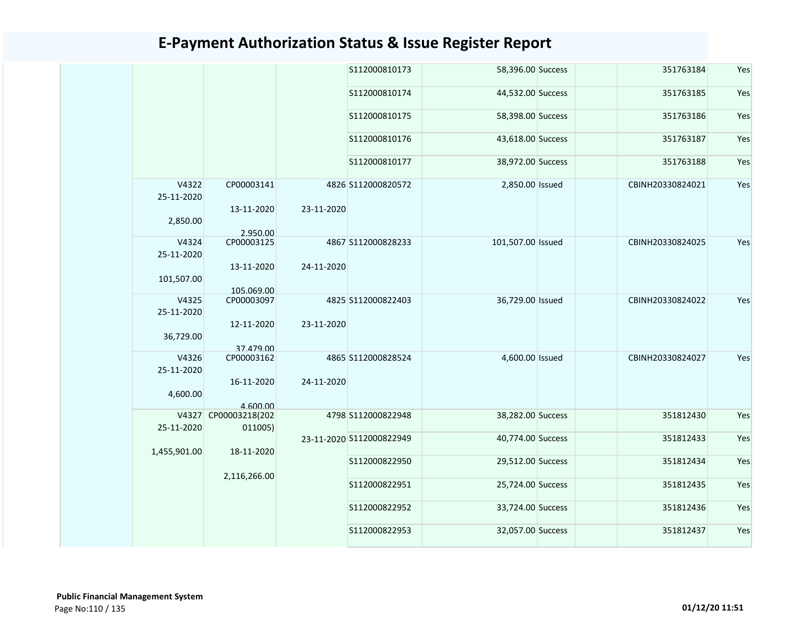|                     |                           |            | S112000810173            | 58,396.00 Success | 351763184        | Yes |
|---------------------|---------------------------|------------|--------------------------|-------------------|------------------|-----|
|                     |                           |            | S112000810174            | 44,532.00 Success | 351763185        | Yes |
|                     |                           |            | S112000810175            | 58,398.00 Success | 351763186        | Yes |
|                     |                           |            | S112000810176            | 43,618.00 Success | 351763187        | Yes |
|                     |                           |            | S112000810177            | 38,972.00 Success | 351763188        | Yes |
| V4322<br>25-11-2020 | CP00003141                |            | 4826 S112000820572       | 2,850.00 Issued   | CBINH20330824021 | Yes |
| 2,850.00            | 13-11-2020<br>2.950.00    | 23-11-2020 |                          |                   |                  |     |
| V4324<br>25-11-2020 | CP00003125                |            | 4867 S112000828233       | 101,507.00 Issued | CBINH20330824025 | Yes |
| 101,507.00          | 13-11-2020                | 24-11-2020 |                          |                   |                  |     |
| V4325<br>25-11-2020 | 105.069.00<br>CP00003097  |            | 4825 S112000822403       | 36,729.00 Issued  | CBINH20330824022 | Yes |
| 36,729.00           | 12-11-2020<br>37.479.00   | 23-11-2020 |                          |                   |                  |     |
| V4326<br>25-11-2020 | CP00003162                |            | 4865 S112000828524       | 4,600.00 Issued   | CBINH20330824027 | Yes |
| 4,600.00            | 16-11-2020<br>4.600.00    | 24-11-2020 |                          |                   |                  |     |
| V4327<br>25-11-2020 | CP00003218(202<br>011005) |            | 4798 S112000822948       | 38,282.00 Success | 351812430        | Yes |
| 1,455,901.00        | 18-11-2020                |            | 23-11-2020 S112000822949 | 40,774.00 Success | 351812433        | Yes |
|                     |                           |            | S112000822950            | 29,512.00 Success | 351812434        | Yes |
|                     | 2,116,266.00              |            | S112000822951            | 25,724.00 Success | 351812435        | Yes |
|                     |                           |            | S112000822952            | 33,724.00 Success | 351812436        | Yes |
|                     |                           |            | S112000822953            | 32,057.00 Success | 351812437        | Yes |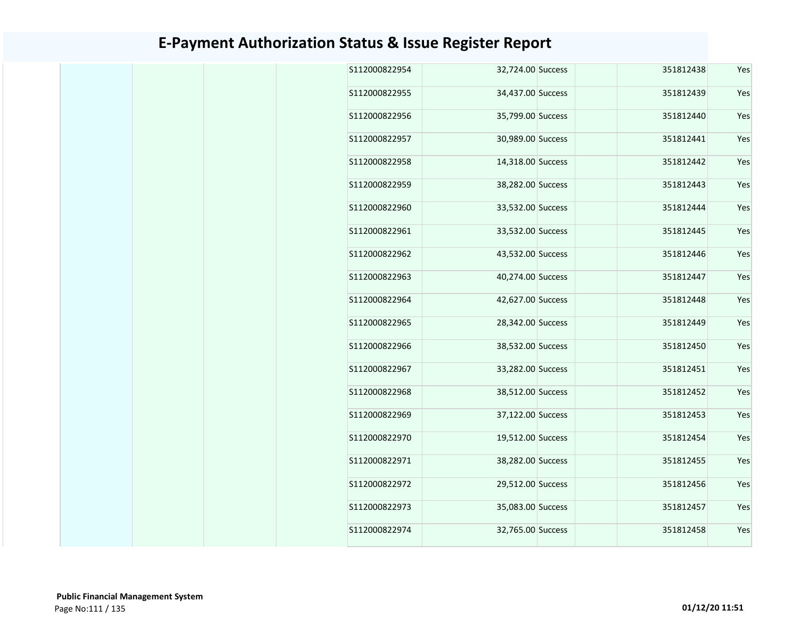| S112000822954 | 32,724.00 Success | 351812438 | Yes |
|---------------|-------------------|-----------|-----|
| S112000822955 | 34,437.00 Success | 351812439 | Yes |
| S112000822956 | 35,799.00 Success | 351812440 | Yes |
| S112000822957 | 30,989.00 Success | 351812441 | Yes |
| S112000822958 | 14,318.00 Success | 351812442 | Yes |
| S112000822959 | 38,282.00 Success | 351812443 | Yes |
| S112000822960 | 33,532.00 Success | 351812444 | Yes |
| S112000822961 | 33,532.00 Success | 351812445 | Yes |
| S112000822962 | 43,532.00 Success | 351812446 | Yes |
| S112000822963 | 40,274.00 Success | 351812447 | Yes |
| S112000822964 | 42,627.00 Success | 351812448 | Yes |
| S112000822965 | 28,342.00 Success | 351812449 | Yes |
| S112000822966 | 38,532.00 Success | 351812450 | Yes |
| S112000822967 | 33,282.00 Success | 351812451 | Yes |
| S112000822968 | 38,512.00 Success | 351812452 | Yes |
| S112000822969 | 37,122.00 Success | 351812453 | Yes |
| S112000822970 | 19,512.00 Success | 351812454 | Yes |
| S112000822971 | 38,282.00 Success | 351812455 | Yes |
| S112000822972 | 29,512.00 Success | 351812456 | Yes |
| S112000822973 | 35,083.00 Success | 351812457 | Yes |
| S112000822974 | 32,765.00 Success | 351812458 | Yes |
|               |                   |           |     |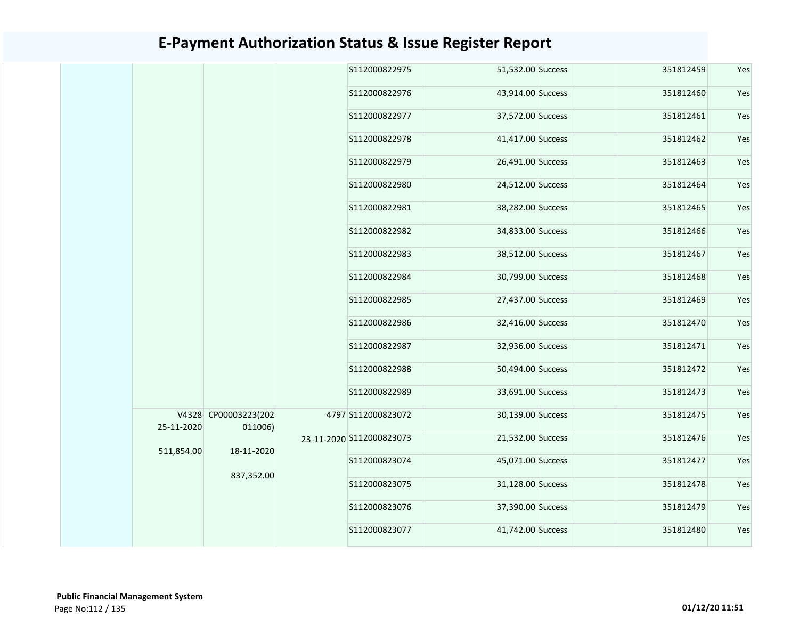|            |                                 | S112000822975<br>S112000822976 | 51,532.00 Success | 351812459 | Yes |
|------------|---------------------------------|--------------------------------|-------------------|-----------|-----|
|            |                                 |                                |                   |           |     |
|            |                                 |                                | 43,914.00 Success | 351812460 | Yes |
|            |                                 | S112000822977                  | 37,572.00 Success | 351812461 | Yes |
|            |                                 | S112000822978                  | 41,417.00 Success | 351812462 | Yes |
|            |                                 | S112000822979                  | 26,491.00 Success | 351812463 | Yes |
|            |                                 | S112000822980                  | 24,512.00 Success | 351812464 | Yes |
|            |                                 | S112000822981                  | 38,282.00 Success | 351812465 | Yes |
|            |                                 | S112000822982                  | 34,833.00 Success | 351812466 | Yes |
|            |                                 | S112000822983                  | 38,512.00 Success | 351812467 | Yes |
|            |                                 | S112000822984                  | 30,799.00 Success | 351812468 | Yes |
|            |                                 | S112000822985                  | 27,437.00 Success | 351812469 | Yes |
|            |                                 | S112000822986                  | 32,416.00 Success | 351812470 | Yes |
|            |                                 | S112000822987                  | 32,936.00 Success | 351812471 | Yes |
|            |                                 | S112000822988                  | 50,494.00 Success | 351812472 | Yes |
|            |                                 | S112000822989                  | 33,691.00 Success | 351812473 | Yes |
| 25-11-2020 | V4328 CP00003223(202<br>011006) | 4797 S112000823072             | 30,139.00 Success | 351812475 | Yes |
| 511,854.00 | 18-11-2020                      | 23-11-2020 S112000823073       | 21,532.00 Success | 351812476 | Yes |
|            |                                 | S112000823074                  | 45,071.00 Success | 351812477 | Yes |
|            | 837,352.00                      | S112000823075                  | 31,128.00 Success | 351812478 | Yes |
|            |                                 | S112000823076                  | 37,390.00 Success | 351812479 | Yes |
|            |                                 | S112000823077                  | 41,742.00 Success | 351812480 | Yes |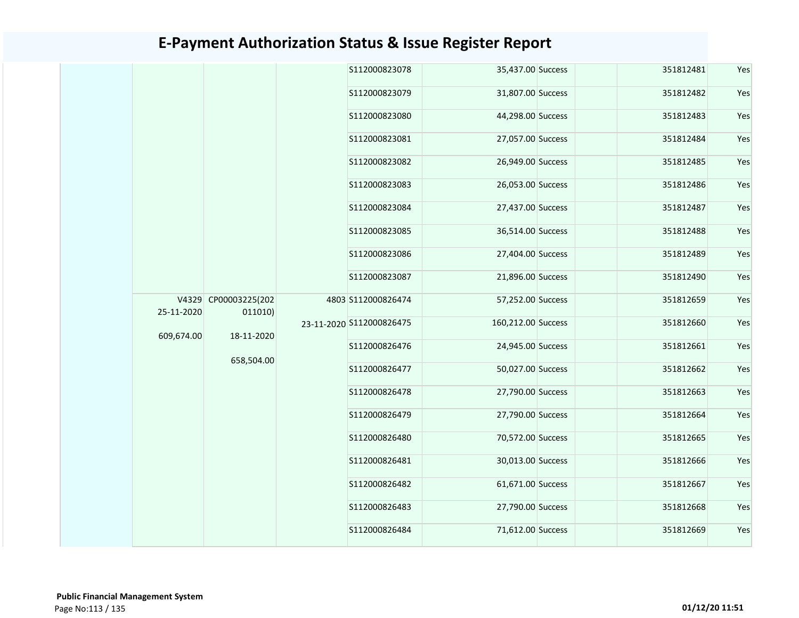|            |                      | S112000823078            | 35,437.00 Success  | 351812481 |  |
|------------|----------------------|--------------------------|--------------------|-----------|--|
|            |                      | S112000823079            | 31,807.00 Success  | 351812482 |  |
|            |                      | S112000823080            | 44,298.00 Success  | 351812483 |  |
|            |                      | S112000823081            | 27,057.00 Success  | 351812484 |  |
|            |                      | S112000823082            | 26,949.00 Success  | 351812485 |  |
|            |                      | S112000823083            | 26,053.00 Success  | 351812486 |  |
|            |                      | S112000823084            | 27,437.00 Success  | 351812487 |  |
|            |                      | S112000823085            | 36,514.00 Success  | 351812488 |  |
|            |                      | S112000823086            | 27,404.00 Success  | 351812489 |  |
|            |                      | S112000823087            | 21,896.00 Success  | 351812490 |  |
|            | V4329 CP00003225(202 | 4803 S112000826474       | 57,252.00 Success  | 351812659 |  |
| 25-11-2020 | 011010)              | 23-11-2020 S112000826475 | 160,212.00 Success | 351812660 |  |
| 609,674.00 | 18-11-2020           | S112000826476            | 24,945.00 Success  | 351812661 |  |
|            | 658,504.00           | S112000826477            | 50,027.00 Success  | 351812662 |  |
|            |                      | S112000826478            | 27,790.00 Success  | 351812663 |  |
|            |                      | S112000826479            | 27,790.00 Success  | 351812664 |  |
|            |                      | S112000826480            | 70,572.00 Success  | 351812665 |  |
|            |                      | S112000826481            | 30,013.00 Success  | 351812666 |  |
|            |                      | S112000826482            | 61,671.00 Success  | 351812667 |  |
|            |                      | S112000826483            | 27,790.00 Success  | 351812668 |  |
|            |                      |                          |                    |           |  |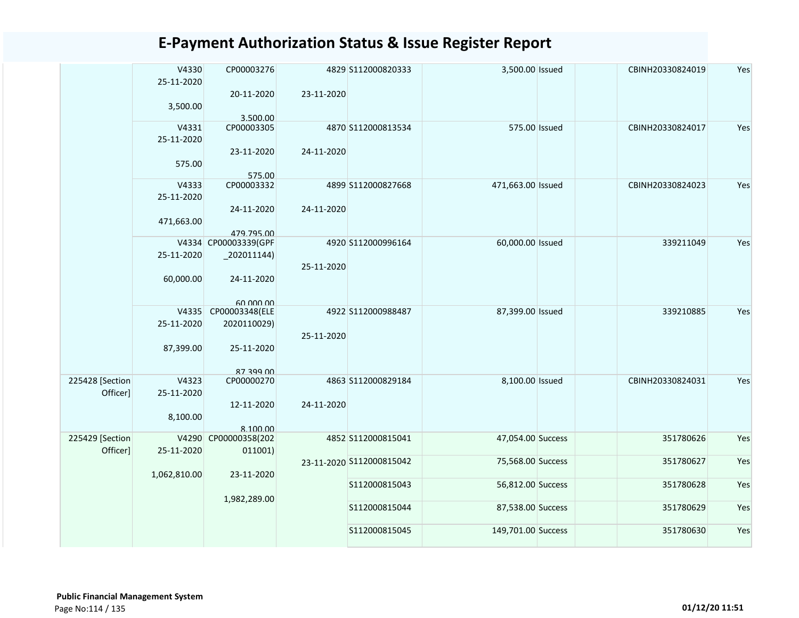|                             | V4330<br>25-11-2020<br>3,500.00 | CP00003276<br>20-11-2020                   | 23-11-2020 | 4829 S112000820333       | 3,500.00 Issued    | CBINH20330824019 | Yes |
|-----------------------------|---------------------------------|--------------------------------------------|------------|--------------------------|--------------------|------------------|-----|
|                             | V4331<br>25-11-2020             | 3.500.00<br>CP00003305<br>23-11-2020       | 24-11-2020 | 4870 S112000813534       | 575.00 Issued      | CBINH20330824017 | Yes |
|                             | 575.00                          | 575.00<br>CP00003332                       |            |                          |                    |                  |     |
|                             | V4333<br>25-11-2020             | 24-11-2020                                 | 24-11-2020 | 4899 S112000827668       | 471,663.00 Issued  | CBINH20330824023 | Yes |
|                             | 471,663.00                      | 479.795.00                                 |            |                          |                    |                  |     |
|                             | 25-11-2020                      | V4334 CP00003339(GPF<br>$_2$ 02011144)     | 25-11-2020 | 4920 S112000996164       | 60,000.00 Issued   | 339211049        | Yes |
|                             | 60,000.00                       | 24-11-2020                                 |            |                          |                    |                  |     |
|                             | V4335<br>25-11-2020             | 60.000.00<br>CP00003348(ELE<br>2020110029) |            | 4922 S112000988487       | 87,399.00 Issued   | 339210885        | Yes |
|                             | 87,399.00                       | 25-11-2020                                 | 25-11-2020 |                          |                    |                  |     |
| 225428 [Section<br>Officer] | V4323<br>25-11-2020             | 87 399 00<br>CP00000270                    |            | 4863 S112000829184       | 8,100.00 Issued    | CBINH20330824031 | Yes |
|                             | 8,100.00                        | 12-11-2020<br>8.100.00                     | 24-11-2020 |                          |                    |                  |     |
| 225429 [Section<br>Officer] | V4290<br>25-11-2020             | CP00000358(202<br>011001)                  |            | 4852 S112000815041       | 47,054.00 Success  | 351780626        | Yes |
|                             | 1,062,810.00                    | 23-11-2020                                 |            | 23-11-2020 S112000815042 | 75,568.00 Success  | 351780627        | Yes |
|                             |                                 | 1,982,289.00                               |            | S112000815043            | 56,812.00 Success  | 351780628        | Yes |
|                             |                                 |                                            |            | S112000815044            | 87,538.00 Success  | 351780629        | Yes |
|                             |                                 |                                            |            | S112000815045            | 149,701.00 Success | 351780630        | Yes |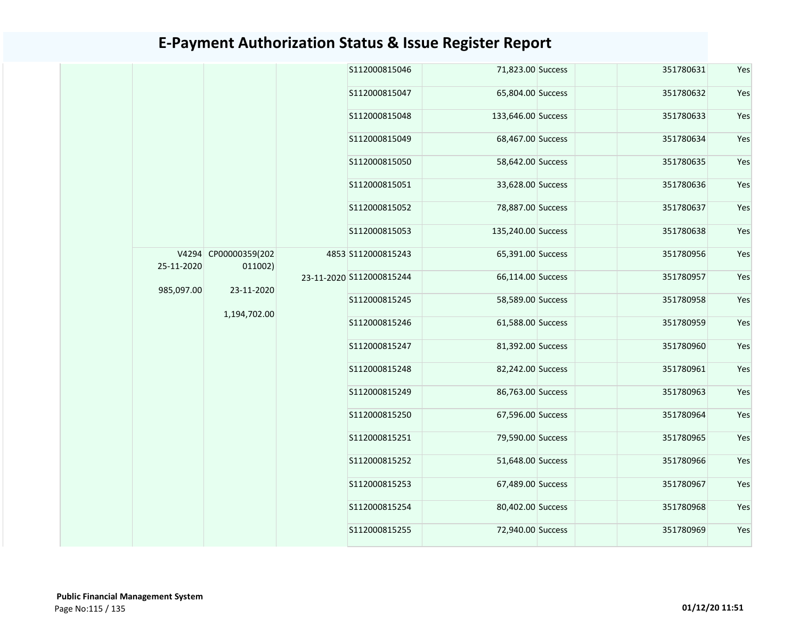|            |                                 | S112000815046            | 71,823.00 Success  | 351780631 | Yes |
|------------|---------------------------------|--------------------------|--------------------|-----------|-----|
|            |                                 | S112000815047            | 65,804.00 Success  | 351780632 | Yes |
|            |                                 | S112000815048            | 133,646.00 Success | 351780633 | Yes |
|            |                                 | S112000815049            | 68,467.00 Success  | 351780634 | Yes |
|            |                                 | S112000815050            | 58,642.00 Success  | 351780635 | Yes |
|            |                                 | S112000815051            | 33,628.00 Success  | 351780636 | Yes |
|            |                                 | S112000815052            | 78,887.00 Success  | 351780637 | Yes |
|            |                                 | S112000815053            | 135,240.00 Success | 351780638 | Yes |
| 25-11-2020 | V4294 CP00000359(202<br>011002) | 4853 S112000815243       | 65,391.00 Success  | 351780956 | Yes |
|            |                                 | 23-11-2020 S112000815244 | 66,114.00 Success  | 351780957 | Yes |
| 985,097.00 | 23-11-2020                      | S112000815245            | 58,589.00 Success  | 351780958 | Yes |
|            | 1,194,702.00                    | S112000815246            | 61,588.00 Success  | 351780959 | Yes |
|            |                                 | S112000815247            | 81,392.00 Success  | 351780960 | Yes |
|            |                                 | S112000815248            | 82,242.00 Success  | 351780961 | Yes |
|            |                                 | S112000815249            | 86,763.00 Success  | 351780963 | Yes |
|            |                                 | S112000815250            | 67,596.00 Success  | 351780964 | Yes |
|            |                                 | S112000815251            | 79,590.00 Success  | 351780965 | Yes |
|            |                                 | S112000815252            | 51,648.00 Success  | 351780966 | Yes |
|            |                                 | S112000815253            | 67,489.00 Success  | 351780967 | Yes |
|            |                                 | S112000815254            | 80,402.00 Success  | 351780968 | Yes |
|            |                                 | S112000815255            | 72,940.00 Success  | 351780969 | Yes |
|            |                                 |                          |                    |           |     |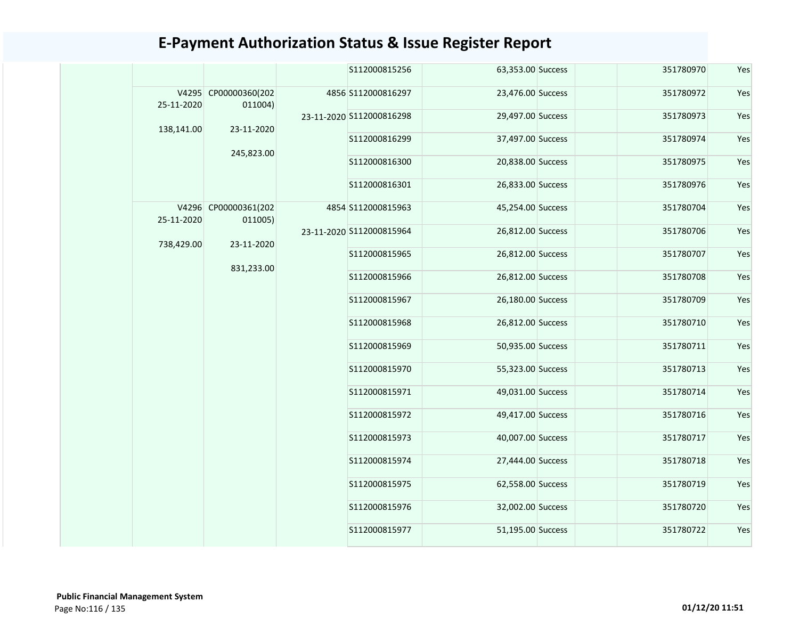|            |                                 | S112000815256            | 63,353.00 Success | 351780970 | Yes |
|------------|---------------------------------|--------------------------|-------------------|-----------|-----|
| 25-11-2020 | V4295 CP00000360(202<br>011004) | 4856 S112000816297       | 23,476.00 Success | 351780972 | Yes |
| 138,141.00 | 23-11-2020                      | 23-11-2020 S112000816298 | 29,497.00 Success | 351780973 | Yes |
|            | 245,823.00                      | S112000816299            | 37,497.00 Success | 351780974 | Yes |
|            |                                 | S112000816300            | 20,838.00 Success | 351780975 | Yes |
|            |                                 | S112000816301            | 26,833.00 Success | 351780976 | Yes |
| 25-11-2020 | V4296 CP00000361(202<br>011005) | 4854 S112000815963       | 45,254.00 Success | 351780704 | Yes |
| 738,429.00 | 23-11-2020                      | 23-11-2020 S112000815964 | 26,812.00 Success | 351780706 | Yes |
|            | 831,233.00                      | S112000815965            | 26,812.00 Success | 351780707 | Yes |
|            |                                 | S112000815966            | 26,812.00 Success | 351780708 | Yes |
|            |                                 | S112000815967            | 26,180.00 Success | 351780709 | Yes |
|            |                                 | S112000815968            | 26,812.00 Success | 351780710 | Yes |
|            |                                 | S112000815969            | 50,935.00 Success | 351780711 | Yes |
|            |                                 | S112000815970            | 55,323.00 Success | 351780713 | Yes |
|            |                                 | S112000815971            | 49,031.00 Success | 351780714 | Yes |
|            |                                 | S112000815972            | 49,417.00 Success | 351780716 | Yes |
|            |                                 | S112000815973            | 40,007.00 Success | 351780717 | Yes |
|            |                                 | S112000815974            | 27,444.00 Success | 351780718 | Yes |
|            |                                 | S112000815975            | 62,558.00 Success | 351780719 | Yes |
|            |                                 | S112000815976            | 32,002.00 Success | 351780720 | Yes |
|            |                                 | S112000815977            | 51,195.00 Success | 351780722 | Yes |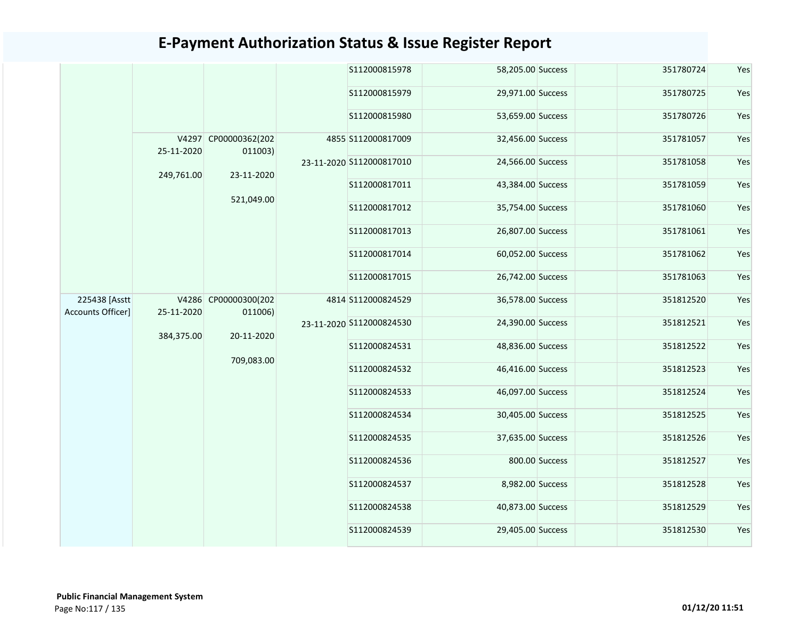|                                    |            |                                 | S112000815978            | 58,205.00 Success |                | 351780724 | Yes |
|------------------------------------|------------|---------------------------------|--------------------------|-------------------|----------------|-----------|-----|
|                                    |            |                                 | S112000815979            | 29,971.00 Success |                | 351780725 | Yes |
|                                    |            |                                 | S112000815980            | 53,659.00 Success |                | 351780726 | Yes |
|                                    | 25-11-2020 | V4297 CP00000362(202<br>011003) | 4855 S112000817009       | 32,456.00 Success |                | 351781057 | Yes |
|                                    | 249,761.00 | 23-11-2020                      | 23-11-2020 S112000817010 | 24,566.00 Success |                | 351781058 | Yes |
|                                    |            | 521,049.00                      | S112000817011            | 43,384.00 Success |                | 351781059 | Yes |
|                                    |            |                                 | S112000817012            | 35,754.00 Success |                | 351781060 | Yes |
|                                    |            |                                 | S112000817013            | 26,807.00 Success |                | 351781061 | Yes |
|                                    |            |                                 | S112000817014            | 60,052.00 Success |                | 351781062 | Yes |
|                                    |            |                                 | S112000817015            | 26,742.00 Success |                | 351781063 | Yes |
| 225438 [Asstt<br>Accounts Officer] | 25-11-2020 | V4286 CP00000300(202<br>011006) | 4814 S112000824529       | 36,578.00 Success |                | 351812520 | Yes |
|                                    | 384,375.00 | 20-11-2020                      | 23-11-2020 S112000824530 | 24,390.00 Success |                | 351812521 | Yes |
|                                    |            | 709,083.00                      | S112000824531            | 48,836.00 Success |                | 351812522 | Yes |
|                                    |            |                                 | S112000824532            | 46,416.00 Success |                | 351812523 | Yes |
|                                    |            |                                 | S112000824533            | 46,097.00 Success |                | 351812524 | Yes |
|                                    |            |                                 | S112000824534            | 30,405.00 Success |                | 351812525 | Yes |
|                                    |            |                                 | S112000824535            | 37,635.00 Success |                | 351812526 | Yes |
|                                    |            |                                 | S112000824536            |                   | 800.00 Success | 351812527 | Yes |
|                                    |            |                                 | S112000824537            | 8,982.00 Success  |                | 351812528 | Yes |
|                                    |            |                                 | S112000824538            | 40,873.00 Success |                | 351812529 | Yes |
|                                    |            |                                 | S112000824539            | 29,405.00 Success |                | 351812530 | Yes |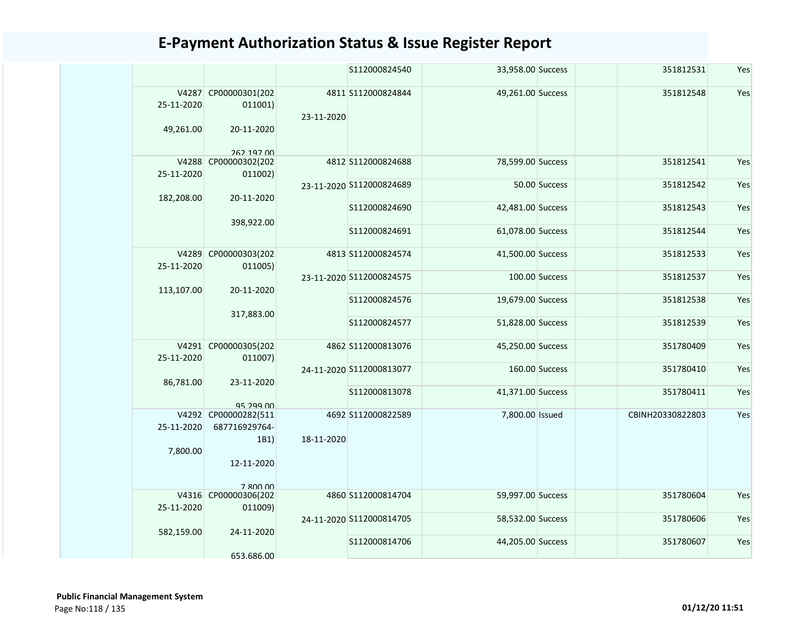|                         |                                                             |            | S112000824540            | 33,958.00 Success |                | 351812531        | Yes |
|-------------------------|-------------------------------------------------------------|------------|--------------------------|-------------------|----------------|------------------|-----|
| 25-11-2020<br>49,261.00 | V4287 CP00000301(202<br>011001)<br>20-11-2020<br>262 197 00 | 23-11-2020 | 4811 S112000824844       | 49,261.00 Success |                | 351812548        | Yes |
| 25-11-2020              | V4288 CP00000302(202<br>011002)                             |            | 4812 S112000824688       | 78,599.00 Success |                | 351812541        | Yes |
|                         |                                                             |            | 23-11-2020 S112000824689 |                   | 50.00 Success  | 351812542        | Yes |
| 182,208.00              | 20-11-2020                                                  |            | S112000824690            | 42,481.00 Success |                | 351812543        | Yes |
|                         | 398,922.00                                                  |            | S112000824691            | 61,078.00 Success |                | 351812544        | Yes |
| 25-11-2020              | V4289 CP00000303(202<br>011005)                             |            | 4813 S112000824574       | 41,500.00 Success |                | 351812533        | Yes |
| 113,107.00              | 20-11-2020                                                  |            | 23-11-2020 S112000824575 |                   | 100.00 Success | 351812537        | Yes |
|                         |                                                             |            | S112000824576            | 19,679.00 Success |                | 351812538        | Yes |
|                         | 317,883.00                                                  |            | S112000824577            | 51,828.00 Success |                | 351812539        | Yes |
| 25-11-2020              | V4291 CP00000305(202<br>011007)                             |            | 4862 S112000813076       | 45,250.00 Success |                | 351780409        | Yes |
| 86,781.00               | 23-11-2020                                                  |            | 24-11-2020 S112000813077 |                   | 160.00 Success | 351780410        | Yes |
|                         | 95 299 00                                                   |            | S112000813078            | 41,371.00 Success |                | 351780411        | Yes |
| 25-11-2020<br>7,800.00  | V4292 CP00000282(511<br>687716929764-<br>1B1)<br>12-11-2020 | 18-11-2020 | 4692 S112000822589       | 7,800.00 Issued   |                | CBINH20330822803 | Yes |
| 25-11-2020              | 7 800 00<br>V4316 CP00000306(202<br>011009)                 |            | 4860 S112000814704       | 59,997.00 Success |                | 351780604        | Yes |
| 582,159.00              | 24-11-2020                                                  |            | 24-11-2020 S112000814705 | 58,532.00 Success |                | 351780606        | Yes |
|                         | 653.686.00                                                  |            | S112000814706            | 44,205.00 Success |                | 351780607        | Yes |
|                         |                                                             |            |                          |                   |                |                  |     |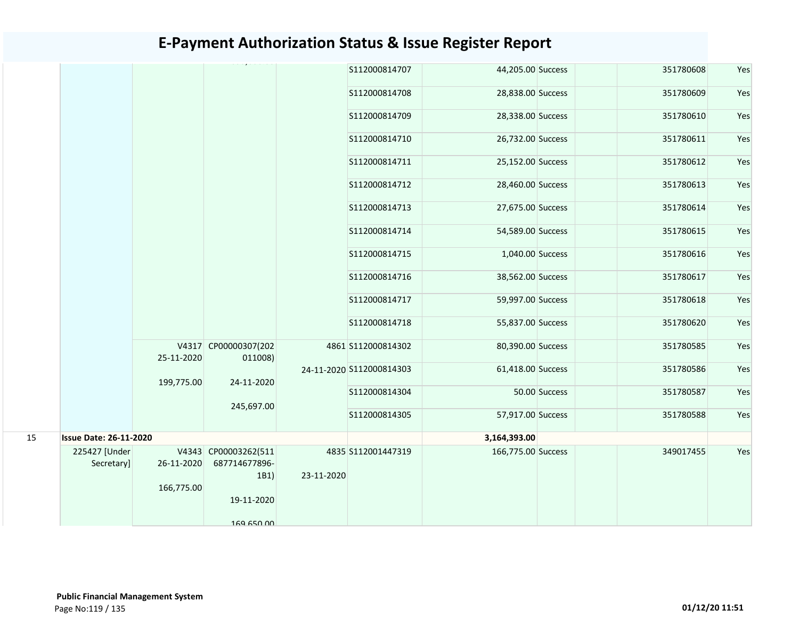|    |                               |            |                                       |            | S112000814707            | 44,205.00 Success  |               | 351780608 | Yes |
|----|-------------------------------|------------|---------------------------------------|------------|--------------------------|--------------------|---------------|-----------|-----|
|    |                               |            |                                       |            | S112000814708            | 28,838.00 Success  |               | 351780609 | Yes |
|    |                               |            |                                       |            | S112000814709            | 28,338.00 Success  |               | 351780610 | Yes |
|    |                               |            |                                       |            | S112000814710            | 26,732.00 Success  |               | 351780611 | Yes |
|    |                               |            |                                       |            | S112000814711            | 25,152.00 Success  |               | 351780612 | Yes |
|    |                               |            |                                       |            | S112000814712            | 28,460.00 Success  |               | 351780613 | Yes |
|    |                               |            |                                       |            | S112000814713            | 27,675.00 Success  |               | 351780614 | Yes |
|    |                               |            |                                       |            | S112000814714            | 54,589.00 Success  |               | 351780615 | Yes |
|    |                               |            |                                       |            | S112000814715            | 1,040.00 Success   |               | 351780616 | Yes |
|    |                               |            |                                       |            | S112000814716            | 38,562.00 Success  |               | 351780617 | Yes |
|    |                               |            |                                       |            | S112000814717            | 59,997.00 Success  |               | 351780618 | Yes |
|    |                               |            |                                       |            | S112000814718            | 55,837.00 Success  |               | 351780620 | Yes |
|    |                               | 25-11-2020 | V4317 CP00000307(202<br>011008)       |            | 4861 S112000814302       | 80,390.00 Success  |               | 351780585 | Yes |
|    |                               | 199,775.00 | 24-11-2020                            |            | 24-11-2020 S112000814303 | 61,418.00 Success  |               | 351780586 | Yes |
|    |                               |            | 245,697.00                            |            | S112000814304            |                    | 50.00 Success | 351780587 | Yes |
|    |                               |            |                                       |            | S112000814305            | 57,917.00 Success  |               | 351780588 | Yes |
| 15 | <b>Issue Date: 26-11-2020</b> |            |                                       |            |                          | 3,164,393.00       |               |           |     |
|    | 225427 [Under<br>Secretary]   | 26-11-2020 | V4343 CP00003262(511<br>687714677896- |            | 4835 S112001447319       | 166,775.00 Success |               | 349017455 | Yes |
|    |                               | 166,775.00 | 1B1)                                  | 23-11-2020 |                          |                    |               |           |     |
|    |                               |            | 19-11-2020                            |            |                          |                    |               |           |     |
|    |                               |            | 169 650 00                            |            |                          |                    |               |           |     |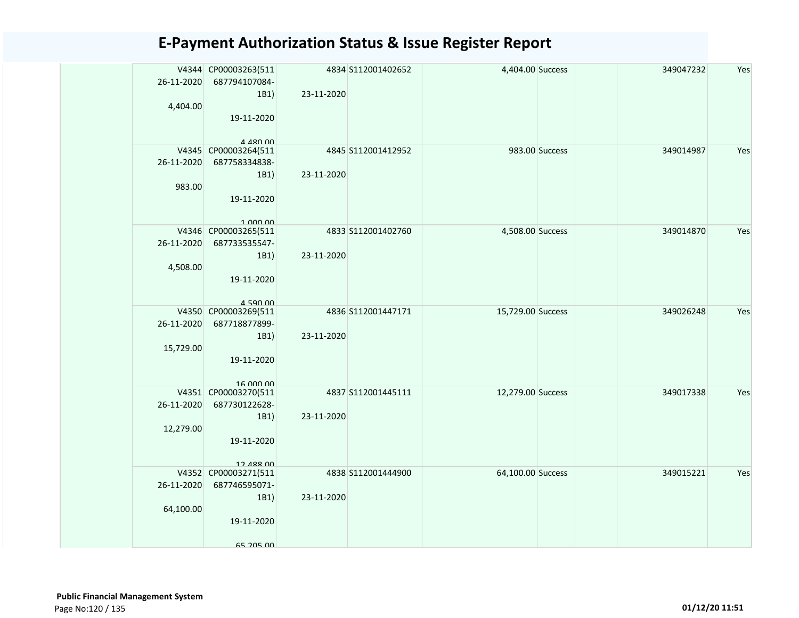| 26-11-2020 | V4344 CP00003263(511<br>687794107084- |            | 4834 S112001402652 | 4,404.00 Success  |                | 349047232 | Yes |
|------------|---------------------------------------|------------|--------------------|-------------------|----------------|-----------|-----|
|            | 1B1)                                  | 23-11-2020 |                    |                   |                |           |     |
| 4,404.00   | 19-11-2020                            |            |                    |                   |                |           |     |
|            |                                       |            |                    |                   |                |           |     |
|            | $A$ $A$ $R$ $D$ $D$                   |            |                    |                   |                |           |     |
|            | V4345 CP00003264(511                  |            | 4845 S112001412952 |                   | 983.00 Success | 349014987 | Yes |
| 26-11-2020 | 687758334838-                         |            |                    |                   |                |           |     |
|            | 1B1)                                  | 23-11-2020 |                    |                   |                |           |     |
| 983.00     |                                       |            |                    |                   |                |           |     |
|            | 19-11-2020                            |            |                    |                   |                |           |     |
|            | 1.000.00                              |            |                    |                   |                |           |     |
|            | V4346 CP00003265(511                  |            | 4833 S112001402760 | 4,508.00 Success  |                | 349014870 | Yes |
| 26-11-2020 | 687733535547-                         |            |                    |                   |                |           |     |
|            | 1B1)                                  | 23-11-2020 |                    |                   |                |           |     |
| 4,508.00   | 19-11-2020                            |            |                    |                   |                |           |     |
|            |                                       |            |                    |                   |                |           |     |
|            | $A$ 590 00                            |            |                    |                   |                |           |     |
|            | V4350 CP00003269(511                  |            | 4836 S112001447171 | 15,729.00 Success |                | 349026248 | Yes |
| 26-11-2020 | 687718877899-                         |            |                    |                   |                |           |     |
|            | 1B1)                                  | 23-11-2020 |                    |                   |                |           |     |
| 15,729.00  | 19-11-2020                            |            |                    |                   |                |           |     |
|            |                                       |            |                    |                   |                |           |     |
|            | 16 000 00                             |            |                    |                   |                |           |     |
|            | V4351 CP00003270(511                  |            | 4837 S112001445111 | 12,279.00 Success |                | 349017338 | Yes |
| 26-11-2020 | 687730122628-                         | 23-11-2020 |                    |                   |                |           |     |
| 12,279.00  | 1B1)                                  |            |                    |                   |                |           |     |
|            | 19-11-2020                            |            |                    |                   |                |           |     |
|            |                                       |            |                    |                   |                |           |     |
|            | 12 488 00                             |            |                    |                   |                |           |     |
|            | V4352 CP00003271(511                  |            | 4838 S112001444900 | 64,100.00 Success |                | 349015221 | Yes |
| 26-11-2020 | 687746595071-                         | 23-11-2020 |                    |                   |                |           |     |
| 64,100.00  | 1B1)                                  |            |                    |                   |                |           |     |
|            | 19-11-2020                            |            |                    |                   |                |           |     |
|            |                                       |            |                    |                   |                |           |     |
|            | 65 205 00                             |            |                    |                   |                |           |     |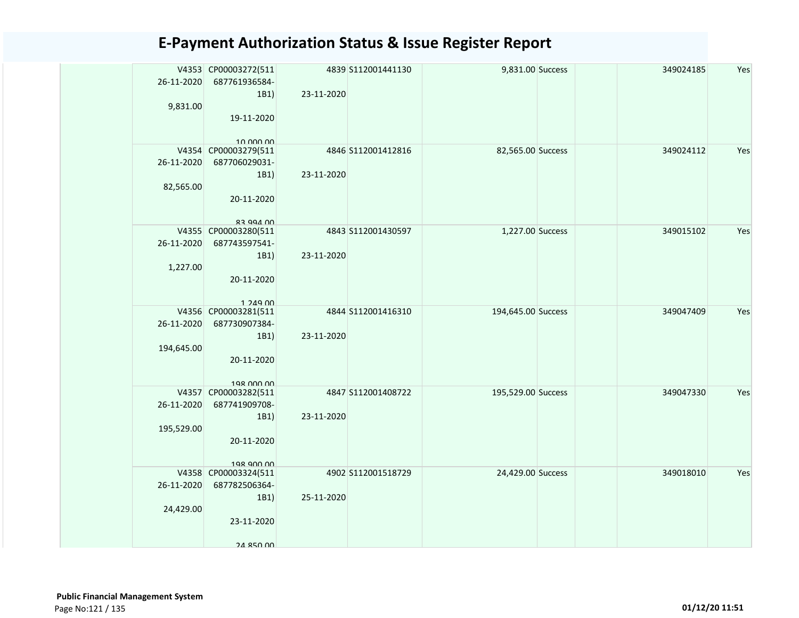| 26-11-2020 | V4353 CP00003272(511<br>687761936584-<br>1B1) | 23-11-2020 | 4839 S112001441130 | 9,831.00 Success   | 349024185 | Yes |
|------------|-----------------------------------------------|------------|--------------------|--------------------|-----------|-----|
| 9,831.00   | 19-11-2020                                    |            |                    |                    |           |     |
|            | 10.000.00<br>V4354 CP00003279(511             |            | 4846 S112001412816 | 82,565.00 Success  | 349024112 | Yes |
| 26-11-2020 | 687706029031-                                 |            |                    |                    |           |     |
|            | 1B1)                                          | 23-11-2020 |                    |                    |           |     |
| 82,565.00  |                                               |            |                    |                    |           |     |
|            | 20-11-2020                                    |            |                    |                    |           |     |
|            |                                               |            |                    |                    |           |     |
|            | 00 APP 22                                     |            |                    |                    |           |     |
| 26-11-2020 | V4355 CP00003280(511<br>687743597541-         |            | 4843 S112001430597 | 1,227.00 Success   | 349015102 | Yes |
|            | 1B1)                                          | 23-11-2020 |                    |                    |           |     |
| 1,227.00   |                                               |            |                    |                    |           |     |
|            | 20-11-2020                                    |            |                    |                    |           |     |
|            |                                               |            |                    |                    |           |     |
|            | $1.249$ $00$                                  |            |                    |                    |           |     |
|            | V4356 CP00003281(511                          |            | 4844 S112001416310 | 194,645.00 Success | 349047409 | Yes |
| 26-11-2020 | 687730907384-                                 |            |                    |                    |           |     |
|            | 1B1)                                          | 23-11-2020 |                    |                    |           |     |
| 194,645.00 |                                               |            |                    |                    |           |     |
|            | 20-11-2020                                    |            |                    |                    |           |     |
|            | 198 000 00                                    |            |                    |                    |           |     |
|            | V4357 CP00003282(511                          |            | 4847 S112001408722 | 195,529.00 Success | 349047330 | Yes |
| 26-11-2020 | 687741909708-                                 |            |                    |                    |           |     |
|            | 1B1)                                          | 23-11-2020 |                    |                    |           |     |
| 195,529.00 |                                               |            |                    |                    |           |     |
|            | 20-11-2020                                    |            |                    |                    |           |     |
|            | 198 900 00                                    |            |                    |                    |           |     |
|            | V4358 CP00003324(511                          |            | 4902 S112001518729 | 24,429.00 Success  | 349018010 | Yes |
| 26-11-2020 | 687782506364-                                 |            |                    |                    |           |     |
|            | 1B1)                                          | 25-11-2020 |                    |                    |           |     |
| 24,429.00  |                                               |            |                    |                    |           |     |
|            | 23-11-2020                                    |            |                    |                    |           |     |
|            | 24 850 00                                     |            |                    |                    |           |     |
|            |                                               |            |                    |                    |           |     |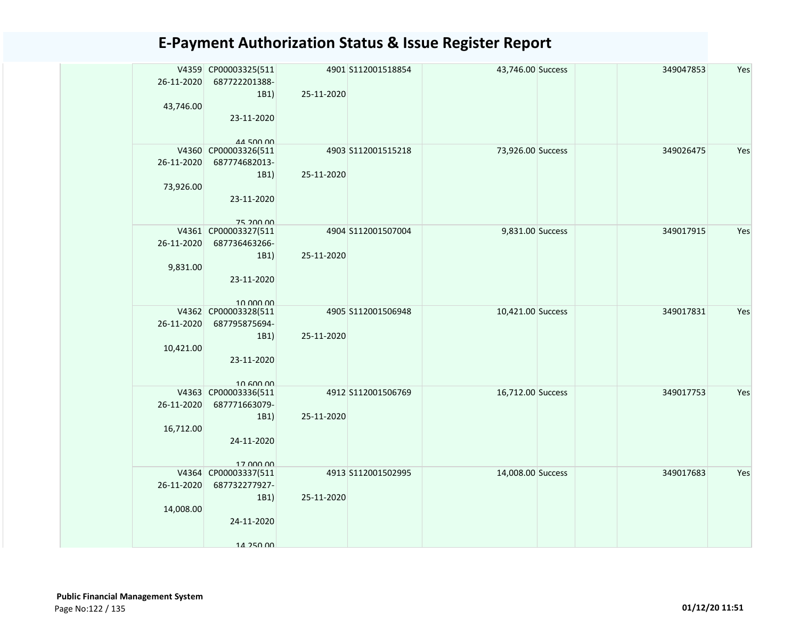| 26-11-2020 | V4359 CP00003325(511<br>687722201388- |            | 4901 S112001518854 | 43,746.00 Success | 349047853 | Yes |
|------------|---------------------------------------|------------|--------------------|-------------------|-----------|-----|
|            | 1B1)                                  | 25-11-2020 |                    |                   |           |     |
| 43,746.00  |                                       |            |                    |                   |           |     |
|            | 23-11-2020                            |            |                    |                   |           |     |
|            |                                       |            |                    |                   |           |     |
|            | 44 500 00<br>V4360 CP00003326(511     |            | 4903 S112001515218 | 73,926.00 Success | 349026475 | Yes |
| 26-11-2020 | 687774682013-                         |            |                    |                   |           |     |
|            | 1B1)                                  | 25-11-2020 |                    |                   |           |     |
| 73,926.00  |                                       |            |                    |                   |           |     |
|            | 23-11-2020                            |            |                    |                   |           |     |
|            |                                       |            |                    |                   |           |     |
|            | 75 200 00                             |            |                    |                   |           |     |
|            | V4361 CP00003327(511                  |            | 4904 S112001507004 | 9,831.00 Success  | 349017915 | Yes |
| 26-11-2020 | 687736463266-                         |            |                    |                   |           |     |
|            | 1B1)                                  | 25-11-2020 |                    |                   |           |     |
| 9,831.00   |                                       |            |                    |                   |           |     |
|            | 23-11-2020                            |            |                    |                   |           |     |
|            |                                       |            |                    |                   |           |     |
|            | 10.000.00                             |            |                    |                   |           |     |
|            | V4362 CP00003328(511                  |            | 4905 S112001506948 | 10,421.00 Success | 349017831 | Yes |
| 26-11-2020 | 687795875694-                         |            |                    |                   |           |     |
|            | 1B1)                                  | 25-11-2020 |                    |                   |           |     |
| 10,421.00  | 23-11-2020                            |            |                    |                   |           |     |
|            |                                       |            |                    |                   |           |     |
|            | $10$ 600 00                           |            |                    |                   |           |     |
|            | V4363 CP00003336(511                  |            | 4912 S112001506769 | 16,712.00 Success | 349017753 | Yes |
| 26-11-2020 | 687771663079-                         |            |                    |                   |           |     |
|            | 1B1)                                  | 25-11-2020 |                    |                   |           |     |
| 16,712.00  |                                       |            |                    |                   |           |     |
|            | 24-11-2020                            |            |                    |                   |           |     |
|            |                                       |            |                    |                   |           |     |
|            | 17 000 00                             |            |                    |                   |           |     |
| 26-11-2020 | V4364 CP00003337(511<br>687732277927- |            | 4913 S112001502995 | 14,008.00 Success | 349017683 | Yes |
|            | 1B1)                                  | 25-11-2020 |                    |                   |           |     |
| 14,008.00  |                                       |            |                    |                   |           |     |
|            | 24-11-2020                            |            |                    |                   |           |     |
|            |                                       |            |                    |                   |           |     |
|            | 14 250 00                             |            |                    |                   |           |     |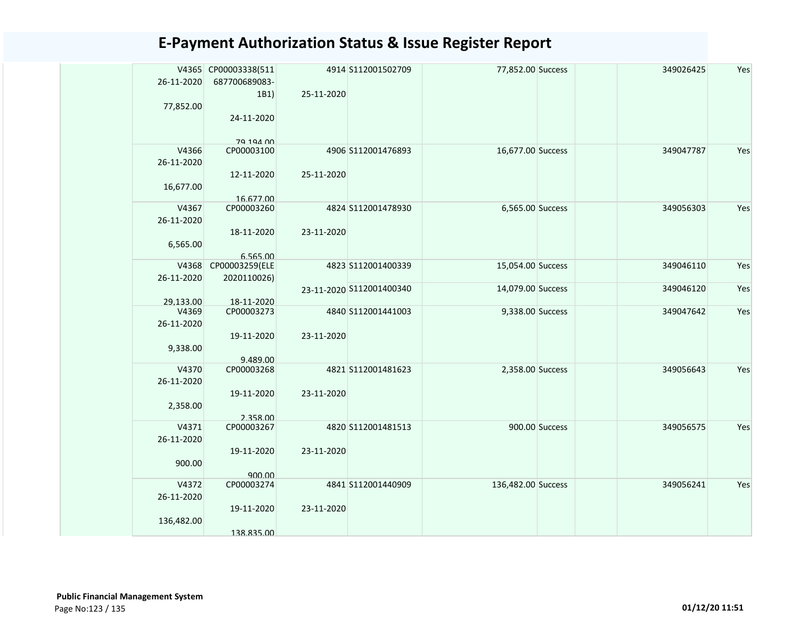| 26-11-2020          | V4365 CP00003338(511<br>687700689083- |            | 4914 S112001502709       | 77,852.00 Success  |                | 349026425 | Yes |
|---------------------|---------------------------------------|------------|--------------------------|--------------------|----------------|-----------|-----|
|                     | 1B1)                                  | 25-11-2020 |                          |                    |                |           |     |
| 77,852.00           |                                       |            |                          |                    |                |           |     |
|                     | 24-11-2020                            |            |                          |                    |                |           |     |
|                     | 70 104 00                             |            |                          |                    |                |           |     |
| V4366               | CP00003100                            |            | 4906 S112001476893       | 16,677.00 Success  |                | 349047787 | Yes |
| 26-11-2020          |                                       |            |                          |                    |                |           |     |
|                     | 12-11-2020                            | 25-11-2020 |                          |                    |                |           |     |
| 16,677.00           |                                       |            |                          |                    |                |           |     |
| V4367               | 16.677.00<br>CP00003260               |            | 4824 S112001478930       | 6,565.00 Success   |                | 349056303 | Yes |
| 26-11-2020          |                                       |            |                          |                    |                |           |     |
|                     | 18-11-2020                            | 23-11-2020 |                          |                    |                |           |     |
| 6,565.00            |                                       |            |                          |                    |                |           |     |
|                     | 6.565.00                              |            |                          |                    |                |           |     |
| V4368<br>26-11-2020 | CP00003259(ELE<br>2020110026)         |            | 4823 S112001400339       | 15,054.00 Success  |                | 349046110 | Yes |
|                     |                                       |            | 23-11-2020 S112001400340 | 14,079.00 Success  |                | 349046120 | Yes |
| 29.133.00           | 18-11-2020                            |            |                          |                    |                |           |     |
| V4369               | CP00003273                            |            | 4840 S112001441003       | 9,338.00 Success   |                | 349047642 | Yes |
| 26-11-2020          |                                       |            |                          |                    |                |           |     |
|                     | 19-11-2020                            | 23-11-2020 |                          |                    |                |           |     |
| 9,338.00            | 9.489.00                              |            |                          |                    |                |           |     |
| V4370               | CP00003268                            |            | 4821 S112001481623       | 2,358.00 Success   |                | 349056643 | Yes |
| 26-11-2020          |                                       |            |                          |                    |                |           |     |
|                     | 19-11-2020                            | 23-11-2020 |                          |                    |                |           |     |
| 2,358.00            | 2.358.00                              |            |                          |                    |                |           |     |
| V4371               | CP00003267                            |            | 4820 S112001481513       |                    | 900.00 Success | 349056575 | Yes |
| 26-11-2020          |                                       |            |                          |                    |                |           |     |
|                     | 19-11-2020                            | 23-11-2020 |                          |                    |                |           |     |
| 900.00              |                                       |            |                          |                    |                |           |     |
| V4372               | 900.00<br>CP00003274                  |            | 4841 S112001440909       | 136,482.00 Success |                | 349056241 | Yes |
| 26-11-2020          |                                       |            |                          |                    |                |           |     |
|                     | 19-11-2020                            | 23-11-2020 |                          |                    |                |           |     |
| 136,482.00          |                                       |            |                          |                    |                |           |     |
|                     | 138.835.00                            |            |                          |                    |                |           |     |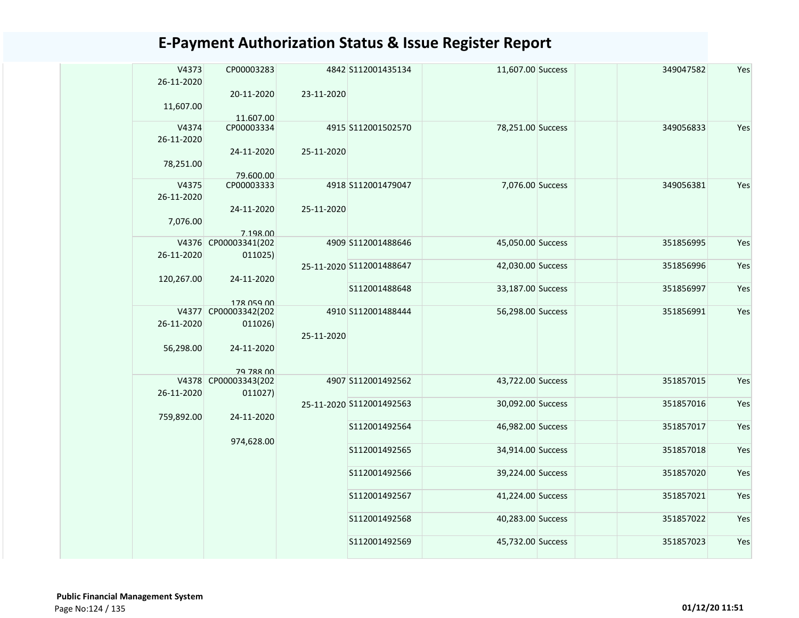| V4373      | CP00003283                  |            | 4842 S112001435134       | 11,607.00 Success | 349047582 | Yes |
|------------|-----------------------------|------------|--------------------------|-------------------|-----------|-----|
| 26-11-2020 |                             |            |                          |                   |           |     |
|            | 20-11-2020                  | 23-11-2020 |                          |                   |           |     |
| 11,607.00  |                             |            |                          |                   |           |     |
| V4374      | 11.607.00<br>CP00003334     |            | 4915 S112001502570       | 78,251.00 Success | 349056833 |     |
|            |                             |            |                          |                   |           | Yes |
| 26-11-2020 |                             |            |                          |                   |           |     |
|            | 24-11-2020                  | 25-11-2020 |                          |                   |           |     |
| 78,251.00  | 79.600.00                   |            |                          |                   |           |     |
| V4375      | CP00003333                  |            | 4918 S112001479047       | 7,076.00 Success  | 349056381 | Yes |
| 26-11-2020 |                             |            |                          |                   |           |     |
|            | 24-11-2020                  | 25-11-2020 |                          |                   |           |     |
| 7,076.00   |                             |            |                          |                   |           |     |
|            | 7.198.00                    |            |                          |                   |           |     |
| V4376      | CP00003341(202              |            | 4909 S112001488646       | 45,050.00 Success | 351856995 | Yes |
| 26-11-2020 | 011025)                     |            |                          |                   |           |     |
|            |                             |            | 25-11-2020 S112001488647 | 42,030.00 Success | 351856996 | Yes |
| 120,267.00 | 24-11-2020                  |            |                          |                   |           |     |
|            |                             |            | S112001488648            | 33,187.00 Success | 351856997 | Yes |
|            | 178 059 00                  |            |                          |                   |           |     |
|            | V4377 CP00003342(202        |            | 4910 S112001488444       | 56,298.00 Success | 351856991 | Yes |
| 26-11-2020 | 011026)                     |            |                          |                   |           |     |
|            |                             | 25-11-2020 |                          |                   |           |     |
| 56,298.00  | 24-11-2020                  |            |                          |                   |           |     |
|            |                             |            |                          |                   |           |     |
| V4378      | 79 788 00<br>CP00003343(202 |            | 4907 S112001492562       | 43,722.00 Success | 351857015 | Yes |
| 26-11-2020 | 011027)                     |            |                          |                   |           |     |
|            |                             |            | 25-11-2020 S112001492563 | 30,092.00 Success | 351857016 | Yes |
| 759,892.00 | 24-11-2020                  |            |                          |                   |           |     |
|            |                             |            | S112001492564            | 46,982.00 Success | 351857017 | Yes |
|            | 974,628.00                  |            |                          |                   |           |     |
|            |                             |            | S112001492565            | 34,914.00 Success | 351857018 | Yes |
|            |                             |            |                          |                   |           |     |
|            |                             |            | S112001492566            | 39,224.00 Success | 351857020 | Yes |
|            |                             |            |                          |                   |           |     |
|            |                             |            | S112001492567            | 41,224.00 Success | 351857021 | Yes |
|            |                             |            |                          |                   |           |     |
|            |                             |            | S112001492568            | 40,283.00 Success | 351857022 | Yes |
|            |                             |            | S112001492569            | 45,732.00 Success | 351857023 | Yes |
|            |                             |            |                          |                   |           |     |
|            |                             |            |                          |                   |           |     |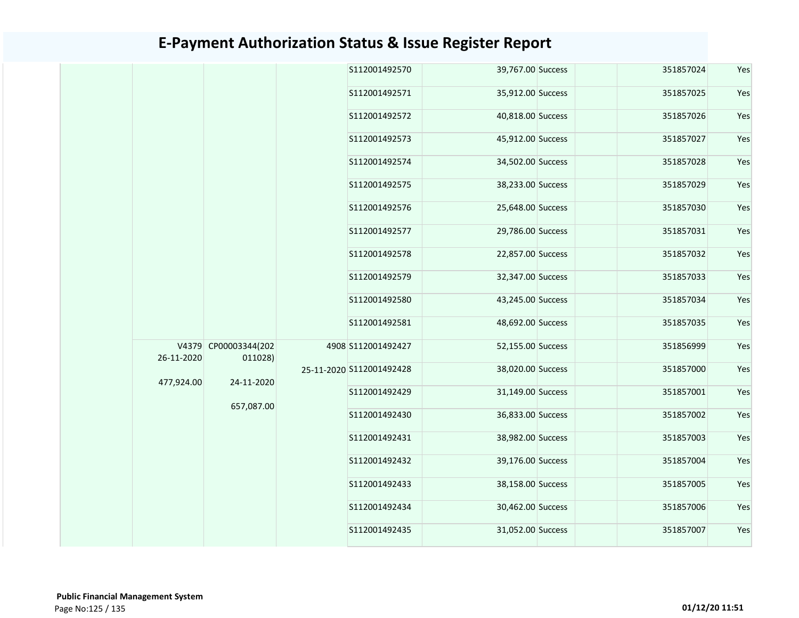|            |                                 | S112001492570            | 39,767.00 Success | 351857024 | Yes |
|------------|---------------------------------|--------------------------|-------------------|-----------|-----|
|            |                                 | S112001492571            | 35,912.00 Success | 351857025 | Yes |
|            |                                 | S112001492572            | 40,818.00 Success | 351857026 | Yes |
|            |                                 | S112001492573            | 45,912.00 Success | 351857027 | Yes |
|            |                                 | S112001492574            | 34,502.00 Success | 351857028 | Yes |
|            |                                 | S112001492575            | 38,233.00 Success | 351857029 | Yes |
|            |                                 | S112001492576            | 25,648.00 Success | 351857030 | Yes |
|            |                                 | S112001492577            | 29,786.00 Success | 351857031 | Yes |
|            |                                 | S112001492578            | 22,857.00 Success | 351857032 | Yes |
|            |                                 | S112001492579            | 32,347.00 Success | 351857033 | Yes |
|            |                                 | S112001492580            | 43,245.00 Success | 351857034 | Yes |
|            |                                 | S112001492581            | 48,692.00 Success | 351857035 | Yes |
| 26-11-2020 | V4379 CP00003344(202<br>011028) | 4908 S112001492427       | 52,155.00 Success | 351856999 | Yes |
| 477,924.00 | 24-11-2020                      | 25-11-2020 S112001492428 | 38,020.00 Success | 351857000 | Yes |
|            |                                 | S112001492429            | 31,149.00 Success | 351857001 | Yes |
|            | 657,087.00                      | S112001492430            | 36,833.00 Success | 351857002 | Yes |
|            |                                 | S112001492431            | 38,982.00 Success | 351857003 | Yes |
|            |                                 | S112001492432            | 39,176.00 Success | 351857004 | Yes |
|            |                                 | S112001492433            | 38,158.00 Success | 351857005 | Yes |
|            |                                 | S112001492434            | 30,462.00 Success | 351857006 | Yes |
|            |                                 | S112001492435            | 31,052.00 Success | 351857007 | Yes |
|            |                                 |                          |                   |           |     |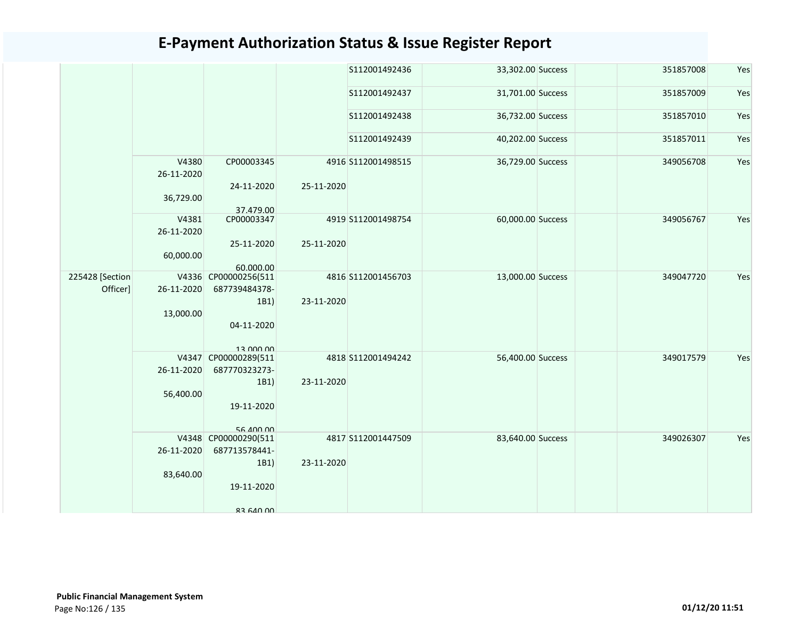|                 |                     |                                   |            | S112001492436      | 33,302.00 Success | 351857008 | Yes |
|-----------------|---------------------|-----------------------------------|------------|--------------------|-------------------|-----------|-----|
|                 |                     |                                   |            | S112001492437      | 31,701.00 Success | 351857009 | Yes |
|                 |                     |                                   |            | S112001492438      | 36,732.00 Success | 351857010 | Yes |
|                 |                     |                                   |            | S112001492439      | 40,202.00 Success | 351857011 | Yes |
|                 | V4380<br>26-11-2020 | CP00003345                        |            | 4916 S112001498515 | 36,729.00 Success | 349056708 | Yes |
|                 | 36,729.00           | 24-11-2020                        | 25-11-2020 |                    |                   |           |     |
|                 | V4381               | 37.479.00<br>CP00003347           |            | 4919 S112001498754 | 60,000.00 Success | 349056767 | Yes |
|                 | 26-11-2020          |                                   |            |                    |                   |           |     |
|                 |                     | 25-11-2020                        | 25-11-2020 |                    |                   |           |     |
|                 | 60,000.00           |                                   |            |                    |                   |           |     |
|                 |                     | 60.000.00                         |            |                    |                   |           |     |
| 225428 [Section |                     | V4336 CP00000256(511              |            | 4816 S112001456703 | 13,000.00 Success | 349047720 | Yes |
| Officer]        | 26-11-2020          | 687739484378-                     |            |                    |                   |           |     |
|                 |                     | 1B1)                              | 23-11-2020 |                    |                   |           |     |
|                 | 13,000.00           |                                   |            |                    |                   |           |     |
|                 |                     | 04-11-2020                        |            |                    |                   |           |     |
|                 |                     |                                   |            |                    |                   |           |     |
|                 |                     | 13 000 00<br>V4347 CP00000289(511 |            | 4818 S112001494242 | 56,400.00 Success | 349017579 | Yes |
|                 | 26-11-2020          | 687770323273-                     |            |                    |                   |           |     |
|                 |                     | 1B1)                              | 23-11-2020 |                    |                   |           |     |
|                 | 56,400.00           |                                   |            |                    |                   |           |     |
|                 |                     | 19-11-2020                        |            |                    |                   |           |     |
|                 |                     |                                   |            |                    |                   |           |     |
|                 |                     | 56 400 00                         |            |                    |                   |           |     |
|                 |                     | V4348 CP00000290(511              |            | 4817 S112001447509 | 83,640.00 Success | 349026307 | Yes |
|                 | 26-11-2020          | 687713578441-                     |            |                    |                   |           |     |
|                 |                     | 1B1)                              | 23-11-2020 |                    |                   |           |     |
|                 | 83,640.00           | 19-11-2020                        |            |                    |                   |           |     |
|                 |                     |                                   |            |                    |                   |           |     |
|                 |                     | <b>83 640 00</b>                  |            |                    |                   |           |     |
|                 |                     |                                   |            |                    |                   |           |     |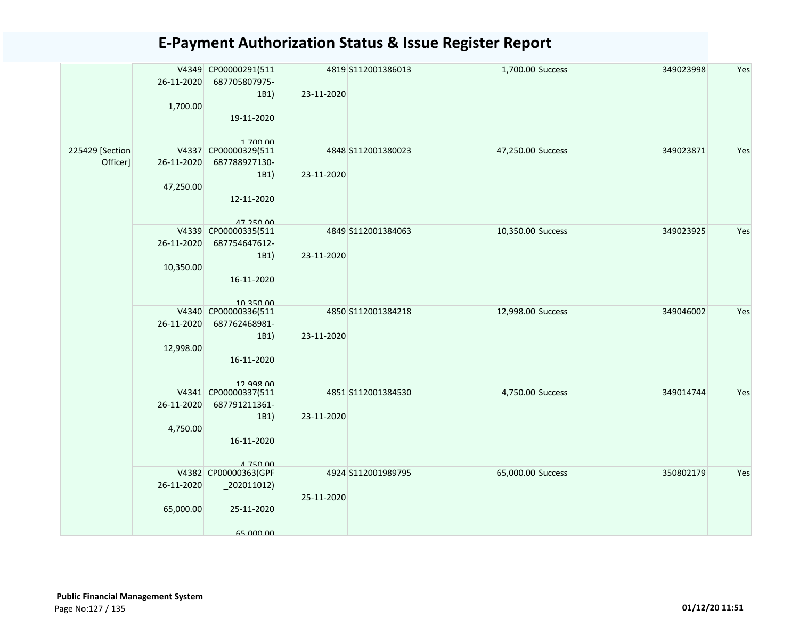|                 | 26-11-2020 | V4349 CP00000291(511<br>687705807975-<br>1B1) | 23-11-2020 | 4819 S112001386013 | 1,700.00 Success  | 349023998 | Yes |
|-----------------|------------|-----------------------------------------------|------------|--------------------|-------------------|-----------|-----|
|                 | 1,700.00   | 19-11-2020<br>1 700 00                        |            |                    |                   |           |     |
| 225429 [Section |            | V4337 CP00000329(511                          |            | 4848 S112001380023 | 47,250.00 Success | 349023871 | Yes |
| Officer]        | 26-11-2020 | 687788927130-                                 |            |                    |                   |           |     |
|                 |            | 1B1)                                          | 23-11-2020 |                    |                   |           |     |
|                 | 47,250.00  |                                               |            |                    |                   |           |     |
|                 |            | 12-11-2020                                    |            |                    |                   |           |     |
|                 |            | 47 250 00                                     |            |                    |                   |           |     |
|                 | 26-11-2020 | V4339 CP00000335(511<br>687754647612-         |            | 4849 S112001384063 | 10,350.00 Success | 349023925 | Yes |
|                 |            | 1B1)                                          | 23-11-2020 |                    |                   |           |     |
|                 | 10,350.00  |                                               |            |                    |                   |           |     |
|                 |            | 16-11-2020                                    |            |                    |                   |           |     |
|                 |            | 10 350 00<br>V4340 CP00000336(511             |            | 4850 S112001384218 | 12,998.00 Success | 349046002 | Yes |
|                 | 26-11-2020 | 687762468981-                                 |            |                    |                   |           |     |
|                 |            | 1B1)                                          | 23-11-2020 |                    |                   |           |     |
|                 | 12,998.00  |                                               |            |                    |                   |           |     |
|                 |            | 16-11-2020                                    |            |                    |                   |           |     |
|                 |            | 12 998 nn                                     |            |                    |                   |           |     |
|                 | 26-11-2020 | V4341 CP00000337(511<br>687791211361-         |            | 4851 S112001384530 | 4,750.00 Success  | 349014744 | Yes |
|                 |            | 1B1)                                          | 23-11-2020 |                    |                   |           |     |
|                 | 4,750.00   |                                               |            |                    |                   |           |     |
|                 |            | 16-11-2020                                    |            |                    |                   |           |     |
|                 |            |                                               |            |                    |                   |           |     |
|                 |            | 4 750 00                                      |            |                    |                   |           |     |
|                 |            | V4382 CP00000363(GPF                          |            | 4924 S112001989795 | 65,000.00 Success | 350802179 | Yes |
|                 | 26-11-2020 |                                               |            |                    |                   |           |     |
|                 |            | 25-11-2020                                    | 25-11-2020 |                    |                   |           |     |
|                 | 65,000.00  |                                               |            |                    |                   |           |     |
|                 |            | 65,000,00                                     |            |                    |                   |           |     |
|                 |            |                                               |            |                    |                   |           |     |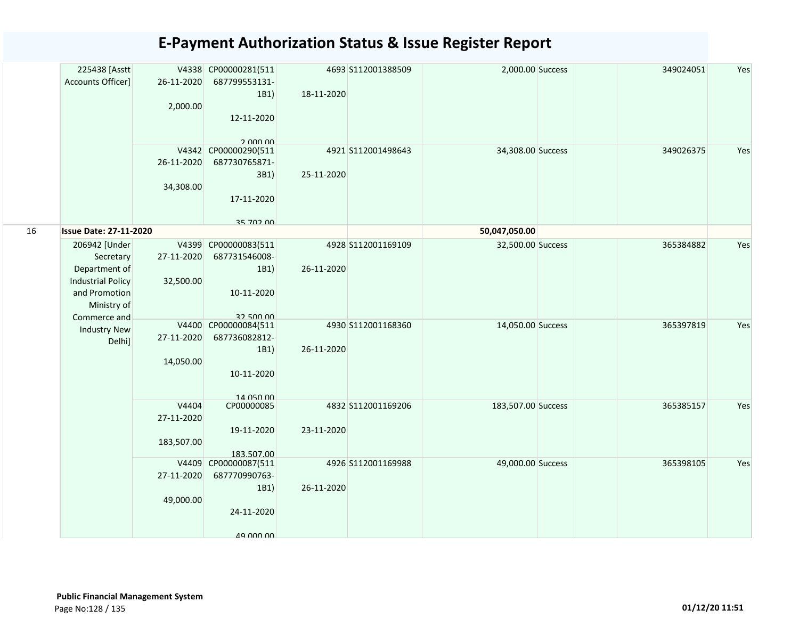|    | 225438 [Asstt<br>Accounts Officer] | 26-11-2020 | V4338 CP00000281(511<br>687799553131-<br>1B1) | 18-11-2020 | 4693 S112001388509 | 2,000.00 Success   | 349024051 | Yes |
|----|------------------------------------|------------|-----------------------------------------------|------------|--------------------|--------------------|-----------|-----|
|    |                                    | 2,000.00   | 12-11-2020                                    |            |                    |                    |           |     |
|    |                                    |            | 2.000.00                                      |            |                    |                    |           |     |
|    |                                    |            | V4342 CP00000290(511                          |            | 4921 S112001498643 | 34,308.00 Success  | 349026375 | Yes |
|    |                                    | 26-11-2020 | 687730765871-                                 |            |                    |                    |           |     |
|    |                                    |            | 3B1)                                          | 25-11-2020 |                    |                    |           |     |
|    |                                    | 34,308.00  |                                               |            |                    |                    |           |     |
|    |                                    |            | 17-11-2020                                    |            |                    |                    |           |     |
| 16 | <b>Issue Date: 27-11-2020</b>      |            | 25 702 00                                     |            |                    | 50,047,050.00      |           |     |
|    | 206942 [Under                      | V4399      | CP00000083(511                                |            | 4928 S112001169109 | 32,500.00 Success  | 365384882 | Yes |
|    | Secretary                          | 27-11-2020 | 687731546008-                                 |            |                    |                    |           |     |
|    | Department of                      |            | 1B1)                                          | 26-11-2020 |                    |                    |           |     |
|    | <b>Industrial Policy</b>           | 32,500.00  |                                               |            |                    |                    |           |     |
|    | and Promotion                      |            | 10-11-2020                                    |            |                    |                    |           |     |
|    | Ministry of                        |            |                                               |            |                    |                    |           |     |
|    | Commerce and                       |            | <b>32 500 00</b>                              |            |                    |                    |           |     |
|    | <b>Industry New</b>                |            | V4400 CP00000084(511                          |            | 4930 S112001168360 | 14,050.00 Success  | 365397819 | Yes |
|    | Delhi]                             | 27-11-2020 | 687736082812-                                 |            |                    |                    |           |     |
|    |                                    |            | 1B1)                                          | 26-11-2020 |                    |                    |           |     |
|    |                                    | 14,050.00  |                                               |            |                    |                    |           |     |
|    |                                    |            | 10-11-2020                                    |            |                    |                    |           |     |
|    |                                    |            | 14 050 00                                     |            |                    |                    |           |     |
|    |                                    | V4404      | CP00000085                                    |            | 4832 S112001169206 | 183,507.00 Success | 365385157 | Yes |
|    |                                    | 27-11-2020 |                                               |            |                    |                    |           |     |
|    |                                    |            | 19-11-2020                                    | 23-11-2020 |                    |                    |           |     |
|    |                                    | 183,507.00 |                                               |            |                    |                    |           |     |
|    |                                    |            | 183.507.00                                    |            |                    |                    |           |     |
|    |                                    |            | V4409 CP00000087(511                          |            | 4926 S112001169988 | 49,000.00 Success  | 365398105 | Yes |
|    |                                    | 27-11-2020 | 687770990763-                                 |            |                    |                    |           |     |
|    |                                    |            | 1B1)                                          | 26-11-2020 |                    |                    |           |     |
|    |                                    | 49,000.00  |                                               |            |                    |                    |           |     |
|    |                                    |            | 24-11-2020                                    |            |                    |                    |           |     |
|    |                                    |            |                                               |            |                    |                    |           |     |
|    |                                    |            | 49 000 00                                     |            |                    |                    |           |     |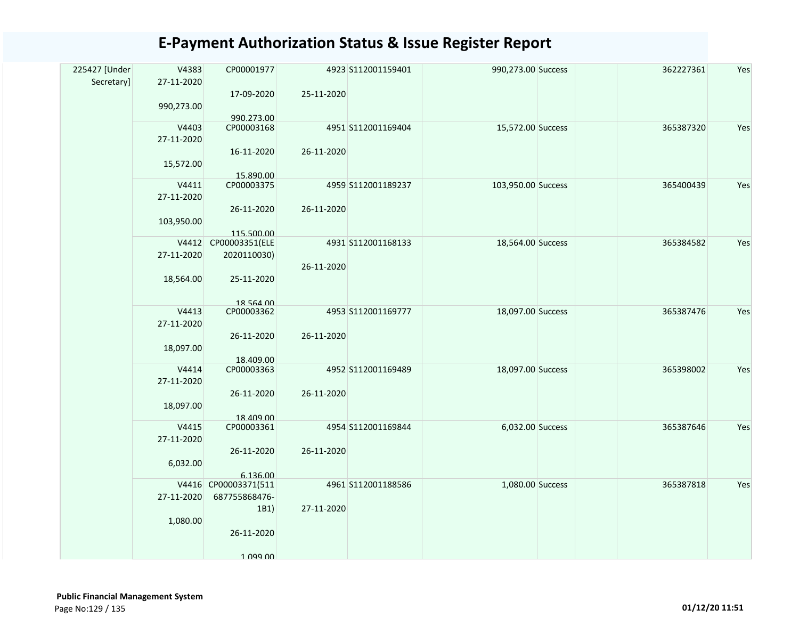| 225427 [Under<br>Secretary] | V4383<br>27-11-2020 | CP00001977                       |            | 4923 S112001159401 | 990,273.00 Success | 362227361 | Yes |
|-----------------------------|---------------------|----------------------------------|------------|--------------------|--------------------|-----------|-----|
|                             |                     | 17-09-2020                       | 25-11-2020 |                    |                    |           |     |
|                             | 990,273.00          |                                  |            |                    |                    |           |     |
|                             | V4403               | 990.273.00<br>CP00003168         |            | 4951 S112001169404 | 15,572.00 Success  | 365387320 | Yes |
|                             |                     |                                  |            |                    |                    |           |     |
|                             | 27-11-2020          |                                  |            |                    |                    |           |     |
|                             |                     | 16-11-2020                       | 26-11-2020 |                    |                    |           |     |
|                             | 15,572.00           |                                  |            |                    |                    |           |     |
|                             | V4411               | 15.890.00                        |            |                    |                    | 365400439 | Yes |
|                             |                     | CP00003375                       |            | 4959 S112001189237 | 103,950.00 Success |           |     |
|                             | 27-11-2020          |                                  |            |                    |                    |           |     |
|                             |                     | 26-11-2020                       | 26-11-2020 |                    |                    |           |     |
|                             | 103,950.00          |                                  |            |                    |                    |           |     |
|                             |                     | 115.500.00                       |            |                    |                    |           |     |
|                             |                     | V4412 CP00003351(ELE             |            | 4931 S112001168133 | 18,564.00 Success  | 365384582 | Yes |
|                             | 27-11-2020          | 2020110030)                      |            |                    |                    |           |     |
|                             |                     |                                  | 26-11-2020 |                    |                    |           |     |
|                             | 18,564.00           | 25-11-2020                       |            |                    |                    |           |     |
|                             |                     |                                  |            |                    |                    |           |     |
|                             |                     | 18 564 00                        |            |                    |                    |           |     |
|                             | V4413               | CP00003362                       |            | 4953 S112001169777 | 18,097.00 Success  | 365387476 | Yes |
|                             | 27-11-2020          |                                  |            |                    |                    |           |     |
|                             |                     | 26-11-2020                       | 26-11-2020 |                    |                    |           |     |
|                             | 18,097.00           |                                  |            |                    |                    |           |     |
|                             | V4414               | 18.409.00<br>CP00003363          |            | 4952 S112001169489 | 18,097.00 Success  | 365398002 | Yes |
|                             |                     |                                  |            |                    |                    |           |     |
|                             | 27-11-2020          |                                  |            |                    |                    |           |     |
|                             |                     | 26-11-2020                       | 26-11-2020 |                    |                    |           |     |
|                             | 18,097.00           |                                  |            |                    |                    |           |     |
|                             | V4415               | 18.409.00<br>CP00003361          |            | 4954 S112001169844 | 6,032.00 Success   | 365387646 | Yes |
|                             | 27-11-2020          |                                  |            |                    |                    |           |     |
|                             |                     |                                  |            |                    |                    |           |     |
|                             |                     | 26-11-2020                       | 26-11-2020 |                    |                    |           |     |
|                             | 6,032.00            |                                  |            |                    |                    |           |     |
|                             |                     | 6.136.00<br>V4416 CP00003371(511 |            | 4961 S112001188586 | 1,080.00 Success   | 365387818 | Yes |
|                             | 27-11-2020          | 687755868476-                    |            |                    |                    |           |     |
|                             |                     | 1B1)                             | 27-11-2020 |                    |                    |           |     |
|                             |                     |                                  |            |                    |                    |           |     |
|                             | 1,080.00            |                                  |            |                    |                    |           |     |
|                             |                     | 26-11-2020                       |            |                    |                    |           |     |
|                             |                     | 1 099 00                         |            |                    |                    |           |     |
|                             |                     |                                  |            |                    |                    |           |     |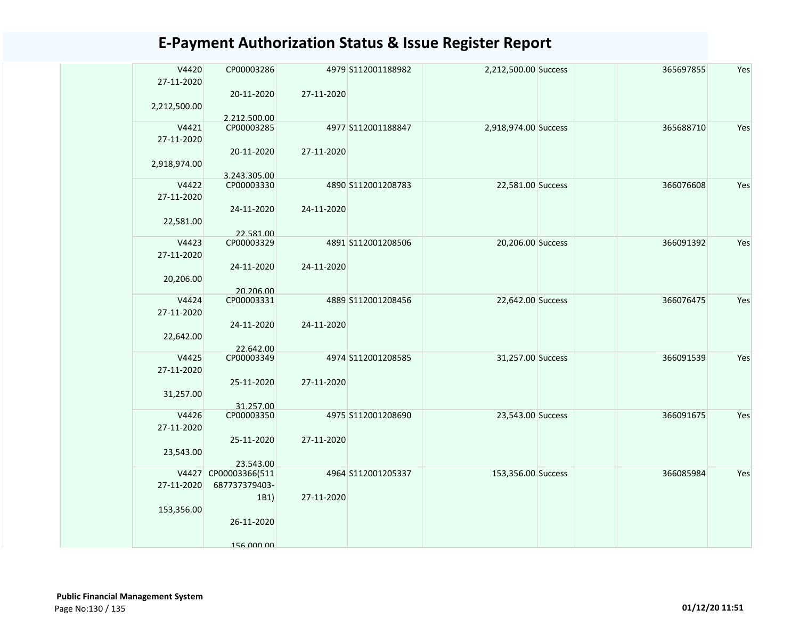| V4420<br>27-11-2020 | CP00003286<br>20-11-2020    | 27-11-2020 | 4979 S112001188982 | 2,212,500.00 Success | 365697855 | Yes |
|---------------------|-----------------------------|------------|--------------------|----------------------|-----------|-----|
| 2,212,500.00        | 2.212.500.00                |            |                    |                      |           |     |
| V4421               | CP00003285                  |            | 4977 S112001188847 | 2,918,974.00 Success | 365688710 | Yes |
| 27-11-2020          |                             |            |                    |                      |           |     |
| 2,918,974.00        | 20-11-2020                  | 27-11-2020 |                    |                      |           |     |
| V4422               | 3.243.305.00<br>CP00003330  |            | 4890 S112001208783 | 22,581.00 Success    | 366076608 | Yes |
| 27-11-2020          |                             |            |                    |                      |           |     |
|                     | 24-11-2020                  | 24-11-2020 |                    |                      |           |     |
| 22,581.00           |                             |            |                    |                      |           |     |
|                     | 22.581.00                   |            |                    |                      |           |     |
| V4423<br>27-11-2020 | CP00003329                  |            | 4891 S112001208506 | 20,206.00 Success    | 366091392 | Yes |
|                     | 24-11-2020                  | 24-11-2020 |                    |                      |           |     |
| 20,206.00           |                             |            |                    |                      |           |     |
|                     | 20.206.00                   |            |                    |                      |           |     |
| V4424               | CP00003331                  |            | 4889 S112001208456 | 22,642.00 Success    | 366076475 | Yes |
| 27-11-2020          |                             |            |                    |                      |           |     |
|                     | 24-11-2020                  | 24-11-2020 |                    |                      |           |     |
| 22,642.00           |                             |            |                    |                      |           |     |
|                     | 22.642.00                   |            |                    |                      |           |     |
| V4425<br>27-11-2020 | CP00003349                  |            | 4974 S112001208585 | 31,257.00 Success    | 366091539 | Yes |
|                     | 25-11-2020                  | 27-11-2020 |                    |                      |           |     |
| 31,257.00           |                             |            |                    |                      |           |     |
|                     | 31.257.00                   |            |                    |                      |           |     |
| V4426               | CP00003350                  |            | 4975 S112001208690 | 23,543.00 Success    | 366091675 | Yes |
| 27-11-2020          |                             |            |                    |                      |           |     |
|                     | 25-11-2020                  | 27-11-2020 |                    |                      |           |     |
| 23,543.00           |                             |            |                    |                      |           |     |
| V4427               | 23.543.00<br>CP00003366(511 |            | 4964 S112001205337 | 153,356.00 Success   | 366085984 | Yes |
| 27-11-2020          | 687737379403-               |            |                    |                      |           |     |
|                     | 1B1)                        | 27-11-2020 |                    |                      |           |     |
| 153,356.00          |                             |            |                    |                      |           |     |
|                     | 26-11-2020                  |            |                    |                      |           |     |
|                     |                             |            |                    |                      |           |     |
|                     | 156 000 00                  |            |                    |                      |           |     |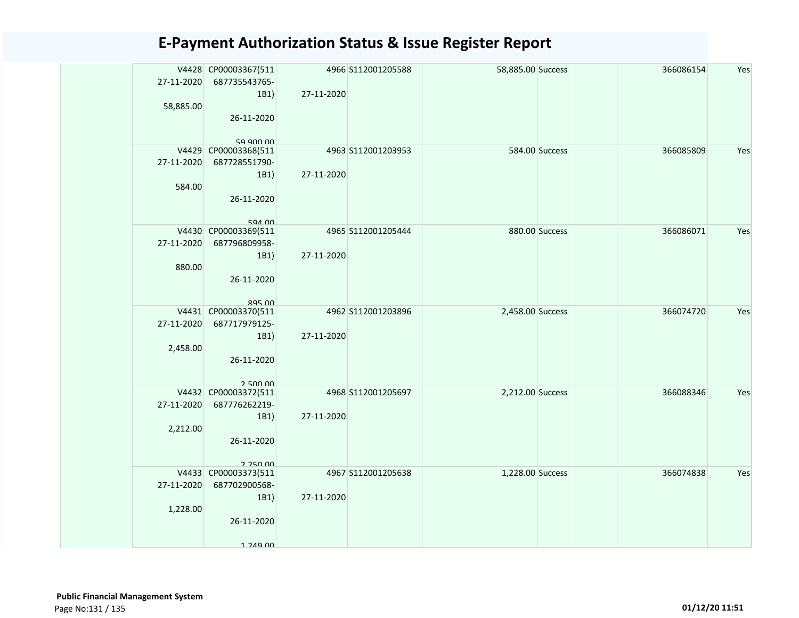| 27-11-2020 | V4428 CP00003367(511<br>687735543765- |            | 4966 S112001205588 | 58,885.00 Success | 366086154 | Yes |
|------------|---------------------------------------|------------|--------------------|-------------------|-----------|-----|
|            | 1B1                                   | 27-11-2020 |                    |                   |           |     |
| 58,885.00  |                                       |            |                    |                   |           |     |
|            | 26-11-2020                            |            |                    |                   |           |     |
|            | 59 GOO OO                             |            |                    |                   |           |     |
|            | V4429 CP00003368(511                  |            | 4963 S112001203953 | 584.00 Success    | 366085809 | Yes |
| 27-11-2020 | 687728551790-                         |            |                    |                   |           |     |
|            | 1B1)                                  | 27-11-2020 |                    |                   |           |     |
| 584.00     |                                       |            |                    |                   |           |     |
|            | 26-11-2020                            |            |                    |                   |           |     |
|            | 594 00                                |            |                    |                   |           |     |
|            | V4430 CP00003369(511                  |            | 4965 S112001205444 | 880.00 Success    | 366086071 | Yes |
| 27-11-2020 | 687796809958-                         |            |                    |                   |           |     |
|            | 1B1)                                  | 27-11-2020 |                    |                   |           |     |
| 880.00     |                                       |            |                    |                   |           |     |
|            | 26-11-2020                            |            |                    |                   |           |     |
|            | $ROF$ $00$                            |            |                    |                   |           |     |
|            | V4431 CP00003370(511                  |            | 4962 S112001203896 | 2,458.00 Success  | 366074720 | Yes |
| 27-11-2020 | 687717979125-                         |            |                    |                   |           |     |
|            | 1B1)                                  | 27-11-2020 |                    |                   |           |     |
| 2,458.00   | 26-11-2020                            |            |                    |                   |           |     |
|            |                                       |            |                    |                   |           |     |
|            | 25000                                 |            |                    |                   |           |     |
|            | V4432 CP00003372(511                  |            | 4968 S112001205697 | 2,212.00 Success  | 366088346 | Yes |
| 27-11-2020 | 687776262219-                         |            |                    |                   |           |     |
| 2,212.00   | 1B1)                                  | 27-11-2020 |                    |                   |           |     |
|            | 26-11-2020                            |            |                    |                   |           |     |
|            |                                       |            |                    |                   |           |     |
|            | 2.250.00                              |            |                    |                   |           |     |
| 27-11-2020 | V4433 CP00003373(511<br>687702900568- |            | 4967 S112001205638 | 1,228.00 Success  | 366074838 | Yes |
|            | 1B1                                   | 27-11-2020 |                    |                   |           |     |
| 1,228.00   |                                       |            |                    |                   |           |     |
|            | 26-11-2020                            |            |                    |                   |           |     |
|            |                                       |            |                    |                   |           |     |
|            | $1.249$ 00                            |            |                    |                   |           |     |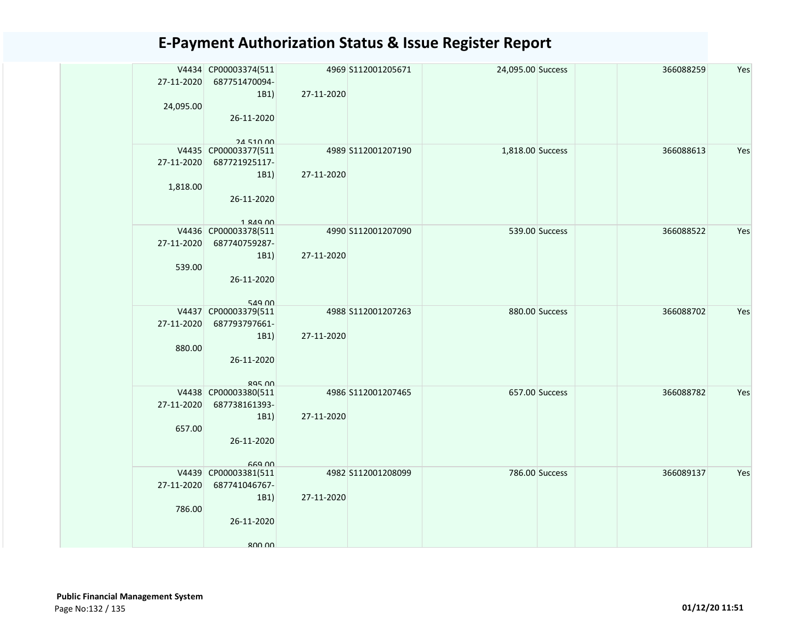| 27-11-2020 | V4434 CP00003374(511<br>687751470094- |            | 4969 S112001205671 | 24,095.00 Success |                | 366088259 | Yes |
|------------|---------------------------------------|------------|--------------------|-------------------|----------------|-----------|-----|
|            | 1B1                                   | 27-11-2020 |                    |                   |                |           |     |
| 24,095.00  |                                       |            |                    |                   |                |           |     |
|            | 26-11-2020                            |            |                    |                   |                |           |     |
|            |                                       |            |                    |                   |                |           |     |
|            | 24.510.00<br>V4435 CP00003377(511     |            | 4989 S112001207190 | 1,818.00 Success  |                | 366088613 | Yes |
| 27-11-2020 | 687721925117-                         |            |                    |                   |                |           |     |
|            | 1B1)                                  | 27-11-2020 |                    |                   |                |           |     |
| 1,818.00   |                                       |            |                    |                   |                |           |     |
|            | 26-11-2020                            |            |                    |                   |                |           |     |
|            |                                       |            |                    |                   |                |           |     |
|            | 1 RAQ 00                              |            |                    |                   |                |           |     |
|            | V4436 CP00003378(511                  |            | 4990 S112001207090 |                   | 539.00 Success | 366088522 | Yes |
|            | 27-11-2020 687740759287-              |            |                    |                   |                |           |     |
| 539.00     | 1B1)                                  | 27-11-2020 |                    |                   |                |           |     |
|            | 26-11-2020                            |            |                    |                   |                |           |     |
|            |                                       |            |                    |                   |                |           |     |
|            | 549 00                                |            |                    |                   |                |           |     |
|            | V4437 CP00003379(511                  |            | 4988 S112001207263 |                   | 880.00 Success | 366088702 | Yes |
| 27-11-2020 | 687793797661-                         |            |                    |                   |                |           |     |
|            | 1B1)                                  | 27-11-2020 |                    |                   |                |           |     |
| 880.00     |                                       |            |                    |                   |                |           |     |
|            | 26-11-2020                            |            |                    |                   |                |           |     |
|            | $895$ $00$                            |            |                    |                   |                |           |     |
|            | V4438 CP00003380(511                  |            | 4986 S112001207465 |                   | 657.00 Success | 366088782 | Yes |
| 27-11-2020 | 687738161393-                         |            |                    |                   |                |           |     |
|            | 1B1)                                  | 27-11-2020 |                    |                   |                |           |     |
| 657.00     |                                       |            |                    |                   |                |           |     |
|            | 26-11-2020                            |            |                    |                   |                |           |     |
|            | <b>GG9 00</b>                         |            |                    |                   |                |           |     |
|            | V4439 CP00003381(511                  |            | 4982 S112001208099 |                   | 786.00 Success | 366089137 | Yes |
|            | 27-11-2020 687741046767-              |            |                    |                   |                |           |     |
|            | 1B1)                                  | 27-11-2020 |                    |                   |                |           |     |
| 786.00     |                                       |            |                    |                   |                |           |     |
|            | 26-11-2020                            |            |                    |                   |                |           |     |
|            |                                       |            |                    |                   |                |           |     |
|            | 800.00                                |            |                    |                   |                |           |     |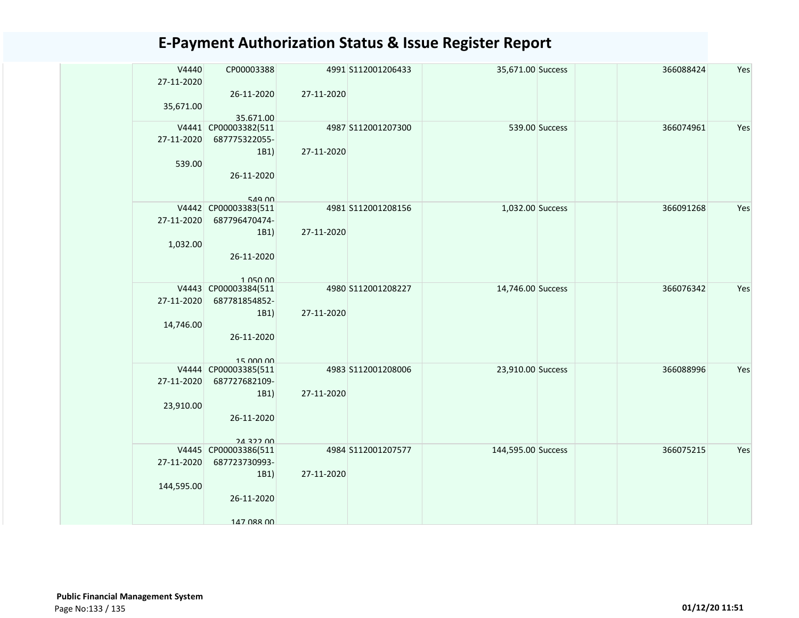| V4440      | CP00003388                        |            | 4991 S112001206433 | 35,671.00 Success  |                | 366088424 | Yes |
|------------|-----------------------------------|------------|--------------------|--------------------|----------------|-----------|-----|
| 27-11-2020 |                                   |            |                    |                    |                |           |     |
|            | 26-11-2020                        | 27-11-2020 |                    |                    |                |           |     |
| 35,671.00  |                                   |            |                    |                    |                |           |     |
|            |                                   |            |                    |                    |                |           |     |
| V4441      | 35.671.00                         |            | 4987 S112001207300 |                    | 539.00 Success | 366074961 | Yes |
|            | CP00003382(511                    |            |                    |                    |                |           |     |
| 27-11-2020 | 687775322055-                     |            |                    |                    |                |           |     |
|            | 1B1)                              | 27-11-2020 |                    |                    |                |           |     |
| 539.00     |                                   |            |                    |                    |                |           |     |
|            | 26-11-2020                        |            |                    |                    |                |           |     |
|            |                                   |            |                    |                    |                |           |     |
|            | 549 00                            |            |                    |                    |                |           |     |
|            | V4442 CP00003383(511              |            | 4981 S112001208156 | 1,032.00 Success   |                | 366091268 | Yes |
| 27-11-2020 | 687796470474-                     |            |                    |                    |                |           |     |
|            | 1B1)                              | 27-11-2020 |                    |                    |                |           |     |
|            |                                   |            |                    |                    |                |           |     |
| 1,032.00   |                                   |            |                    |                    |                |           |     |
|            | 26-11-2020                        |            |                    |                    |                |           |     |
|            |                                   |            |                    |                    |                |           |     |
|            | 1 050 00                          |            |                    |                    |                |           |     |
| V4443      | CP00003384(511                    |            | 4980 S112001208227 | 14,746.00 Success  |                | 366076342 | Yes |
| 27-11-2020 | 687781854852-                     |            |                    |                    |                |           |     |
|            | 1B1)                              | 27-11-2020 |                    |                    |                |           |     |
| 14,746.00  |                                   |            |                    |                    |                |           |     |
|            | 26-11-2020                        |            |                    |                    |                |           |     |
|            |                                   |            |                    |                    |                |           |     |
|            | 15,000,00                         |            |                    |                    |                |           |     |
|            | V4444 CP00003385(511              |            | 4983 S112001208006 | 23,910.00 Success  |                | 366088996 | Yes |
| 27-11-2020 | 687727682109-                     |            |                    |                    |                |           |     |
|            | 1B1)                              | 27-11-2020 |                    |                    |                |           |     |
| 23,910.00  |                                   |            |                    |                    |                |           |     |
|            | 26-11-2020                        |            |                    |                    |                |           |     |
|            |                                   |            |                    |                    |                |           |     |
|            |                                   |            |                    |                    |                |           |     |
|            | 24 322 00<br>V4445 CP00003386(511 |            | 4984 S112001207577 | 144,595.00 Success |                | 366075215 | Yes |
|            |                                   |            |                    |                    |                |           |     |
| 27-11-2020 | 687723730993-                     |            |                    |                    |                |           |     |
|            | 1B1)                              | 27-11-2020 |                    |                    |                |           |     |
| 144,595.00 |                                   |            |                    |                    |                |           |     |
|            | 26-11-2020                        |            |                    |                    |                |           |     |
|            |                                   |            |                    |                    |                |           |     |
|            | 147 088 00                        |            |                    |                    |                |           |     |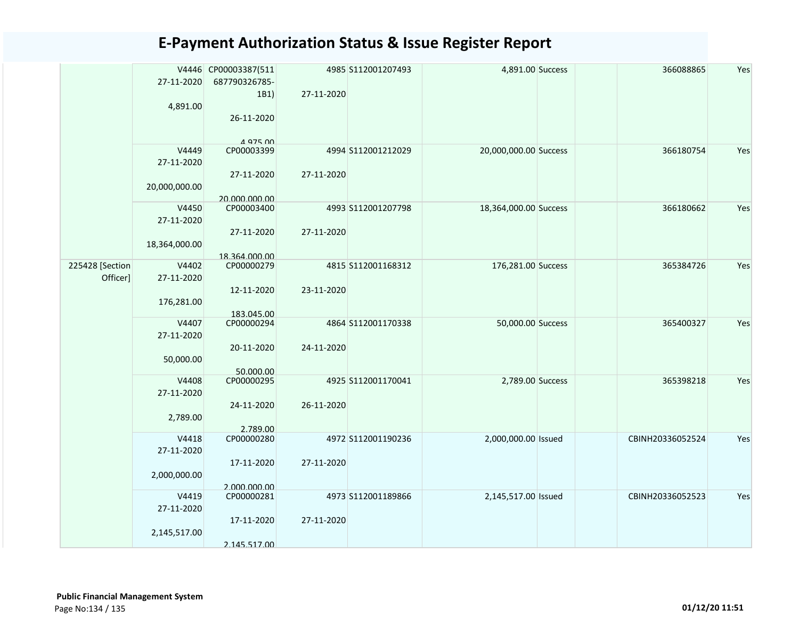|  |                 |               | V4446 CP00003387(511       |            | 4985 S112001207493 | 4,891.00 Success      | 366088865        | Yes |
|--|-----------------|---------------|----------------------------|------------|--------------------|-----------------------|------------------|-----|
|  |                 | 27-11-2020    | 687790326785-              |            |                    |                       |                  |     |
|  |                 |               | 1B1)                       | 27-11-2020 |                    |                       |                  |     |
|  |                 | 4,891.00      |                            |            |                    |                       |                  |     |
|  |                 |               | 26-11-2020                 |            |                    |                       |                  |     |
|  |                 |               | 4 975 00                   |            |                    |                       |                  |     |
|  |                 | V4449         | CP00003399                 |            | 4994 S112001212029 | 20,000,000.00 Success | 366180754        | Yes |
|  |                 | 27-11-2020    |                            |            |                    |                       |                  |     |
|  |                 |               | 27-11-2020                 | 27-11-2020 |                    |                       |                  |     |
|  |                 | 20,000,000.00 |                            |            |                    |                       |                  |     |
|  |                 |               | 20.000.000.00              |            |                    |                       |                  |     |
|  |                 | V4450         | CP00003400                 |            | 4993 S112001207798 | 18,364,000.00 Success | 366180662        | Yes |
|  |                 | 27-11-2020    |                            |            |                    |                       |                  |     |
|  |                 |               | 27-11-2020                 | 27-11-2020 |                    |                       |                  |     |
|  |                 | 18,364,000.00 |                            |            |                    |                       |                  |     |
|  |                 |               | 18.364.000.00              |            |                    |                       |                  |     |
|  | 225428 [Section | V4402         | CP00000279                 |            | 4815 S112001168312 | 176,281.00 Success    | 365384726        | Yes |
|  | Officer]        | 27-11-2020    |                            |            |                    |                       |                  |     |
|  |                 |               | 12-11-2020                 | 23-11-2020 |                    |                       |                  |     |
|  |                 | 176,281.00    |                            |            |                    |                       |                  |     |
|  |                 | V4407         | 183.045.00<br>CP00000294   |            | 4864 S112001170338 | 50,000.00 Success     | 365400327        | Yes |
|  |                 | 27-11-2020    |                            |            |                    |                       |                  |     |
|  |                 |               | 20-11-2020                 | 24-11-2020 |                    |                       |                  |     |
|  |                 | 50,000.00     |                            |            |                    |                       |                  |     |
|  |                 |               | 50.000.00                  |            |                    |                       |                  |     |
|  |                 | V4408         | CP00000295                 |            | 4925 S112001170041 | 2,789.00 Success      | 365398218        | Yes |
|  |                 | 27-11-2020    |                            |            |                    |                       |                  |     |
|  |                 |               | 24-11-2020                 | 26-11-2020 |                    |                       |                  |     |
|  |                 | 2,789.00      |                            |            |                    |                       |                  |     |
|  |                 |               | 2.789.00                   |            |                    |                       |                  |     |
|  |                 | V4418         | CP00000280                 |            | 4972 S112001190236 | 2,000,000.00 Issued   | CBINH20336052524 | Yes |
|  |                 | 27-11-2020    |                            |            |                    |                       |                  |     |
|  |                 |               | 17-11-2020                 | 27-11-2020 |                    |                       |                  |     |
|  |                 | 2,000,000.00  |                            |            |                    |                       |                  |     |
|  |                 | V4419         | 2.000.000.00<br>CP00000281 |            | 4973 S112001189866 | 2,145,517.00 Issued   | CBINH20336052523 | Yes |
|  |                 | 27-11-2020    |                            |            |                    |                       |                  |     |
|  |                 |               | 17-11-2020                 | 27-11-2020 |                    |                       |                  |     |
|  |                 | 2,145,517.00  |                            |            |                    |                       |                  |     |
|  |                 |               | 2.145.517.00               |            |                    |                       |                  |     |
|  |                 |               |                            |            |                    |                       |                  |     |